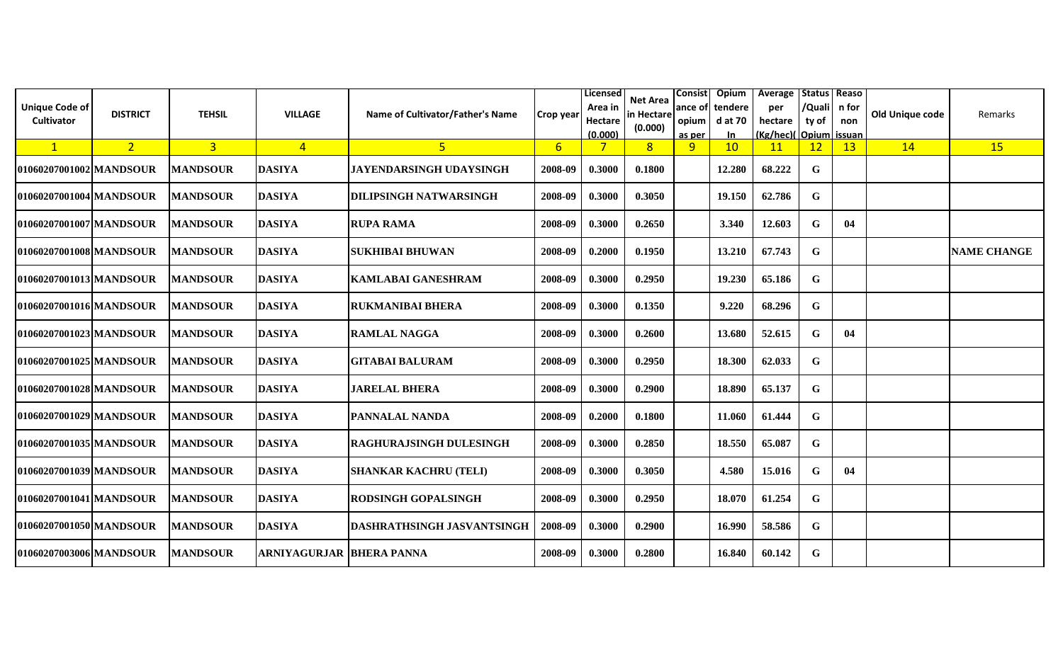| <b>Unique Code of</b><br>Cultivator | <b>DISTRICT</b> | <b>TEHSIL</b>   | <b>VILLAGE</b>                  | Name of Cultivator/Father's Name | <b>Crop year</b> | Licensed<br>Area in<br>Hectare<br>(0.000) | Net Area<br>in Hectare<br>(0.000) | opium  <br>as per | Consist Opium<br>ance of tendere<br>d at 70<br>In | Average   Status   Reaso<br>per<br>hectare<br>(Kg/hec)(Opium issuan | /Quali   n for<br>ty of | non | Old Unique code | <b>Remarks</b>     |
|-------------------------------------|-----------------|-----------------|---------------------------------|----------------------------------|------------------|-------------------------------------------|-----------------------------------|-------------------|---------------------------------------------------|---------------------------------------------------------------------|-------------------------|-----|-----------------|--------------------|
| $\mathbf{1}$                        | 2 <sup>1</sup>  | 3 <sup>1</sup>  | $\overline{4}$                  | 5 <sup>1</sup>                   | 6                | 7                                         | 8 <sup>2</sup>                    | 9                 | 10                                                | <b>11</b>                                                           | 12                      | 13  | 14              | 15                 |
| 01060207001002 MANDSOUR             |                 | <b>MANDSOUR</b> | <b>DASIYA</b>                   | <b>JAYENDARSINGH UDAYSINGH</b>   | 2008-09          | 0.3000                                    | 0.1800                            |                   | 12.280                                            | 68.222                                                              | G                       |     |                 |                    |
| 01060207001004 MANDSOUR             |                 | <b>MANDSOUR</b> | <b>DASIYA</b>                   | <b>DILIPSINGH NATWARSINGH</b>    | 2008-09          | 0.3000                                    | 0.3050                            |                   | 19.150                                            | 62.786                                                              | G                       |     |                 |                    |
| 01060207001007lMANDSOUR             |                 | <b>MANDSOUR</b> | <b>DASIYA</b>                   | <b>RUPA RAMA</b>                 | 2008-09          | 0.3000                                    | 0.2650                            |                   | 3.340                                             | 12.603                                                              | G                       | 04  |                 |                    |
| 01060207001008 MANDSOUR             |                 | <b>MANDSOUR</b> | <b>DASIYA</b>                   | <b>SUKHIBAI BHUWAN</b>           | 2008-09          | 0.2000                                    | 0.1950                            |                   | 13.210                                            | 67.743                                                              | $\mathbf G$             |     |                 | <b>NAME CHANGE</b> |
| 01060207001013 MANDSOUR             |                 | <b>MANDSOUR</b> | <b>DASIYA</b>                   | <b>KAMLABAI GANESHRAM</b>        | 2008-09          | 0.3000                                    | 0.2950                            |                   | 19.230                                            | 65.186                                                              | G                       |     |                 |                    |
| 01060207001016 MANDSOUR             |                 | <b>MANDSOUR</b> | <b>DASIYA</b>                   | <b>RUKMANIBAI BHERA</b>          | 2008-09          | 0.3000                                    | 0.1350                            |                   | 9.220                                             | 68.296                                                              | G                       |     |                 |                    |
| 01060207001023 MANDSOUR             |                 | <b>MANDSOUR</b> | <b>DASIYA</b>                   | <b>RAMLAL NAGGA</b>              | 2008-09          | 0.3000                                    | 0.2600                            |                   | 13.680                                            | 52.615                                                              | G                       | 04  |                 |                    |
| 01060207001025 MANDSOUR             |                 | <b>MANDSOUR</b> | <b>DASIYA</b>                   | <b>GITABAI BALURAM</b>           | 2008-09          | 0.3000                                    | 0.2950                            |                   | 18.300                                            | 62.033                                                              | G                       |     |                 |                    |
| 01060207001028 MANDSOUR             |                 | <b>MANDSOUR</b> | <b>DASIYA</b>                   | <b>JARELAL BHERA</b>             | 2008-09          | 0.3000                                    | 0.2900                            |                   | 18.890                                            | 65.137                                                              | G                       |     |                 |                    |
| 01060207001029 MANDSOUR             |                 | <b>MANDSOUR</b> | <b>DASIYA</b>                   | <b>PANNALAL NANDA</b>            | 2008-09          | 0.2000                                    | 0.1800                            |                   | 11.060                                            | 61.444                                                              | G                       |     |                 |                    |
| 01060207001035 MANDSOUR             |                 | <b>MANDSOUR</b> | <b>DASIYA</b>                   | <b>RAGHURAJSINGH DULESINGH</b>   | 2008-09          | 0.3000                                    | 0.2850                            |                   | 18.550                                            | 65.087                                                              | $\mathbf G$             |     |                 |                    |
| 01060207001039 MANDSOUR             |                 | <b>MANDSOUR</b> | <b>DASIYA</b>                   | <b>SHANKAR KACHRU (TELI)</b>     | 2008-09          | 0.3000                                    | 0.3050                            |                   | 4.580                                             | 15.016                                                              | $\mathbf G$             | 04  |                 |                    |
| 01060207001041 MANDSOUR             |                 | <b>MANDSOUR</b> | <b>DASIYA</b>                   | <b>RODSINGH GOPALSINGH</b>       | 2008-09          | 0.3000                                    | 0.2950                            |                   | 18.070                                            | 61.254                                                              | G                       |     |                 |                    |
| 01060207001050 MANDSOUR             |                 | <b>MANDSOUR</b> | <b>DASIYA</b>                   | DASHRATHSINGH JASVANTSINGH       | 2008-09          | 0.3000                                    | 0.2900                            |                   | 16.990                                            | 58.586                                                              | G                       |     |                 |                    |
| 01060207003006 MANDSOUR             |                 | <b>MANDSOUR</b> | <b>ARNIYAGURJAR BHERA PANNA</b> |                                  | 2008-09          | 0.3000                                    | 0.2800                            |                   | 16.840                                            | 60.142                                                              | G                       |     |                 |                    |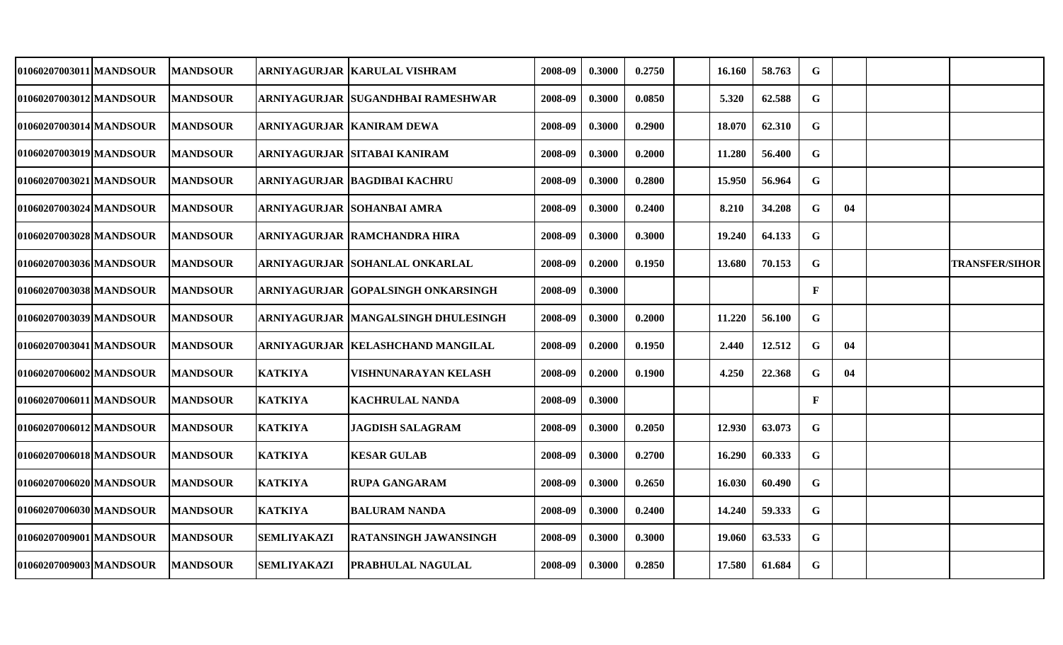| 01060207003011 MANDSOUR | <b>MANDSOUR</b> |                    | ARNIYAGURJAR  KARULAL VISHRAM        | 2008-09 | 0.3000 | 0.2750 | 16.160        | 58.763 | G            |    |                       |
|-------------------------|-----------------|--------------------|--------------------------------------|---------|--------|--------|---------------|--------|--------------|----|-----------------------|
| 01060207003012 MANDSOUR | <b>MANDSOUR</b> |                    | ARNIYAGURJAR SUGANDHBAI RAMESHWAR    | 2008-09 | 0.3000 | 0.0850 | 5.320         | 62.588 | G            |    |                       |
| 01060207003014 MANDSOUR | <b>MANDSOUR</b> |                    | ARNIYAGURJAR KANIRAM DEWA            | 2008-09 | 0.3000 | 0.2900 | 18.070        | 62.310 | G            |    |                       |
| 01060207003019 MANDSOUR | <b>MANDSOUR</b> |                    | ARNIYAGURJAR SITABAI KANIRAM         | 2008-09 | 0.3000 | 0.2000 | 11.280        | 56.400 | G            |    |                       |
| 01060207003021 MANDSOUR | <b>MANDSOUR</b> |                    | ARNIYAGURJAR  BAGDIBAI KACHRU        | 2008-09 | 0.3000 | 0.2800 | 15.950        | 56.964 | G            |    |                       |
| 01060207003024 MANDSOUR | <b>MANDSOUR</b> |                    | ARNIYAGURJAR SOHANBAI AMRA           | 2008-09 | 0.3000 | 0.2400 | 8.210         | 34.208 | G            | 04 |                       |
| 01060207003028 MANDSOUR | <b>MANDSOUR</b> |                    | ARNIYAGURJAR  RAMCHANDRA HIRA        | 2008-09 | 0.3000 | 0.3000 | 19.240        | 64.133 | $\mathbf G$  |    |                       |
| 01060207003036 MANDSOUR | <b>MANDSOUR</b> |                    | ARNIYAGURJAR SOHANLAL ONKARLAL       | 2008-09 | 0.2000 | 0.1950 | 13.680        | 70.153 | G            |    | <b>TRANSFER/SIHOR</b> |
| 01060207003038lMANDSOUR | <b>MANDSOUR</b> |                    | ARNIYAGURJAR  GOPALSINGH ONKARSINGH  | 2008-09 | 0.3000 |        |               |        | $\mathbf F$  |    |                       |
| 01060207003039 MANDSOUR | <b>MANDSOUR</b> |                    | ARNIYAGURJAR  MANGALSINGH DHULESINGH | 2008-09 | 0.3000 | 0.2000 | 11.220        | 56.100 | G            |    |                       |
| 01060207003041 MANDSOUR | <b>MANDSOUR</b> |                    | ARNIYAGURJAR  KELASHCHAND MANGILAL   | 2008-09 | 0.2000 | 0.1950 | 2.440         | 12.512 | G            | 04 |                       |
| 01060207006002 MANDSOUR | <b>MANDSOUR</b> | <b>KATKIYA</b>     | VISHNUNARAYAN KELASH                 | 2008-09 | 0.2000 | 0.1900 | 4.250         | 22.368 | G            | 04 |                       |
| 01060207006011 MANDSOUR | <b>MANDSOUR</b> | <b>KATKIYA</b>     | KACHRULAL NANDA                      | 2008-09 | 0.3000 |        |               |        | $\mathbf{F}$ |    |                       |
| 01060207006012 MANDSOUR | <b>MANDSOUR</b> | <b>KATKIYA</b>     | <b>JAGDISH SALAGRAM</b>              | 2008-09 | 0.3000 | 0.2050 | 12.930        | 63.073 | G            |    |                       |
| 01060207006018 MANDSOUR | <b>MANDSOUR</b> | <b>KATKIYA</b>     | <b>KESAR GULAB</b>                   | 2008-09 | 0.3000 | 0.2700 | 16.290        | 60.333 | G            |    |                       |
| 01060207006020 MANDSOUR | <b>MANDSOUR</b> | <b>KATKIYA</b>     | <b>RUPA GANGARAM</b>                 | 2008-09 | 0.3000 | 0.2650 | 16.030        | 60.490 | G            |    |                       |
| 01060207006030lMANDSOUR | <b>MANDSOUR</b> | <b>KATKIYA</b>     | <b>BALURAM NANDA</b>                 | 2008-09 | 0.3000 | 0.2400 | 14.240        | 59.333 | G            |    |                       |
| 01060207009001 MANDSOUR | <b>MANDSOUR</b> | <b>SEMLIYAKAZI</b> | RATANSINGH JAWANSINGH                | 2008-09 | 0.3000 | 0.3000 | <b>19.060</b> | 63.533 | G            |    |                       |
| 01060207009003 MANDSOUR | <b>MANDSOUR</b> | <b>SEMLIYAKAZI</b> | PRABHULAL NAGULAL                    | 2008-09 | 0.3000 | 0.2850 | 17.580        | 61.684 | G            |    |                       |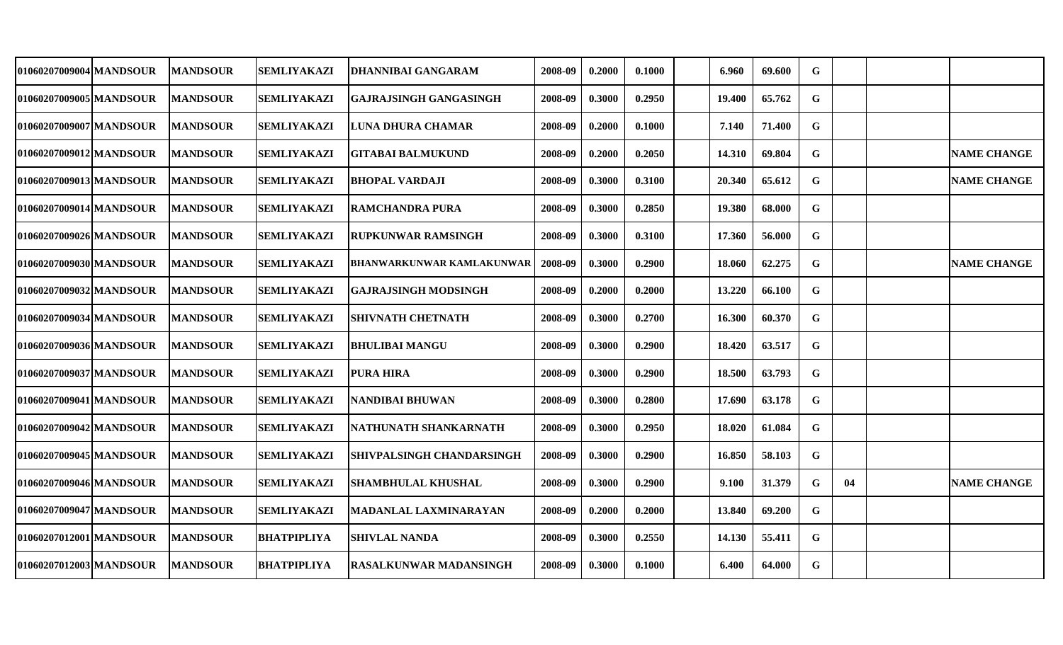| 01060207009004 MANDSOUR | <b>MANDSOUR</b> | <b>SEMLIYAKAZI</b> |                               | 2008-09 | 0.2000 | 0.1000 | 6.960  | 69.600 | G           |    |                    |
|-------------------------|-----------------|--------------------|-------------------------------|---------|--------|--------|--------|--------|-------------|----|--------------------|
|                         |                 |                    | DHANNIBAI GANGARAM            |         |        |        |        |        |             |    |                    |
| 01060207009005 MANDSOUR | <b>MANDSOUR</b> | <b>SEMLIYAKAZI</b> | GAJRAJSINGH GANGASINGH        | 2008-09 | 0.3000 | 0.2950 | 19.400 | 65.762 | G           |    |                    |
| 01060207009007IMANDSOUR | <b>MANDSOUR</b> | <b>SEMLIYAKAZI</b> | LUNA DHURA CHAMAR             | 2008-09 | 0.2000 | 0.1000 | 7.140  | 71.400 | G           |    |                    |
| 01060207009012 MANDSOUR | <b>MANDSOUR</b> | <b>SEMLIYAKAZI</b> | <b>GITABAI BALMUKUND</b>      | 2008-09 | 0.2000 | 0.2050 | 14.310 | 69.804 | G           |    | <b>NAME CHANGE</b> |
| 01060207009013 MANDSOUR | <b>MANDSOUR</b> | <b>SEMLIYAKAZI</b> | <b>BHOPAL VARDAJI</b>         | 2008-09 | 0.3000 | 0.3100 | 20.340 | 65.612 | G           |    | <b>NAME CHANGE</b> |
| 01060207009014lMANDSOUR | <b>MANDSOUR</b> | <b>SEMLIYAKAZI</b> | <b>RAMCHANDRA PURA</b>        | 2008-09 | 0.3000 | 0.2850 | 19.380 | 68.000 | G           |    |                    |
| 01060207009026 MANDSOUR | <b>MANDSOUR</b> | <b>SEMLIYAKAZI</b> | <b>RUPKUNWAR RAMSINGH</b>     | 2008-09 | 0.3000 | 0.3100 | 17.360 | 56.000 | G           |    |                    |
| 01060207009030 MANDSOUR | <b>MANDSOUR</b> | <b>SEMLIYAKAZI</b> | BHANWARKUNWAR KAMLAKUNWAR     | 2008-09 | 0.3000 | 0.2900 | 18.060 | 62.275 | $\mathbf G$ |    | <b>NAME CHANGE</b> |
| 01060207009032 MANDSOUR | <b>MANDSOUR</b> | <b>SEMLIYAKAZI</b> | <b>GAJRAJSINGH MODSINGH</b>   | 2008-09 | 0.2000 | 0.2000 | 13.220 | 66.100 | G           |    |                    |
| 01060207009034lMANDSOUR | <b>MANDSOUR</b> | <b>SEMLIYAKAZI</b> | SHIVNATH CHETNATH             | 2008-09 | 0.3000 | 0.2700 | 16.300 | 60.370 | $\mathbf G$ |    |                    |
| 01060207009036 MANDSOUR | <b>MANDSOUR</b> | <b>SEMLIYAKAZI</b> | <b>BHULIBAI MANGU</b>         | 2008-09 | 0.3000 | 0.2900 | 18.420 | 63.517 | G           |    |                    |
| 01060207009037 MANDSOUR | <b>MANDSOUR</b> | <b>SEMLIYAKAZI</b> | <b>PURA HIRA</b>              | 2008-09 | 0.3000 | 0.2900 | 18.500 | 63.793 | G           |    |                    |
| 01060207009041 MANDSOUR | <b>MANDSOUR</b> | <b>SEMLIYAKAZI</b> | NANDIBAI BHUWAN               | 2008-09 | 0.3000 | 0.2800 | 17.690 | 63.178 | G           |    |                    |
| 01060207009042 MANDSOUR | <b>MANDSOUR</b> | SEMLIYAKAZI        | NATHUNATH SHANKARNATH         | 2008-09 | 0.3000 | 0.2950 | 18.020 | 61.084 | G           |    |                    |
| 01060207009045 MANDSOUR | <b>MANDSOUR</b> | <b>SEMLIYAKAZI</b> | SHIVPALSINGH CHANDARSINGH     | 2008-09 | 0.3000 | 0.2900 | 16.850 | 58.103 | G           |    |                    |
| 01060207009046 MANDSOUR | <b>MANDSOUR</b> | <b>SEMLIYAKAZI</b> | SHAMBHULAL KHUSHAL            | 2008-09 | 0.3000 | 0.2900 | 9.100  | 31.379 | G           | 04 | <b>NAME CHANGE</b> |
| 01060207009047 MANDSOUR | <b>MANDSOUR</b> | <b>SEMLIYAKAZI</b> | MADANLAL LAXMINARAYAN         | 2008-09 | 0.2000 | 0.2000 | 13.840 | 69.200 | G           |    |                    |
| 01060207012001 MANDSOUR | <b>MANDSOUR</b> | <b>BHATPIPLIYA</b> | <b>SHIVLAL NANDA</b>          | 2008-09 | 0.3000 | 0.2550 | 14.130 | 55.411 | G           |    |                    |
| 01060207012003 MANDSOUR | <b>MANDSOUR</b> | <b>BHATPIPLIYA</b> | <b>RASALKUNWAR MADANSINGH</b> | 2008-09 | 0.3000 | 0.1000 | 6.400  | 64.000 | G           |    |                    |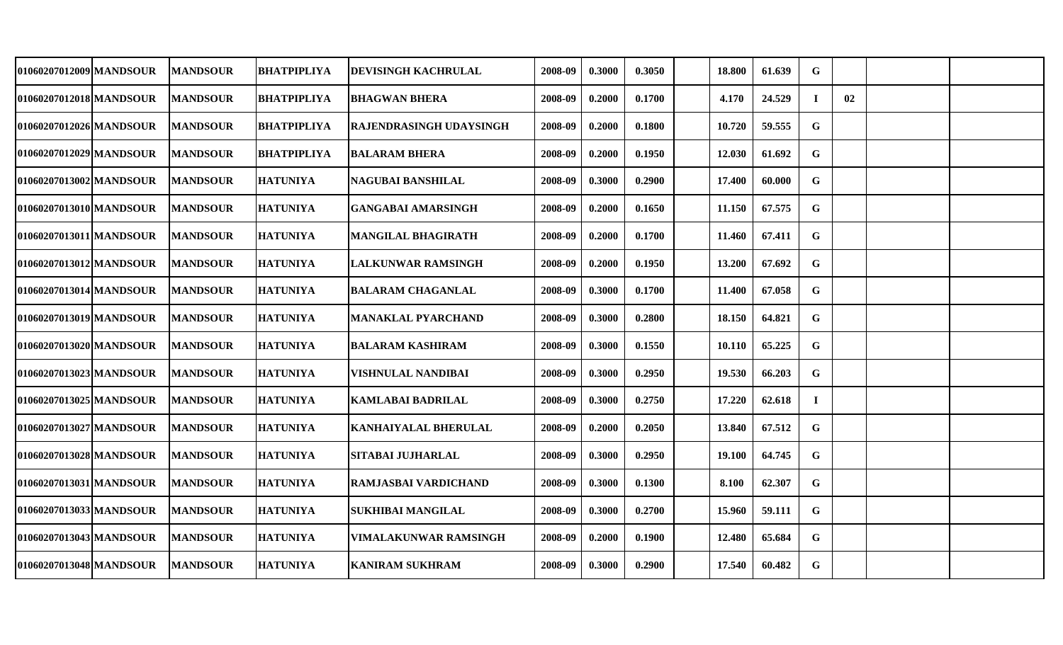| 01060207012009 MANDSOUR | <b>MANDSOUR</b>  | <b>BHATPIPLIYA</b> | DEVISINGH KACHRULAL       | 2008-09 | 0.3000 | 0.3050 | 18.800 | 61.639 | G           |    |  |
|-------------------------|------------------|--------------------|---------------------------|---------|--------|--------|--------|--------|-------------|----|--|
| 01060207012018 MANDSOUR | <b>MANDSOUR</b>  | <b>BHATPIPLIYA</b> | <b>BHAGWAN BHERA</b>      | 2008-09 | 0.2000 | 0.1700 | 4.170  | 24.529 | $\bf I$     | 02 |  |
| 01060207012026 MANDSOUR | <b>MANDSOUR</b>  | <b>BHATPIPLIYA</b> | RAJENDRASINGH UDAYSINGH   | 2008-09 | 0.2000 | 0.1800 | 10.720 | 59.555 | $\mathbf G$ |    |  |
| 01060207012029 MANDSOUR | <b>MANDSOUR</b>  | <b>BHATPIPLIYA</b> | <b>BALARAM BHERA</b>      | 2008-09 | 0.2000 | 0.1950 | 12.030 | 61.692 | G           |    |  |
| 01060207013002 MANDSOUR | <b>MANDSOUR</b>  | <b>HATUNIYA</b>    | <b>NAGUBAI BANSHILAL</b>  | 2008-09 | 0.3000 | 0.2900 | 17.400 | 60.000 | $\mathbf G$ |    |  |
| 01060207013010 MANDSOUR | <b>MANDSOUR</b>  | <b>HATUNIYA</b>    | <b>GANGABAI AMARSINGH</b> | 2008-09 | 0.2000 | 0.1650 | 11.150 | 67.575 | $\mathbf G$ |    |  |
| 01060207013011 MANDSOUR | <b>MANDSOUR</b>  | <b>HATUNIYA</b>    | <b>MANGILAL BHAGIRATH</b> | 2008-09 | 0.2000 | 0.1700 | 11.460 | 67.411 | $\mathbf G$ |    |  |
| 01060207013012 MANDSOUR | <b>MANDSOUR</b>  | <b>HATUNIYA</b>    | <b>LALKUNWAR RAMSINGH</b> | 2008-09 | 0.2000 | 0.1950 | 13.200 | 67.692 | $\mathbf G$ |    |  |
| 01060207013014 MANDSOUR | <b>MANDSOUR</b>  | <b>HATUNIYA</b>    | <b>BALARAM CHAGANLAL</b>  | 2008-09 | 0.3000 | 0.1700 | 11.400 | 67.058 | G           |    |  |
| 01060207013019 MANDSOUR | <b>MANDSOUR</b>  | <b>HATUNIYA</b>    | <b>MANAKLAL PYARCHAND</b> | 2008-09 | 0.3000 | 0.2800 | 18.150 | 64.821 | $\mathbf G$ |    |  |
| 01060207013020 MANDSOUR | <b>MANDSOUR</b>  | <b>HATUNIYA</b>    | <b>BALARAM KASHIRAM</b>   | 2008-09 | 0.3000 | 0.1550 | 10.110 | 65.225 | G           |    |  |
| 01060207013023 MANDSOUR | <b>MANDSOUR</b>  | <b>HATUNIYA</b>    | VISHNULAL NANDIBAI        | 2008-09 | 0.3000 | 0.2950 | 19.530 | 66.203 | $\mathbf G$ |    |  |
| 01060207013025 MANDSOUR | <b>MANDSOUR</b>  | <b>HATUNIYA</b>    | <b>KAMLABAI BADRILAL</b>  | 2008-09 | 0.3000 | 0.2750 | 17.220 | 62.618 | $\bf{I}$    |    |  |
| 01060207013027 MANDSOUR | <b>MANDSOUR</b>  | <b>HATUNIYA</b>    | KANHAIYALAL BHERULAL      | 2008-09 | 0.2000 | 0.2050 | 13.840 | 67.512 | G           |    |  |
| 01060207013028 MANDSOUR | <b>MANDSOUR</b>  | <b>HATUNIYA</b>    | <b>SITABAI JUJHARLAL</b>  | 2008-09 | 0.3000 | 0.2950 | 19.100 | 64.745 | G           |    |  |
| 01060207013031 MANDSOUR | <b>MANDSOUR</b>  | <b>HATUNIYA</b>    | RAMJASBAI VARDICHAND      | 2008-09 | 0.3000 | 0.1300 | 8.100  | 62.307 | G           |    |  |
| 01060207013033 MANDSOUR | <b>MANDSOUR</b>  | <b>HATUNIYA</b>    | <b>SUKHIBAI MANGILAL</b>  | 2008-09 | 0.3000 | 0.2700 | 15.960 | 59.111 | G           |    |  |
| 01060207013043 MANDSOUR | <b> MANDSOUR</b> | <b>HATUNIYA</b>    | VIMALAKUNWAR RAMSINGH     | 2008-09 | 0.2000 | 0.1900 | 12.480 | 65.684 | G           |    |  |
| 01060207013048 MANDSOUR | <b>MANDSOUR</b>  | <b>HATUNIYA</b>    | <b>KANIRAM SUKHRAM</b>    | 2008-09 | 0.3000 | 0.2900 | 17.540 | 60.482 | G           |    |  |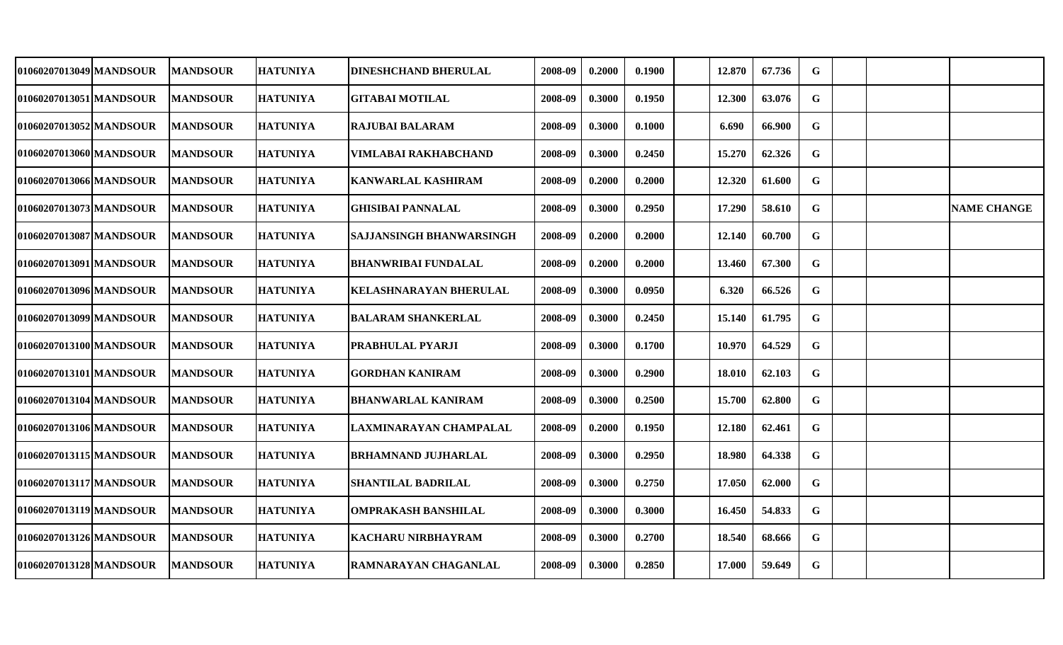| 01060207013049 MANDSOUR | <b>MANDSOUR</b> | <b>HATUNIYA</b> | <b>DINESHCHAND BHERULAL</b> | 2008-09 | 0.2000 | 0.1900 | 12.870 | 67.736 | G           |  |                    |
|-------------------------|-----------------|-----------------|-----------------------------|---------|--------|--------|--------|--------|-------------|--|--------------------|
| 01060207013051 MANDSOUR | <b>MANDSOUR</b> | <b>HATUNIYA</b> | <b>GITABAI MOTILAL</b>      | 2008-09 | 0.3000 | 0.1950 | 12.300 | 63.076 | G           |  |                    |
| 01060207013052 MANDSOUR | <b>MANDSOUR</b> | <b>HATUNIYA</b> | RAJUBAI BALARAM             | 2008-09 | 0.3000 | 0.1000 | 6.690  | 66.900 | G           |  |                    |
| 01060207013060 MANDSOUR | <b>MANDSOUR</b> | <b>HATUNIYA</b> | <b>VIMLABAI RAKHABCHAND</b> | 2008-09 | 0.3000 | 0.2450 | 15.270 | 62.326 | G           |  |                    |
| 01060207013066 MANDSOUR | <b>MANDSOUR</b> | <b>HATUNIYA</b> | <b>KANWARLAL KASHIRAM</b>   | 2008-09 | 0.2000 | 0.2000 | 12.320 | 61.600 | G           |  |                    |
| 01060207013073 MANDSOUR | <b>MANDSOUR</b> | <b>HATUNIYA</b> | <b>GHISIBAI PANNALAL</b>    | 2008-09 | 0.3000 | 0.2950 | 17.290 | 58.610 | G           |  | <b>NAME CHANGE</b> |
| 01060207013087 MANDSOUR | <b>MANDSOUR</b> | <b>HATUNIYA</b> | SAJJANSINGH BHANWARSINGH    | 2008-09 | 0.2000 | 0.2000 | 12.140 | 60.700 | $\mathbf G$ |  |                    |
| 01060207013091 MANDSOUR | <b>MANDSOUR</b> | <b>HATUNIYA</b> | <b>BHANWRIBAI FUNDALAL</b>  | 2008-09 | 0.2000 | 0.2000 | 13.460 | 67.300 | $\mathbf G$ |  |                    |
| 01060207013096 MANDSOUR | <b>MANDSOUR</b> | <b>HATUNIYA</b> | KELASHNARAYAN BHERULAL      | 2008-09 | 0.3000 | 0.0950 | 6.320  | 66.526 | $\mathbf G$ |  |                    |
| 01060207013099 MANDSOUR | <b>MANDSOUR</b> | <b>HATUNIYA</b> | <b>BALARAM SHANKERLAL</b>   | 2008-09 | 0.3000 | 0.2450 | 15.140 | 61.795 | $\mathbf G$ |  |                    |
| 01060207013100 MANDSOUR | <b>MANDSOUR</b> | <b>HATUNIYA</b> | PRABHULAL PYARJI            | 2008-09 | 0.3000 | 0.1700 | 10.970 | 64.529 | G           |  |                    |
| 01060207013101 MANDSOUR | <b>MANDSOUR</b> | <b>HATUNIYA</b> | <b>GORDHAN KANIRAM</b>      | 2008-09 | 0.3000 | 0.2900 | 18.010 | 62.103 | $\mathbf G$ |  |                    |
| 01060207013104 MANDSOUR | <b>MANDSOUR</b> | <b>HATUNIYA</b> | <b>BHANWARLAL KANIRAM</b>   | 2008-09 | 0.3000 | 0.2500 | 15.700 | 62.800 | G           |  |                    |
| 01060207013106 MANDSOUR | <b>MANDSOUR</b> | <b>HATUNIYA</b> | LAXMINARAYAN CHAMPALAL      | 2008-09 | 0.2000 | 0.1950 | 12.180 | 62.461 | $\mathbf G$ |  |                    |
| 01060207013115 MANDSOUR | <b>MANDSOUR</b> | <b>HATUNIYA</b> | <b>BRHAMNAND JUJHARLAL</b>  | 2008-09 | 0.3000 | 0.2950 | 18.980 | 64.338 | G           |  |                    |
| 01060207013117 MANDSOUR | <b>MANDSOUR</b> | <b>HATUNIYA</b> | SHANTILAL BADRILAL          | 2008-09 | 0.3000 | 0.2750 | 17.050 | 62.000 | G           |  |                    |
| 01060207013119 MANDSOUR | <b>MANDSOUR</b> | HATUNIYA        | <b>OMPRAKASH BANSHILAL</b>  | 2008-09 | 0.3000 | 0.3000 | 16.450 | 54.833 | $\mathbf G$ |  |                    |
| 01060207013126 MANDSOUR | <b>MANDSOUR</b> | <b>HATUNIYA</b> | KACHARU NIRBHAYRAM          | 2008-09 | 0.3000 | 0.2700 | 18.540 | 68.666 | G           |  |                    |
| 01060207013128 MANDSOUR | <b>MANDSOUR</b> | <b>HATUNIYA</b> | RAMNARAYAN CHAGANLAL        | 2008-09 | 0.3000 | 0.2850 | 17.000 | 59.649 | $\mathbf G$ |  |                    |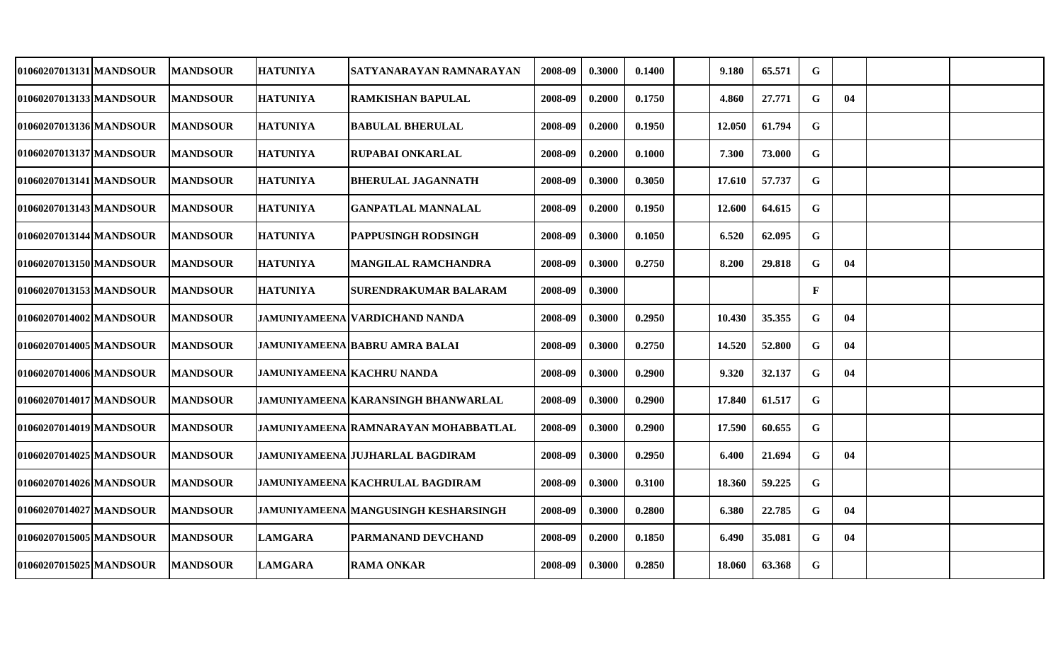| 01060207013131 MANDSOUR | <b>MANDSOUR</b> | <b>HATUNIYA</b>                   | SATYANARAYAN RAMNARAYAN                 | 2008-09 | 0.3000 | 0.1400 | 9.180  | 65.571 | G            |    |  |
|-------------------------|-----------------|-----------------------------------|-----------------------------------------|---------|--------|--------|--------|--------|--------------|----|--|
| 01060207013133 MANDSOUR | <b>MANDSOUR</b> | <b>HATUNIYA</b>                   | <b>RAMKISHAN BAPULAL</b>                | 2008-09 | 0.2000 | 0.1750 | 4.860  | 27.771 | G            | 04 |  |
| 01060207013136 MANDSOUR | <b>MANDSOUR</b> | <b>HATUNIYA</b>                   | <b>BABULAL BHERULAL</b>                 | 2008-09 | 0.2000 | 0.1950 | 12.050 | 61.794 | $\mathbf G$  |    |  |
| 01060207013137 MANDSOUR | <b>MANDSOUR</b> | <b>HATUNIYA</b>                   | <b>RUPABAI ONKARLAL</b>                 | 2008-09 | 0.2000 | 0.1000 | 7.300  | 73.000 | G            |    |  |
| 01060207013141 MANDSOUR | <b>MANDSOUR</b> | <b>HATUNIYA</b>                   | <b>BHERULAL JAGANNATH</b>               | 2008-09 | 0.3000 | 0.3050 | 17.610 | 57.737 | $\mathbf G$  |    |  |
| 01060207013143 MANDSOUR | <b>MANDSOUR</b> | <b>HATUNIYA</b>                   | <b>GANPATLAL MANNALAL</b>               | 2008-09 | 0.2000 | 0.1950 | 12.600 | 64.615 | G            |    |  |
| 01060207013144 MANDSOUR | <b>MANDSOUR</b> | <b>HATUNIYA</b>                   | <b>PAPPUSINGH RODSINGH</b>              | 2008-09 | 0.3000 | 0.1050 | 6.520  | 62.095 | $\mathbf G$  |    |  |
| 01060207013150 MANDSOUR | <b>MANDSOUR</b> | <b>HATUNIYA</b>                   | <b>MANGILAL RAMCHANDRA</b>              | 2008-09 | 0.3000 | 0.2750 | 8.200  | 29.818 | $\mathbf G$  | 04 |  |
| 01060207013153 MANDSOUR | <b>MANDSOUR</b> | <b>HATUNIYA</b>                   | <b>SURENDRAKUMAR BALARAM</b>            | 2008-09 | 0.3000 |        |        |        | $\mathbf{F}$ |    |  |
| 01060207014002lMANDSOUR | <b>MANDSOUR</b> |                                   | JAMUNIYAMEENA   VARDICHAND NANDA        | 2008-09 | 0.3000 | 0.2950 | 10.430 | 35.355 | $\mathbf G$  | 04 |  |
| 01060207014005 MANDSOUR | <b>MANDSOUR</b> |                                   | <b>JAMUNIYAMEENA BABRU AMRA BALAI</b>   | 2008-09 | 0.3000 | 0.2750 | 14.520 | 52.800 | G            | 04 |  |
| 01060207014006 MANDSOUR | <b>MANDSOUR</b> | <b>JAMUNIYAMEENA KACHRU NANDA</b> |                                         | 2008-09 | 0.3000 | 0.2900 | 9.320  | 32.137 | $\mathbf G$  | 04 |  |
| 01060207014017 MANDSOUR | <b>MANDSOUR</b> |                                   | JAMUNIYAMEENA KARANSINGH BHANWARLAL     | 2008-09 | 0.3000 | 0.2900 | 17.840 | 61.517 | G            |    |  |
| 01060207014019 MANDSOUR | <b>MANDSOUR</b> |                                   | JAMUNIYAMEENA   RAMNARAYAN MOHABBATLAL  | 2008-09 | 0.3000 | 0.2900 | 17.590 | 60.655 | G            |    |  |
| 01060207014025 MANDSOUR | <b>MANDSOUR</b> |                                   | <b>JAMUNIYAMEENA JUJHARLAL BAGDIRAM</b> | 2008-09 | 0.3000 | 0.2950 | 6.400  | 21.694 | $\mathbf G$  | 04 |  |
| 01060207014026 MANDSOUR | <b>MANDSOUR</b> |                                   | <b>JAMUNIYAMEENA KACHRULAL BAGDIRAM</b> | 2008-09 | 0.3000 | 0.3100 | 18.360 | 59.225 | $\mathbf G$  |    |  |
| 01060207014027 MANDSOUR | <b>MANDSOUR</b> |                                   | JAMUNIYAMEENA   MANGUSINGH KESHARSINGH  | 2008-09 | 0.3000 | 0.2800 | 6.380  | 22.785 | G            | 04 |  |
| 01060207015005 MANDSOUR | <b>MANDSOUR</b> | <b>LAMGARA</b>                    | PARMANAND DEVCHAND                      | 2008-09 | 0.2000 | 0.1850 | 6.490  | 35.081 | G            | 04 |  |
| 01060207015025 MANDSOUR | <b>MANDSOUR</b> | <b>LAMGARA</b>                    | <b>RAMA ONKAR</b>                       | 2008-09 | 0.3000 | 0.2850 | 18.060 | 63.368 | $\mathbf G$  |    |  |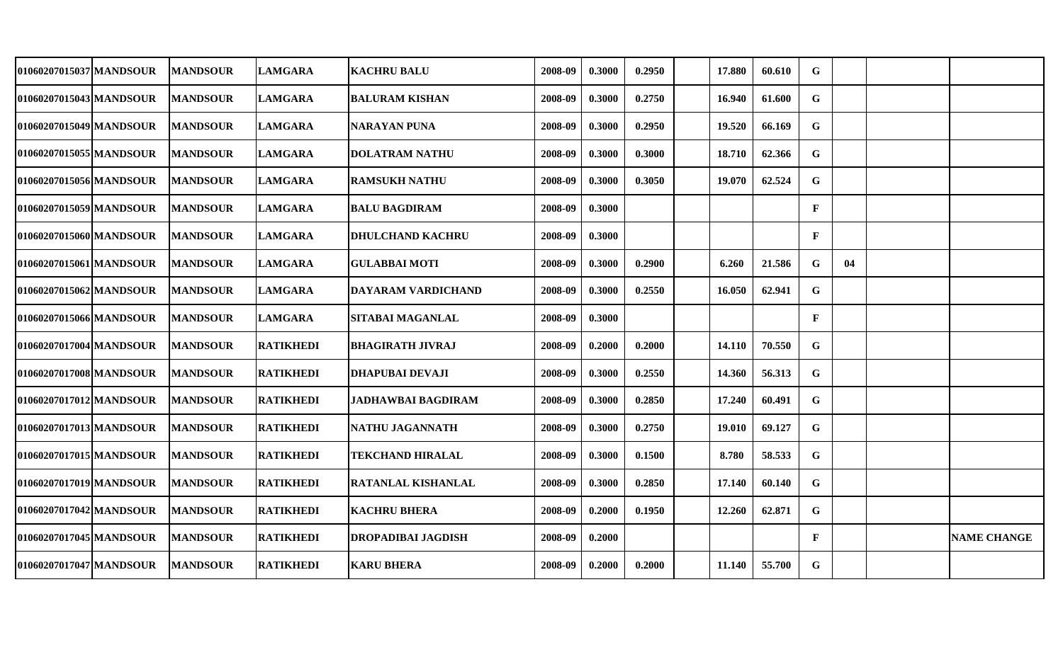| 01060207015037 MANDSOUR | <b>MANDSOUR</b> | <b>LAMGARA</b>   | <b> KACHRU BALU</b>       | 2008-09 | 0.3000 | 0.2950 | 17.880 | 60.610 | G            |    |                    |
|-------------------------|-----------------|------------------|---------------------------|---------|--------|--------|--------|--------|--------------|----|--------------------|
| 01060207015043 MANDSOUR | <b>MANDSOUR</b> | <b>LAMGARA</b>   | <b>BALURAM KISHAN</b>     | 2008-09 | 0.3000 | 0.2750 | 16.940 | 61.600 | $\mathbf G$  |    |                    |
| 01060207015049 MANDSOUR | <b>MANDSOUR</b> | <b>LAMGARA</b>   | <b>NARAYAN PUNA</b>       | 2008-09 | 0.3000 | 0.2950 | 19.520 | 66.169 | G            |    |                    |
| 01060207015055 MANDSOUR | <b>MANDSOUR</b> | <b>LAMGARA</b>   | <b>DOLATRAM NATHU</b>     | 2008-09 | 0.3000 | 0.3000 | 18.710 | 62.366 | G            |    |                    |
| 01060207015056 MANDSOUR | <b>MANDSOUR</b> | <b>LAMGARA</b>   | <b>RAMSUKH NATHU</b>      | 2008-09 | 0.3000 | 0.3050 | 19.070 | 62.524 | $\mathbf G$  |    |                    |
| 01060207015059 MANDSOUR | <b>MANDSOUR</b> | <b>LAMGARA</b>   | <b>BALU BAGDIRAM</b>      | 2008-09 | 0.3000 |        |        |        | $\mathbf{F}$ |    |                    |
| 01060207015060 MANDSOUR | <b>MANDSOUR</b> | <b>LAMGARA</b>   | <b> DHULCHAND KACHRU</b>  | 2008-09 | 0.3000 |        |        |        | $\mathbf{F}$ |    |                    |
| 01060207015061 MANDSOUR | <b>MANDSOUR</b> | <b>LAMGARA</b>   | <b>GULABBAI MOTI</b>      | 2008-09 | 0.3000 | 0.2900 | 6.260  | 21.586 | G            | 04 |                    |
| 01060207015062 MANDSOUR | <b>MANDSOUR</b> | <b>LAMGARA</b>   | DAYARAM VARDICHAND        | 2008-09 | 0.3000 | 0.2550 | 16.050 | 62.941 | $\mathbf G$  |    |                    |
| 01060207015066 MANDSOUR | <b>MANDSOUR</b> | <b>LAMGARA</b>   | <b>SITABAI MAGANLAL</b>   | 2008-09 | 0.3000 |        |        |        | $\mathbf{F}$ |    |                    |
| 01060207017004 MANDSOUR | <b>MANDSOUR</b> | <b>RATIKHEDI</b> | <b>BHAGIRATH JIVRAJ</b>   | 2008-09 | 0.2000 | 0.2000 | 14.110 | 70.550 | $\mathbf G$  |    |                    |
| 01060207017008 MANDSOUR | <b>MANDSOUR</b> | <b>RATIKHEDI</b> | <b>DHAPUBAI DEVAJI</b>    | 2008-09 | 0.3000 | 0.2550 | 14.360 | 56.313 | G            |    |                    |
| 01060207017012 MANDSOUR | <b>MANDSOUR</b> | <b>RATIKHEDI</b> | <b>JADHAWBAI BAGDIRAM</b> | 2008-09 | 0.3000 | 0.2850 | 17.240 | 60.491 | G            |    |                    |
| 01060207017013 MANDSOUR | <b>MANDSOUR</b> | RATIKHEDI        | NATHU JAGANNATH           | 2008-09 | 0.3000 | 0.2750 | 19.010 | 69.127 | G            |    |                    |
| 01060207017015 MANDSOUR | <b>MANDSOUR</b> | <b>RATIKHEDI</b> | <b>TEKCHAND HIRALAL</b>   | 2008-09 | 0.3000 | 0.1500 | 8.780  | 58.533 | G            |    |                    |
| 01060207017019 MANDSOUR | <b>MANDSOUR</b> | <b>RATIKHEDI</b> | <b>RATANLAL KISHANLAL</b> | 2008-09 | 0.3000 | 0.2850 | 17.140 | 60.140 | G            |    |                    |
| 01060207017042 MANDSOUR | <b>MANDSOUR</b> | <b>RATIKHEDI</b> | <b>KACHRU BHERA</b>       | 2008-09 | 0.2000 | 0.1950 | 12.260 | 62.871 | $\mathbf G$  |    |                    |
| 01060207017045 MANDSOUR | <b>MANDSOUR</b> | <b>RATIKHEDI</b> | <b>DROPADIBAI JAGDISH</b> | 2008-09 | 0.2000 |        |        |        | $\mathbf{F}$ |    | <b>NAME CHANGE</b> |
| 01060207017047 MANDSOUR | <b>MANDSOUR</b> | <b>RATIKHEDI</b> | <b>KARU BHERA</b>         | 2008-09 | 0.2000 | 0.2000 | 11.140 | 55.700 | G            |    |                    |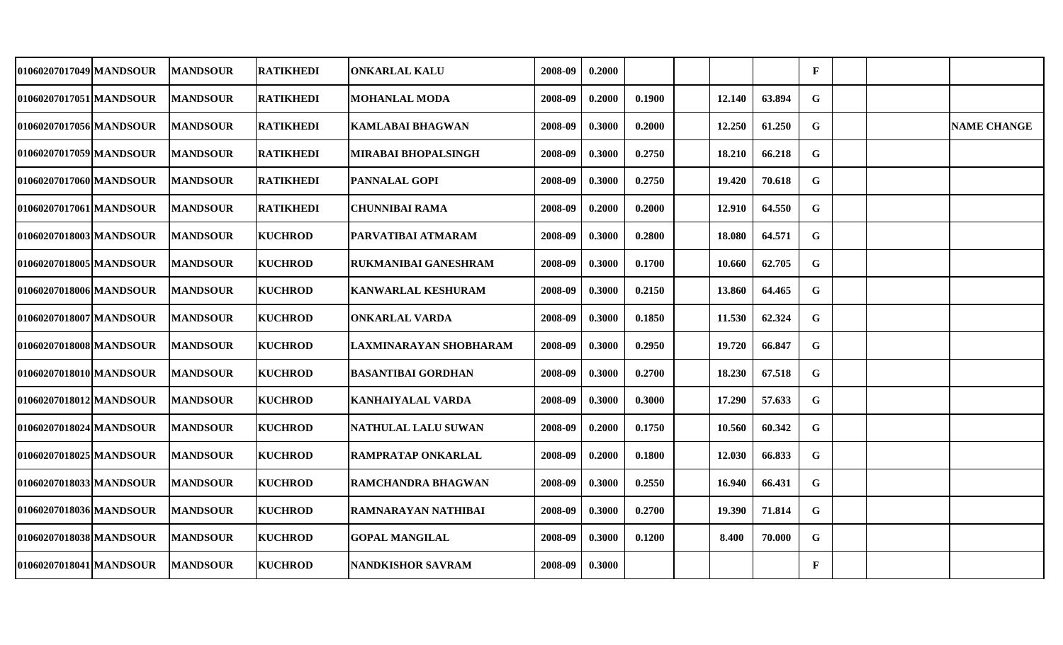| 01060207017049 MANDSOUR | IMANDSOUR        | <b>RATIKHEDI</b> | ONKARLAL KALU               | 2008-09 | 0.2000 |        |        |        | $\mathbf{F}$ |  |                    |
|-------------------------|------------------|------------------|-----------------------------|---------|--------|--------|--------|--------|--------------|--|--------------------|
| 01060207017051 MANDSOUR | <b>MANDSOUR</b>  | <b>RATIKHEDI</b> | <b>MOHANLAL MODA</b>        | 2008-09 | 0.2000 | 0.1900 | 12.140 | 63.894 | G            |  |                    |
| 01060207017056 MANDSOUR | <b>MANDSOUR</b>  | <b>RATIKHEDI</b> | KAMLABAI BHAGWAN            | 2008-09 | 0.3000 | 0.2000 | 12.250 | 61.250 | G            |  | <b>NAME CHANGE</b> |
| 01060207017059 MANDSOUR | <b>MANDSOUR</b>  | <b>RATIKHEDI</b> | <b>MIRABAI BHOPALSINGH</b>  | 2008-09 | 0.3000 | 0.2750 | 18.210 | 66.218 | G            |  |                    |
| 01060207017060 MANDSOUR | <b>MANDSOUR</b>  | <b>RATIKHEDI</b> | <b>PANNALAL GOPI</b>        | 2008-09 | 0.3000 | 0.2750 | 19.420 | 70.618 | G            |  |                    |
| 01060207017061 MANDSOUR | <b>IMANDSOUR</b> | <b>RATIKHEDI</b> | <b>CHUNNIBAI RAMA</b>       | 2008-09 | 0.2000 | 0.2000 | 12.910 | 64.550 | G            |  |                    |
| 01060207018003 MANDSOUR | <b>MANDSOUR</b>  | <b>KUCHROD</b>   | PARVATIBAI ATMARAM          | 2008-09 | 0.3000 | 0.2800 | 18.080 | 64.571 | G            |  |                    |
| 01060207018005 MANDSOUR | <b>MANDSOUR</b>  | <b>KUCHROD</b>   | <b>RUKMANIBAI GANESHRAM</b> | 2008-09 | 0.3000 | 0.1700 | 10.660 | 62.705 | ${\bf G}$    |  |                    |
| 01060207018006 MANDSOUR | <b>MANDSOUR</b>  | <b>KUCHROD</b>   | <b>KANWARLAL KESHURAM</b>   | 2008-09 | 0.3000 | 0.2150 | 13.860 | 64.465 | $\mathbf G$  |  |                    |
| 01060207018007 MANDSOUR | <b>MANDSOUR</b>  | <b>KUCHROD</b>   | <b>ONKARLAL VARDA</b>       | 2008-09 | 0.3000 | 0.1850 | 11.530 | 62.324 | $\mathbf G$  |  |                    |
| 01060207018008 MANDSOUR | <b>MANDSOUR</b>  | <b>KUCHROD</b>   | LAXMINARAYAN SHOBHARAM      | 2008-09 | 0.3000 | 0.2950 | 19.720 | 66.847 | G            |  |                    |
| 01060207018010 MANDSOUR | <b>MANDSOUR</b>  | <b>KUCHROD</b>   | <b>BASANTIBAI GORDHAN</b>   | 2008-09 | 0.3000 | 0.2700 | 18.230 | 67.518 | G            |  |                    |
| 01060207018012 MANDSOUR | <b>MANDSOUR</b>  | <b>KUCHROD</b>   | KANHAIYALAL VARDA           | 2008-09 | 0.3000 | 0.3000 | 17.290 | 57.633 | G            |  |                    |
| 01060207018024 MANDSOUR | <b>MANDSOUR</b>  | <b>KUCHROD</b>   | NATHULAL LALU SUWAN         | 2008-09 | 0.2000 | 0.1750 | 10.560 | 60.342 | $\mathbf G$  |  |                    |
| 01060207018025 MANDSOUR | <b>MANDSOUR</b>  | <b>KUCHROD</b>   | <b>RAMPRATAP ONKARLAL</b>   | 2008-09 | 0.2000 | 0.1800 | 12.030 | 66.833 | G            |  |                    |
| 01060207018033 MANDSOUR | <b>MANDSOUR</b>  | <b>KUCHROD</b>   | <b>RAMCHANDRA BHAGWAN</b>   | 2008-09 | 0.3000 | 0.2550 | 16.940 | 66.431 | $\mathbf G$  |  |                    |
| 01060207018036 MANDSOUR | <b>MANDSOUR</b>  | <b>KUCHROD</b>   | RAMNARAYAN NATHIBAI         | 2008-09 | 0.3000 | 0.2700 | 19.390 | 71.814 | G            |  |                    |
| 01060207018038 MANDSOUR | <b>MANDSOUR</b>  | <b>KUCHROD</b>   | <b>GOPAL MANGILAL</b>       | 2008-09 | 0.3000 | 0.1200 | 8.400  | 70.000 | G            |  |                    |
| 01060207018041 MANDSOUR | <b>MANDSOUR</b>  | <b>KUCHROD</b>   | <b>NANDKISHOR SAVRAM</b>    | 2008-09 | 0.3000 |        |        |        | F            |  |                    |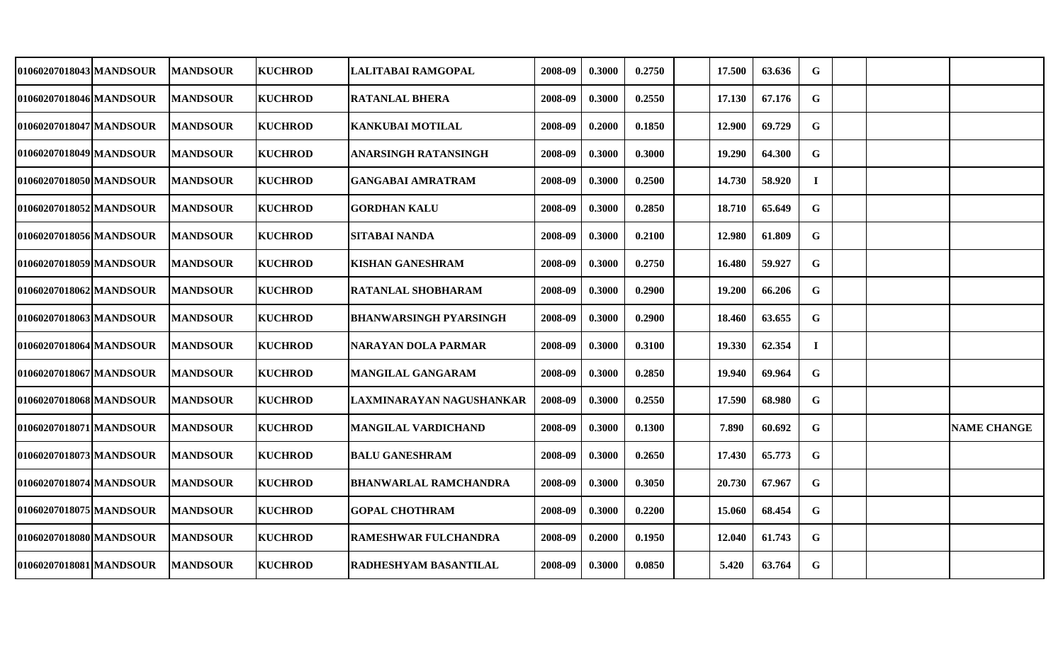| 01060207018043 MANDSOUR | <b>MANDSOUR</b> | <b>KUCHROD</b> | LALITABAI RAMGOPAL            | 2008-09 | 0.3000 | 0.2750 | 17.500 | 63.636 | G           |  |                    |
|-------------------------|-----------------|----------------|-------------------------------|---------|--------|--------|--------|--------|-------------|--|--------------------|
| 01060207018046 MANDSOUR | <b>MANDSOUR</b> | <b>KUCHROD</b> | <b>RATANLAL BHERA</b>         | 2008-09 | 0.3000 | 0.2550 | 17.130 | 67.176 | G           |  |                    |
| 01060207018047 MANDSOUR | <b>MANDSOUR</b> | <b>KUCHROD</b> | <b>KANKUBAI MOTILAL</b>       | 2008-09 | 0.2000 | 0.1850 | 12.900 | 69.729 | $\mathbf G$ |  |                    |
| 01060207018049 MANDSOUR | <b>MANDSOUR</b> | <b>KUCHROD</b> | <b>ANARSINGH RATANSINGH</b>   | 2008-09 | 0.3000 | 0.3000 | 19.290 | 64.300 | G           |  |                    |
| 01060207018050 MANDSOUR | <b>MANDSOUR</b> | <b>KUCHROD</b> | <b>GANGABAI AMRATRAM</b>      | 2008-09 | 0.3000 | 0.2500 | 14.730 | 58.920 | $\bf{I}$    |  |                    |
| 01060207018052 MANDSOUR | <b>MANDSOUR</b> | <b>KUCHROD</b> | <b>GORDHAN KALU</b>           | 2008-09 | 0.3000 | 0.2850 | 18.710 | 65.649 | G           |  |                    |
| 01060207018056 MANDSOUR | <b>MANDSOUR</b> | <b>KUCHROD</b> | <b>SITABAI NANDA</b>          | 2008-09 | 0.3000 | 0.2100 | 12.980 | 61.809 | $\mathbf G$ |  |                    |
| 01060207018059 MANDSOUR | <b>MANDSOUR</b> | <b>KUCHROD</b> | <b>KISHAN GANESHRAM</b>       | 2008-09 | 0.3000 | 0.2750 | 16.480 | 59.927 | $\mathbf G$ |  |                    |
| 01060207018062 MANDSOUR | <b>MANDSOUR</b> | <b>KUCHROD</b> | <b>RATANLAL SHOBHARAM</b>     | 2008-09 | 0.3000 | 0.2900 | 19.200 | 66.206 | $\mathbf G$ |  |                    |
| 01060207018063 MANDSOUR | <b>MANDSOUR</b> | <b>KUCHROD</b> | <b>BHANWARSINGH PYARSINGH</b> | 2008-09 | 0.3000 | 0.2900 | 18.460 | 63.655 | $\mathbf G$ |  |                    |
| 01060207018064 MANDSOUR | <b>MANDSOUR</b> | <b>KUCHROD</b> | NARAYAN DOLA PARMAR           | 2008-09 | 0.3000 | 0.3100 | 19.330 | 62.354 | $\bf{I}$    |  |                    |
| 01060207018067 MANDSOUR | <b>MANDSOUR</b> | <b>KUCHROD</b> | <b>MANGILAL GANGARAM</b>      | 2008-09 | 0.3000 | 0.2850 | 19.940 | 69.964 | G           |  |                    |
| 01060207018068 MANDSOUR | <b>MANDSOUR</b> | <b>KUCHROD</b> | LAXMINARAYAN NAGUSHANKAR      | 2008-09 | 0.3000 | 0.2550 | 17.590 | 68.980 | G           |  |                    |
| 01060207018071 MANDSOUR | <b>MANDSOUR</b> | <b>KUCHROD</b> | <b>MANGILAL VARDICHAND</b>    | 2008-09 | 0.3000 | 0.1300 | 7.890  | 60.692 | G           |  | <b>NAME CHANGE</b> |
| 01060207018073 MANDSOUR | <b>MANDSOUR</b> | <b>KUCHROD</b> | <b>BALU GANESHRAM</b>         | 2008-09 | 0.3000 | 0.2650 | 17.430 | 65.773 | G           |  |                    |
| 01060207018074 MANDSOUR | <b>MANDSOUR</b> | <b>KUCHROD</b> | <b>BHANWARLAL RAMCHANDRA</b>  | 2008-09 | 0.3000 | 0.3050 | 20.730 | 67.967 | G           |  |                    |
| 01060207018075 MANDSOUR | <b>MANDSOUR</b> | <b>KUCHROD</b> | <b>GOPAL CHOTHRAM</b>         | 2008-09 | 0.3000 | 0.2200 | 15.060 | 68.454 | $\mathbf G$ |  |                    |
| 01060207018080 MANDSOUR | <b>MANDSOUR</b> | <b>KUCHROD</b> | <b>RAMESHWAR FULCHANDRA</b>   | 2008-09 | 0.2000 | 0.1950 | 12.040 | 61.743 | G           |  |                    |
| 01060207018081 MANDSOUR | <b>MANDSOUR</b> | <b>KUCHROD</b> | <b>RADHESHYAM BASANTILAL</b>  | 2008-09 | 0.3000 | 0.0850 | 5.420  | 63.764 | $\mathbf G$ |  |                    |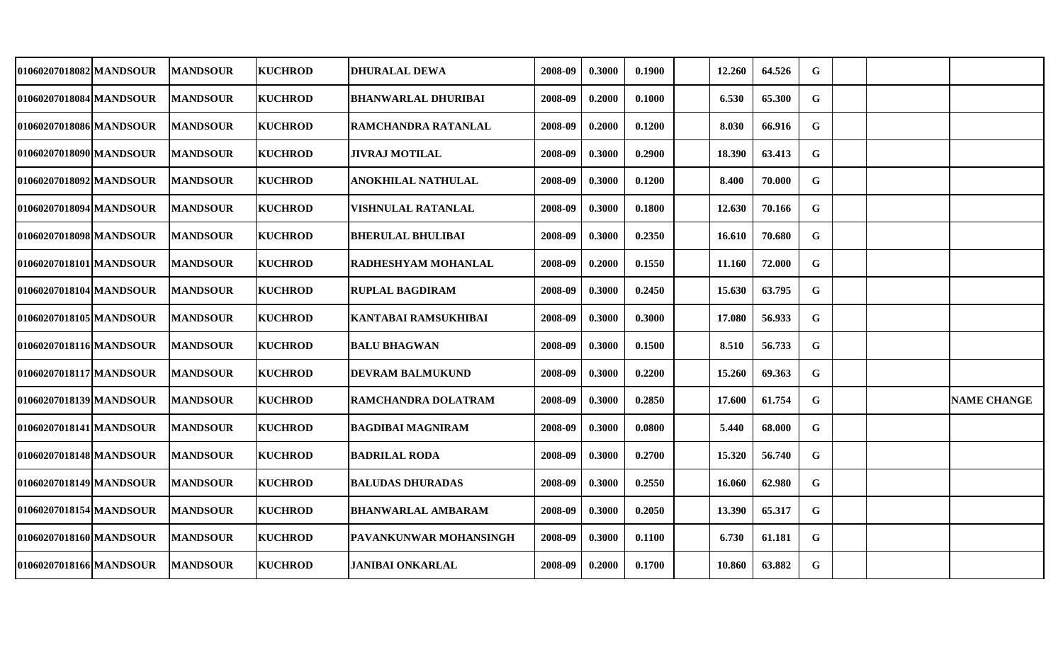| 01060207018082 MANDSOUR | <b>MANDSOUR</b> | <b>KUCHROD</b> | <b>DHURALAL DEWA</b>        | 2008-09 | 0.3000 | 0.1900 | 12.260 | 64.526 | G           |  |                    |
|-------------------------|-----------------|----------------|-----------------------------|---------|--------|--------|--------|--------|-------------|--|--------------------|
| 01060207018084 MANDSOUR | <b>MANDSOUR</b> | <b>KUCHROD</b> | <b>BHANWARLAL DHURIBAI</b>  | 2008-09 | 0.2000 | 0.1000 | 6.530  | 65.300 | G           |  |                    |
| 01060207018086 MANDSOUR | <b>MANDSOUR</b> | <b>KUCHROD</b> | <b>RAMCHANDRA RATANLAL</b>  | 2008-09 | 0.2000 | 0.1200 | 8.030  | 66.916 | $\mathbf G$ |  |                    |
| 01060207018090 MANDSOUR | <b>MANDSOUR</b> | <b>KUCHROD</b> | <b>JIVRAJ MOTILAL</b>       | 2008-09 | 0.3000 | 0.2900 | 18.390 | 63.413 | G           |  |                    |
| 01060207018092 MANDSOUR | <b>MANDSOUR</b> | <b>KUCHROD</b> | ANOKHILAL NATHULAL          | 2008-09 | 0.3000 | 0.1200 | 8.400  | 70.000 | $\mathbf G$ |  |                    |
| 01060207018094 MANDSOUR | <b>MANDSOUR</b> | <b>KUCHROD</b> | VISHNULAL RATANLAL          | 2008-09 | 0.3000 | 0.1800 | 12.630 | 70.166 | $\mathbf G$ |  |                    |
| 01060207018098 MANDSOUR | <b>MANDSOUR</b> | <b>KUCHROD</b> | <b>BHERULAL BHULIBAI</b>    | 2008-09 | 0.3000 | 0.2350 | 16.610 | 70.680 | $\mathbf G$ |  |                    |
| 01060207018101 MANDSOUR | <b>MANDSOUR</b> | <b>KUCHROD</b> | <b>RADHESHYAM MOHANLAL</b>  | 2008-09 | 0.2000 | 0.1550 | 11.160 | 72.000 | $\mathbf G$ |  |                    |
| 01060207018104 MANDSOUR | <b>MANDSOUR</b> | <b>KUCHROD</b> | <b>RUPLAL BAGDIRAM</b>      | 2008-09 | 0.3000 | 0.2450 | 15.630 | 63.795 | G           |  |                    |
| 01060207018105 MANDSOUR | <b>MANDSOUR</b> | <b>KUCHROD</b> | <b>KANTABAI RAMSUKHIBAI</b> | 2008-09 | 0.3000 | 0.3000 | 17.080 | 56.933 | $\mathbf G$ |  |                    |
| 01060207018116 MANDSOUR | <b>MANDSOUR</b> | <b>KUCHROD</b> | <b>BALU BHAGWAN</b>         | 2008-09 | 0.3000 | 0.1500 | 8.510  | 56.733 | G           |  |                    |
| 01060207018117 MANDSOUR | <b>MANDSOUR</b> | <b>KUCHROD</b> | <b>DEVRAM BALMUKUND</b>     | 2008-09 | 0.3000 | 0.2200 | 15.260 | 69.363 | G           |  |                    |
| 01060207018139 MANDSOUR | <b>MANDSOUR</b> | <b>KUCHROD</b> | RAMCHANDRA DOLATRAM         | 2008-09 | 0.3000 | 0.2850 | 17.600 | 61.754 | G           |  | <b>NAME CHANGE</b> |
| 01060207018141 MANDSOUR | <b>MANDSOUR</b> | <b>KUCHROD</b> | BAGDIBAI MAGNIRAM           | 2008-09 | 0.3000 | 0.0800 | 5.440  | 68.000 | $\mathbf G$ |  |                    |
| 01060207018148 MANDSOUR | <b>MANDSOUR</b> | <b>KUCHROD</b> | <b>BADRILAL RODA</b>        | 2008-09 | 0.3000 | 0.2700 | 15.320 | 56.740 | G           |  |                    |
| 01060207018149 MANDSOUR | <b>MANDSOUR</b> | <b>KUCHROD</b> | <b>BALUDAS DHURADAS</b>     | 2008-09 | 0.3000 | 0.2550 | 16.060 | 62.980 | $\mathbf G$ |  |                    |
| 01060207018154 MANDSOUR | <b>MANDSOUR</b> | <b>KUCHROD</b> | <b>BHANWARLAL AMBARAM</b>   | 2008-09 | 0.3000 | 0.2050 | 13.390 | 65.317 | $\mathbf G$ |  |                    |
| 01060207018160 MANDSOUR | <b>MANDSOUR</b> | <b>KUCHROD</b> | PAVANKUNWAR MOHANSINGH      | 2008-09 | 0.3000 | 0.1100 | 6.730  | 61.181 | G           |  |                    |
| 01060207018166 MANDSOUR | <b>MANDSOUR</b> | <b>KUCHROD</b> | <b>JANIBAI ONKARLAL</b>     | 2008-09 | 0.2000 | 0.1700 | 10.860 | 63.882 | $\mathbf G$ |  |                    |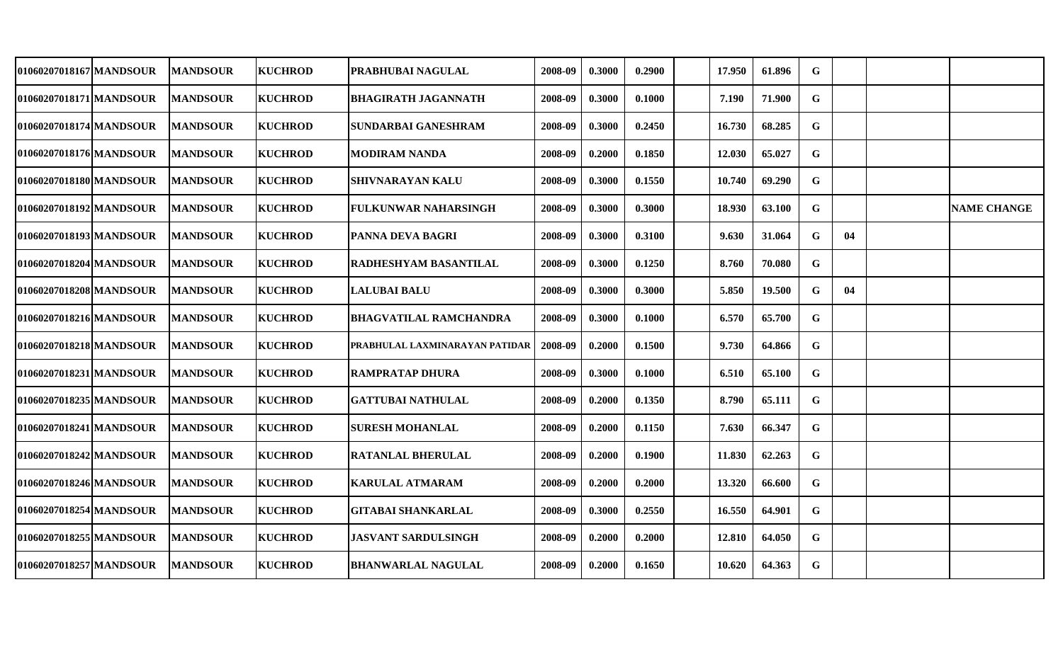| 01060207018167 MANDSOUR | <b>MANDSOUR</b> | <b>KUCHROD</b> | PRABHUBAI NAGULAL              | 2008-09 | 0.3000 | 0.2900 | 17.950 | 61.896 | G           |    |                    |
|-------------------------|-----------------|----------------|--------------------------------|---------|--------|--------|--------|--------|-------------|----|--------------------|
| 01060207018171 MANDSOUR | <b>MANDSOUR</b> | <b>KUCHROD</b> | <b>BHAGIRATH JAGANNATH</b>     | 2008-09 | 0.3000 | 0.1000 | 7.190  | 71.900 | G           |    |                    |
| 01060207018174 MANDSOUR | <b>MANDSOUR</b> | <b>KUCHROD</b> | SUNDARBAI GANESHRAM            | 2008-09 | 0.3000 | 0.2450 | 16.730 | 68.285 | $\mathbf G$ |    |                    |
| 01060207018176 MANDSOUR | <b>MANDSOUR</b> | <b>KUCHROD</b> | <b>MODIRAM NANDA</b>           | 2008-09 | 0.2000 | 0.1850 | 12.030 | 65.027 | G           |    |                    |
| 01060207018180 MANDSOUR | <b>MANDSOUR</b> | <b>KUCHROD</b> | SHIVNARAYAN KALU               | 2008-09 | 0.3000 | 0.1550 | 10.740 | 69.290 | $\mathbf G$ |    |                    |
| 01060207018192 MANDSOUR | <b>MANDSOUR</b> | <b>KUCHROD</b> | FULKUNWAR NAHARSINGH           | 2008-09 | 0.3000 | 0.3000 | 18.930 | 63.100 | $\mathbf G$ |    | <b>NAME CHANGE</b> |
| 01060207018193 MANDSOUR | <b>MANDSOUR</b> | <b>KUCHROD</b> | <b>PANNA DEVA BAGRI</b>        | 2008-09 | 0.3000 | 0.3100 | 9.630  | 31.064 | $\mathbf G$ | 04 |                    |
| 01060207018204 MANDSOUR | <b>MANDSOUR</b> | <b>KUCHROD</b> | RADHESHYAM BASANTILAL          | 2008-09 | 0.3000 | 0.1250 | 8.760  | 70.080 | $\mathbf G$ |    |                    |
| 01060207018208 MANDSOUR | <b>MANDSOUR</b> | <b>KUCHROD</b> | <b>LALUBAI BALU</b>            | 2008-09 | 0.3000 | 0.3000 | 5.850  | 19.500 | $\mathbf G$ | 04 |                    |
| 01060207018216 MANDSOUR | <b>MANDSOUR</b> | <b>KUCHROD</b> | BHAGVATILAL RAMCHANDRA         | 2008-09 | 0.3000 | 0.1000 | 6.570  | 65.700 | $\mathbf G$ |    |                    |
| 01060207018218 MANDSOUR | <b>MANDSOUR</b> | <b>KUCHROD</b> | PRABHULAL LAXMINARAYAN PATIDAR | 2008-09 | 0.2000 | 0.1500 | 9.730  | 64.866 | G           |    |                    |
| 01060207018231 MANDSOUR | <b>MANDSOUR</b> | <b>KUCHROD</b> | <b>RAMPRATAP DHURA</b>         | 2008-09 | 0.3000 | 0.1000 | 6.510  | 65.100 | $\mathbf G$ |    |                    |
| 01060207018235 MANDSOUR | <b>MANDSOUR</b> | <b>KUCHROD</b> | <b>GATTUBAI NATHULAL</b>       | 2008-09 | 0.2000 | 0.1350 | 8.790  | 65.111 | G           |    |                    |
| 01060207018241 MANDSOUR | <b>MANDSOUR</b> | <b>KUCHROD</b> | <b>SURESH MOHANLAL</b>         | 2008-09 | 0.2000 | 0.1150 | 7.630  | 66.347 | $\mathbf G$ |    |                    |
| 01060207018242 MANDSOUR | <b>MANDSOUR</b> | <b>KUCHROD</b> | RATANLAL BHERULAL              | 2008-09 | 0.2000 | 0.1900 | 11.830 | 62.263 | G           |    |                    |
| 01060207018246 MANDSOUR | <b>MANDSOUR</b> | <b>KUCHROD</b> | KARULAL ATMARAM                | 2008-09 | 0.2000 | 0.2000 | 13.320 | 66.600 | G           |    |                    |
| 01060207018254 MANDSOUR | <b>MANDSOUR</b> | <b>KUCHROD</b> | <b>GITABAI SHANKARLAL</b>      | 2008-09 | 0.3000 | 0.2550 | 16.550 | 64.901 | G           |    |                    |
| 01060207018255 MANDSOUR | <b>MANDSOUR</b> | <b>KUCHROD</b> | <b>JASVANT SARDULSINGH</b>     | 2008-09 | 0.2000 | 0.2000 | 12.810 | 64.050 | G           |    |                    |
| 01060207018257 MANDSOUR | <b>MANDSOUR</b> | <b>KUCHROD</b> | <b>BHANWARLAL NAGULAL</b>      | 2008-09 | 0.2000 | 0.1650 | 10.620 | 64.363 | G           |    |                    |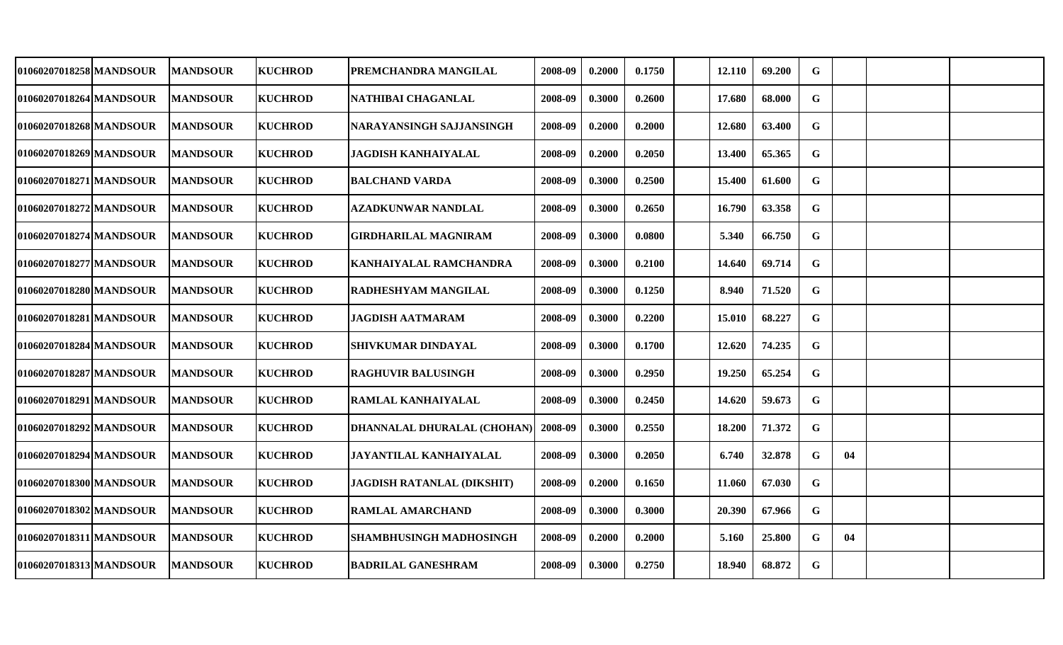| 01060207018258 MANDSOUR | <b>MANDSOUR</b> | <b>KUCHROD</b> | PREMCHANDRA MANGILAL              | 2008-09 | 0.2000 | 0.1750 | 12.110        | 69.200 | G           |    |  |
|-------------------------|-----------------|----------------|-----------------------------------|---------|--------|--------|---------------|--------|-------------|----|--|
| 01060207018264 MANDSOUR | <b>MANDSOUR</b> | <b>KUCHROD</b> | NATHIBAI CHAGANLAL                | 2008-09 | 0.3000 | 0.2600 | 17.680        | 68.000 | G           |    |  |
| 01060207018268 MANDSOUR | <b>MANDSOUR</b> | <b>KUCHROD</b> | NARAYANSINGH SAJJANSINGH          | 2008-09 | 0.2000 | 0.2000 | 12.680        | 63.400 | $\mathbf G$ |    |  |
| 01060207018269 MANDSOUR | <b>MANDSOUR</b> | <b>KUCHROD</b> | <b>JAGDISH KANHAIYALAL</b>        | 2008-09 | 0.2000 | 0.2050 | 13.400        | 65.365 | $\mathbf G$ |    |  |
| 01060207018271 MANDSOUR | <b>MANDSOUR</b> | <b>KUCHROD</b> | <b>BALCHAND VARDA</b>             | 2008-09 | 0.3000 | 0.2500 | 15.400        | 61.600 | $\mathbf G$ |    |  |
| 01060207018272 MANDSOUR | <b>MANDSOUR</b> | <b>KUCHROD</b> | <b>AZADKUNWAR NANDLAL</b>         | 2008-09 | 0.3000 | 0.2650 | 16.790        | 63.358 | $\mathbf G$ |    |  |
| 01060207018274 MANDSOUR | <b>MANDSOUR</b> | <b>KUCHROD</b> | <b>GIRDHARILAL MAGNIRAM</b>       | 2008-09 | 0.3000 | 0.0800 | 5.340         | 66.750 | $\mathbf G$ |    |  |
| 01060207018277 MANDSOUR | <b>MANDSOUR</b> | <b>KUCHROD</b> | <b>KANHAIYALAL RAMCHANDRA</b>     | 2008-09 | 0.3000 | 0.2100 | 14.640        | 69.714 | $\mathbf G$ |    |  |
| 01060207018280 MANDSOUR | <b>MANDSOUR</b> | <b>KUCHROD</b> | <b>RADHESHYAM MANGILAL</b>        | 2008-09 | 0.3000 | 0.1250 | 8.940         | 71.520 | $\mathbf G$ |    |  |
| 01060207018281 MANDSOUR | <b>MANDSOUR</b> | <b>KUCHROD</b> | <b>JAGDISH AATMARAM</b>           | 2008-09 | 0.3000 | 0.2200 | <b>15.010</b> | 68.227 | $\mathbf G$ |    |  |
| 01060207018284 MANDSOUR | <b>MANDSOUR</b> | <b>KUCHROD</b> | <b>SHIVKUMAR DINDAYAL</b>         | 2008-09 | 0.3000 | 0.1700 | 12.620        | 74.235 | $\mathbf G$ |    |  |
| 01060207018287 MANDSOUR | <b>MANDSOUR</b> | <b>KUCHROD</b> | <b>RAGHUVIR BALUSINGH</b>         | 2008-09 | 0.3000 | 0.2950 | 19.250        | 65.254 | G           |    |  |
| 01060207018291 MANDSOUR | <b>MANDSOUR</b> | <b>KUCHROD</b> | RAMLAL KANHAIYALAL                | 2008-09 | 0.3000 | 0.2450 | 14.620        | 59.673 | $\mathbf G$ |    |  |
| 01060207018292 MANDSOUR | <b>MANDSOUR</b> | <b>KUCHROD</b> | DHANNALAL DHURALAL (CHOHAN)       | 2008-09 | 0.3000 | 0.2550 | 18.200        | 71.372 | $\mathbf G$ |    |  |
| 01060207018294 MANDSOUR | <b>MANDSOUR</b> | <b>KUCHROD</b> | JAYANTILAL KANHAIYALAL            | 2008-09 | 0.3000 | 0.2050 | 6.740         | 32.878 | G           | 04 |  |
| 01060207018300 MANDSOUR | <b>MANDSOUR</b> | <b>KUCHROD</b> | <b>JAGDISH RATANLAL (DIKSHIT)</b> | 2008-09 | 0.2000 | 0.1650 | 11.060        | 67.030 | $\mathbf G$ |    |  |
| 01060207018302 MANDSOUR | <b>MANDSOUR</b> | <b>KUCHROD</b> | <b>RAMLAL AMARCHAND</b>           | 2008-09 | 0.3000 | 0.3000 | 20.390        | 67.966 | G           |    |  |
| 01060207018311 MANDSOUR | <b>MANDSOUR</b> | <b>KUCHROD</b> | <b>SHAMBHUSINGH MADHOSINGH</b>    | 2008-09 | 0.2000 | 0.2000 | 5.160         | 25.800 | $\mathbf G$ | 04 |  |
| 01060207018313 MANDSOUR | <b>MANDSOUR</b> | <b>KUCHROD</b> | <b>BADRILAL GANESHRAM</b>         | 2008-09 | 0.3000 | 0.2750 | 18.940        | 68.872 | $\mathbf G$ |    |  |
|                         |                 |                |                                   |         |        |        |               |        |             |    |  |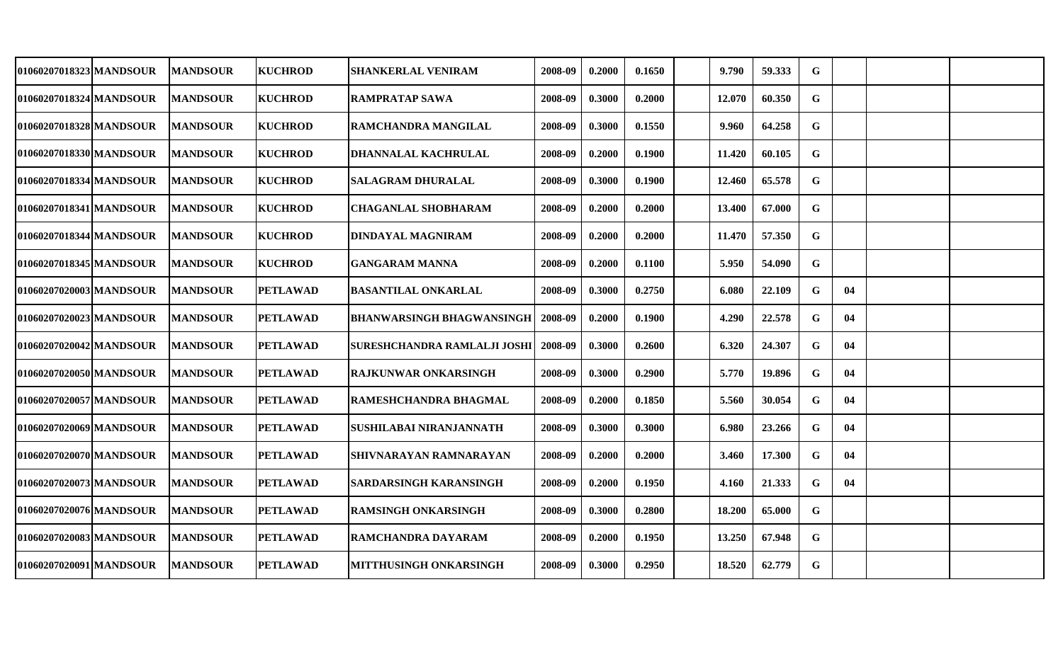| 01060207018323 MANDSOUR | <b>MANDSOUR</b> | <b>KUCHROD</b>  | <b>SHANKERLAL VENIRAM</b>        | 2008-09 | 0.2000 | 0.1650 | 9.790  | 59.333 | G           |    |  |
|-------------------------|-----------------|-----------------|----------------------------------|---------|--------|--------|--------|--------|-------------|----|--|
| 01060207018324 MANDSOUR | <b>MANDSOUR</b> | <b>KUCHROD</b>  | <b>RAMPRATAP SAWA</b>            | 2008-09 | 0.3000 | 0.2000 | 12.070 | 60.350 | $\mathbf G$ |    |  |
| 01060207018328 MANDSOUR | <b>MANDSOUR</b> | <b>KUCHROD</b>  | RAMCHANDRA MANGILAL              | 2008-09 | 0.3000 | 0.1550 | 9.960  | 64.258 | $\mathbf G$ |    |  |
| 01060207018330 MANDSOUR | <b>MANDSOUR</b> | <b>KUCHROD</b>  | <b>DHANNALAL KACHRULAL</b>       | 2008-09 | 0.2000 | 0.1900 | 11.420 | 60.105 | $\mathbf G$ |    |  |
| 01060207018334 MANDSOUR | <b>MANDSOUR</b> | <b>KUCHROD</b>  | <b>SALAGRAM DHURALAL</b>         | 2008-09 | 0.3000 | 0.1900 | 12.460 | 65.578 | $\mathbf G$ |    |  |
| 01060207018341 MANDSOUR | <b>MANDSOUR</b> | <b>KUCHROD</b>  | <b>CHAGANLAL SHOBHARAM</b>       | 2008-09 | 0.2000 | 0.2000 | 13.400 | 67.000 | $\mathbf G$ |    |  |
| 01060207018344 MANDSOUR | <b>MANDSOUR</b> | <b>KUCHROD</b>  | <b>DINDAYAL MAGNIRAM</b>         | 2008-09 | 0.2000 | 0.2000 | 11.470 | 57.350 | $\mathbf G$ |    |  |
| 01060207018345 MANDSOUR | <b>MANDSOUR</b> | <b>KUCHROD</b>  | <b>GANGARAM MANNA</b>            | 2008-09 | 0.2000 | 0.1100 | 5.950  | 54.090 | $\mathbf G$ |    |  |
| 01060207020003 MANDSOUR | <b>MANDSOUR</b> | <b>PETLAWAD</b> | <b>BASANTILAL ONKARLAL</b>       | 2008-09 | 0.3000 | 0.2750 | 6.080  | 22.109 | $\mathbf G$ | 04 |  |
| 01060207020023 MANDSOUR | <b>MANDSOUR</b> | <b>PETLAWAD</b> | <b>BHANWARSINGH BHAGWANSINGH</b> | 2008-09 | 0.2000 | 0.1900 | 4.290  | 22.578 | $\mathbf G$ | 04 |  |
| 01060207020042 MANDSOUR | <b>MANDSOUR</b> | <b>PETLAWAD</b> | SURESHCHANDRA RAMLALJI JOSHI     | 2008-09 | 0.3000 | 0.2600 | 6.320  | 24.307 | G           | 04 |  |
| 01060207020050 MANDSOUR | <b>MANDSOUR</b> | <b>PETLAWAD</b> | <b>RAJKUNWAR ONKARSINGH</b>      | 2008-09 | 0.3000 | 0.2900 | 5.770  | 19.896 | G           | 04 |  |
| 01060207020057 MANDSOUR | <b>MANDSOUR</b> | <b>PETLAWAD</b> | <b>RAMESHCHANDRA BHAGMAL</b>     | 2008-09 | 0.2000 | 0.1850 | 5.560  | 30.054 | G           | 04 |  |
| 01060207020069 MANDSOUR | <b>MANDSOUR</b> | <b>PETLAWAD</b> | SUSHILABAI NIRANJANNATH          | 2008-09 | 0.3000 | 0.3000 | 6.980  | 23.266 | $\mathbf G$ | 04 |  |
| 01060207020070 MANDSOUR | <b>MANDSOUR</b> | <b>PETLAWAD</b> | SHIVNARAYAN RAMNARAYAN           | 2008-09 | 0.2000 | 0.2000 | 3.460  | 17.300 | G           | 04 |  |
| 01060207020073 MANDSOUR | <b>MANDSOUR</b> | <b>PETLAWAD</b> | <b>SARDARSINGH KARANSINGH</b>    | 2008-09 | 0.2000 | 0.1950 | 4.160  | 21.333 | $\mathbf G$ | 04 |  |
| 01060207020076 MANDSOUR | <b>MANDSOUR</b> | <b>PETLAWAD</b> | <b>RAMSINGH ONKARSINGH</b>       | 2008-09 | 0.3000 | 0.2800 | 18.200 | 65.000 | $\mathbf G$ |    |  |
| 01060207020083 MANDSOUR | <b>MANDSOUR</b> | <b>PETLAWAD</b> | <b>RAMCHANDRA DAYARAM</b>        | 2008-09 | 0.2000 | 0.1950 | 13.250 | 67.948 | G           |    |  |
| 01060207020091 MANDSOUR | <b>MANDSOUR</b> | <b>PETLAWAD</b> | MITTHUSINGH ONKARSINGH           | 2008-09 | 0.3000 | 0.2950 | 18.520 | 62.779 | $\mathbf G$ |    |  |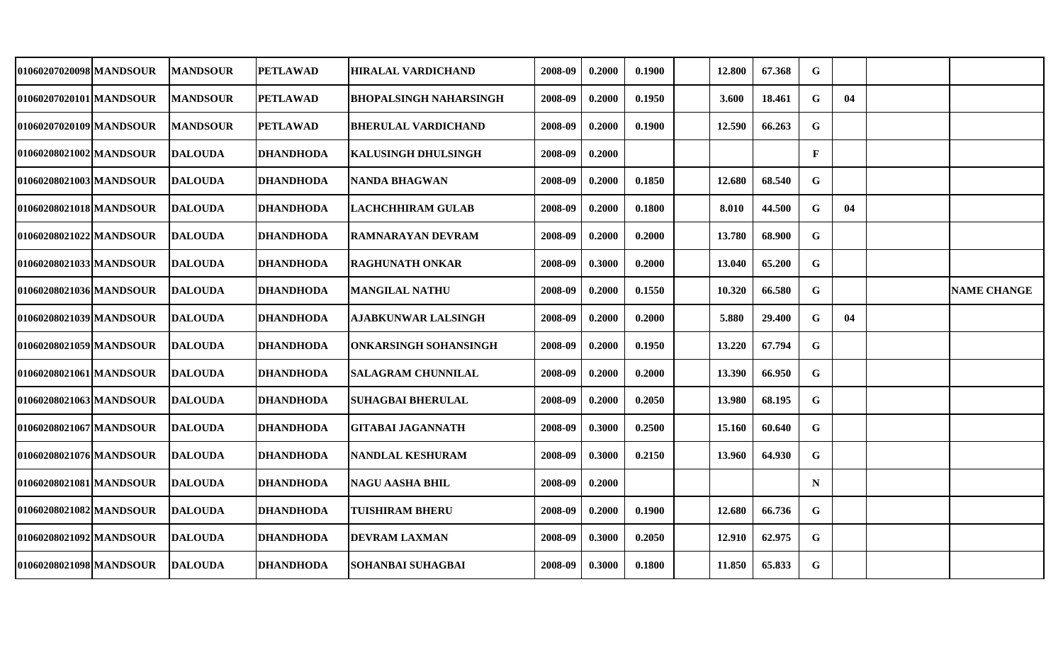| 01060207020098 MANDSOUR | <b>MANDSOUR</b> | PETLAWAD         | <b>HIRALAL VARDICHAND</b>     | 2008-09 | 0.2000 | 0.1900 | 12.800 | 67.368 | G            |    |                    |
|-------------------------|-----------------|------------------|-------------------------------|---------|--------|--------|--------|--------|--------------|----|--------------------|
| 01060207020101 MANDSOUR | <b>MANDSOUR</b> | <b>PETLAWAD</b>  | <b>BHOPALSINGH NAHARSINGH</b> | 2008-09 | 0.2000 | 0.1950 | 3.600  | 18.461 | G            | 04 |                    |
| 01060207020109 MANDSOUR | <b>MANDSOUR</b> | <b>PETLAWAD</b>  | <b>BHERULAL VARDICHAND</b>    | 2008-09 | 0.2000 | 0.1900 | 12.590 | 66.263 | $\mathbf G$  |    |                    |
| 01060208021002 MANDSOUR | <b>DALOUDA</b>  | <b>DHANDHODA</b> | <b>KALUSINGH DHULSINGH</b>    | 2008-09 | 0.2000 |        |        |        | $\mathbf{F}$ |    |                    |
| 01060208021003 MANDSOUR | <b>DALOUDA</b>  | <b>DHANDHODA</b> | <b>NANDA BHAGWAN</b>          | 2008-09 | 0.2000 | 0.1850 | 12.680 | 68.540 | $\mathbf G$  |    |                    |
| 01060208021018 MANDSOUR | <b>DALOUDA</b>  | <b>DHANDHODA</b> | LACHCHHIRAM GULAB             | 2008-09 | 0.2000 | 0.1800 | 8.010  | 44.500 | $\mathbf G$  | 04 |                    |
| 01060208021022 MANDSOUR | <b>DALOUDA</b>  | <b>DHANDHODA</b> | <b>RAMNARAYAN DEVRAM</b>      | 2008-09 | 0.2000 | 0.2000 | 13.780 | 68.900 | $\mathbf G$  |    |                    |
| 01060208021033 MANDSOUR | <b>DALOUDA</b>  | <b>DHANDHODA</b> | <b>RAGHUNATH ONKAR</b>        | 2008-09 | 0.3000 | 0.2000 | 13.040 | 65.200 | $\mathbf G$  |    |                    |
| 01060208021036 MANDSOUR | <b>DALOUDA</b>  | <b>DHANDHODA</b> | <b>MANGILAL NATHU</b>         | 2008-09 | 0.2000 | 0.1550 | 10.320 | 66.580 | $\mathbf G$  |    | <b>NAME CHANGE</b> |
| 01060208021039 MANDSOUR | <b>DALOUDA</b>  | <b>DHANDHODA</b> | <b>AJABKUNWAR LALSINGH</b>    | 2008-09 | 0.2000 | 0.2000 | 5.880  | 29.400 | $\mathbf G$  | 04 |                    |
| 01060208021059 MANDSOUR | <b>DALOUDA</b>  | <b>DHANDHODA</b> | <b>ONKARSINGH SOHANSINGH</b>  | 2008-09 | 0.2000 | 0.1950 | 13.220 | 67.794 | G            |    |                    |
| 01060208021061 MANDSOUR | <b>IDALOUDA</b> | <b>DHANDHODA</b> | <b>SALAGRAM CHUNNILAL</b>     | 2008-09 | 0.2000 | 0.2000 | 13.390 | 66.950 | $\mathbf G$  |    |                    |
| 01060208021063 MANDSOUR | <b>DALOUDA</b>  | <b>DHANDHODA</b> | <b>SUHAGBAI BHERULAL</b>      | 2008-09 | 0.2000 | 0.2050 | 13.980 | 68.195 | G            |    |                    |
| 01060208021067 MANDSOUR | <b>IDALOUDA</b> | <b>DHANDHODA</b> | <b>GITABAI JAGANNATH</b>      | 2008-09 | 0.3000 | 0.2500 | 15.160 | 60.640 | $\mathbf G$  |    |                    |
| 01060208021076 MANDSOUR | <b>DALOUDA</b>  | <b>DHANDHODA</b> | <b>NANDLAL KESHURAM</b>       | 2008-09 | 0.3000 | 0.2150 | 13.960 | 64.930 | G            |    |                    |
| 01060208021081 MANDSOUR | <b>DALOUDA</b>  | <b>DHANDHODA</b> | <b>NAGU AASHA BHIL</b>        | 2008-09 | 0.2000 |        |        |        | N            |    |                    |
| 01060208021082 MANDSOUR | <b>DALOUDA</b>  | <b>DHANDHODA</b> | <b>TUISHIRAM BHERU</b>        | 2008-09 | 0.2000 | 0.1900 | 12.680 | 66.736 | G            |    |                    |
| 01060208021092 MANDSOUR | <b>DALOUDA</b>  | DHANDHODA        | <b>DEVRAM LAXMAN</b>          | 2008-09 | 0.3000 | 0.2050 | 12.910 | 62.975 | G            |    |                    |
| 01060208021098 MANDSOUR | <b>DALOUDA</b>  | <b>DHANDHODA</b> | <b>SOHANBAI SUHAGBAI</b>      | 2008-09 | 0.3000 | 0.1800 | 11.850 | 65.833 | $\mathbf G$  |    |                    |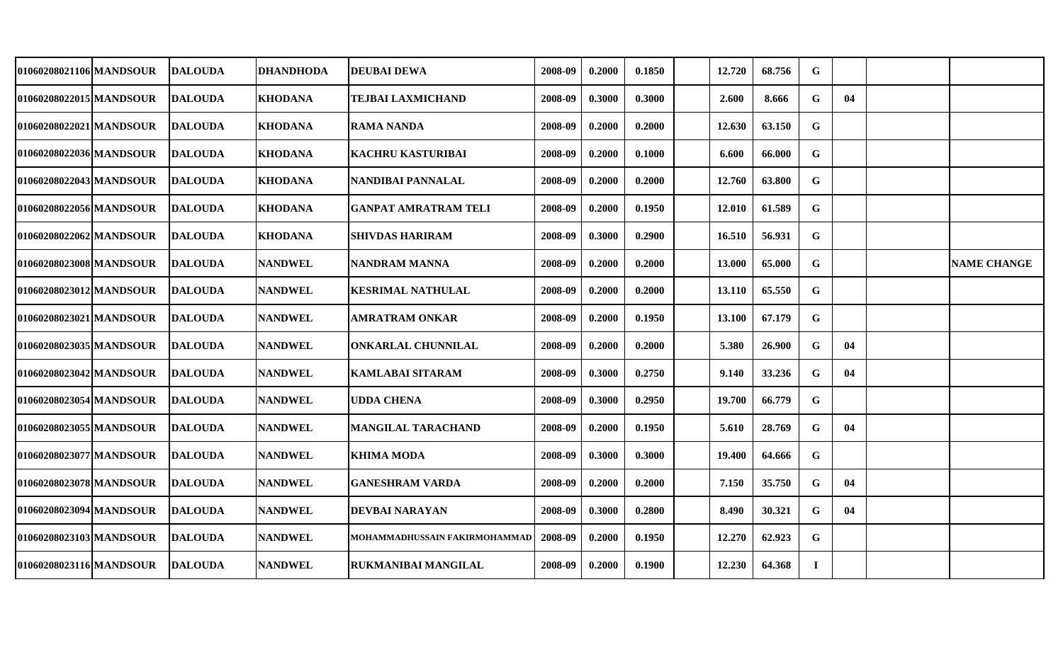| 01060208021106 MANDSOUR   | <b>DALOUDA</b> | <b>DHANDHODA</b> | <b>DEUBAI DEWA</b>            | 2008-09 | 0.2000 | 0.1850 | 12.720 | 68.756 | G           |    |                    |
|---------------------------|----------------|------------------|-------------------------------|---------|--------|--------|--------|--------|-------------|----|--------------------|
| 01060208022015 MANDSOUR   | <b>DALOUDA</b> | <b>KHODANA</b>   | <b>TEJBAI LAXMICHAND</b>      | 2008-09 | 0.3000 | 0.3000 | 2.600  | 8.666  | G           | 04 |                    |
| 01060208022021 MANDSOUR   | <b>DALOUDA</b> | <b>KHODANA</b>   | <b>RAMA NANDA</b>             | 2008-09 | 0.2000 | 0.2000 | 12.630 | 63.150 | G           |    |                    |
| 01060208022036 MANDSOUR   | <b>DALOUDA</b> | <b>KHODANA</b>   | <b>KACHRU KASTURIBAI</b>      | 2008-09 | 0.2000 | 0.1000 | 6.600  | 66.000 | $\mathbf G$ |    |                    |
| 01060208022043 MANDSOUR   | <b>DALOUDA</b> | <b>KHODANA</b>   | NANDIBAI PANNALAL             | 2008-09 | 0.2000 | 0.2000 | 12.760 | 63.800 | $\mathbf G$ |    |                    |
| 01060208022056 MANDSOUR   | <b>DALOUDA</b> | <b>KHODANA</b>   | <b>GANPAT AMRATRAM TELI</b>   | 2008-09 | 0.2000 | 0.1950 | 12.010 | 61.589 | $\mathbf G$ |    |                    |
| 01060208022062 MANDSOUR   | <b>DALOUDA</b> | <b>KHODANA</b>   | <b>SHIVDAS HARIRAM</b>        | 2008-09 | 0.3000 | 0.2900 | 16.510 | 56.931 | $\mathbf G$ |    |                    |
| 01060208023008 MANDSOUR   | <b>DALOUDA</b> | <b>NANDWEL</b>   | <b>NANDRAM MANNA</b>          | 2008-09 | 0.2000 | 0.2000 | 13.000 | 65.000 | $\mathbf G$ |    | <b>NAME CHANGE</b> |
| 01060208023012 MANDSOUR   | <b>DALOUDA</b> | <b>NANDWEL</b>   | <b>KESRIMAL NATHULAL</b>      | 2008-09 | 0.2000 | 0.2000 | 13.110 | 65.550 | $\mathbf G$ |    |                    |
| 01060208023021 MANDSOUR   | <b>DALOUDA</b> | <b>NANDWEL</b>   | AMRATRAM ONKAR                | 2008-09 | 0.2000 | 0.1950 | 13.100 | 67.179 | $\mathbf G$ |    |                    |
| 01060208023035 MANDSOUR   | <b>DALOUDA</b> | <b>NANDWEL</b>   | <b>ONKARLAL CHUNNILAL</b>     | 2008-09 | 0.2000 | 0.2000 | 5.380  | 26.900 | G           | 04 |                    |
| 01060208023042 MANDSOUR   | <b>DALOUDA</b> | <b>NANDWEL</b>   | <b>KAMLABAI SITARAM</b>       | 2008-09 | 0.3000 | 0.2750 | 9.140  | 33.236 | $\mathbf G$ | 04 |                    |
| 01060208023054 MANDSOUR   | <b>DALOUDA</b> | <b>NANDWEL</b>   | <b>UDDA CHENA</b>             | 2008-09 | 0.3000 | 0.2950 | 19.700 | 66.779 | G           |    |                    |
| 01060208023055 MANDSOUR   | <b>DALOUDA</b> | <b>NANDWEL</b>   | <b>MANGILAL TARACHAND</b>     | 2008-09 | 0.2000 | 0.1950 | 5.610  | 28.769 | G           | 04 |                    |
| 01060208023077   MANDSOUR | <b>DALOUDA</b> | <b>NANDWEL</b>   | <b>KHIMA MODA</b>             | 2008-09 | 0.3000 | 0.3000 | 19.400 | 64.666 | G           |    |                    |
| 01060208023078 MANDSOUR   | <b>DALOUDA</b> | <b>NANDWEL</b>   | <b>GANESHRAM VARDA</b>        | 2008-09 | 0.2000 | 0.2000 | 7.150  | 35.750 | $\mathbf G$ | 04 |                    |
| 01060208023094 MANDSOUR   | <b>DALOUDA</b> | <b>NANDWEL</b>   | <b>DEVBAI NARAYAN</b>         | 2008-09 | 0.3000 | 0.2800 | 8.490  | 30.321 | G           | 04 |                    |
| 01060208023103 MANDSOUR   | <b>DALOUDA</b> | <b>NANDWEL</b>   | MOHAMMADHUSSAIN FAKIRMOHAMMAD | 2008-09 | 0.2000 | 0.1950 | 12.270 | 62.923 | G           |    |                    |
| 01060208023116 MANDSOUR   | <b>DALOUDA</b> | <b>NANDWEL</b>   | <b>RUKMANIBAI MANGILAL</b>    | 2008-09 | 0.2000 | 0.1900 | 12.230 | 64.368 | $\bf I$     |    |                    |
|                           |                |                  |                               |         |        |        |        |        |             |    |                    |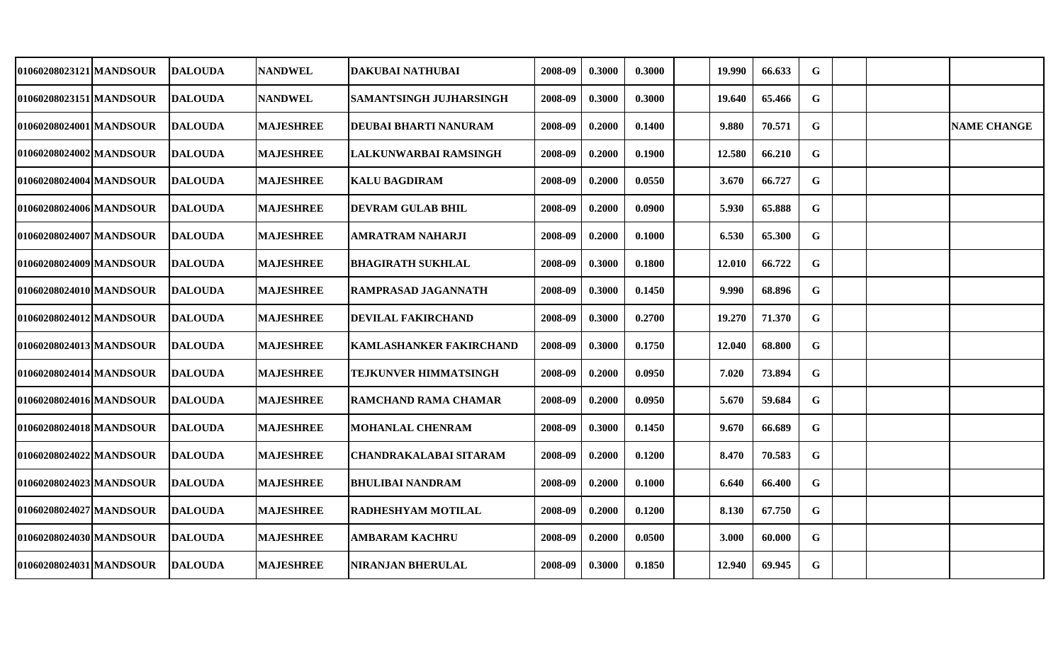| 01060208023121 MANDSOUR | <b>DALOUDA</b> | <b>NANDWEL</b>   | DAKUBAI NATHUBAI               | 2008-09 | 0.3000 | 0.3000 | 19.990 | 66.633 | G           |  |                    |
|-------------------------|----------------|------------------|--------------------------------|---------|--------|--------|--------|--------|-------------|--|--------------------|
| 01060208023151 MANDSOUR | <b>DALOUDA</b> | <b>NANDWEL</b>   | SAMANTSINGH JUJHARSINGH        | 2008-09 | 0.3000 | 0.3000 | 19.640 | 65.466 | G           |  |                    |
| 01060208024001 MANDSOUR | <b>DALOUDA</b> | <b>MAJESHREE</b> | DEUBAI BHARTI NANURAM          | 2008-09 | 0.2000 | 0.1400 | 9.880  | 70.571 | $\mathbf G$ |  | <b>NAME CHANGE</b> |
| 01060208024002 MANDSOUR | <b>DALOUDA</b> | <b>MAJESHREE</b> | LALKUNWARBAI RAMSINGH          | 2008-09 | 0.2000 | 0.1900 | 12.580 | 66.210 | G           |  |                    |
| 01060208024004 MANDSOUR | <b>DALOUDA</b> | <b>MAJESHREE</b> | <b>KALU BAGDIRAM</b>           | 2008-09 | 0.2000 | 0.0550 | 3.670  | 66.727 | G           |  |                    |
| 01060208024006 MANDSOUR | <b>DALOUDA</b> | <b>MAJESHREE</b> | <b>DEVRAM GULAB BHIL</b>       | 2008-09 | 0.2000 | 0.0900 | 5.930  | 65.888 | $\mathbf G$ |  |                    |
| 01060208024007 MANDSOUR | <b>DALOUDA</b> | <b>MAJESHREE</b> | AMRATRAM NAHARJI               | 2008-09 | 0.2000 | 0.1000 | 6.530  | 65.300 | $\mathbf G$ |  |                    |
| 01060208024009 MANDSOUR | <b>DALOUDA</b> | <b>MAJESHREE</b> | <b>BHAGIRATH SUKHLAL</b>       | 2008-09 | 0.3000 | 0.1800 | 12.010 | 66.722 | $\mathbf G$ |  |                    |
| 01060208024010 MANDSOUR | <b>DALOUDA</b> | <b>MAJESHREE</b> | RAMPRASAD JAGANNATH            | 2008-09 | 0.3000 | 0.1450 | 9.990  | 68.896 | $\mathbf G$ |  |                    |
| 01060208024012 MANDSOUR | <b>DALOUDA</b> | <b>MAJESHREE</b> | DEVILAL FAKIRCHAND             | 2008-09 | 0.3000 | 0.2700 | 19.270 | 71.370 | $\mathbf G$ |  |                    |
| 01060208024013 MANDSOUR | <b>DALOUDA</b> | <b>MAJESHREE</b> | <b>KAMLASHANKER FAKIRCHAND</b> | 2008-09 | 0.3000 | 0.1750 | 12.040 | 68.800 | $\mathbf G$ |  |                    |
| 01060208024014 MANDSOUR | <b>DALOUDA</b> | <b>MAJESHREE</b> | TEJKUNVER HIMMATSINGH          | 2008-09 | 0.2000 | 0.0950 | 7.020  | 73.894 | G           |  |                    |
| 01060208024016IMANDSOUR | <b>DALOUDA</b> | <b>MAJESHREE</b> | RAMCHAND RAMA CHAMAR           | 2008-09 | 0.2000 | 0.0950 | 5.670  | 59.684 | G           |  |                    |
| 01060208024018 MANDSOUR | <b>DALOUDA</b> | <b>MAJESHREE</b> | <b>MOHANLAL CHENRAM</b>        | 2008-09 | 0.3000 | 0.1450 | 9.670  | 66.689 | G           |  |                    |
| 01060208024022 MANDSOUR | <b>DALOUDA</b> | <b>MAJESHREE</b> | CHANDRAKALABAI SITARAM         | 2008-09 | 0.2000 | 0.1200 | 8.470  | 70.583 | $\mathbf G$ |  |                    |
| 01060208024023 MANDSOUR | <b>DALOUDA</b> | <b>MAJESHREE</b> | <b>BHULIBAI NANDRAM</b>        | 2008-09 | 0.2000 | 0.1000 | 6.640  | 66.400 | G           |  |                    |
| 01060208024027 MANDSOUR | DALOUDA        | <b>MAJESHREE</b> | RADHESHYAM MOTILAL             | 2008-09 | 0.2000 | 0.1200 | 8.130  | 67.750 | G           |  |                    |
| 01060208024030 MANDSOUR | <b>DALOUDA</b> | <b>MAJESHREE</b> | <b>AMBARAM KACHRU</b>          | 2008-09 | 0.2000 | 0.0500 | 3.000  | 60.000 | $\mathbf G$ |  |                    |
| 01060208024031 MANDSOUR | <b>DALOUDA</b> | <b>MAJESHREE</b> | <b>NIRANJAN BHERULAL</b>       | 2008-09 | 0.3000 | 0.1850 | 12.940 | 69.945 | $\mathbf G$ |  |                    |
|                         |                |                  |                                |         |        |        |        |        |             |  |                    |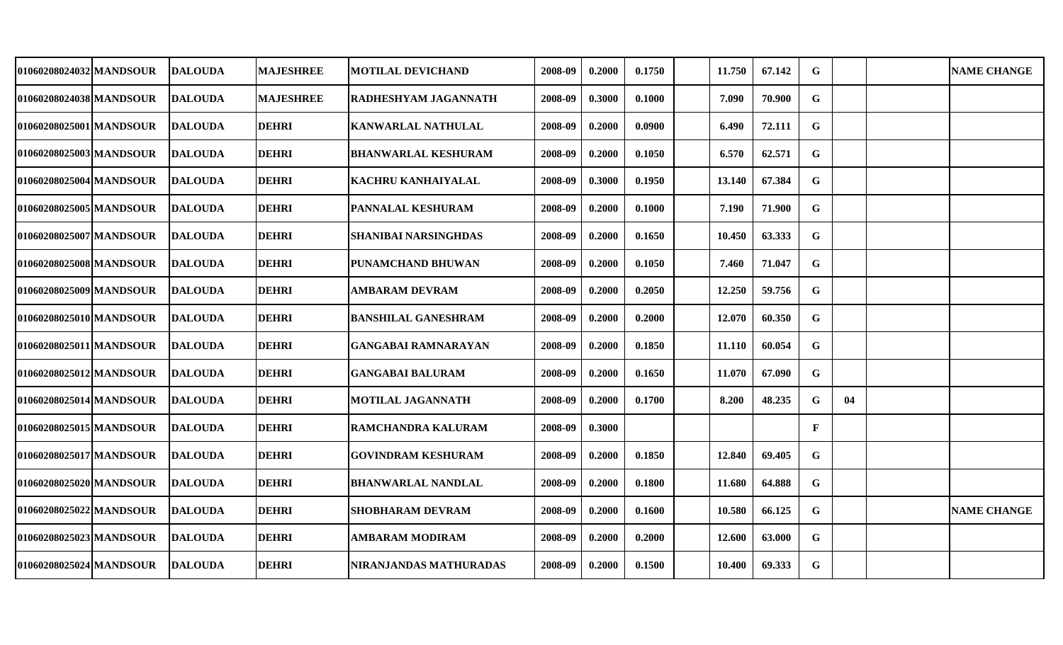| 01060208024032 MANDSOUR | <b>DALOUDA</b>  | <b>MAJESHREE</b> | <b>MOTILAL DEVICHAND</b>    | 2008-09 | 0.2000 | 0.1750 | 11.750 | 67.142 | G            |    | <b>NAME CHANGE</b> |
|-------------------------|-----------------|------------------|-----------------------------|---------|--------|--------|--------|--------|--------------|----|--------------------|
|                         |                 |                  |                             |         |        |        |        |        |              |    |                    |
| 01060208024038 MANDSOUR | <b>DALOUDA</b>  | <b>MAJESHREE</b> | RADHESHYAM JAGANNATH        | 2008-09 | 0.3000 | 0.1000 | 7.090  | 70.900 | G            |    |                    |
| 01060208025001 MANDSOUR | <b>DALOUDA</b>  | <b>DEHRI</b>     | <b>KANWARLAL NATHULAL</b>   | 2008-09 | 0.2000 | 0.0900 | 6.490  | 72.111 | $\mathbf G$  |    |                    |
| 01060208025003 MANDSOUR | <b>DALOUDA</b>  | <b>DEHRI</b>     | <b>BHANWARLAL KESHURAM</b>  | 2008-09 | 0.2000 | 0.1050 | 6.570  | 62.571 | $\mathbf G$  |    |                    |
| 01060208025004 MANDSOUR | <b>DALOUDA</b>  | <b>DEHRI</b>     | <b>KACHRU KANHAIYALAL</b>   | 2008-09 | 0.3000 | 0.1950 | 13.140 | 67.384 | $\mathbf G$  |    |                    |
| 01060208025005lMANDSOUR | <b>DALOUDA</b>  | <b>DEHRI</b>     | <b>PANNALAL KESHURAM</b>    | 2008-09 | 0.2000 | 0.1000 | 7.190  | 71.900 | $\mathbf G$  |    |                    |
| 01060208025007 MANDSOUR | <b>DALOUDA</b>  | <b>DEHRI</b>     | <b>SHANIBAI NARSINGHDAS</b> | 2008-09 | 0.2000 | 0.1650 | 10.450 | 63.333 | $\mathbf G$  |    |                    |
| 01060208025008 MANDSOUR | <b>DALOUDA</b>  | <b>DEHRI</b>     | PUNAMCHAND BHUWAN           | 2008-09 | 0.2000 | 0.1050 | 7.460  | 71.047 | $\mathbf G$  |    |                    |
| 01060208025009 MANDSOUR | <b>DALOUDA</b>  | <b>DEHRI</b>     | AMBARAM DEVRAM              | 2008-09 | 0.2000 | 0.2050 | 12.250 | 59.756 | $\mathbf G$  |    |                    |
| 01060208025010 MANDSOUR | <b>DALOUDA</b>  | <b>DEHRI</b>     | <b>BANSHILAL GANESHRAM</b>  | 2008-09 | 0.2000 | 0.2000 | 12.070 | 60.350 | $\mathbf G$  |    |                    |
| 01060208025011 MANDSOUR | <b>DALOUDA</b>  | <b>DEHRI</b>     | GANGABAI RAMNARAYAN         | 2008-09 | 0.2000 | 0.1850 | 11.110 | 60.054 | $\mathbf G$  |    |                    |
| 01060208025012 MANDSOUR | <b>DALOUDA</b>  | <b>DEHRI</b>     | <b>GANGABAI BALURAM</b>     | 2008-09 | 0.2000 | 0.1650 | 11.070 | 67.090 | G            |    |                    |
| 01060208025014lMANDSOUR | <b>IDALOUDA</b> | <b>DEHRI</b>     | <b>MOTILAL JAGANNATH</b>    | 2008-09 | 0.2000 | 0.1700 | 8.200  | 48.235 | $\mathbf G$  | 04 |                    |
| 01060208025015 MANDSOUR | <b>DALOUDA</b>  | <b>DEHRI</b>     | RAMCHANDRA KALURAM          | 2008-09 | 0.3000 |        |        |        | $\mathbf{F}$ |    |                    |
| 01060208025017 MANDSOUR | <b>DALOUDA</b>  | <b>DEHRI</b>     | GOVINDRAM KESHURAM          | 2008-09 | 0.2000 | 0.1850 | 12.840 | 69.405 | $\mathbf G$  |    |                    |
| 01060208025020 MANDSOUR | <b>DALOUDA</b>  | <b>DEHRI</b>     | <b>BHANWARLAL NANDLAL</b>   | 2008-09 | 0.2000 | 0.1800 | 11.680 | 64.888 | $\mathbf G$  |    |                    |
| 01060208025022 MANDSOUR | <b>DALOUDA</b>  | <b>DEHRI</b>     | <b>SHOBHARAM DEVRAM</b>     | 2008-09 | 0.2000 | 0.1600 | 10.580 | 66.125 | $\mathbf G$  |    | <b>NAME CHANGE</b> |
| 01060208025023 MANDSOUR | <b>IDALOUDA</b> | <b>DEHRI</b>     | AMBARAM MODIRAM             | 2008-09 | 0.2000 | 0.2000 | 12.600 | 63.000 | $\mathbf G$  |    |                    |
| 01060208025024 MANDSOUR | <b>DALOUDA</b>  | <b>DEHRI</b>     | NIRANJANDAS MATHURADAS      | 2008-09 | 0.2000 | 0.1500 | 10.400 | 69.333 | $\mathbf G$  |    |                    |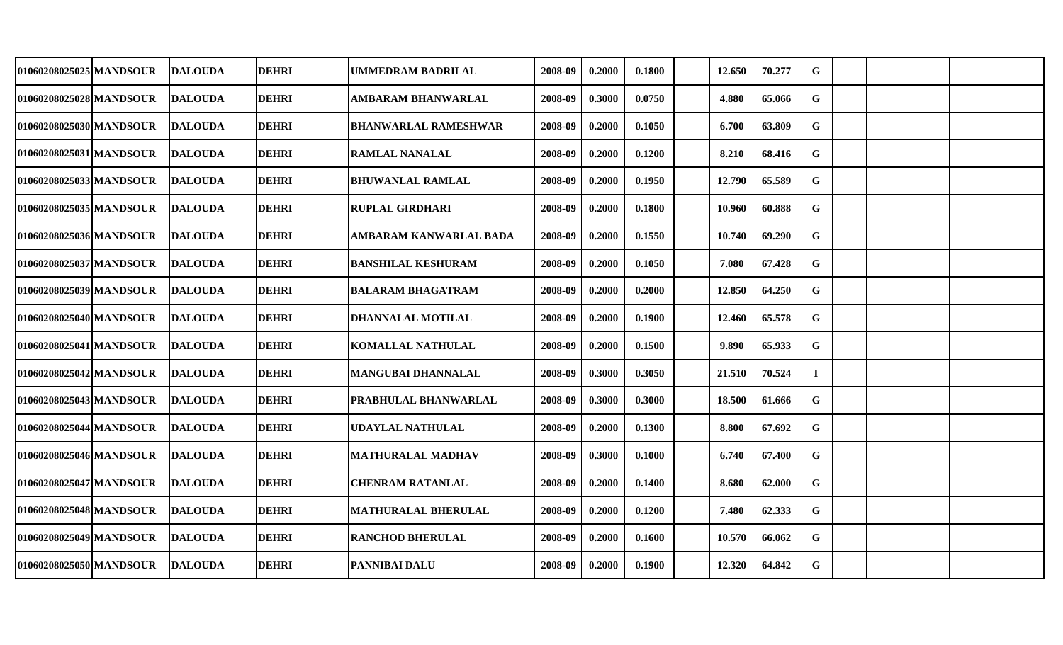| 01060208025025 MANDSOUR | <b>DALOUDA</b> | <b>DEHRI</b> | <b>UMMEDRAM BADRILAL</b>    | 2008-09 | 0.2000 | 0.1800 | 12.650 | 70.277 | G           |  |  |
|-------------------------|----------------|--------------|-----------------------------|---------|--------|--------|--------|--------|-------------|--|--|
| 01060208025028 MANDSOUR | <b>DALOUDA</b> | <b>DEHRI</b> | <b>AMBARAM BHANWARLAL</b>   | 2008-09 | 0.3000 | 0.0750 | 4.880  | 65.066 | G           |  |  |
| 01060208025030 MANDSOUR | <b>DALOUDA</b> | <b>DEHRI</b> | <b>BHANWARLAL RAMESHWAR</b> | 2008-09 | 0.2000 | 0.1050 | 6.700  | 63.809 | $\mathbf G$ |  |  |
| 01060208025031 MANDSOUR | <b>DALOUDA</b> | <b>DEHRI</b> | <b>RAMLAL NANALAL</b>       | 2008-09 | 0.2000 | 0.1200 | 8.210  | 68.416 | G           |  |  |
| 01060208025033 MANDSOUR | <b>DALOUDA</b> | <b>DEHRI</b> | <b>BHUWANLAL RAMLAL</b>     | 2008-09 | 0.2000 | 0.1950 | 12.790 | 65.589 | $\mathbf G$ |  |  |
| 01060208025035 MANDSOUR | <b>DALOUDA</b> | <b>DEHRI</b> | <b>RUPLAL GIRDHARI</b>      | 2008-09 | 0.2000 | 0.1800 | 10.960 | 60.888 | $\mathbf G$ |  |  |
| 01060208025036 MANDSOUR | <b>DALOUDA</b> | <b>DEHRI</b> | AMBARAM KANWARLAL BADA      | 2008-09 | 0.2000 | 0.1550 | 10.740 | 69.290 | $\mathbf G$ |  |  |
| 01060208025037 MANDSOUR | <b>DALOUDA</b> | <b>DEHRI</b> | <b>BANSHILAL KESHURAM</b>   | 2008-09 | 0.2000 | 0.1050 | 7.080  | 67.428 | $\mathbf G$ |  |  |
| 01060208025039 MANDSOUR | <b>DALOUDA</b> | <b>DEHRI</b> | <b>BALARAM BHAGATRAM</b>    | 2008-09 | 0.2000 | 0.2000 | 12.850 | 64.250 | $\mathbf G$ |  |  |
| 01060208025040 MANDSOUR | <b>DALOUDA</b> | <b>DEHRI</b> | <b>DHANNALAL MOTILAL</b>    | 2008-09 | 0.2000 | 0.1900 | 12.460 | 65.578 | $\mathbf G$ |  |  |
| 01060208025041 MANDSOUR | <b>DALOUDA</b> | <b>DEHRI</b> | <b>KOMALLAL NATHULAL</b>    | 2008-09 | 0.2000 | 0.1500 | 9.890  | 65.933 | G           |  |  |
| 01060208025042 MANDSOUR | <b>DALOUDA</b> | <b>DEHRI</b> | <b>MANGUBAI DHANNALAL</b>   | 2008-09 | 0.3000 | 0.3050 | 21.510 | 70.524 | $\bf{I}$    |  |  |
| 01060208025043 MANDSOUR | <b>DALOUDA</b> | <b>DEHRI</b> | PRABHULAL BHANWARLAL        | 2008-09 | 0.3000 | 0.3000 | 18.500 | 61.666 | G           |  |  |
| 01060208025044 MANDSOUR | <b>DALOUDA</b> | <b>DEHRI</b> | <b>UDAYLAL NATHULAL</b>     | 2008-09 | 0.2000 | 0.1300 | 8.800  | 67.692 | G           |  |  |
| 01060208025046 MANDSOUR | <b>DALOUDA</b> | <b>DEHRI</b> | <b>MATHURALAL MADHAV</b>    | 2008-09 | 0.3000 | 0.1000 | 6.740  | 67.400 | G           |  |  |
| 01060208025047 MANDSOUR | <b>DALOUDA</b> | <b>DEHRI</b> | <b>CHENRAM RATANLAL</b>     | 2008-09 | 0.2000 | 0.1400 | 8.680  | 62.000 | G           |  |  |
| 01060208025048 MANDSOUR | <b>DALOUDA</b> | <b>DEHRI</b> | <b>MATHURALAL BHERULAL</b>  | 2008-09 | 0.2000 | 0.1200 | 7.480  | 62.333 | G           |  |  |
| 01060208025049 MANDSOUR | <b>DALOUDA</b> | <b>DEHRI</b> | <b>RANCHOD BHERULAL</b>     | 2008-09 | 0.2000 | 0.1600 | 10.570 | 66.062 | G           |  |  |
| 01060208025050 MANDSOUR | <b>DALOUDA</b> | <b>DEHRI</b> | <b>PANNIBAI DALU</b>        | 2008-09 | 0.2000 | 0.1900 | 12.320 | 64.842 | G           |  |  |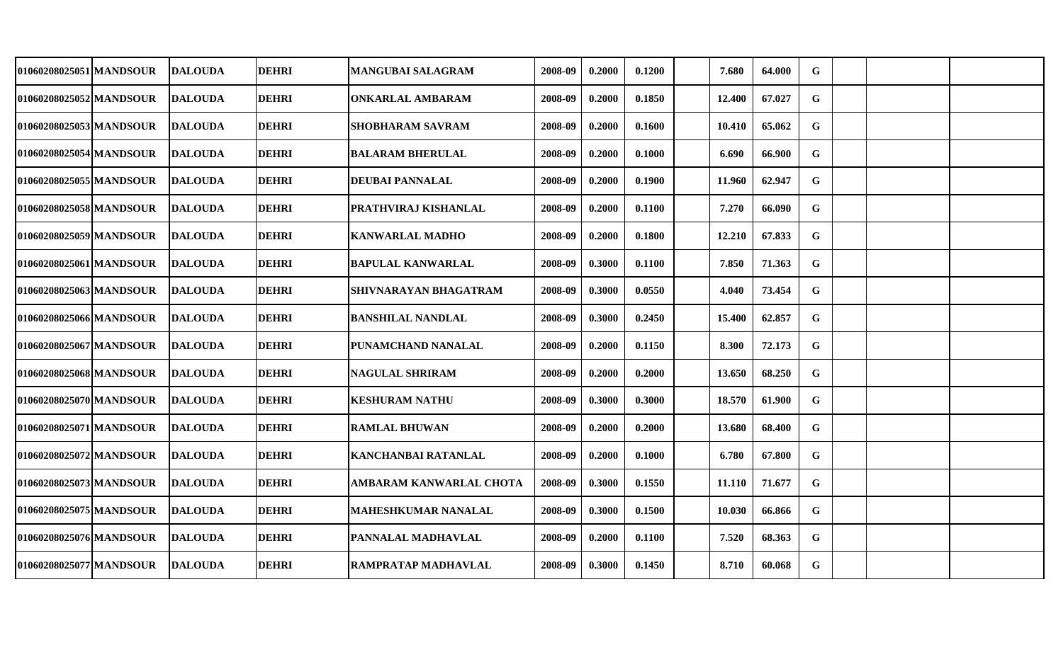| 01060208025051 MANDSOUR | <b>DALOUDA</b> | <b>DEHRI</b> | <b>MANGUBAI SALAGRAM</b>    | 2008-09 | 0.2000 | 0.1200 | 7.680  | 64.000 | G           |  |  |
|-------------------------|----------------|--------------|-----------------------------|---------|--------|--------|--------|--------|-------------|--|--|
| 01060208025052 MANDSOUR | <b>DALOUDA</b> | <b>DEHRI</b> | <b>ONKARLAL AMBARAM</b>     | 2008-09 | 0.2000 | 0.1850 | 12.400 | 67.027 | G           |  |  |
| 01060208025053 MANDSOUR | <b>DALOUDA</b> | <b>DEHRI</b> | <b>SHOBHARAM SAVRAM</b>     | 2008-09 | 0.2000 | 0.1600 | 10.410 | 65.062 | G           |  |  |
| 01060208025054 MANDSOUR | <b>DALOUDA</b> | <b>DEHRI</b> | <b>BALARAM BHERULAL</b>     | 2008-09 | 0.2000 | 0.1000 | 6.690  | 66.900 | $\mathbf G$ |  |  |
| 01060208025055 MANDSOUR | <b>DALOUDA</b> | <b>DEHRI</b> | <b>DEUBAI PANNALAL</b>      | 2008-09 | 0.2000 | 0.1900 | 11.960 | 62.947 | G           |  |  |
| 01060208025058 MANDSOUR | <b>DALOUDA</b> | <b>DEHRI</b> | <b>PRATHVIRAJ KISHANLAL</b> | 2008-09 | 0.2000 | 0.1100 | 7.270  | 66.090 | $\mathbf G$ |  |  |
| 01060208025059 MANDSOUR | <b>DALOUDA</b> | <b>DEHRI</b> | <b>KANWARLAL MADHO</b>      | 2008-09 | 0.2000 | 0.1800 | 12.210 | 67.833 | $\mathbf G$ |  |  |
| 01060208025061 MANDSOUR | <b>DALOUDA</b> | <b>DEHRI</b> | <b>BAPULAL KANWARLAL</b>    | 2008-09 | 0.3000 | 0.1100 | 7.850  | 71.363 | $\mathbf G$ |  |  |
| 01060208025063 MANDSOUR | <b>DALOUDA</b> | <b>DEHRI</b> | SHIVNARAYAN BHAGATRAM       | 2008-09 | 0.3000 | 0.0550 | 4.040  | 73.454 | $\mathbf G$ |  |  |
| 01060208025066 MANDSOUR | <b>DALOUDA</b> | <b>DEHRI</b> | <b>BANSHILAL NANDLAL</b>    | 2008-09 | 0.3000 | 0.2450 | 15.400 | 62.857 | $\mathbf G$ |  |  |
| 01060208025067 MANDSOUR | <b>DALOUDA</b> | <b>DEHRI</b> | <b>PUNAMCHAND NANALAL</b>   | 2008-09 | 0.2000 | 0.1150 | 8.300  | 72.173 | G           |  |  |
| 01060208025068 MANDSOUR | <b>DALOUDA</b> | <b>DEHRI</b> | <b>NAGULAL SHRIRAM</b>      | 2008-09 | 0.2000 | 0.2000 | 13.650 | 68.250 | $\mathbf G$ |  |  |
| 01060208025070 MANDSOUR | <b>DALOUDA</b> | <b>DEHRI</b> | <b>KESHURAM NATHU</b>       | 2008-09 | 0.3000 | 0.3000 | 18.570 | 61.900 | G           |  |  |
| 01060208025071 MANDSOUR | <b>DALOUDA</b> | <b>DEHRI</b> | <b>RAMLAL BHUWAN</b>        | 2008-09 | 0.2000 | 0.2000 | 13.680 | 68.400 | G           |  |  |
| 01060208025072 MANDSOUR | <b>DALOUDA</b> | <b>DEHRI</b> | <b>KANCHANBAI RATANLAL</b>  | 2008-09 | 0.2000 | 0.1000 | 6.780  | 67.800 | G           |  |  |
| 01060208025073 MANDSOUR | <b>DALOUDA</b> | <b>DEHRI</b> | AMBARAM KANWARLAL CHOTA     | 2008-09 | 0.3000 | 0.1550 | 11.110 | 71.677 | $\mathbf G$ |  |  |
| 01060208025075 MANDSOUR | <b>DALOUDA</b> | <b>DEHRI</b> | <b>MAHESHKUMAR NANALAL</b>  | 2008-09 | 0.3000 | 0.1500 | 10.030 | 66.866 | G           |  |  |
| 01060208025076 MANDSOUR | <b>DALOUDA</b> | <b>DEHRI</b> | <b>PANNALAL MADHAVLAL</b>   | 2008-09 | 0.2000 | 0.1100 | 7.520  | 68.363 | $\mathbf G$ |  |  |
| 01060208025077 MANDSOUR | <b>DALOUDA</b> | <b>DEHRI</b> | <b>RAMPRATAP MADHAVLAL</b>  | 2008-09 | 0.3000 | 0.1450 | 8.710  | 60.068 | G           |  |  |
|                         |                |              |                             |         |        |        |        |        |             |  |  |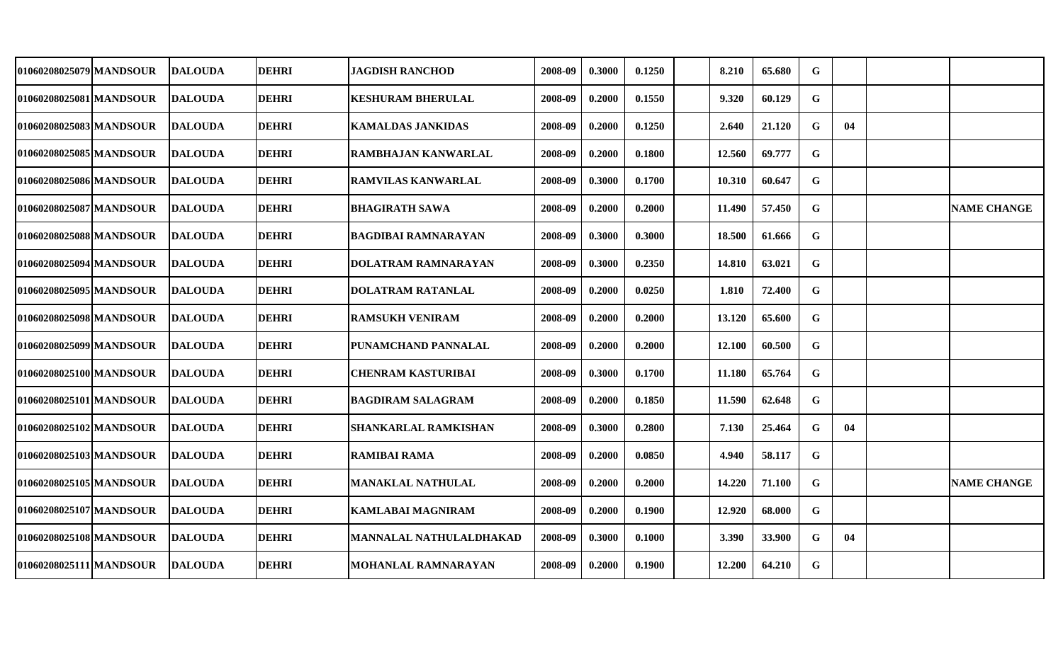| 01060208025079 MANDSOUR  | <b>DALOUDA</b>  | <b>DEHRI</b> | <b>JAGDISH RANCHOD</b>     | 2008-09 | 0.3000 | 0.1250 | 8.210  | 65.680 | G           |    |                    |
|--------------------------|-----------------|--------------|----------------------------|---------|--------|--------|--------|--------|-------------|----|--------------------|
| 01060208025081 MANDSOUR  | <b>DALOUDA</b>  | <b>DEHRI</b> | <b>KESHURAM BHERULAL</b>   | 2008-09 | 0.2000 | 0.1550 | 9.320  | 60.129 | G           |    |                    |
| 01060208025083 MANDSOUR  | <b>IDALOUDA</b> | <b>DEHRI</b> | <b>KAMALDAS JANKIDAS</b>   | 2008-09 | 0.2000 | 0.1250 | 2.640  | 21.120 | $\mathbf G$ | 04 |                    |
| 01060208025085 MANDSOUR  | <b>DALOUDA</b>  | <b>DEHRI</b> | <b>RAMBHAJAN KANWARLAL</b> | 2008-09 | 0.2000 | 0.1800 | 12.560 | 69.777 | G           |    |                    |
| 01060208025086 MANDSOUR  | <b>DALOUDA</b>  | <b>DEHRI</b> | <b>RAMVILAS KANWARLAL</b>  | 2008-09 | 0.3000 | 0.1700 | 10.310 | 60.647 | $\mathbf G$ |    |                    |
| 01060208025087 MANDSOUR  | <b>DALOUDA</b>  | <b>DEHRI</b> | <b>BHAGIRATH SAWA</b>      | 2008-09 | 0.2000 | 0.2000 | 11.490 | 57.450 | $\mathbf G$ |    | <b>NAME CHANGE</b> |
| 01060208025088 MANDSOUR  | <b>DALOUDA</b>  | <b>DEHRI</b> | <b>BAGDIBAI RAMNARAYAN</b> | 2008-09 | 0.3000 | 0.3000 | 18.500 | 61.666 | $\mathbf G$ |    |                    |
| 01060208025094 MANDSOUR  | <b>DALOUDA</b>  | <b>DEHRI</b> | <b>DOLATRAM RAMNARAYAN</b> | 2008-09 | 0.3000 | 0.2350 | 14.810 | 63.021 | $\mathbf G$ |    |                    |
| 01060208025095 MANDSOUR  | <b>DALOUDA</b>  | <b>DEHRI</b> | DOLATRAM RATANLAL          | 2008-09 | 0.2000 | 0.0250 | 1.810  | 72.400 | $\mathbf G$ |    |                    |
| 01060208025098lMANDSOUR  | <b>DALOUDA</b>  | <b>DEHRI</b> | <b>RAMSUKH VENIRAM</b>     | 2008-09 | 0.2000 | 0.2000 | 13.120 | 65.600 | $\mathbf G$ |    |                    |
| 01060208025099 MANDSOUR  | <b>DALOUDA</b>  | <b>DEHRI</b> | PUNAMCHAND PANNALAL        | 2008-09 | 0.2000 | 0.2000 | 12.100 | 60.500 | G           |    |                    |
| 01060208025100 MANDSOUR  | <b>IDALOUDA</b> | <b>DEHRI</b> | <b>CHENRAM KASTURIBAI</b>  | 2008-09 | 0.3000 | 0.1700 | 11.180 | 65.764 | $\mathbf G$ |    |                    |
| 01060208025101 MANDSOUR  | <b>DALOUDA</b>  | <b>DEHRI</b> | <b>BAGDIRAM SALAGRAM</b>   | 2008-09 | 0.2000 | 0.1850 | 11.590 | 62.648 | G           |    |                    |
| 01060208025102 MANDSOUR  | <b>IDALOUDA</b> | <b>DEHRI</b> | SHANKARLAL RAMKISHAN       | 2008-09 | 0.3000 | 0.2800 | 7.130  | 25.464 | $\mathbf G$ | 04 |                    |
| 01060208025103 MANDSOUR  | <b>DALOUDA</b>  | <b>DEHRI</b> | <b>RAMIBAI RAMA</b>        | 2008-09 | 0.2000 | 0.0850 | 4.940  | 58.117 | G           |    |                    |
| 01060208025105 MANDSOUR  | <b>DALOUDA</b>  | <b>DEHRI</b> | <b>MANAKLAL NATHULAL</b>   | 2008-09 | 0.2000 | 0.2000 | 14.220 | 71.100 | G           |    | <b>NAME CHANGE</b> |
| 01060208025107 MANDSOUR_ | <b>DALOUDA</b>  | <b>DEHRI</b> | <b>KAMLABAI MAGNIRAM</b>   | 2008-09 | 0.2000 | 0.1900 | 12.920 | 68.000 | G           |    |                    |
| 01060208025108 MANDSOUR  | <b>DALOUDA</b>  | <b>DEHRI</b> | MANNALAL NATHULALDHAKAD    | 2008-09 | 0.3000 | 0.1000 | 3.390  | 33.900 | G           | 04 |                    |
| 01060208025111 MANDSOUR  | <b>DALOUDA</b>  | <b>DEHRI</b> | MOHANLAL RAMNARAYAN        | 2008-09 | 0.2000 | 0.1900 | 12.200 | 64.210 | $\mathbf G$ |    |                    |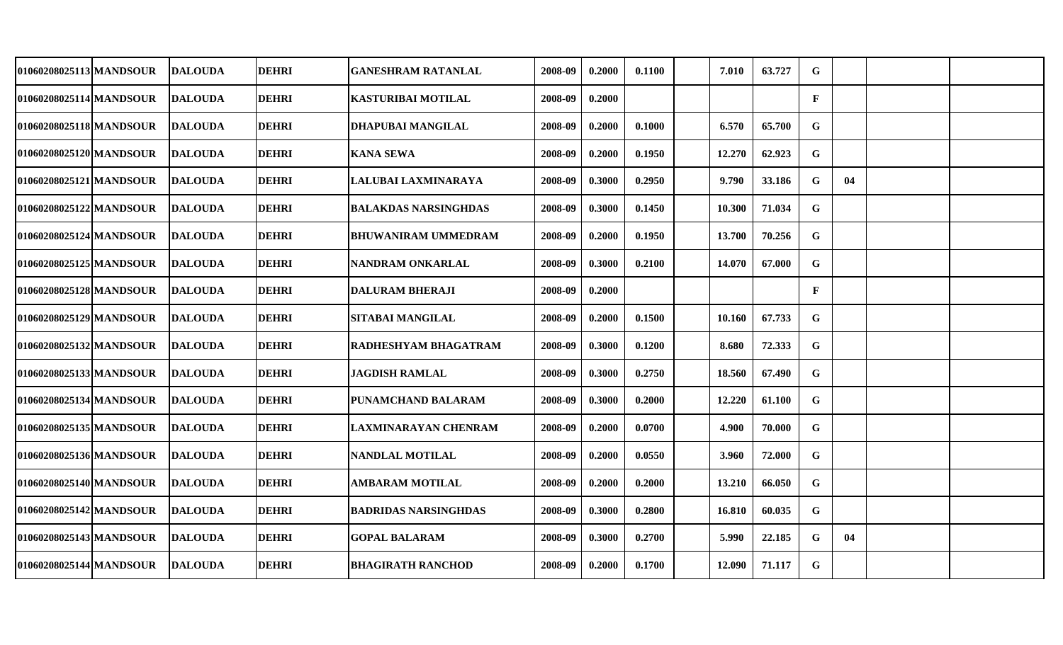| 01060208025113 MANDSOUR | <b>DALOUDA</b> | <b>DEHRI</b> | <b>GANESHRAM RATANLAL</b>   | 2008-09 | 0.2000 | 0.1100 | 7.010  | 63.727 | G            |    |  |
|-------------------------|----------------|--------------|-----------------------------|---------|--------|--------|--------|--------|--------------|----|--|
| 01060208025114 MANDSOUR | <b>DALOUDA</b> | <b>DEHRI</b> | <b>KASTURIBAI MOTILAL</b>   | 2008-09 | 0.2000 |        |        |        | $\mathbf F$  |    |  |
| 01060208025118 MANDSOUR | <b>DALOUDA</b> | <b>DEHRI</b> | <b>DHAPUBAI MANGILAL</b>    | 2008-09 | 0.2000 | 0.1000 | 6.570  | 65.700 | $\mathbf G$  |    |  |
| 01060208025120 MANDSOUR | <b>DALOUDA</b> | <b>DEHRI</b> | <b>KANA SEWA</b>            | 2008-09 | 0.2000 | 0.1950 | 12.270 | 62.923 | G            |    |  |
| 01060208025121 MANDSOUR | <b>DALOUDA</b> | <b>DEHRI</b> | LALUBAI LAXMINARAYA         | 2008-09 | 0.3000 | 0.2950 | 9.790  | 33.186 | G            | 04 |  |
| 01060208025122 MANDSOUR | <b>DALOUDA</b> | <b>DEHRI</b> | <b>BALAKDAS NARSINGHDAS</b> | 2008-09 | 0.3000 | 0.1450 | 10.300 | 71.034 | G            |    |  |
| 01060208025124 MANDSOUR | <b>DALOUDA</b> | <b>DEHRI</b> | <b>BHUWANIRAM UMMEDRAM</b>  | 2008-09 | 0.2000 | 0.1950 | 13.700 | 70.256 | $\mathbf G$  |    |  |
| 01060208025125 MANDSOUR | <b>DALOUDA</b> | <b>DEHRI</b> | NANDRAM ONKARLAL            | 2008-09 | 0.3000 | 0.2100 | 14.070 | 67.000 | $\mathbf G$  |    |  |
| 01060208025128 MANDSOUR | <b>DALOUDA</b> | <b>DEHRI</b> | <b>IDALURAM BHERAJI</b>     | 2008-09 | 0.2000 |        |        |        | $\mathbf{F}$ |    |  |
| 01060208025129 MANDSOUR | <b>DALOUDA</b> | <b>DEHRI</b> | <b>SITABAI MANGILAL</b>     | 2008-09 | 0.2000 | 0.1500 | 10.160 | 67.733 | $\mathbf G$  |    |  |
| 01060208025132 MANDSOUR | <b>DALOUDA</b> | <b>DEHRI</b> | <b>RADHESHYAM BHAGATRAM</b> | 2008-09 | 0.3000 | 0.1200 | 8.680  | 72.333 | $\mathbf G$  |    |  |
| 01060208025133 MANDSOUR | <b>DALOUDA</b> | <b>DEHRI</b> | <b>JAGDISH RAMLAL</b>       | 2008-09 | 0.3000 | 0.2750 | 18.560 | 67.490 | G            |    |  |
| 01060208025134 MANDSOUR | <b>DALOUDA</b> | <b>DEHRI</b> | PUNAMCHAND BALARAM          | 2008-09 | 0.3000 | 0.2000 | 12.220 | 61.100 | $\mathbf G$  |    |  |
| 01060208025135 MANDSOUR | <b>DALOUDA</b> | <b>DEHRI</b> | LAXMINARAYAN CHENRAM        | 2008-09 | 0.2000 | 0.0700 | 4.900  | 70.000 | G            |    |  |
| 01060208025136 MANDSOUR | <b>DALOUDA</b> | <b>DEHRI</b> | <b>NANDLAL MOTILAL</b>      | 2008-09 | 0.2000 | 0.0550 | 3.960  | 72.000 | G            |    |  |
| 01060208025140 MANDSOUR | <b>DALOUDA</b> | <b>DEHRI</b> | <b>AMBARAM MOTILAL</b>      | 2008-09 | 0.2000 | 0.2000 | 13.210 | 66.050 | G            |    |  |
| 01060208025142 MANDSOUR | <b>DALOUDA</b> | <b>DEHRI</b> | <b>BADRIDAS NARSINGHDAS</b> | 2008-09 | 0.3000 | 0.2800 | 16.810 | 60.035 | $\mathbf G$  |    |  |
| 01060208025143 MANDSOUR | <b>DALOUDA</b> | <b>DEHRI</b> | <b>GOPAL BALARAM</b>        | 2008-09 | 0.3000 | 0.2700 | 5.990  | 22.185 | G            | 04 |  |
| 01060208025144 MANDSOUR | <b>DALOUDA</b> | <b>DEHRI</b> | <b>BHAGIRATH RANCHOD</b>    | 2008-09 | 0.2000 | 0.1700 | 12.090 | 71.117 | $\mathbf G$  |    |  |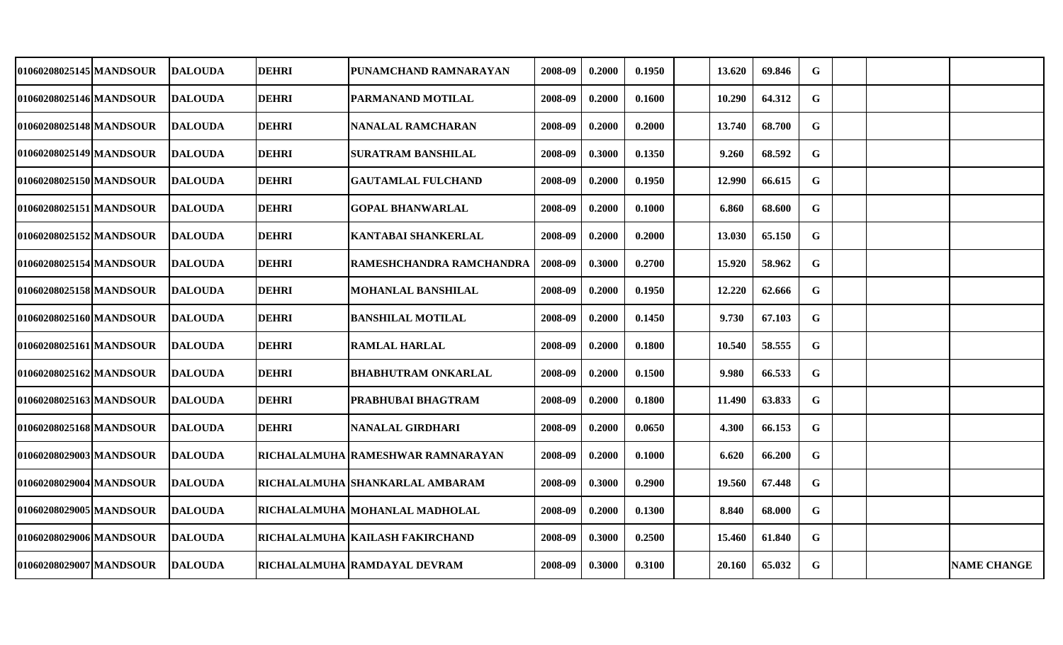| 01060208025145 MANDSOUR | DALOUDA        | <b>DEHRI</b> | PUNAMCHAND RAMNARAYAN              | 2008-09 | 0.2000 | 0.1950 | 13.620 | 69.846 | G           |  |                    |
|-------------------------|----------------|--------------|------------------------------------|---------|--------|--------|--------|--------|-------------|--|--------------------|
| 01060208025146 MANDSOUR | <b>DALOUDA</b> | <b>DEHRI</b> | PARMANAND MOTILAL                  | 2008-09 | 0.2000 | 0.1600 | 10.290 | 64.312 | $\mathbf G$ |  |                    |
| 01060208025148 MANDSOUR | <b>DALOUDA</b> | <b>DEHRI</b> | NANALAL RAMCHARAN                  | 2008-09 | 0.2000 | 0.2000 | 13.740 | 68.700 | G           |  |                    |
| 01060208025149 MANDSOUR | <b>DALOUDA</b> | <b>DEHRI</b> | <b>SURATRAM BANSHILAL</b>          | 2008-09 | 0.3000 | 0.1350 | 9.260  | 68.592 | G           |  |                    |
| 01060208025150 MANDSOUR | <b>DALOUDA</b> | <b>DEHRI</b> | <b>GAUTAMLAL FULCHAND</b>          | 2008-09 | 0.2000 | 0.1950 | 12.990 | 66.615 | ${\bf G}$   |  |                    |
| 01060208025151 MANDSOUR | <b>DALOUDA</b> | <b>DEHRI</b> | <b>GOPAL BHANWARLAL</b>            | 2008-09 | 0.2000 | 0.1000 | 6.860  | 68.600 | G           |  |                    |
| 01060208025152 MANDSOUR | <b>DALOUDA</b> | <b>DEHRI</b> | <b>KANTABAI SHANKERLAL</b>         | 2008-09 | 0.2000 | 0.2000 | 13.030 | 65.150 | G           |  |                    |
| 01060208025154 MANDSOUR | <b>DALOUDA</b> | <b>DEHRI</b> | RAMESHCHANDRA RAMCHANDRA           | 2008-09 | 0.3000 | 0.2700 | 15.920 | 58.962 | $\mathbf G$ |  |                    |
| 01060208025158lMANDSOUR | <b>DALOUDA</b> | <b>DEHRI</b> | MOHANLAL BANSHILAL                 | 2008-09 | 0.2000 | 0.1950 | 12.220 | 62.666 | G           |  |                    |
| 01060208025160 MANDSOUR | <b>DALOUDA</b> | <b>DEHRI</b> | <b>BANSHILAL MOTILAL</b>           | 2008-09 | 0.2000 | 0.1450 | 9.730  | 67.103 | G           |  |                    |
| 01060208025161 MANDSOUR | <b>DALOUDA</b> | <b>DEHRI</b> | <b>RAMLAL HARLAL</b>               | 2008-09 | 0.2000 | 0.1800 | 10.540 | 58.555 | ${\bf G}$   |  |                    |
| 01060208025162 MANDSOUR | <b>DALOUDA</b> | <b>DEHRI</b> | <b>BHABHUTRAM ONKARLAL</b>         | 2008-09 | 0.2000 | 0.1500 | 9.980  | 66.533 | $\mathbf G$ |  |                    |
| 01060208025163 MANDSOUR | <b>DALOUDA</b> | <b>DEHRI</b> | PRABHUBAI BHAGTRAM                 | 2008-09 | 0.2000 | 0.1800 | 11.490 | 63.833 | $\mathbf G$ |  |                    |
| 01060208025168 MANDSOUR | <b>DALOUDA</b> | <b>DEHRI</b> | NANALAL GIRDHARI                   | 2008-09 | 0.2000 | 0.0650 | 4.300  | 66.153 | $\mathbf G$ |  |                    |
| 01060208029003 MANDSOUR | <b>DALOUDA</b> |              | RICHALALMUHA  RAMESHWAR RAMNARAYAN | 2008-09 | 0.2000 | 0.1000 | 6.620  | 66.200 | G           |  |                    |
| 01060208029004 MANDSOUR | <b>DALOUDA</b> |              | RICHALALMUHA  SHANKARLAL AMBARAM   | 2008-09 | 0.3000 | 0.2900 | 19.560 | 67.448 | G           |  |                    |
| 01060208029005 MANDSOUR | <b>DALOUDA</b> |              | RICHALALMUHA  MOHANLAL MADHOLAL    | 2008-09 | 0.2000 | 0.1300 | 8.840  | 68.000 | $\mathbf G$ |  |                    |
| 01060208029006 MANDSOUR | <b>DALOUDA</b> |              | RICHALALMUHA KAILASH FAKIRCHAND    | 2008-09 | 0.3000 | 0.2500 | 15.460 | 61.840 | G           |  |                    |
| 01060208029007 MANDSOUR | <b>DALOUDA</b> |              | RICHALALMUHA RAMDAYAL DEVRAM       | 2008-09 | 0.3000 | 0.3100 | 20.160 | 65.032 | $\mathbf G$ |  | <b>NAME CHANGE</b> |
|                         |                |              |                                    |         |        |        |        |        |             |  |                    |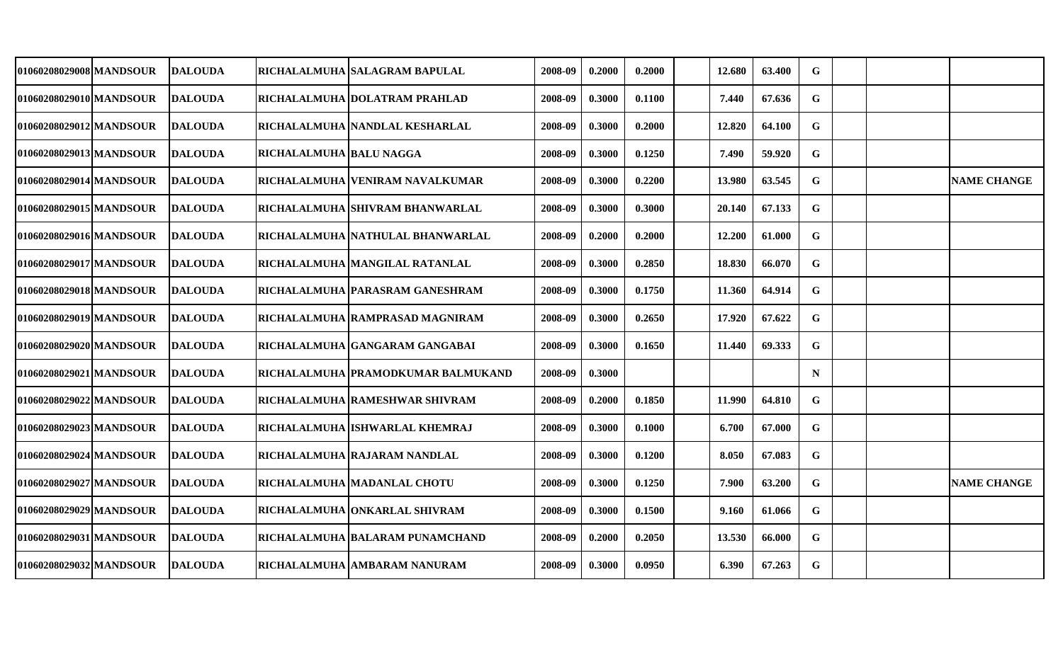| 01060208029008 MANDSOUR_ | <b>IDALOUDA</b> |                         | RICHALALMUHA  SALAGRAM BAPULAL     | 2008-09 | 0.2000 | 0.2000 | 12.680 | 63.400 | G           |  |                    |
|--------------------------|-----------------|-------------------------|------------------------------------|---------|--------|--------|--------|--------|-------------|--|--------------------|
| 01060208029010 MANDSOUR  | <b>DALOUDA</b>  |                         | RICHALALMUHA DOLATRAM PRAHLAD      | 2008-09 | 0.3000 | 0.1100 | 7.440  | 67.636 | G           |  |                    |
| 01060208029012 MANDSOUR  | <b>DALOUDA</b>  |                         | RICHALALMUHA  NANDLAL KESHARLAL    | 2008-09 | 0.3000 | 0.2000 | 12.820 | 64.100 | G           |  |                    |
| 01060208029013 MANDSOUR  | <b>DALOUDA</b>  | RICHALALMUHA BALU NAGGA |                                    | 2008-09 | 0.3000 | 0.1250 | 7.490  | 59.920 | $\mathbf G$ |  |                    |
| 01060208029014 MANDSOUR  | <b>DALOUDA</b>  |                         | RICHALALMUHA VENIRAM NAVALKUMAR    | 2008-09 | 0.3000 | 0.2200 | 13.980 | 63.545 | $\mathbf G$ |  | <b>NAME CHANGE</b> |
| 01060208029015 MANDSOUR  | <b>DALOUDA</b>  |                         | RICHALALMUHA SHIVRAM BHANWARLAL    | 2008-09 | 0.3000 | 0.3000 | 20.140 | 67.133 | G           |  |                    |
| 01060208029016 MANDSOUR  | <b>DALOUDA</b>  |                         | RICHALALMUHA  NATHULAL BHANWARLAL  | 2008-09 | 0.2000 | 0.2000 | 12.200 | 61.000 | $\mathbf G$ |  |                    |
| 01060208029017 MANDSOUR  | <b>DALOUDA</b>  |                         | RICHALALMUHA  MANGILAL RATANLAL    | 2008-09 | 0.3000 | 0.2850 | 18.830 | 66.070 | G           |  |                    |
| 01060208029018 MANDSOUR  | <b>IDALOUDA</b> |                         | RICHALALMUHA  PARASRAM GANESHRAM   | 2008-09 | 0.3000 | 0.1750 | 11.360 | 64.914 | $\mathbf G$ |  |                    |
| 01060208029019 MANDSOUR  | <b>DALOUDA</b>  |                         | RICHALALMUHA  RAMPRASAD MAGNIRAM   | 2008-09 | 0.3000 | 0.2650 | 17.920 | 67.622 | $\mathbf G$ |  |                    |
| 01060208029020 MANDSOUR  | <b>DALOUDA</b>  |                         | RICHALALMUHA GANGARAM GANGABAI     | 2008-09 | 0.3000 | 0.1650 | 11.440 | 69.333 | $\mathbf G$ |  |                    |
| 01060208029021 MANDSOUR  | <b>DALOUDA</b>  |                         | RICHALALMUHA PRAMODKUMAR BALMUKAND | 2008-09 | 0.3000 |        |        |        | ${\bf N}$   |  |                    |
| 01060208029022 MANDSOUR  | <b>DALOUDA</b>  |                         | RICHALALMUHA RAMESHWAR SHIVRAM     | 2008-09 | 0.2000 | 0.1850 | 11.990 | 64.810 | G           |  |                    |
| 01060208029023 MANDSOUR  | <b>DALOUDA</b>  |                         | RICHALALMUHA ISHWARLAL KHEMRAJ     | 2008-09 | 0.3000 | 0.1000 | 6.700  | 67.000 | G           |  |                    |
| 01060208029024 MANDSOUR  | <b>DALOUDA</b>  |                         | RICHALALMUHA RAJARAM NANDLAL       | 2008-09 | 0.3000 | 0.1200 | 8.050  | 67.083 | G           |  |                    |
| 01060208029027 MANDSOUR  | <b>DALOUDA</b>  |                         | RICHALALMUHA MADANLAL CHOTU        | 2008-09 | 0.3000 | 0.1250 | 7.900  | 63.200 | G           |  | <b>NAME CHANGE</b> |
| 01060208029029 MANDSOUR  | <b>DALOUDA</b>  |                         | RICHALALMUHA ONKARLAL SHIVRAM      | 2008-09 | 0.3000 | 0.1500 | 9.160  | 61.066 | G           |  |                    |
| 01060208029031 MANDSOUR  | <b>DALOUDA</b>  |                         | RICHALALMUHA BALARAM PUNAMCHAND    | 2008-09 | 0.2000 | 0.2050 | 13.530 | 66.000 | G           |  |                    |
| 01060208029032 MANDSOUR  | <b>DALOUDA</b>  |                         | RICHALALMUHA AMBARAM NANURAM       | 2008-09 | 0.3000 | 0.0950 | 6.390  | 67.263 | $\mathbf G$ |  |                    |
|                          |                 |                         |                                    |         |        |        |        |        |             |  |                    |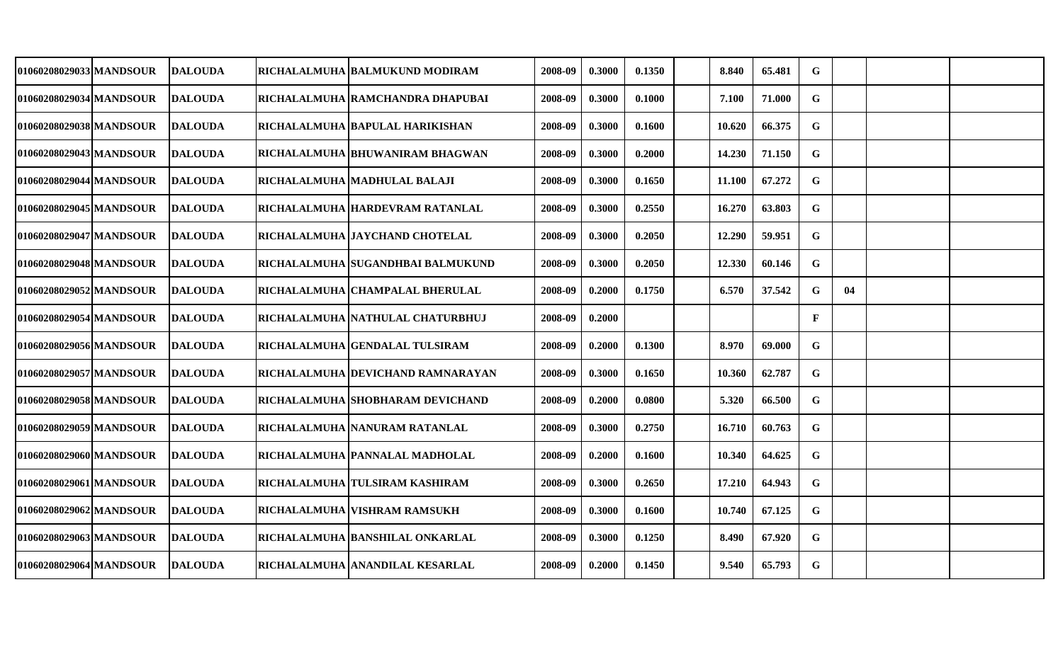| 01060208029033 MANDSOUR | <b>DALOUDA</b> | RICHALALMUHA  BALMUKUND MODIRAM   | 2008-09 | 0.3000 | 0.1350 | 8.840  | 65.481 | G            |    |  |
|-------------------------|----------------|-----------------------------------|---------|--------|--------|--------|--------|--------------|----|--|
| 01060208029034 MANDSOUR | <b>DALOUDA</b> | RICHALALMUHA  RAMCHANDRA DHAPUBAI | 2008-09 | 0.3000 | 0.1000 | 7.100  | 71.000 | G            |    |  |
| 01060208029038 MANDSOUR | <b>DALOUDA</b> | RICHALALMUHA  BAPULAL HARIKISHAN  | 2008-09 | 0.3000 | 0.1600 | 10.620 | 66.375 | G            |    |  |
| 01060208029043 MANDSOUR | <b>DALOUDA</b> | RICHALALMUHA BHUWANIRAM BHAGWAN   | 2008-09 | 0.3000 | 0.2000 | 14.230 | 71.150 | G            |    |  |
| 01060208029044 MANDSOUR | <b>DALOUDA</b> | RICHALALMUHA  MADHULAL BALAJI     | 2008-09 | 0.3000 | 0.1650 | 11.100 | 67.272 | G            |    |  |
| 01060208029045 MANDSOUR | <b>DALOUDA</b> | RICHALALMUHA HARDEVRAM RATANLAL   | 2008-09 | 0.3000 | 0.2550 | 16.270 | 63.803 | G            |    |  |
| 01060208029047 MANDSOUR | <b>DALOUDA</b> | RICHALALMUHA JAYCHAND CHOTELAL    | 2008-09 | 0.3000 | 0.2050 | 12.290 | 59.951 | $\mathbf G$  |    |  |
| 01060208029048 MANDSOUR | <b>DALOUDA</b> | RICHALALMUHA SUGANDHBAI BALMUKUND | 2008-09 | 0.3000 | 0.2050 | 12.330 | 60.146 | G            |    |  |
| 01060208029052 MANDSOUR | <b>DALOUDA</b> | RICHALALMUHA CHAMPALAL BHERULAL   | 2008-09 | 0.2000 | 0.1750 | 6.570  | 37.542 | $\mathbf G$  | 04 |  |
| 01060208029054 MANDSOUR | <b>DALOUDA</b> | RICHALALMUHA NATHULAL CHATURBHUJ  | 2008-09 | 0.2000 |        |        |        | $\mathbf{F}$ |    |  |
| 01060208029056 MANDSOUR | <b>DALOUDA</b> | RICHALALMUHA GENDALAL TULSIRAM    | 2008-09 | 0.2000 | 0.1300 | 8.970  | 69.000 | G            |    |  |
| 01060208029057 MANDSOUR | <b>DALOUDA</b> | RICHALALMUHA DEVICHAND RAMNARAYAN | 2008-09 | 0.3000 | 0.1650 | 10.360 | 62.787 | G            |    |  |
| 01060208029058 MANDSOUR | <b>DALOUDA</b> | RICHALALMUHA  SHOBHARAM DEVICHAND | 2008-09 | 0.2000 | 0.0800 | 5.320  | 66.500 | G            |    |  |
| 01060208029059 MANDSOUR | <b>DALOUDA</b> | RICHALALMUHA NANURAM RATANLAL     | 2008-09 | 0.3000 | 0.2750 | 16.710 | 60.763 | G            |    |  |
| 01060208029060 MANDSOUR | <b>DALOUDA</b> | RICHALALMUHA PANNALAL MADHOLAL    | 2008-09 | 0.2000 | 0.1600 | 10.340 | 64.625 | G            |    |  |
| 01060208029061 MANDSOUR | <b>DALOUDA</b> | RICHALALMUHA TULSIRAM KASHIRAM    | 2008-09 | 0.3000 | 0.2650 | 17.210 | 64.943 | G            |    |  |
| 01060208029062 MANDSOUR | <b>DALOUDA</b> | RICHALALMUHA VISHRAM RAMSUKH      | 2008-09 | 0.3000 | 0.1600 | 10.740 | 67.125 | $\mathbf G$  |    |  |
| 01060208029063 MANDSOUR | <b>DALOUDA</b> | RICHALALMUHA BANSHILAL ONKARLAL   | 2008-09 | 0.3000 | 0.1250 | 8.490  | 67.920 | G            |    |  |
| 01060208029064 MANDSOUR | <b>DALOUDA</b> | RICHALALMUHA ANANDILAL KESARLAL   | 2008-09 | 0.2000 | 0.1450 | 9.540  | 65.793 | G            |    |  |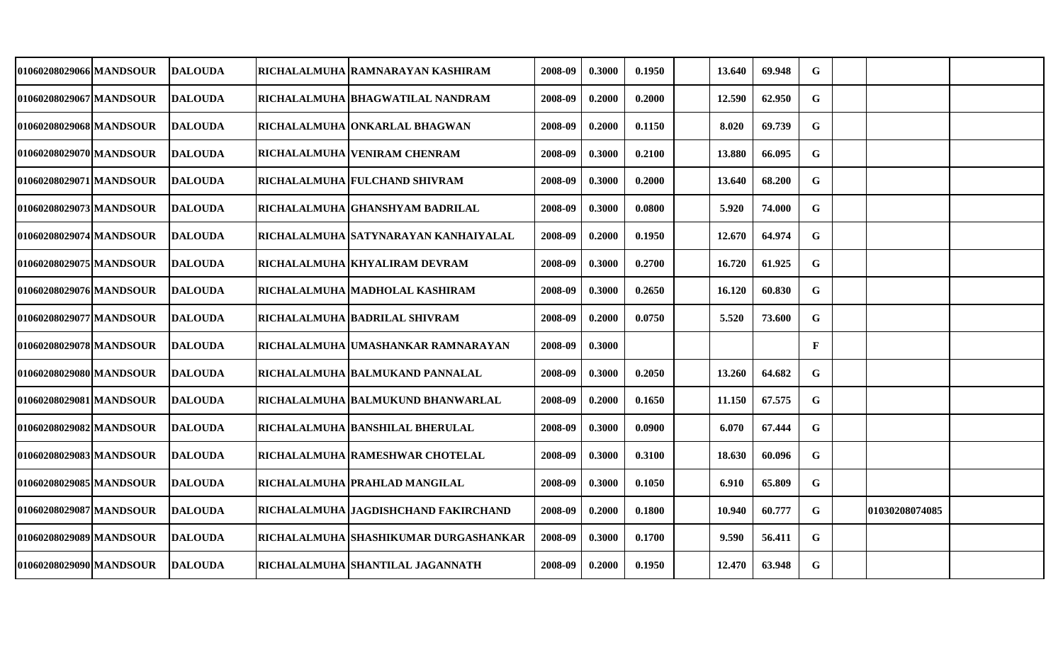| 01060208029066 MANDSOUR  | <b>DALOUDA</b>  | RICHALALMUHA  RAMNARAYAN KASHIRAM     | 2008-09 | 0.3000 | 0.1950 | 13.640 | 69.948 | G            |                |  |
|--------------------------|-----------------|---------------------------------------|---------|--------|--------|--------|--------|--------------|----------------|--|
| 01060208029067 MANDSOUR  | <b>IDALOUDA</b> | RICHALALMUHA BHAGWATILAL NANDRAM      | 2008-09 | 0.2000 | 0.2000 | 12.590 | 62.950 | G            |                |  |
| 01060208029068 MANDSOUR  | <b>DALOUDA</b>  | RICHALALMUHA ONKARLAL BHAGWAN         | 2008-09 | 0.2000 | 0.1150 | 8.020  | 69.739 | G            |                |  |
| 01060208029070 MANDSOUR  | <b>DALOUDA</b>  | RICHALALMUHA VENIRAM CHENRAM          | 2008-09 | 0.3000 | 0.2100 | 13.880 | 66.095 | G            |                |  |
| 01060208029071 MANDSOUR  | <b>DALOUDA</b>  | RICHALALMUHA FULCHAND SHIVRAM         | 2008-09 | 0.3000 | 0.2000 | 13.640 | 68.200 | G            |                |  |
| 01060208029073 MANDSOUR  | <b>DALOUDA</b>  | RICHALALMUHA GHANSHYAM BADRILAL       | 2008-09 | 0.3000 | 0.0800 | 5.920  | 74.000 | $\mathbf G$  |                |  |
| 01060208029074 MANDSOUR  | <b>DALOUDA</b>  | RICHALALMUHA SATYNARAYAN KANHAIYALAL  | 2008-09 | 0.2000 | 0.1950 | 12.670 | 64.974 | $\mathbf G$  |                |  |
| 01060208029075 MANDSOUR  | <b>DALOUDA</b>  | RICHALALMUHA KHYALIRAM DEVRAM         | 2008-09 | 0.3000 | 0.2700 | 16.720 | 61.925 | $\mathbf G$  |                |  |
| 01060208029076 MANDSOUR  | <b>DALOUDA</b>  | RICHALALMUHA  MADHOLAL KASHIRAM       | 2008-09 | 0.3000 | 0.2650 | 16.120 | 60.830 | $\mathbf G$  |                |  |
| 01060208029077 MANDSOUR  | <b>DALOUDA</b>  | RICHALALMUHA BADRILAL SHIVRAM         | 2008-09 | 0.2000 | 0.0750 | 5.520  | 73.600 | G            |                |  |
| 01060208029078 MANDSOUR  | <b>IDALOUDA</b> | RICHALALMUHA  UMASHANKAR RAMNARAYAN   | 2008-09 | 0.3000 |        |        |        | $\mathbf{F}$ |                |  |
| 01060208029080 MANDSOUR  | <b>DALOUDA</b>  | RICHALALMUHA  BALMUKAND PANNALAL      | 2008-09 | 0.3000 | 0.2050 | 13.260 | 64.682 | G            |                |  |
| 01060208029081 MANDSOUR  | <b>DALOUDA</b>  | RICHALALMUHA BALMUKUND BHANWARLAL     | 2008-09 | 0.2000 | 0.1650 | 11.150 | 67.575 | G            |                |  |
| 01060208029082 MANDSOUR  | <b>DALOUDA</b>  | RICHALALMUHA BANSHILAL BHERULAL       | 2008-09 | 0.3000 | 0.0900 | 6.070  | 67.444 | G            |                |  |
| 01060208029083 MANDSOUR  | <b>IDALOUDA</b> | RICHALALMUHA RAMESHWAR CHOTELAL       | 2008-09 | 0.3000 | 0.3100 | 18.630 | 60.096 | G            |                |  |
| 01060208029085 MANDSOUR  | <b>DALOUDA</b>  | RICHALALMUHA PRAHLAD MANGILAL         | 2008-09 | 0.3000 | 0.1050 | 6.910  | 65.809 | G            |                |  |
| 01060208029087 MANDSOUR_ | <b>DALOUDA</b>  | RICHALALMUHA  JAGDISHCHAND FAKIRCHAND | 2008-09 | 0.2000 | 0.1800 | 10.940 | 60.777 | G            | 01030208074085 |  |
| 01060208029089 MANDSOUR  | <b>DALOUDA</b>  | RICHALALMUHA SHASHIKUMAR DURGASHANKAR | 2008-09 | 0.3000 | 0.1700 | 9.590  | 56.411 | G            |                |  |
| 01060208029090 MANDSOUR  | <b>DALOUDA</b>  | RICHALALMUHA SHANTILAL JAGANNATH      | 2008-09 | 0.2000 | 0.1950 | 12.470 | 63.948 | $\mathbf G$  |                |  |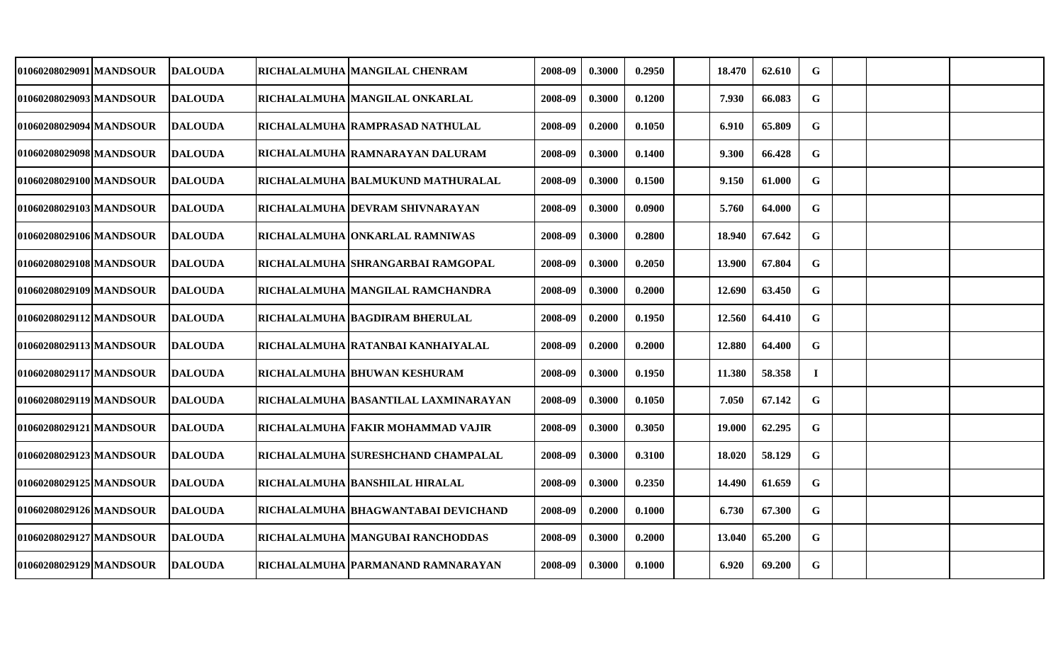| 01060208029091 MANDSOUR  | <b>DALOUDA</b> | RICHALALMUHA  MANGILAL CHENRAM        | 2008-09 | 0.3000 | 0.2950 | 18.470 | 62.610 | G           |  |  |
|--------------------------|----------------|---------------------------------------|---------|--------|--------|--------|--------|-------------|--|--|
| 01060208029093 MANDSOUR  | <b>DALOUDA</b> | RICHALALMUHA  MANGILAL ONKARLAL       | 2008-09 | 0.3000 | 0.1200 | 7.930  | 66.083 | G           |  |  |
| 01060208029094 MANDSOUR  | <b>DALOUDA</b> | RICHALALMUHA  RAMPRASAD NATHULAL      | 2008-09 | 0.2000 | 0.1050 | 6.910  | 65.809 | $\mathbf G$ |  |  |
| 01060208029098 MANDSOUR  | <b>DALOUDA</b> | RICHALALMUHA RAMNARAYAN DALURAM       | 2008-09 | 0.3000 | 0.1400 | 9.300  | 66.428 | G           |  |  |
| 01060208029100 MANDSOUR  | <b>DALOUDA</b> | RICHALALMUHA  BALMUKUND MATHURALAL    | 2008-09 | 0.3000 | 0.1500 | 9.150  | 61.000 | $\mathbf G$ |  |  |
| 01060208029103 MANDSOUR  | <b>DALOUDA</b> | RICHALALMUHA DEVRAM SHIVNARAYAN       | 2008-09 | 0.3000 | 0.0900 | 5.760  | 64.000 | G           |  |  |
| 01060208029106 MANDSOUR  | <b>DALOUDA</b> | RICHALALMUHA ONKARLAL RAMNIWAS        | 2008-09 | 0.3000 | 0.2800 | 18.940 | 67.642 | G           |  |  |
| 01060208029108 MANDSOUR  | <b>DALOUDA</b> | RICHALALMUHA SHRANGARBAI RAMGOPAL     | 2008-09 | 0.3000 | 0.2050 | 13.900 | 67.804 | $\mathbf G$ |  |  |
| 01060208029109 MANDSOUR  | <b>DALOUDA</b> | RICHALALMUHA MANGILAL RAMCHANDRA      | 2008-09 | 0.3000 | 0.2000 | 12.690 | 63.450 | $\mathbf G$ |  |  |
| 01060208029112 MANDSOUR  | <b>DALOUDA</b> | RICHALALMUHA BAGDIRAM BHERULAL        | 2008-09 | 0.2000 | 0.1950 | 12.560 | 64.410 | $\mathbf G$ |  |  |
| 01060208029113 MANDSOUR  | <b>DALOUDA</b> | RICHALALMUHA RATANBAI KANHAIYALAL     | 2008-09 | 0.2000 | 0.2000 | 12.880 | 64.400 | G           |  |  |
| 01060208029117 MANDSOUR  | <b>DALOUDA</b> | RICHALALMUHA BHUWAN KESHURAM          | 2008-09 | 0.3000 | 0.1950 | 11.380 | 58.358 | $\bf{I}$    |  |  |
| 01060208029119 MANDSOUR  | <b>DALOUDA</b> | RICHALALMUHA  BASANTILAL LAXMINARAYAN | 2008-09 | 0.3000 | 0.1050 | 7.050  | 67.142 | G           |  |  |
| 01060208029121 MANDSOUR  | <b>DALOUDA</b> | RICHALALMUHA  FAKIR MOHAMMAD VAJIR    | 2008-09 | 0.3000 | 0.3050 | 19.000 | 62.295 | G           |  |  |
| 01060208029123 MANDSOUR  | <b>DALOUDA</b> | RICHALALMUHA SURESHCHAND CHAMPALAL    | 2008-09 | 0.3000 | 0.3100 | 18.020 | 58.129 | G           |  |  |
| 01060208029125 MANDSOUR  | <b>DALOUDA</b> | RICHALALMUHA BANSHILAL HIRALAL        | 2008-09 | 0.3000 | 0.2350 | 14.490 | 61.659 | G           |  |  |
| 01060208029126 MANDSOUR_ | <b>DALOUDA</b> | RICHALALMUHA  BHAGWANTABAI DEVICHAND  | 2008-09 | 0.2000 | 0.1000 | 6.730  | 67.300 | G           |  |  |
| 01060208029127 MANDSOUR  | <b>DALOUDA</b> | RICHALALMUHA MANGUBAI RANCHODDAS      | 2008-09 | 0.3000 | 0.2000 | 13.040 | 65.200 | G           |  |  |
| 01060208029129 MANDSOUR  | <b>DALOUDA</b> | RICHALALMUHA PARMANAND RAMNARAYAN     | 2008-09 | 0.3000 | 0.1000 | 6.920  | 69.200 | $\mathbf G$ |  |  |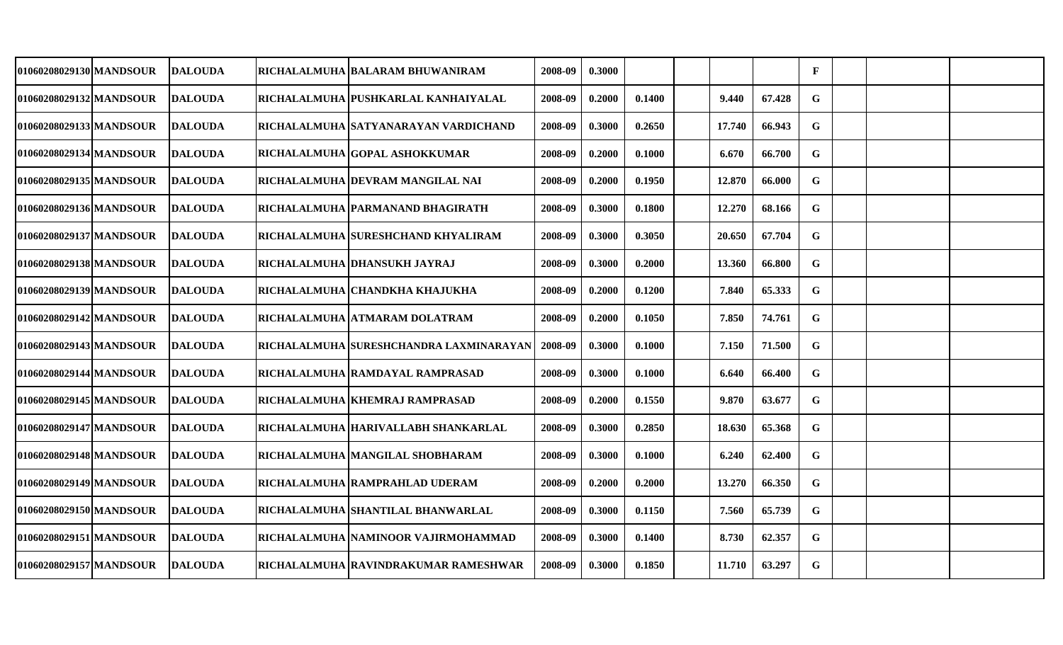| 01060208029130 MANDSOUR | <b>DALOUDA</b>  | RICHALALMUHA  BALARAM BHUWANIRAM         | 2008-09 | 0.3000 |        |        |        | $\mathbf{F}$ |  |  |
|-------------------------|-----------------|------------------------------------------|---------|--------|--------|--------|--------|--------------|--|--|
| 01060208029132 MANDSOUR | <b>IDALOUDA</b> | RICHALALMUHA  PUSHKARLAL KANHAIYALAL     | 2008-09 | 0.2000 | 0.1400 | 9.440  | 67.428 | G            |  |  |
| 01060208029133 MANDSOUR | <b>DALOUDA</b>  | RICHALALMUHA SATYANARAYAN VARDICHAND     | 2008-09 | 0.3000 | 0.2650 | 17.740 | 66.943 | G            |  |  |
| 01060208029134 MANDSOUR | <b>DALOUDA</b>  | RICHALALMUHA GOPAL ASHOKKUMAR            | 2008-09 | 0.2000 | 0.1000 | 6.670  | 66.700 | G            |  |  |
| 01060208029135 MANDSOUR | <b>DALOUDA</b>  | RICHALALMUHA  DEVRAM MANGILAL NAI        | 2008-09 | 0.2000 | 0.1950 | 12.870 | 66.000 | G            |  |  |
| 01060208029136 MANDSOUR | <b>DALOUDA</b>  | RICHALALMUHA PARMANAND BHAGIRATH         | 2008-09 | 0.3000 | 0.1800 | 12.270 | 68.166 | G            |  |  |
| 01060208029137 MANDSOUR | <b>DALOUDA</b>  | RICHALALMUHA SURESHCHAND KHYALIRAM       | 2008-09 | 0.3000 | 0.3050 | 20.650 | 67.704 | $\mathbf G$  |  |  |
| 01060208029138 MANDSOUR | <b>DALOUDA</b>  | RICHALALMUHA DHANSUKH JAYRAJ             | 2008-09 | 0.3000 | 0.2000 | 13.360 | 66.800 | $\mathbf G$  |  |  |
| 01060208029139 MANDSOUR | <b>DALOUDA</b>  | RICHALALMUHA CHANDKHA KHAJUKHA           | 2008-09 | 0.2000 | 0.1200 | 7.840  | 65.333 | $\mathbf G$  |  |  |
| 01060208029142 MANDSOUR | <b>DALOUDA</b>  | RICHALALMUHA ATMARAM DOLATRAM            | 2008-09 | 0.2000 | 0.1050 | 7.850  | 74.761 | G            |  |  |
| 01060208029143 MANDSOUR | <b>IDALOUDA</b> | RICHALALMUHA  SURESHCHANDRA LAXMINARAYAN | 2008-09 | 0.3000 | 0.1000 | 7.150  | 71.500 | G            |  |  |
| 01060208029144 MANDSOUR | <b>DALOUDA</b>  | RICHALALMUHA  RAMDAYAL RAMPRASAD         | 2008-09 | 0.3000 | 0.1000 | 6.640  | 66.400 | G            |  |  |
| 01060208029145 MANDSOUR | <b>DALOUDA</b>  | RICHALALMUHA KHEMRAJ RAMPRASAD           | 2008-09 | 0.2000 | 0.1550 | 9.870  | 63.677 | G            |  |  |
| 01060208029147 MANDSOUR | <b>DALOUDA</b>  | RICHALALMUHA  HARIVALLABH SHANKARLAL     | 2008-09 | 0.3000 | 0.2850 | 18.630 | 65.368 | G            |  |  |
| 01060208029148 MANDSOUR | <b>IDALOUDA</b> | RICHALALMUHA MANGILAL SHOBHARAM          | 2008-09 | 0.3000 | 0.1000 | 6.240  | 62.400 | G            |  |  |
| 01060208029149 MANDSOUR | <b>DALOUDA</b>  | RICHALALMUHA RAMPRAHLAD UDERAM           | 2008-09 | 0.2000 | 0.2000 | 13.270 | 66.350 | G            |  |  |
| 01060208029150lMANDSOUR | <b>DALOUDA</b>  | RICHALALMUHA SHANTILAL BHANWARLAL        | 2008-09 | 0.3000 | 0.1150 | 7.560  | 65.739 | G            |  |  |
| 01060208029151 MANDSOUR | <b>DALOUDA</b>  | RICHALALMUHA   NAMINOOR VAJIRMOHAMMAD    | 2008-09 | 0.3000 | 0.1400 | 8.730  | 62.357 | G            |  |  |
| 01060208029157 MANDSOUR | <b>DALOUDA</b>  | RICHALALMUHA RAVINDRAKUMAR RAMESHWAR     | 2008-09 | 0.3000 | 0.1850 | 11.710 | 63.297 | $\mathbf G$  |  |  |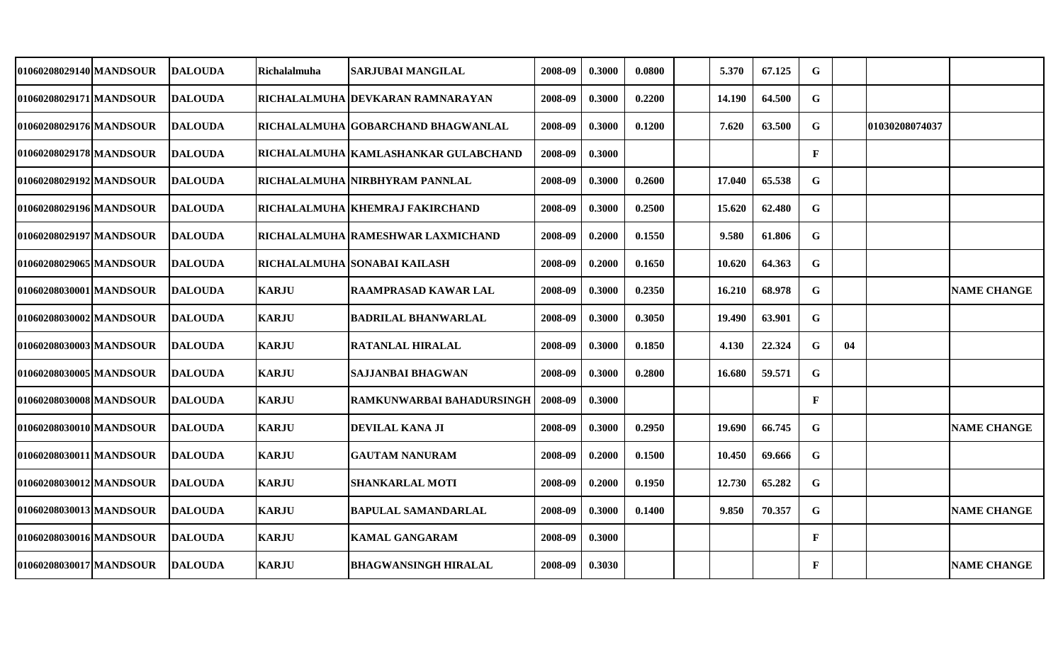| 01060208029140 MANDSOUR | <b>DALOUDA</b> | <b>Richalalmuha</b> | SARJUBAI MANGILAL                     | 2008-09 | 0.3000 | 0.0800 | 5.370  | 67.125 | G            |    |                 |                    |
|-------------------------|----------------|---------------------|---------------------------------------|---------|--------|--------|--------|--------|--------------|----|-----------------|--------------------|
| 01060208029171 MANDSOUR | <b>DALOUDA</b> |                     | RICHALALMUHA DEVKARAN RAMNARAYAN      | 2008-09 | 0.3000 | 0.2200 | 14.190 | 64.500 | G            |    |                 |                    |
| 01060208029176 MANDSOUR | <b>DALOUDA</b> |                     | RICHALALMUHA  GOBARCHAND BHAGWANLAL   | 2008-09 | 0.3000 | 0.1200 | 7.620  | 63.500 | G            |    | 101030208074037 |                    |
| 01060208029178 MANDSOUR | <b>DALOUDA</b> |                     | RICHALALMUHA  KAMLASHANKAR GULABCHAND | 2008-09 | 0.3000 |        |        |        | $\mathbf{F}$ |    |                 |                    |
| 01060208029192 MANDSOUR | <b>DALOUDA</b> |                     | RICHALALMUHA INIRBHYRAM PANNLAL       | 2008-09 | 0.3000 | 0.2600 | 17.040 | 65.538 | $\mathbf G$  |    |                 |                    |
| 01060208029196 MANDSOUR | <b>DALOUDA</b> |                     | RICHALALMUHA   KHEMRAJ FAKIRCHAND     | 2008-09 | 0.3000 | 0.2500 | 15.620 | 62.480 | $\mathbf G$  |    |                 |                    |
| 01060208029197 MANDSOUR | DALOUDA        |                     | RICHALALMUHA  RAMESHWAR LAXMICHAND    | 2008-09 | 0.2000 | 0.1550 | 9.580  | 61.806 | $\mathbf G$  |    |                 |                    |
| 01060208029065 MANDSOUR | <b>DALOUDA</b> |                     | RICHALALMUHA SONABAI KAILASH          | 2008-09 | 0.2000 | 0.1650 | 10.620 | 64.363 | $\mathbf G$  |    |                 |                    |
| 01060208030001 MANDSOUR | <b>DALOUDA</b> | <b>KARJU</b>        | RAAMPRASAD KAWAR LAL                  | 2008-09 | 0.3000 | 0.2350 | 16.210 | 68.978 | $\mathbf G$  |    |                 | <b>NAME CHANGE</b> |
| 01060208030002 MANDSOUR | <b>DALOUDA</b> | <b>KARJU</b>        | <b>BADRILAL BHANWARLAL</b>            | 2008-09 | 0.3000 | 0.3050 | 19.490 | 63.901 | $\mathbf G$  |    |                 |                    |
| 01060208030003 MANDSOUR | <b>DALOUDA</b> | <b>KARJU</b>        | RATANLAL HIRALAL                      | 2008-09 | 0.3000 | 0.1850 | 4.130  | 22.324 | $\mathbf G$  | 04 |                 |                    |
| 01060208030005 MANDSOUR | <b>DALOUDA</b> | <b>KARJU</b>        | <b>SAJJANBAI BHAGWAN</b>              | 2008-09 | 0.3000 | 0.2800 | 16.680 | 59.571 | $\mathbf G$  |    |                 |                    |
| 01060208030008lMANDSOUR | <b>DALOUDA</b> | <b>KARJU</b>        | RAMKUNWARBAI BAHADURSINGH             | 2008-09 | 0.3000 |        |        |        | $\mathbf{F}$ |    |                 |                    |
| 01060208030010 MANDSOUR | <b>DALOUDA</b> | <b>KARJU</b>        | DEVILAL KANA JI                       | 2008-09 | 0.3000 | 0.2950 | 19.690 | 66.745 | $\mathbf G$  |    |                 | <b>NAME CHANGE</b> |
| 01060208030011lMANDSOUR | DALOUDA        | <b>KARJU</b>        | <b>GAUTAM NANURAM</b>                 | 2008-09 | 0.2000 | 0.1500 | 10.450 | 69.666 | G            |    |                 |                    |
| 01060208030012 MANDSOUR | <b>DALOUDA</b> | <b>KARJU</b>        | <b>SHANKARLAL MOTI</b>                | 2008-09 | 0.2000 | 0.1950 | 12.730 | 65.282 | G            |    |                 |                    |
| 01060208030013lMANDSOUR | <b>DALOUDA</b> | <b>KARJU</b>        | BAPULAL SAMANDARLAL                   | 2008-09 | 0.3000 | 0.1400 | 9.850  | 70.357 | $\mathbf G$  |    |                 | <b>NAME CHANGE</b> |
| 01060208030016 MANDSOUR | <b>DALOUDA</b> | <b>KARJU</b>        | <b>KAMAL GANGARAM</b>                 | 2008-09 | 0.3000 |        |        |        | $\mathbf{F}$ |    |                 |                    |
| 01060208030017 MANDSOUR | <b>DALOUDA</b> | <b>KARJU</b>        | <b>BHAGWANSINGH HIRALAL</b>           | 2008-09 | 0.3030 |        |        |        | $\mathbf{F}$ |    |                 | <b>NAME CHANGE</b> |
|                         |                |                     |                                       |         |        |        |        |        |              |    |                 |                    |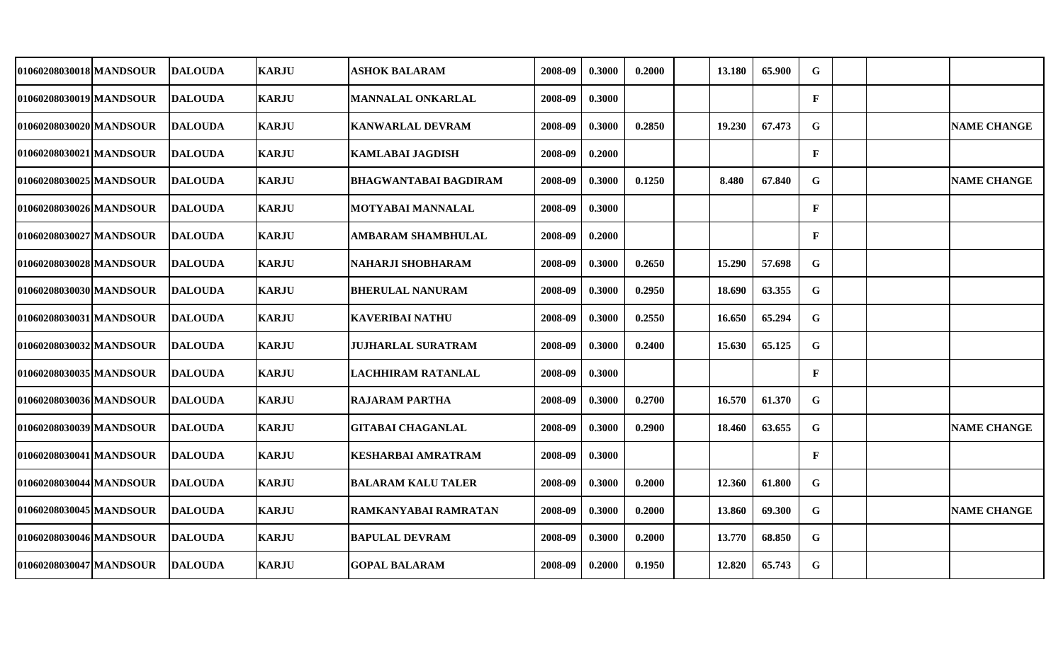| 01060208030018 MANDSOUR | <b>DALOUDA</b> | <b>KARJU</b> | <b>ASHOK BALARAM</b>         | 2008-09 | 0.3000 | 0.2000 | 13.180 | 65.900 | G            |  |                    |
|-------------------------|----------------|--------------|------------------------------|---------|--------|--------|--------|--------|--------------|--|--------------------|
| 01060208030019 MANDSOUR | <b>DALOUDA</b> | <b>KARJU</b> | <b>MANNALAL ONKARLAL</b>     | 2008-09 | 0.3000 |        |        |        | $\mathbf{F}$ |  |                    |
| 01060208030020 MANDSOUR | <b>DALOUDA</b> | <b>KARJU</b> | <b>KANWARLAL DEVRAM</b>      | 2008-09 | 0.3000 | 0.2850 | 19.230 | 67.473 | G            |  | <b>NAME CHANGE</b> |
| 01060208030021 MANDSOUR | <b>DALOUDA</b> | <b>KARJU</b> | <b>KAMLABAI JAGDISH</b>      | 2008-09 | 0.2000 |        |        |        | $\mathbf{F}$ |  |                    |
| 01060208030025 MANDSOUR | <b>DALOUDA</b> | <b>KARJU</b> | <b>BHAGWANTABAI BAGDIRAM</b> | 2008-09 | 0.3000 | 0.1250 | 8.480  | 67.840 | G            |  | <b>NAME CHANGE</b> |
| 01060208030026 MANDSOUR | <b>DALOUDA</b> | <b>KARJU</b> | <b>MOTYABAI MANNALAL</b>     | 2008-09 | 0.3000 |        |        |        | $\mathbf{F}$ |  |                    |
| 01060208030027 MANDSOUR | <b>DALOUDA</b> | <b>KARJU</b> | <b>AMBARAM SHAMBHULAL</b>    | 2008-09 | 0.2000 |        |        |        | $\mathbf{F}$ |  |                    |
| 01060208030028 MANDSOUR | <b>DALOUDA</b> | <b>KARJU</b> | NAHARJI SHOBHARAM            | 2008-09 | 0.3000 | 0.2650 | 15.290 | 57.698 | G            |  |                    |
| 01060208030030 MANDSOUR | <b>DALOUDA</b> | <b>KARJU</b> | <b>BHERULAL NANURAM</b>      | 2008-09 | 0.3000 | 0.2950 | 18.690 | 63.355 | $\mathbf G$  |  |                    |
| 01060208030031 MANDSOUR | <b>DALOUDA</b> | <b>KARJU</b> | <b>KAVERIBAI NATHU</b>       | 2008-09 | 0.3000 | 0.2550 | 16.650 | 65.294 | $\mathbf G$  |  |                    |
| 01060208030032 MANDSOUR | <b>DALOUDA</b> | <b>KARJU</b> | <b>JUJHARLAL SURATRAM</b>    | 2008-09 | 0.3000 | 0.2400 | 15.630 | 65.125 | $\mathbf G$  |  |                    |
| 01060208030035 MANDSOUR | <b>DALOUDA</b> | <b>KARJU</b> | LACHHIRAM RATANLAL           | 2008-09 | 0.3000 |        |        |        | $\mathbf{F}$ |  |                    |
| 01060208030036 MANDSOUR | <b>DALOUDA</b> | <b>KARJU</b> | <b>RAJARAM PARTHA</b>        | 2008-09 | 0.3000 | 0.2700 | 16.570 | 61.370 | $\mathbf G$  |  |                    |
| 01060208030039 MANDSOUR | <b>DALOUDA</b> | <b>KARJU</b> | <b>GITABAI CHAGANLAL</b>     | 2008-09 | 0.3000 | 0.2900 | 18.460 | 63.655 | G            |  | <b>NAME CHANGE</b> |
| 01060208030041 MANDSOUR | <b>DALOUDA</b> | <b>KARJU</b> | <b>KESHARBAI AMRATRAM</b>    | 2008-09 | 0.3000 |        |        |        | $\mathbf{F}$ |  |                    |
| 01060208030044 MANDSOUR | <b>DALOUDA</b> | <b>KARJU</b> | <b>BALARAM KALU TALER</b>    | 2008-09 | 0.3000 | 0.2000 | 12.360 | 61.800 | G            |  |                    |
| 01060208030045 MANDSOUR | <b>DALOUDA</b> | <b>KARJU</b> | RAMKANYABAI RAMRATAN         | 2008-09 | 0.3000 | 0.2000 | 13.860 | 69.300 | $\mathbf G$  |  | <b>NAME CHANGE</b> |
| 01060208030046 MANDSOUR | <b>DALOUDA</b> | <b>KARJU</b> | <b>BAPULAL DEVRAM</b>        | 2008-09 | 0.3000 | 0.2000 | 13.770 | 68.850 | $\mathbf G$  |  |                    |
| 01060208030047 MANDSOUR | <b>DALOUDA</b> | <b>KARJU</b> | <b>GOPAL BALARAM</b>         | 2008-09 | 0.2000 | 0.1950 | 12.820 | 65.743 | $\mathbf G$  |  |                    |
|                         |                |              |                              |         |        |        |        |        |              |  |                    |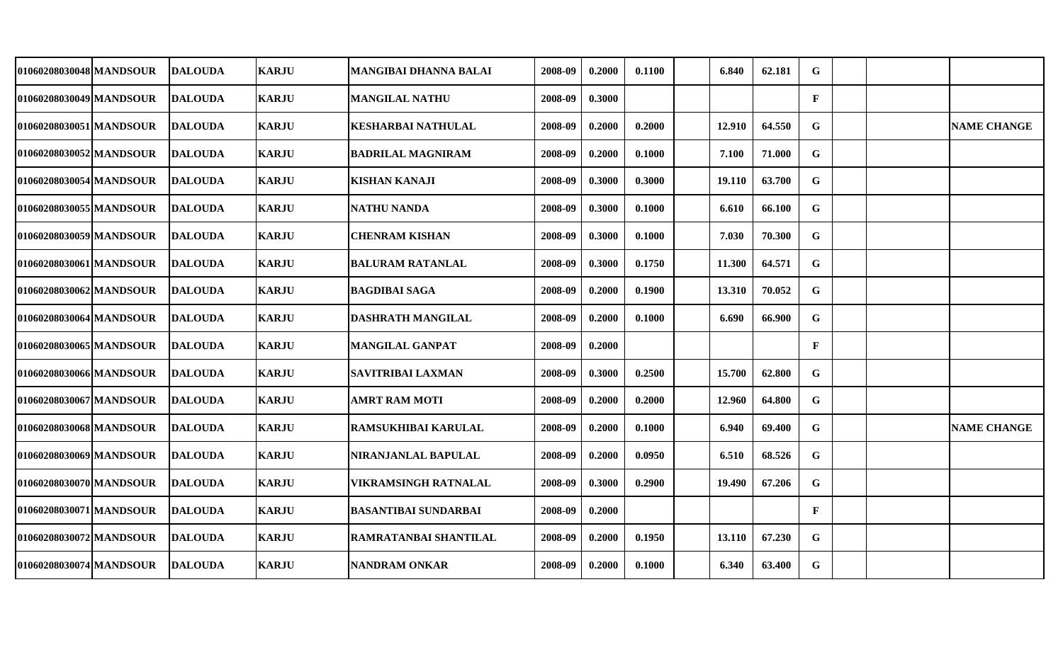| 01060208030048 MANDSOUR | <b>DALOUDA</b> | <b>KARJU</b> | <b>MANGIBAI DHANNA BALAI</b> | 2008-09 | 0.2000 | 0.1100 | 6.840  | 62.181 | G            |  |                    |
|-------------------------|----------------|--------------|------------------------------|---------|--------|--------|--------|--------|--------------|--|--------------------|
| 01060208030049 MANDSOUR | <b>DALOUDA</b> | <b>KARJU</b> | <b>MANGILAL NATHU</b>        | 2008-09 | 0.3000 |        |        |        | $\mathbf{F}$ |  |                    |
| 01060208030051 MANDSOUR | <b>DALOUDA</b> | <b>KARJU</b> | <b>KESHARBAI NATHULAL</b>    | 2008-09 | 0.2000 | 0.2000 | 12.910 | 64.550 | G            |  | <b>NAME CHANGE</b> |
| 01060208030052 MANDSOUR | <b>DALOUDA</b> | <b>KARJU</b> | <b>BADRILAL MAGNIRAM</b>     | 2008-09 | 0.2000 | 0.1000 | 7.100  | 71.000 | G            |  |                    |
| 01060208030054 MANDSOUR | <b>DALOUDA</b> | <b>KARJU</b> | <b>KISHAN KANAJI</b>         | 2008-09 | 0.3000 | 0.3000 | 19.110 | 63.700 | G            |  |                    |
| 01060208030055 MANDSOUR | <b>DALOUDA</b> | <b>KARJU</b> | <b>NATHU NANDA</b>           | 2008-09 | 0.3000 | 0.1000 | 6.610  | 66.100 | G            |  |                    |
| 01060208030059 MANDSOUR | <b>DALOUDA</b> | <b>KARJU</b> | <b>CHENRAM KISHAN</b>        | 2008-09 | 0.3000 | 0.1000 | 7.030  | 70.300 | ${\bf G}$    |  |                    |
| 01060208030061 MANDSOUR | <b>DALOUDA</b> | <b>KARJU</b> | <b>BALURAM RATANLAL</b>      | 2008-09 | 0.3000 | 0.1750 | 11.300 | 64.571 | $\mathbf G$  |  |                    |
| 01060208030062 MANDSOUR | <b>DALOUDA</b> | <b>KARJU</b> | <b>BAGDIBAI SAGA</b>         | 2008-09 | 0.2000 | 0.1900 | 13.310 | 70.052 | $\mathbf G$  |  |                    |
| 01060208030064 MANDSOUR | <b>DALOUDA</b> | <b>KARJU</b> | <b>DASHRATH MANGILAL</b>     | 2008-09 | 0.2000 | 0.1000 | 6.690  | 66.900 | $\mathbf G$  |  |                    |
| 01060208030065 MANDSOUR | <b>DALOUDA</b> | <b>KARJU</b> | <b>MANGILAL GANPAT</b>       | 2008-09 | 0.2000 |        |        |        | $\mathbf{F}$ |  |                    |
| 010602080300661MANDSOUR | <b>DALOUDA</b> | <b>KARJU</b> | <b>SAVITRIBAI LAXMAN</b>     | 2008-09 | 0.3000 | 0.2500 | 15.700 | 62.800 | $\mathbf G$  |  |                    |
| 01060208030067 MANDSOUR | <b>DALOUDA</b> | <b>KARJU</b> | <b>AMRT RAM MOTI</b>         | 2008-09 | 0.2000 | 0.2000 | 12.960 | 64.800 | G            |  |                    |
| 01060208030068 MANDSOUR | <b>DALOUDA</b> | <b>KARJU</b> | RAMSUKHIBAI KARULAL          | 2008-09 | 0.2000 | 0.1000 | 6.940  | 69.400 | G            |  | <b>NAME CHANGE</b> |
| 01060208030069 MANDSOUR | <b>DALOUDA</b> | <b>KARJU</b> | NIRANJANLAL BAPULAL          | 2008-09 | 0.2000 | 0.0950 | 6.510  | 68.526 | G            |  |                    |
| 01060208030070 MANDSOUR | <b>DALOUDA</b> | <b>KARJU</b> | VIKRAMSINGH RATNALAL         | 2008-09 | 0.3000 | 0.2900 | 19.490 | 67.206 | $\mathbf G$  |  |                    |
| 01060208030071 MANDSOUR | <b>DALOUDA</b> | <b>KARJU</b> | <b>BASANTIBAI SUNDARBAI</b>  | 2008-09 | 0.2000 |        |        |        | $\mathbf{F}$ |  |                    |
| 01060208030072 MANDSOUR | <b>DALOUDA</b> | <b>KARJU</b> | RAMRATANBAI SHANTILAL        | 2008-09 | 0.2000 | 0.1950 | 13.110 | 67.230 | G            |  |                    |
| 01060208030074 MANDSOUR | <b>DALOUDA</b> | <b>KARJU</b> | <b>NANDRAM ONKAR</b>         | 2008-09 | 0.2000 | 0.1000 | 6.340  | 63.400 | $\mathbf G$  |  |                    |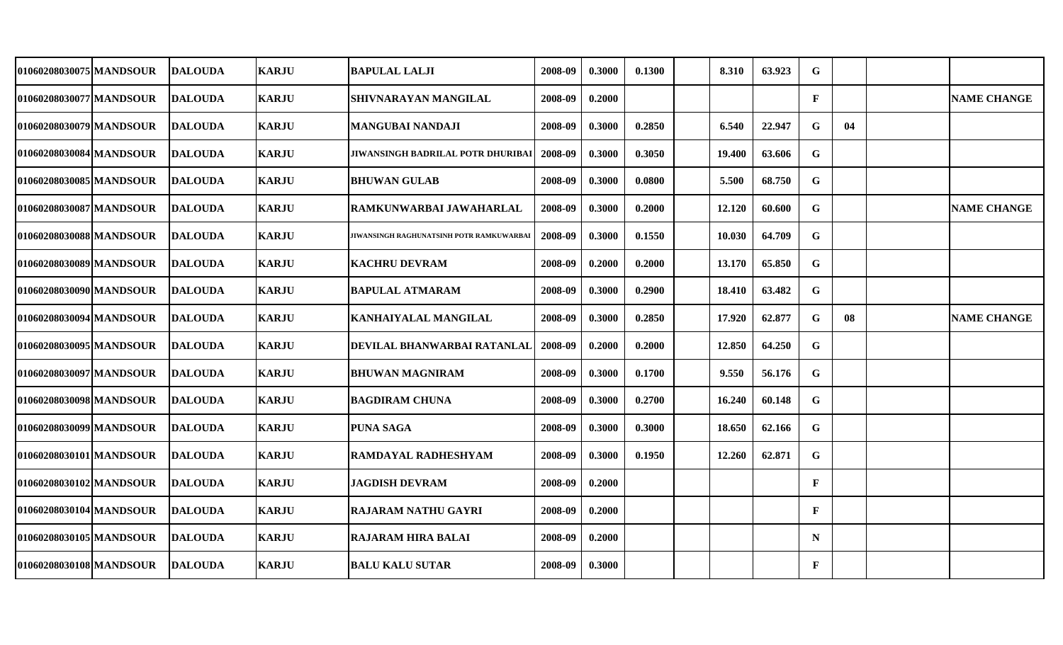| 01060208030075 MANDSOUR | <b>DALOUDA</b> | <b>KARJU</b> | <b>BAPULAL LALJI</b>                     | 2008-09 | 0.3000 | 0.1300 | 8.310  | 63.923 | G            |    |                    |
|-------------------------|----------------|--------------|------------------------------------------|---------|--------|--------|--------|--------|--------------|----|--------------------|
| 01060208030077 MANDSOUR | <b>DALOUDA</b> | <b>KARJU</b> | SHIVNARAYAN MANGILAL                     | 2008-09 | 0.2000 |        |        |        | $\mathbf{F}$ |    | <b>NAME CHANGE</b> |
| 01060208030079 MANDSOUR | <b>DALOUDA</b> | <b>KARJU</b> | <b>MANGUBAI NANDAJI</b>                  | 2008-09 | 0.3000 | 0.2850 | 6.540  | 22.947 | G            | 04 |                    |
| 01060208030084 MANDSOUR | <b>DALOUDA</b> | <b>KARJU</b> | <b>JIWANSINGH BADRILAL POTR DHURIBA</b>  | 2008-09 | 0.3000 | 0.3050 | 19.400 | 63.606 | $\mathbf G$  |    |                    |
| 01060208030085 MANDSOUR | <b>DALOUDA</b> | <b>KARJU</b> | <b>BHUWAN GULAB</b>                      | 2008-09 | 0.3000 | 0.0800 | 5.500  | 68.750 | ${\bf G}$    |    |                    |
| 01060208030087 MANDSOUR | <b>DALOUDA</b> | <b>KARJU</b> | RAMKUNWARBAI JAWAHARLAL                  | 2008-09 | 0.3000 | 0.2000 | 12.120 | 60.600 | G            |    | <b>NAME CHANGE</b> |
| 01060208030088 MANDSOUR | <b>DALOUDA</b> | <b>KARJU</b> | JIWANSINGH RAGHUNATSINH POTR RAMKUWARBAI | 2008-09 | 0.3000 | 0.1550 | 10.030 | 64.709 | $\mathbf G$  |    |                    |
| 01060208030089 MANDSOUR | <b>DALOUDA</b> | <b>KARJU</b> | <b>KACHRU DEVRAM</b>                     | 2008-09 | 0.2000 | 0.2000 | 13.170 | 65.850 | G            |    |                    |
| 01060208030090 MANDSOUR | <b>DALOUDA</b> | <b>KARJU</b> | <b>BAPULAL ATMARAM</b>                   | 2008-09 | 0.3000 | 0.2900 | 18.410 | 63.482 | G            |    |                    |
| 01060208030094 MANDSOUR | <b>DALOUDA</b> | <b>KARJU</b> | KANHAIYALAL MANGILAL                     | 2008-09 | 0.3000 | 0.2850 | 17.920 | 62.877 | $\mathbf G$  | 08 | <b>NAME CHANGE</b> |
| 01060208030095 MANDSOUR | <b>DALOUDA</b> | <b>KARJU</b> | DEVILAL BHANWARBAI RATANLAL              | 2008-09 | 0.2000 | 0.2000 | 12.850 | 64.250 | G            |    |                    |
| 01060208030097 MANDSOUR | <b>DALOUDA</b> | <b>KARJU</b> | <b>BHUWAN MAGNIRAM</b>                   | 2008-09 | 0.3000 | 0.1700 | 9.550  | 56.176 | $\mathbf G$  |    |                    |
| 01060208030098 MANDSOUR | <b>DALOUDA</b> | <b>KARJU</b> | <b>BAGDIRAM CHUNA</b>                    | 2008-09 | 0.3000 | 0.2700 | 16.240 | 60.148 | G            |    |                    |
| 01060208030099 MANDSOUR | <b>DALOUDA</b> | <b>KARJU</b> | <b>PUNA SAGA</b>                         | 2008-09 | 0.3000 | 0.3000 | 18.650 | 62.166 | $\mathbf G$  |    |                    |
| 01060208030101 MANDSOUR | <b>DALOUDA</b> | <b>KARJU</b> | RAMDAYAL RADHESHYAM                      | 2008-09 | 0.3000 | 0.1950 | 12.260 | 62.871 | G            |    |                    |
| 01060208030102 MANDSOUR | <b>DALOUDA</b> | <b>KARJU</b> | <b>JAGDISH DEVRAM</b>                    | 2008-09 | 0.2000 |        |        |        | $\mathbf F$  |    |                    |
| 01060208030104 MANDSOUR | <b>DALOUDA</b> | <b>KARJU</b> | RAJARAM NATHU GAYRI                      | 2008-09 | 0.2000 |        |        |        | $\mathbf{F}$ |    |                    |
| 01060208030105 MANDSOUR | <b>DALOUDA</b> | <b>KARJU</b> | RAJARAM HIRA BALAI                       | 2008-09 | 0.2000 |        |        |        | $\mathbf N$  |    |                    |
| 01060208030108 MANDSOUR | <b>DALOUDA</b> | <b>KARJU</b> | <b>BALU KALU SUTAR</b>                   | 2008-09 | 0.3000 |        |        |        | $\mathbf F$  |    |                    |
|                         |                |              |                                          |         |        |        |        |        |              |    |                    |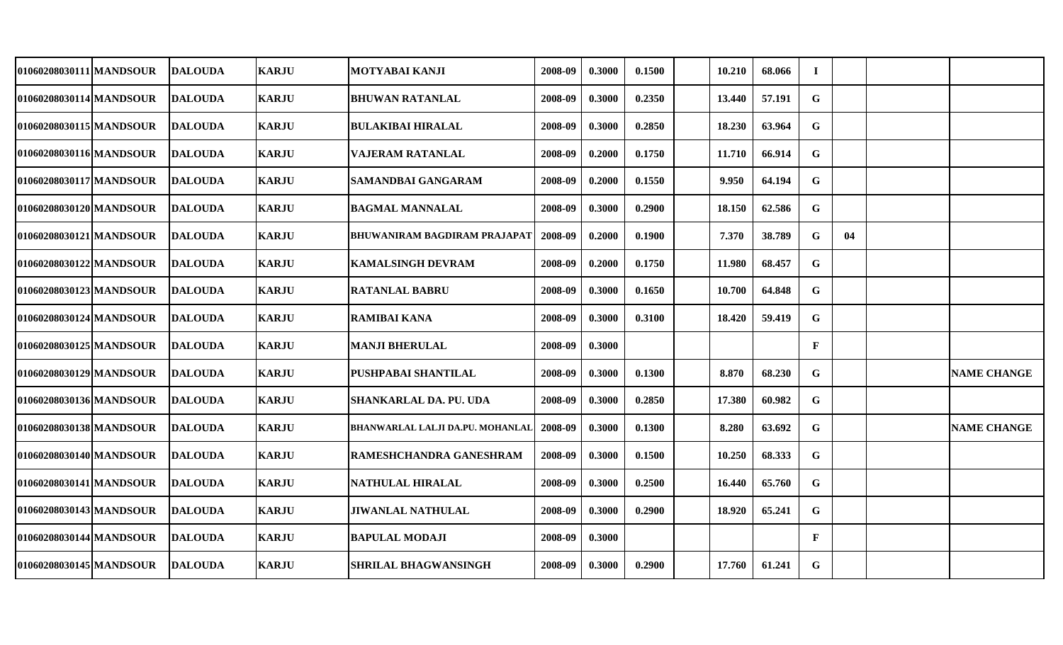| 01060208030111 MANDSOUR | <b>DALOUDA</b> | <b>KARJU</b> | MOTYABAI KANJI                   | 2008-09 | 0.3000 | 0.1500 | 10.210 | 68.066 | $\bf{I}$     |    |                    |
|-------------------------|----------------|--------------|----------------------------------|---------|--------|--------|--------|--------|--------------|----|--------------------|
| 01060208030114 MANDSOUR | <b>DALOUDA</b> | <b>KARJU</b> | <b>BHUWAN RATANLAL</b>           | 2008-09 | 0.3000 | 0.2350 | 13.440 | 57.191 | G            |    |                    |
| 01060208030115 MANDSOUR | <b>DALOUDA</b> | <b>KARJU</b> | <b>BULAKIBAI HIRALAL</b>         | 2008-09 | 0.3000 | 0.2850 | 18.230 | 63.964 | $\mathbf G$  |    |                    |
| 01060208030116 MANDSOUR | <b>DALOUDA</b> | <b>KARJU</b> | <b>VAJERAM RATANLAL</b>          | 2008-09 | 0.2000 | 0.1750 | 11.710 | 66.914 | G            |    |                    |
| 01060208030117 MANDSOUR | <b>DALOUDA</b> | <b>KARJU</b> | <b>SAMANDBAI GANGARAM</b>        | 2008-09 | 0.2000 | 0.1550 | 9.950  | 64.194 | $\mathbf G$  |    |                    |
| 01060208030120 MANDSOUR | <b>DALOUDA</b> | <b>KARJU</b> | <b>BAGMAL MANNALAL</b>           | 2008-09 | 0.3000 | 0.2900 | 18.150 | 62.586 | $\mathbf G$  |    |                    |
| 01060208030121 MANDSOUR | <b>DALOUDA</b> | <b>KARJU</b> | BHUWANIRAM BAGDIRAM PRAJAPAT     | 2008-09 | 0.2000 | 0.1900 | 7.370  | 38.789 | $\mathbf G$  | 04 |                    |
| 01060208030122 MANDSOUR | <b>DALOUDA</b> | <b>KARJU</b> | <b>KAMALSINGH DEVRAM</b>         | 2008-09 | 0.2000 | 0.1750 | 11.980 | 68.457 | $\mathbf G$  |    |                    |
| 01060208030123 MANDSOUR | <b>DALOUDA</b> | <b>KARJU</b> | <b>RATANLAL BABRU</b>            | 2008-09 | 0.3000 | 0.1650 | 10.700 | 64.848 | $\mathbf G$  |    |                    |
| 01060208030124 MANDSOUR | <b>DALOUDA</b> | <b>KARJU</b> | <b>RAMIBAI KANA</b>              | 2008-09 | 0.3000 | 0.3100 | 18.420 | 59.419 | $\mathbf G$  |    |                    |
| 01060208030125 MANDSOUR | <b>DALOUDA</b> | <b>KARJU</b> | <b>MANJI BHERULAL</b>            | 2008-09 | 0.3000 |        |        |        | $\mathbf{F}$ |    |                    |
| 01060208030129 MANDSOUR | <b>DALOUDA</b> | <b>KARJU</b> | PUSHPABAI SHANTILAL              | 2008-09 | 0.3000 | 0.1300 | 8.870  | 68.230 | G            |    | <b>NAME CHANGE</b> |
| 01060208030136 MANDSOUR | <b>DALOUDA</b> | <b>KARJU</b> | SHANKARLAL DA. PU. UDA           | 2008-09 | 0.3000 | 0.2850 | 17.380 | 60.982 | G            |    |                    |
| 01060208030138 MANDSOUR | <b>DALOUDA</b> | <b>KARJU</b> | BHANWARLAL LALJI DA.PU. MOHANLAL | 2008-09 | 0.3000 | 0.1300 | 8.280  | 63.692 | $\mathbf G$  |    | <b>NAME CHANGE</b> |
| 01060208030140 MANDSOUR | <b>DALOUDA</b> | <b>KARJU</b> | RAMESHCHANDRA GANESHRAM          | 2008-09 | 0.3000 | 0.1500 | 10.250 | 68.333 | G            |    |                    |
| 01060208030141 MANDSOUR | <b>DALOUDA</b> | <b>KARJU</b> | NATHULAL HIRALAL                 | 2008-09 | 0.3000 | 0.2500 | 16.440 | 65.760 | G            |    |                    |
| 01060208030143 MANDSOUR | <b>DALOUDA</b> | <b>KARJU</b> | <b>JIWANLAL NATHULAL</b>         | 2008-09 | 0.3000 | 0.2900 | 18.920 | 65.241 | $\mathbf G$  |    |                    |
| 01060208030144 MANDSOUR | <b>DALOUDA</b> | <b>KARJU</b> | <b>BAPULAL MODAJI</b>            | 2008-09 | 0.3000 |        |        |        | $\mathbf{F}$ |    |                    |
| 01060208030145 MANDSOUR | <b>DALOUDA</b> | <b>KARJU</b> | <b>SHRILAL BHAGWANSINGH</b>      | 2008-09 | 0.3000 | 0.2900 | 17.760 | 61.241 | $\mathbf G$  |    |                    |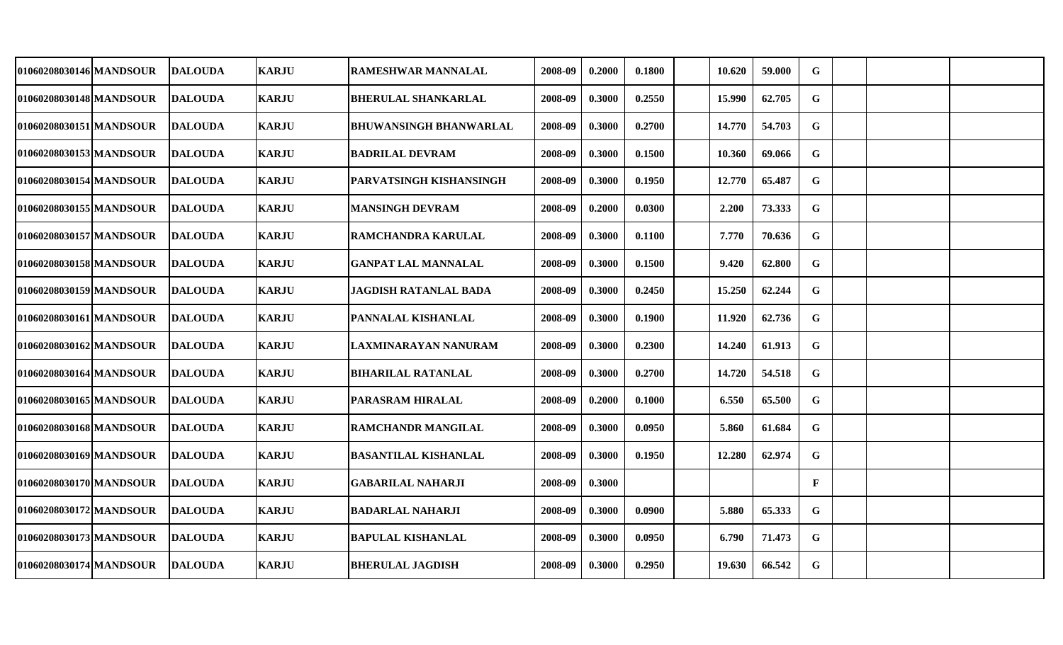| 01060208030146 MANDSOUR | <b>DALOUDA</b> | <b>KARJU</b> | <b>RAMESHWAR MANNALAL</b>      | 2008-09 | 0.2000 | 0.1800 | 10.620 | 59.000 | G            |  |  |
|-------------------------|----------------|--------------|--------------------------------|---------|--------|--------|--------|--------|--------------|--|--|
| 01060208030148 MANDSOUR | <b>DALOUDA</b> | <b>KARJU</b> | <b>BHERULAL SHANKARLAL</b>     | 2008-09 | 0.3000 | 0.2550 | 15.990 | 62.705 | G            |  |  |
| 01060208030151 MANDSOUR | <b>DALOUDA</b> | <b>KARJU</b> | <b>BHUWANSINGH BHANWARLAL</b>  | 2008-09 | 0.3000 | 0.2700 | 14.770 | 54.703 | $\mathbf G$  |  |  |
| 01060208030153 MANDSOUR | <b>DALOUDA</b> | <b>KARJU</b> | <b>BADRILAL DEVRAM</b>         | 2008-09 | 0.3000 | 0.1500 | 10.360 | 69.066 | G            |  |  |
| 01060208030154 MANDSOUR | <b>DALOUDA</b> | <b>KARJU</b> | <b>PARVATSINGH KISHANSINGH</b> | 2008-09 | 0.3000 | 0.1950 | 12.770 | 65.487 | $\mathbf G$  |  |  |
| 01060208030155 MANDSOUR | <b>DALOUDA</b> | <b>KARJU</b> | <b>MANSINGH DEVRAM</b>         | 2008-09 | 0.2000 | 0.0300 | 2.200  | 73.333 | $\mathbf G$  |  |  |
| 01060208030157 MANDSOUR | <b>DALOUDA</b> | <b>KARJU</b> | <b>RAMCHANDRA KARULAL</b>      | 2008-09 | 0.3000 | 0.1100 | 7.770  | 70.636 | $\mathbf G$  |  |  |
| 01060208030158 MANDSOUR | <b>DALOUDA</b> | <b>KARJU</b> | <b>GANPAT LAL MANNALAL</b>     | 2008-09 | 0.3000 | 0.1500 | 9.420  | 62.800 | $\mathbf G$  |  |  |
| 01060208030159 MANDSOUR | <b>DALOUDA</b> | <b>KARJU</b> | <b>JAGDISH RATANLAL BADA</b>   | 2008-09 | 0.3000 | 0.2450 | 15.250 | 62.244 | $\mathbf G$  |  |  |
| 01060208030161 MANDSOUR | <b>DALOUDA</b> | <b>KARJU</b> | <b>PANNALAL KISHANLAL</b>      | 2008-09 | 0.3000 | 0.1900 | 11.920 | 62.736 | $\mathbf G$  |  |  |
| 01060208030162 MANDSOUR | <b>DALOUDA</b> | <b>KARJU</b> | LAXMINARAYAN NANURAM           | 2008-09 | 0.3000 | 0.2300 | 14.240 | 61.913 | G            |  |  |
| 01060208030164 MANDSOUR | <b>DALOUDA</b> | <b>KARJU</b> | <b>BIHARILAL RATANLAL</b>      | 2008-09 | 0.3000 | 0.2700 | 14.720 | 54.518 | $\mathbf G$  |  |  |
| 01060208030165 MANDSOUR | <b>DALOUDA</b> | <b>KARJU</b> | PARASRAM HIRALAL               | 2008-09 | 0.2000 | 0.1000 | 6.550  | 65.500 | G            |  |  |
| 01060208030168 MANDSOUR | <b>DALOUDA</b> | <b>KARJU</b> | <b>RAMCHANDR MANGILAL</b>      | 2008-09 | 0.3000 | 0.0950 | 5.860  | 61.684 | $\mathbf G$  |  |  |
| 01060208030169 MANDSOUR | <b>DALOUDA</b> | <b>KARJU</b> | <b>BASANTILAL KISHANLAL</b>    | 2008-09 | 0.3000 | 0.1950 | 12.280 | 62.974 | G            |  |  |
| 01060208030170 MANDSOUR | <b>DALOUDA</b> | <b>KARJU</b> | <b>GABARILAL NAHARJI</b>       | 2008-09 | 0.3000 |        |        |        | $\mathbf{F}$ |  |  |
| 01060208030172 MANDSOUR | <b>DALOUDA</b> | <b>KARJU</b> | <b>BADARLAL NAHARJI</b>        | 2008-09 | 0.3000 | 0.0900 | 5.880  | 65.333 | $\mathbf G$  |  |  |
| 01060208030173 MANDSOUR | <b>DALOUDA</b> | <b>KARJU</b> | <b>BAPULAL KISHANLAL</b>       | 2008-09 | 0.3000 | 0.0950 | 6.790  | 71.473 | G            |  |  |
| 01060208030174 MANDSOUR | <b>DALOUDA</b> | <b>KARJU</b> | <b>BHERULAL JAGDISH</b>        | 2008-09 | 0.3000 | 0.2950 | 19.630 | 66.542 | $\mathbf G$  |  |  |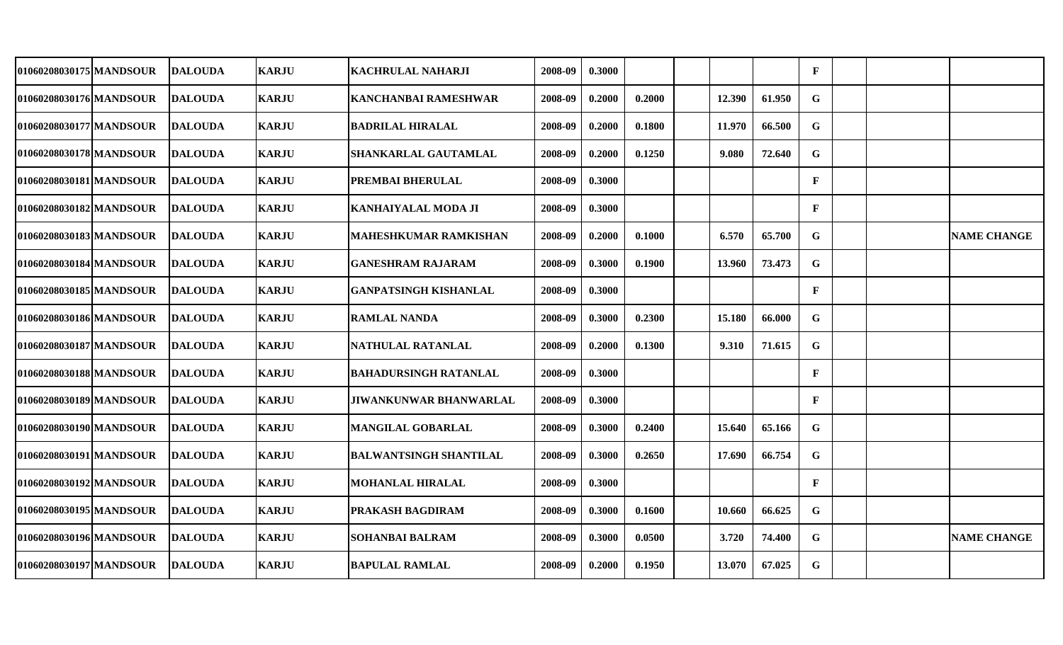| 01060208030175 MANDSOUR | <b>DALOUDA</b>  | <b>KARJU</b> | <b>KACHRULAL NAHARJI</b>      | 2008-09 | 0.3000 |        |        |        | $\mathbf{F}$ |  |                    |
|-------------------------|-----------------|--------------|-------------------------------|---------|--------|--------|--------|--------|--------------|--|--------------------|
| 01060208030176 MANDSOUR | <b>DALOUDA</b>  | <b>KARJU</b> | <b>KANCHANBAI RAMESHWAR</b>   | 2008-09 | 0.2000 | 0.2000 | 12.390 | 61.950 | G            |  |                    |
| 01060208030177 MANDSOUR | <b>DALOUDA</b>  | <b>KARJU</b> | <b>BADRILAL HIRALAL</b>       | 2008-09 | 0.2000 | 0.1800 | 11.970 | 66.500 | G            |  |                    |
| 01060208030178 MANDSOUR | <b>DALOUDA</b>  | <b>KARJU</b> | SHANKARLAL GAUTAMLAL          | 2008-09 | 0.2000 | 0.1250 | 9.080  | 72.640 | G            |  |                    |
| 01060208030181 MANDSOUR | <b>DALOUDA</b>  | <b>KARJU</b> | PREMBAI BHERULAL              | 2008-09 | 0.3000 |        |        |        | $\mathbf{F}$ |  |                    |
| 01060208030182 MANDSOUR | <b>DALOUDA</b>  | <b>KARJU</b> | <b>KANHAIYALAL MODA JI</b>    | 2008-09 | 0.3000 |        |        |        | $\mathbf{F}$ |  |                    |
| 01060208030183 MANDSOUR | <b>DALOUDA</b>  | <b>KARJU</b> | <b>MAHESHKUMAR RAMKISHAN</b>  | 2008-09 | 0.2000 | 0.1000 | 6.570  | 65.700 | $\mathbf G$  |  | <b>NAME CHANGE</b> |
| 01060208030184 MANDSOUR | <b>DALOUDA</b>  | <b>KARJU</b> | <b>GANESHRAM RAJARAM</b>      | 2008-09 | 0.3000 | 0.1900 | 13.960 | 73.473 | $\mathbf G$  |  |                    |
| 01060208030185 MANDSOUR | <b>DALOUDA</b>  | <b>KARJU</b> | <b>GANPATSINGH KISHANLAL</b>  | 2008-09 | 0.3000 |        |        |        | $\mathbf{F}$ |  |                    |
| 01060208030186 MANDSOUR | <b>DALOUDA</b>  | <b>KARJU</b> | <b>RAMLAL NANDA</b>           | 2008-09 | 0.3000 | 0.2300 | 15.180 | 66.000 | G            |  |                    |
| 01060208030187 MANDSOUR | <b>DALOUDA</b>  | <b>KARJU</b> | NATHULAL RATANLAL             | 2008-09 | 0.2000 | 0.1300 | 9.310  | 71.615 | G            |  |                    |
| 01060208030188 MANDSOUR | <b>IDALOUDA</b> | <b>KARJU</b> | <b>BAHADURSINGH RATANLAL</b>  | 2008-09 | 0.3000 |        |        |        | $\mathbf{F}$ |  |                    |
| 01060208030189 MANDSOUR | <b>DALOUDA</b>  | <b>KARJU</b> | <b>JIWANKUNWAR BHANWARLAL</b> | 2008-09 | 0.3000 |        |        |        | $\mathbf{F}$ |  |                    |
| 01060208030190 MANDSOUR | <b>DALOUDA</b>  | <b>KARJU</b> | <b>MANGILAL GOBARLAL</b>      | 2008-09 | 0.3000 | 0.2400 | 15.640 | 65.166 | G            |  |                    |
| 01060208030191 MANDSOUR | <b>DALOUDA</b>  | <b>KARJU</b> | <b>BALWANTSINGH SHANTILAL</b> | 2008-09 | 0.3000 | 0.2650 | 17.690 | 66.754 | G            |  |                    |
| 01060208030192 MANDSOUR | <b>DALOUDA</b>  | <b>KARJU</b> | <b>MOHANLAL HIRALAL</b>       | 2008-09 | 0.3000 |        |        |        | $\mathbf{F}$ |  |                    |
| 01060208030195 MANDSOUR | <b>DALOUDA</b>  | <b>KARJU</b> | PRAKASH BAGDIRAM              | 2008-09 | 0.3000 | 0.1600 | 10.660 | 66.625 | G            |  |                    |
| 01060208030196 MANDSOUR | <b>DALOUDA</b>  | <b>KARJU</b> | <b>SOHANBAI BALRAM</b>        | 2008-09 | 0.3000 | 0.0500 | 3.720  | 74.400 | G            |  | <b>NAME CHANGE</b> |
| 01060208030197 MANDSOUR | <b>DALOUDA</b>  | <b>KARJU</b> | <b>BAPULAL RAMLAL</b>         | 2008-09 | 0.2000 | 0.1950 | 13.070 | 67.025 | $\mathbf G$  |  |                    |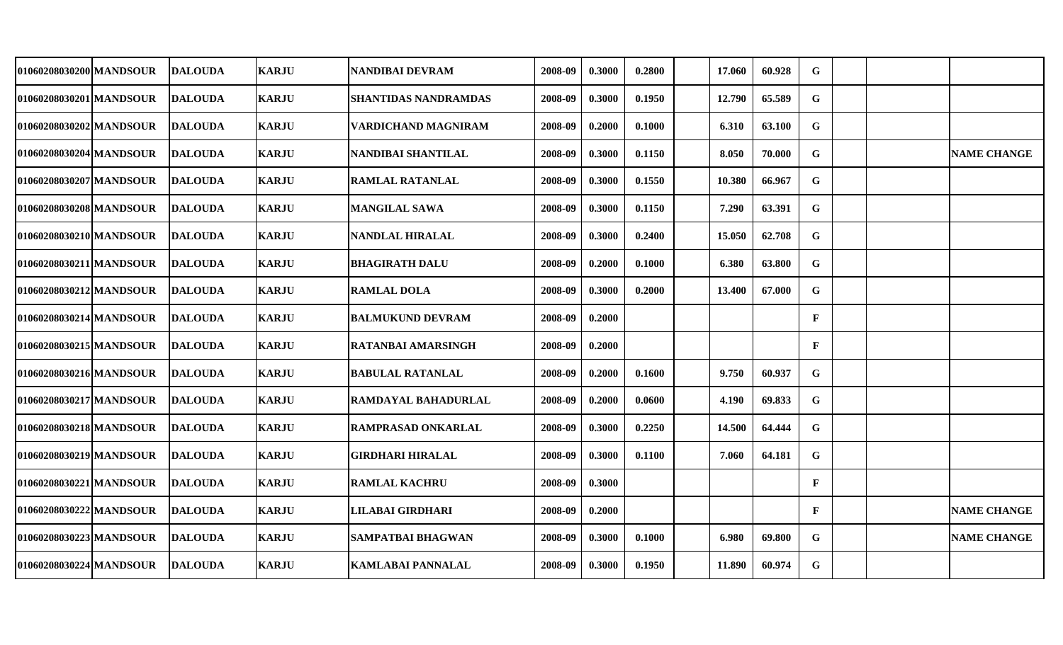| 01060208030200 MANDSOUR | <b>IDALOUDA</b> | <b>KARJU</b> | <b>NANDIBAI DEVRAM</b>      | 2008-09 | 0.3000 | 0.2800 | 17.060 | 60.928 | G            |  |                    |
|-------------------------|-----------------|--------------|-----------------------------|---------|--------|--------|--------|--------|--------------|--|--------------------|
| 01060208030201 MANDSOUR | <b>DALOUDA</b>  | <b>KARJU</b> | <b>SHANTIDAS NANDRAMDAS</b> | 2008-09 | 0.3000 | 0.1950 | 12.790 | 65.589 | G            |  |                    |
| 01060208030202 MANDSOUR | <b>DALOUDA</b>  | <b>KARJU</b> | VARDICHAND MAGNIRAM         | 2008-09 | 0.2000 | 0.1000 | 6.310  | 63.100 | G            |  |                    |
| 01060208030204 MANDSOUR | <b>DALOUDA</b>  | <b>KARJU</b> | <b>NANDIBAI SHANTILAL</b>   | 2008-09 | 0.3000 | 0.1150 | 8.050  | 70.000 | $\mathbf G$  |  | <b>NAME CHANGE</b> |
| 01060208030207 MANDSOUR | <b>DALOUDA</b>  | <b>KARJU</b> | <b>RAMLAL RATANLAL</b>      | 2008-09 | 0.3000 | 0.1550 | 10.380 | 66.967 | G            |  |                    |
| 01060208030208 MANDSOUR | <b>IDALOUDA</b> | <b>KARJU</b> | <b>MANGILAL SAWA</b>        | 2008-09 | 0.3000 | 0.1150 | 7.290  | 63.391 | $\mathbf G$  |  |                    |
| 01060208030210 MANDSOUR | <b>DALOUDA</b>  | <b>KARJU</b> | <b>NANDLAL HIRALAL</b>      | 2008-09 | 0.3000 | 0.2400 | 15.050 | 62.708 | G            |  |                    |
| 01060208030211 MANDSOUR | <b>DALOUDA</b>  | <b>KARJU</b> | <b>BHAGIRATH DALU</b>       | 2008-09 | 0.2000 | 0.1000 | 6.380  | 63.800 | $\mathbf G$  |  |                    |
| 01060208030212 MANDSOUR | <b>DALOUDA</b>  | <b>KARJU</b> | <b>RAMLAL DOLA</b>          | 2008-09 | 0.3000 | 0.2000 | 13.400 | 67.000 | $\mathbf G$  |  |                    |
| 01060208030214 MANDSOUR | <b>DALOUDA</b>  | <b>KARJU</b> | <b>BALMUKUND DEVRAM</b>     | 2008-09 | 0.2000 |        |        |        | $\mathbf{F}$ |  |                    |
| 01060208030215 MANDSOUR | <b>DALOUDA</b>  | <b>KARJU</b> | <b>RATANBAI AMARSINGH</b>   | 2008-09 | 0.2000 |        |        |        | $\mathbf{F}$ |  |                    |
| 01060208030216 MANDSOUR | <b>DALOUDA</b>  | <b>KARJU</b> | <b>BABULAL RATANLAL</b>     | 2008-09 | 0.2000 | 0.1600 | 9.750  | 60.937 | G            |  |                    |
| 01060208030217 MANDSOUR | <b>DALOUDA</b>  | <b>KARJU</b> | RAMDAYAL BAHADURLAL         | 2008-09 | 0.2000 | 0.0600 | 4.190  | 69.833 | G            |  |                    |
| 01060208030218 MANDSOUR | <b>DALOUDA</b>  | <b>KARJU</b> | <b>RAMPRASAD ONKARLAL</b>   | 2008-09 | 0.3000 | 0.2250 | 14.500 | 64.444 | G            |  |                    |
| 01060208030219 MANDSOUR | <b>DALOUDA</b>  | <b>KARJU</b> | <b>GIRDHARI HIRALAL</b>     | 2008-09 | 0.3000 | 0.1100 | 7.060  | 64.181 | G            |  |                    |
| 01060208030221 MANDSOUR | <b>DALOUDA</b>  | <b>KARJU</b> | <b>RAMLAL KACHRU</b>        | 2008-09 | 0.3000 |        |        |        | $\mathbf{F}$ |  |                    |
| 01060208030222 MANDSOUR | <b>DALOUDA</b>  | <b>KARJU</b> | LILABAI GIRDHARI            | 2008-09 | 0.2000 |        |        |        | $\mathbf{F}$ |  | <b>NAME CHANGE</b> |
| 01060208030223 MANDSOUR | <b>DALOUDA</b>  | <b>KARJU</b> | SAMPATBAI BHAGWAN           | 2008-09 | 0.3000 | 0.1000 | 6.980  | 69.800 | G            |  | <b>NAME CHANGE</b> |
| 01060208030224 MANDSOUR | <b>DALOUDA</b>  | <b>KARJU</b> | KAMLABAI PANNALAL           | 2008-09 | 0.3000 | 0.1950 | 11.890 | 60.974 | $\mathbf G$  |  |                    |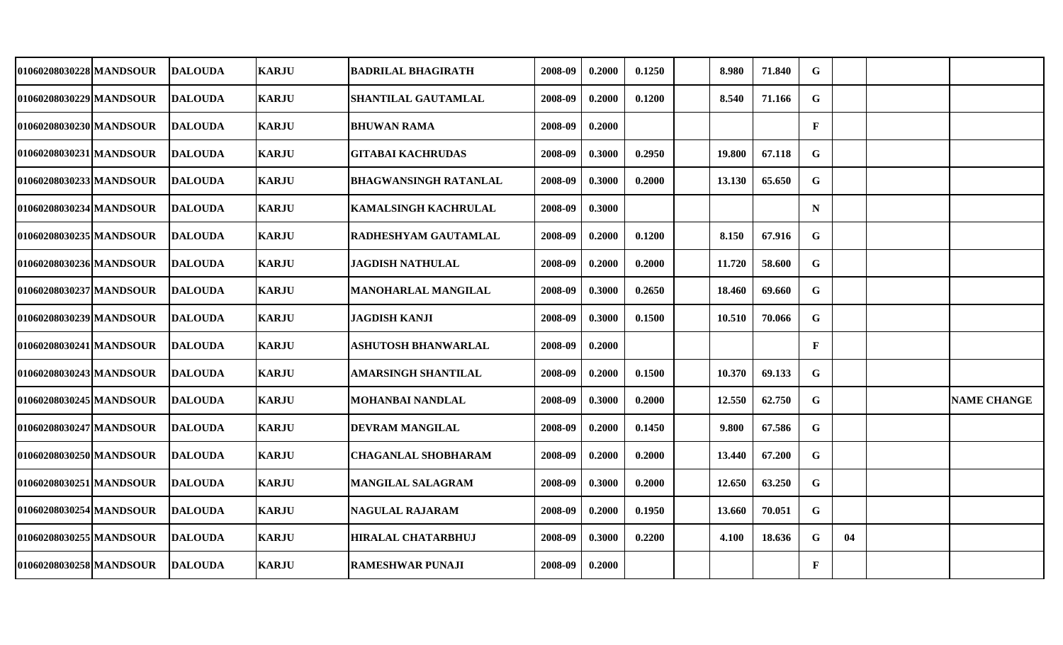| 01060208030228 MANDSOUR | <b>DALOUDA</b> | <b>KARJU</b> | <b>BADRILAL BHAGIRATH</b>    | 2008-09 | 0.2000 | 0.1250 | 8.980  | 71.840 | G            |    |                    |
|-------------------------|----------------|--------------|------------------------------|---------|--------|--------|--------|--------|--------------|----|--------------------|
| 01060208030229 MANDSOUR | <b>DALOUDA</b> | <b>KARJU</b> | <b>SHANTILAL GAUTAMLAL</b>   | 2008-09 | 0.2000 | 0.1200 | 8.540  | 71.166 | G            |    |                    |
| 01060208030230 MANDSOUR | <b>DALOUDA</b> | <b>KARJU</b> | <b>BHUWAN RAMA</b>           | 2008-09 | 0.2000 |        |        |        | $\mathbf F$  |    |                    |
| 01060208030231 MANDSOUR | <b>DALOUDA</b> | <b>KARJU</b> | <b>GITABAI KACHRUDAS</b>     | 2008-09 | 0.3000 | 0.2950 | 19.800 | 67.118 | G            |    |                    |
| 01060208030233 MANDSOUR | <b>DALOUDA</b> | <b>KARJU</b> | <b>BHAGWANSINGH RATANLAL</b> | 2008-09 | 0.3000 | 0.2000 | 13.130 | 65.650 | $\mathbf G$  |    |                    |
| 01060208030234 MANDSOUR | <b>DALOUDA</b> | <b>KARJU</b> | <b>KAMALSINGH KACHRULAL</b>  | 2008-09 | 0.3000 |        |        |        | N            |    |                    |
| 01060208030235 MANDSOUR | <b>DALOUDA</b> | <b>KARJU</b> | <b>RADHESHYAM GAUTAMLAL</b>  | 2008-09 | 0.2000 | 0.1200 | 8.150  | 67.916 | $\mathbf G$  |    |                    |
| 01060208030236 MANDSOUR | <b>DALOUDA</b> | <b>KARJU</b> | <b>JAGDISH NATHULAL</b>      | 2008-09 | 0.2000 | 0.2000 | 11.720 | 58.600 | G            |    |                    |
| 01060208030237 MANDSOUR | <b>DALOUDA</b> | <b>KARJU</b> | MANOHARLAL MANGILAL          | 2008-09 | 0.3000 | 0.2650 | 18.460 | 69.660 | $\mathbf G$  |    |                    |
| 01060208030239 MANDSOUR | <b>DALOUDA</b> | <b>KARJU</b> | <b>JAGDISH KANJI</b>         | 2008-09 | 0.3000 | 0.1500 | 10.510 | 70.066 | G            |    |                    |
| 01060208030241 MANDSOUR | <b>DALOUDA</b> | <b>KARJU</b> | ASHUTOSH BHANWARLAL          | 2008-09 | 0.2000 |        |        |        | $\mathbf{F}$ |    |                    |
| 01060208030243 MANDSOUR | <b>DALOUDA</b> | <b>KARJU</b> | <b>AMARSINGH SHANTILAL</b>   | 2008-09 | 0.2000 | 0.1500 | 10.370 | 69.133 | G            |    |                    |
| 01060208030245 MANDSOUR | <b>DALOUDA</b> | <b>KARJU</b> | <b>MOHANBAI NANDLAL</b>      | 2008-09 | 0.3000 | 0.2000 | 12.550 | 62.750 | $\mathbf G$  |    | <b>NAME CHANGE</b> |
| 01060208030247 MANDSOUR | <b>DALOUDA</b> | <b>KARJU</b> | <b>DEVRAM MANGILAL</b>       | 2008-09 | 0.2000 | 0.1450 | 9.800  | 67.586 | G            |    |                    |
| 01060208030250 MANDSOUR | <b>DALOUDA</b> | <b>KARJU</b> | <b>CHAGANLAL SHOBHARAM</b>   | 2008-09 | 0.2000 | 0.2000 | 13.440 | 67.200 | G            |    |                    |
| 01060208030251 MANDSOUR | <b>DALOUDA</b> | <b>KARJU</b> | <b>MANGILAL SALAGRAM</b>     | 2008-09 | 0.3000 | 0.2000 | 12.650 | 63.250 | G            |    |                    |
| 01060208030254 MANDSOUR | <b>DALOUDA</b> | <b>KARJU</b> | <b>NAGULAL RAJARAM</b>       | 2008-09 | 0.2000 | 0.1950 | 13.660 | 70.051 | G            |    |                    |
| 01060208030255 MANDSOUR | <b>DALOUDA</b> | <b>KARJU</b> | <b>HIRALAL CHATARBHUJ</b>    | 2008-09 | 0.3000 | 0.2200 | 4.100  | 18.636 | G            | 04 |                    |
| 01060208030258 MANDSOUR | <b>DALOUDA</b> | <b>KARJU</b> | <b>RAMESHWAR PUNAJI</b>      | 2008-09 | 0.2000 |        |        |        | $\mathbf{F}$ |    |                    |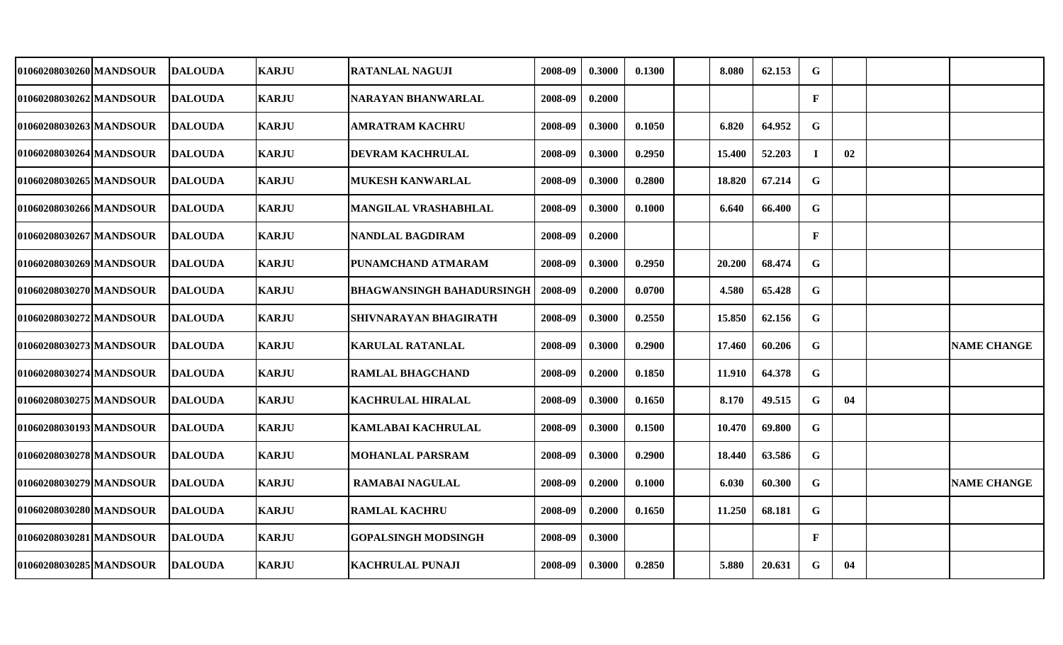| 01060208030260 MANDSOUR | <b>DALOUDA</b> | <b>KARJU</b> | RATANLAL NAGUJI            | 2008-09 | 0.3000 | 0.1300 | 8.080  | 62.153 | G            |    |                    |
|-------------------------|----------------|--------------|----------------------------|---------|--------|--------|--------|--------|--------------|----|--------------------|
| 01060208030262 MANDSOUR | <b>DALOUDA</b> | <b>KARJU</b> | NARAYAN BHANWARLAL         | 2008-09 | 0.2000 |        |        |        | $\mathbf{F}$ |    |                    |
| 01060208030263 MANDSOUR | <b>DALOUDA</b> | <b>KARJU</b> | AMRATRAM KACHRU            | 2008-09 | 0.3000 | 0.1050 | 6.820  | 64.952 | G            |    |                    |
| 01060208030264 MANDSOUR | <b>DALOUDA</b> | <b>KARJU</b> | <b>DEVRAM KACHRULAL</b>    | 2008-09 | 0.3000 | 0.2950 | 15.400 | 52.203 | $\mathbf I$  | 02 |                    |
| 01060208030265 MANDSOUR | <b>DALOUDA</b> | <b>KARJU</b> | MUKESH KANWARLAL           | 2008-09 | 0.3000 | 0.2800 | 18.820 | 67.214 | G            |    |                    |
| 01060208030266 MANDSOUR | <b>DALOUDA</b> | <b>KARJU</b> | MANGILAL VRASHABHLAL       | 2008-09 | 0.3000 | 0.1000 | 6.640  | 66.400 | G            |    |                    |
| 01060208030267 MANDSOUR | <b>DALOUDA</b> | <b>KARJU</b> | NANDLAL BAGDIRAM           | 2008-09 | 0.2000 |        |        |        | $\mathbf{F}$ |    |                    |
| 01060208030269 MANDSOUR | <b>DALOUDA</b> | <b>KARJU</b> | PUNAMCHAND ATMARAM         | 2008-09 | 0.3000 | 0.2950 | 20.200 | 68.474 | G            |    |                    |
| 01060208030270 MANDSOUR | <b>DALOUDA</b> | <b>KARJU</b> | BHAGWANSINGH BAHADURSINGH  | 2008-09 | 0.2000 | 0.0700 | 4.580  | 65.428 | G            |    |                    |
| 01060208030272 MANDSOUR | <b>DALOUDA</b> | <b>KARJU</b> | SHIVNARAYAN BHAGIRATH      | 2008-09 | 0.3000 | 0.2550 | 15.850 | 62.156 | $\mathbf G$  |    |                    |
| 01060208030273 MANDSOUR | <b>DALOUDA</b> | <b>KARJU</b> | <b>KARULAL RATANLAL</b>    | 2008-09 | 0.3000 | 0.2900 | 17.460 | 60.206 | G            |    | <b>NAME CHANGE</b> |
| 01060208030274 MANDSOUR | <b>DALOUDA</b> | <b>KARJU</b> | <b>RAMLAL BHAGCHAND</b>    | 2008-09 | 0.2000 | 0.1850 | 11.910 | 64.378 | $\mathbf G$  |    |                    |
| 01060208030275 MANDSOUR | <b>DALOUDA</b> | <b>KARJU</b> | <b>KACHRULAL HIRALAL</b>   | 2008-09 | 0.3000 | 0.1650 | 8.170  | 49.515 | G            | 04 |                    |
| 01060208030193 MANDSOUR | <b>DALOUDA</b> | <b>KARJU</b> | KAMLABAI KACHRULAL         | 2008-09 | 0.3000 | 0.1500 | 10.470 | 69.800 | G            |    |                    |
| 01060208030278 MANDSOUR | <b>DALOUDA</b> | <b>KARJU</b> | <b>MOHANLAL PARSRAM</b>    | 2008-09 | 0.3000 | 0.2900 | 18.440 | 63.586 | $\mathbf G$  |    |                    |
| 01060208030279 MANDSOUR | <b>DALOUDA</b> | <b>KARJU</b> | RAMABAI NAGULAL            | 2008-09 | 0.2000 | 0.1000 | 6.030  | 60.300 | G            |    | <b>NAME CHANGE</b> |
| 01060208030280 MANDSOUR | <b>DALOUDA</b> | <b>KARJU</b> | <b>RAMLAL KACHRU</b>       | 2008-09 | 0.2000 | 0.1650 | 11.250 | 68.181 | G            |    |                    |
| 01060208030281 MANDSOUR | <b>DALOUDA</b> | <b>KARJU</b> | <b>GOPALSINGH MODSINGH</b> | 2008-09 | 0.3000 |        |        |        | $\mathbf{F}$ |    |                    |
| 01060208030285 MANDSOUR | <b>DALOUDA</b> | <b>KARJU</b> | <b>KACHRULAL PUNAJI</b>    | 2008-09 | 0.3000 | 0.2850 | 5.880  | 20.631 | $\mathbf G$  | 04 |                    |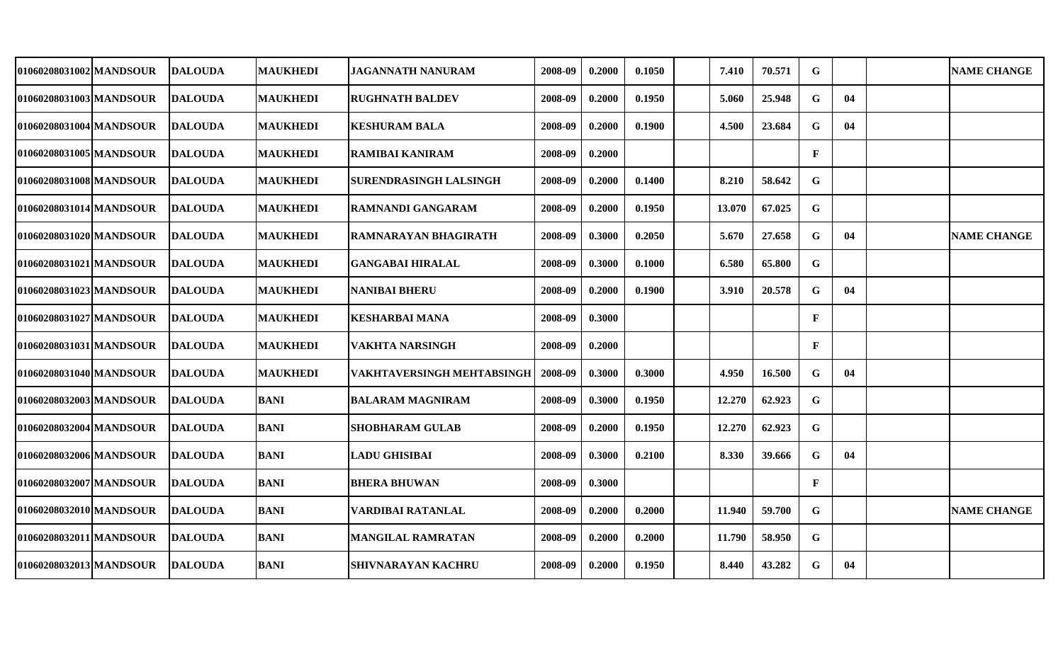| 01060208031002 MANDSOUR | <b>IDALOUDA</b> | <b>MAUKHEDI</b> | <b>JAGANNATH NANURAM</b>      | 2008-09 | 0.2000 | 0.1050 | 7.410  | 70.571 | G            |    | <b>NAME CHANGE</b> |
|-------------------------|-----------------|-----------------|-------------------------------|---------|--------|--------|--------|--------|--------------|----|--------------------|
| 01060208031003 MANDSOUR | <b>DALOUDA</b>  | <b>MAUKHEDI</b> | <b>RUGHNATH BALDEV</b>        | 2008-09 | 0.2000 | 0.1950 | 5.060  | 25.948 | G            | 04 |                    |
| 01060208031004 MANDSOUR | <b>DALOUDA</b>  | <b>MAUKHEDI</b> | <b>KESHURAM BALA</b>          | 2008-09 | 0.2000 | 0.1900 | 4.500  | 23.684 | G            | 04 |                    |
| 01060208031005 MANDSOUR | <b>DALOUDA</b>  | <b>MAUKHEDI</b> | <b>RAMIBAI KANIRAM</b>        | 2008-09 | 0.2000 |        |        |        | $\mathbf{F}$ |    |                    |
| 01060208031008 MANDSOUR | <b>DALOUDA</b>  | <b>MAUKHEDI</b> | <b>SURENDRASINGH LALSINGH</b> | 2008-09 | 0.2000 | 0.1400 | 8.210  | 58.642 | G            |    |                    |
| 01060208031014lMANDSOUR | <b>DALOUDA</b>  | <b>MAUKHEDI</b> | <b>RAMNANDI GANGARAM</b>      | 2008-09 | 0.2000 | 0.1950 | 13.070 | 67.025 | $\mathbf G$  |    |                    |
| 01060208031020 MANDSOUR | <b>DALOUDA</b>  | <b>MAUKHEDI</b> | <b>RAMNARAYAN BHAGIRATH</b>   | 2008-09 | 0.3000 | 0.2050 | 5.670  | 27.658 | G            | 04 | <b>NAME CHANGE</b> |
| 01060208031021 MANDSOUR | <b>DALOUDA</b>  | <b>MAUKHEDI</b> | <b>GANGABAI HIRALAL</b>       | 2008-09 | 0.3000 | 0.1000 | 6.580  | 65.800 | G            |    |                    |
| 01060208031023 MANDSOUR | <b>DALOUDA</b>  | <b>MAUKHEDI</b> | <b>NANIBAI BHERU</b>          | 2008-09 | 0.2000 | 0.1900 | 3.910  | 20.578 | $\mathbf G$  | 04 |                    |
| 01060208031027 MANDSOUR | <b>DALOUDA</b>  | <b>MAUKHEDI</b> | <b>KESHARBAI MANA</b>         | 2008-09 | 0.3000 |        |        |        | $\mathbf{F}$ |    |                    |
| 01060208031031 MANDSOUR | <b>DALOUDA</b>  | <b>MAUKHEDI</b> | <b>VAKHTA NARSINGH</b>        | 2008-09 | 0.2000 |        |        |        | $\mathbf F$  |    |                    |
| 01060208031040 MANDSOUR | <b>DALOUDA</b>  | <b>MAUKHEDI</b> | VAKHTAVERSINGH MEHTABSINGH    | 2008-09 | 0.3000 | 0.3000 | 4.950  | 16.500 | G            | 04 |                    |
| 01060208032003 MANDSOUR | DALOUDA         | <b>BANI</b>     | <b>BALARAM MAGNIRAM</b>       | 2008-09 | 0.3000 | 0.1950 | 12.270 | 62.923 | ${\bf G}$    |    |                    |
| 01060208032004 MANDSOUR | <b>DALOUDA</b>  | <b>BANI</b>     | <b>SHOBHARAM GULAB</b>        | 2008-09 | 0.2000 | 0.1950 | 12.270 | 62.923 | $\mathbf G$  |    |                    |
| 01060208032006 MANDSOUR | DALOUDA         | <b>BANI</b>     | <b>LADU GHISIBAI</b>          | 2008-09 | 0.3000 | 0.2100 | 8.330  | 39.666 | G            | 04 |                    |
| 01060208032007 MANDSOUR | <b>DALOUDA</b>  | <b>BANI</b>     | <b>BHERA BHUWAN</b>           | 2008-09 | 0.3000 |        |        |        | $\mathbf F$  |    |                    |
| 01060208032010 MANDSOUR | <b>DALOUDA</b>  | <b>BANI</b>     | VARDIBAI RATANLAL             | 2008-09 | 0.2000 | 0.2000 | 11.940 | 59.700 | $\mathbf G$  |    | <b>NAME CHANGE</b> |
| 01060208032011 MANDSOUR | <b>DALOUDA</b>  | <b>BANI</b>     | <b>MANGILAL RAMRATAN</b>      | 2008-09 | 0.2000 | 0.2000 | 11.790 | 58.950 | $\mathbf G$  |    |                    |
| 01060208032013 MANDSOUR | <b>DALOUDA</b>  | <b>BANI</b>     | <b>SHIVNARAYAN KACHRU</b>     | 2008-09 | 0.2000 | 0.1950 | 8.440  | 43.282 | $\mathbf G$  | 04 |                    |
|                         |                 |                 |                               |         |        |        |        |        |              |    |                    |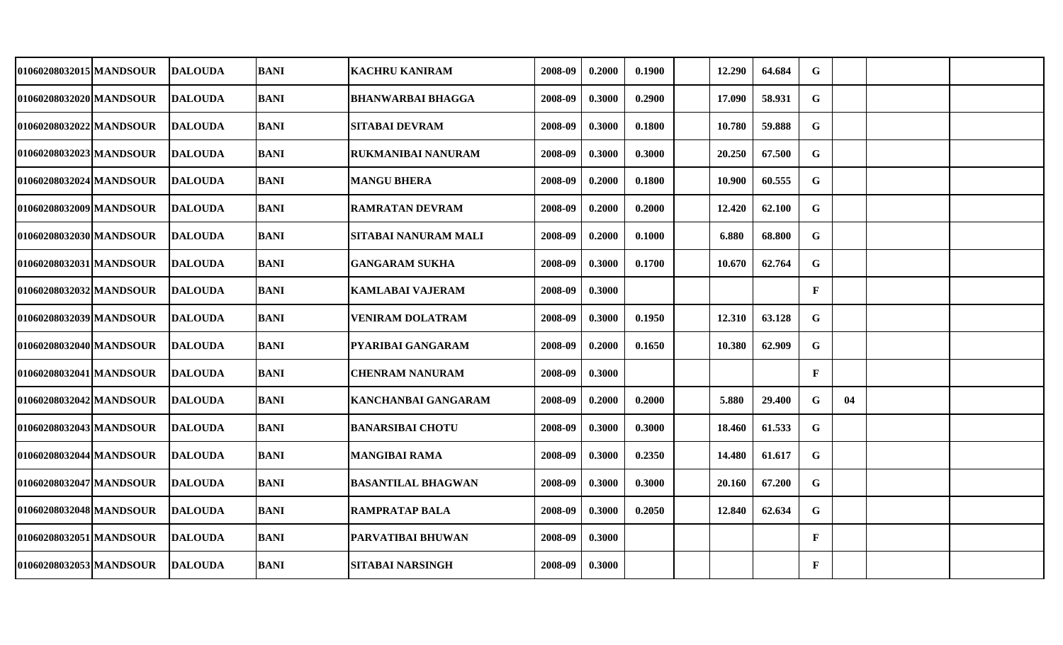| 01060208032015 MANDSOUR | <b>DALOUDA</b> | <b>BANI</b> | KACHRU KANIRAM            | 2008-09 | 0.2000 | 0.1900 | 12.290 | 64.684 | G            |    |  |
|-------------------------|----------------|-------------|---------------------------|---------|--------|--------|--------|--------|--------------|----|--|
| 01060208032020 MANDSOUR | <b>DALOUDA</b> | <b>BANI</b> | <b>BHANWARBAI BHAGGA</b>  | 2008-09 | 0.3000 | 0.2900 | 17.090 | 58.931 | $\mathbf G$  |    |  |
| 01060208032022 MANDSOUR | <b>DALOUDA</b> | <b>BANI</b> | <b>SITABAI DEVRAM</b>     | 2008-09 | 0.3000 | 0.1800 | 10.780 | 59.888 | $\mathbf G$  |    |  |
| 01060208032023 MANDSOUR | <b>DALOUDA</b> | <b>BANI</b> | <b>RUKMANIBAI NANURAM</b> | 2008-09 | 0.3000 | 0.3000 | 20.250 | 67.500 | $\mathbf G$  |    |  |
| 01060208032024 MANDSOUR | <b>DALOUDA</b> | <b>BANI</b> | <b>MANGU BHERA</b>        | 2008-09 | 0.2000 | 0.1800 | 10.900 | 60.555 | $\mathbf G$  |    |  |
| 01060208032009 MANDSOUR | <b>DALOUDA</b> | <b>BANI</b> | <b>RAMRATAN DEVRAM</b>    | 2008-09 | 0.2000 | 0.2000 | 12.420 | 62.100 | G            |    |  |
| 01060208032030 MANDSOUR | <b>DALOUDA</b> | <b>BANI</b> | SITABAI NANURAM MALI      | 2008-09 | 0.2000 | 0.1000 | 6.880  | 68.800 | G            |    |  |
| 01060208032031 MANDSOUR | <b>DALOUDA</b> | <b>BANI</b> | <b>GANGARAM SUKHA</b>     | 2008-09 | 0.3000 | 0.1700 | 10.670 | 62.764 | G            |    |  |
| 01060208032032 MANDSOUR | <b>DALOUDA</b> | <b>BANI</b> | KAMLABAI VAJERAM          | 2008-09 | 0.3000 |        |        |        | $\mathbf{F}$ |    |  |
| 01060208032039 MANDSOUR | <b>DALOUDA</b> | <b>BANI</b> | <b>VENIRAM DOLATRAM</b>   | 2008-09 | 0.3000 | 0.1950 | 12.310 | 63.128 | $\mathbf G$  |    |  |
| 01060208032040 MANDSOUR | <b>DALOUDA</b> | <b>BANI</b> | <b>PYARIBAI GANGARAM</b>  | 2008-09 | 0.2000 | 0.1650 | 10.380 | 62.909 | $\mathbf G$  |    |  |
| 01060208032041 MANDSOUR | <b>DALOUDA</b> | <b>BANI</b> | <b>CHENRAM NANURAM</b>    | 2008-09 | 0.3000 |        |        |        | $\mathbf{F}$ |    |  |
| 01060208032042 MANDSOUR | <b>DALOUDA</b> | <b>BANI</b> | KANCHANBAI GANGARAM       | 2008-09 | 0.2000 | 0.2000 | 5.880  | 29.400 | G            | 04 |  |
| 01060208032043 MANDSOUR | <b>DALOUDA</b> | <b>BANI</b> | BANARSIBAI CHOTU          | 2008-09 | 0.3000 | 0.3000 | 18.460 | 61.533 | G            |    |  |
| 01060208032044 MANDSOUR | <b>DALOUDA</b> | <b>BANI</b> | <b>MANGIBAI RAMA</b>      | 2008-09 | 0.3000 | 0.2350 | 14.480 | 61.617 | G            |    |  |
| 01060208032047 MANDSOUR | <b>DALOUDA</b> | <b>BANI</b> | <b>BASANTILAL BHAGWAN</b> | 2008-09 | 0.3000 | 0.3000 | 20.160 | 67.200 | G            |    |  |
| 01060208032048 MANDSOUR | <b>DALOUDA</b> | <b>BANI</b> | <b>RAMPRATAP BALA</b>     | 2008-09 | 0.3000 | 0.2050 | 12.840 | 62.634 | G            |    |  |
| 01060208032051 MANDSOUR | <b>DALOUDA</b> | <b>BANI</b> | <b>PARVATIBAI BHUWAN</b>  | 2008-09 | 0.3000 |        |        |        | $\mathbf{F}$ |    |  |
| 01060208032053 MANDSOUR | <b>DALOUDA</b> | <b>BANI</b> | <b>SITABAI NARSINGH</b>   | 2008-09 | 0.3000 |        |        |        | $\mathbf{F}$ |    |  |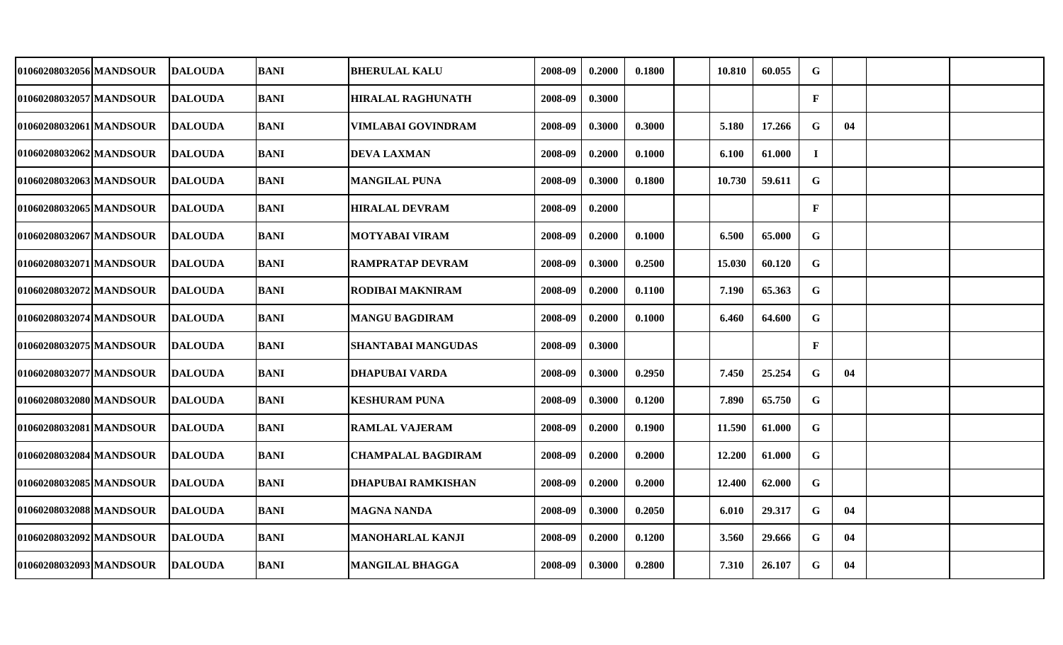| 01060208032056 MANDSOUR | <b>DALOUDA</b> | <b>BANI</b> | <b>BHERULAL KALU</b>      | 2008-09 | 0.2000 | 0.1800 | 10.810 | 60.055 | G            |    |  |
|-------------------------|----------------|-------------|---------------------------|---------|--------|--------|--------|--------|--------------|----|--|
| 01060208032057 MANDSOUR | <b>DALOUDA</b> | <b>BANI</b> | <b>HIRALAL RAGHUNATH</b>  | 2008-09 | 0.3000 |        |        |        | $\mathbf{F}$ |    |  |
| 01060208032061 MANDSOUR | <b>DALOUDA</b> | <b>BANI</b> | <b>VIMLABAI GOVINDRAM</b> | 2008-09 | 0.3000 | 0.3000 | 5.180  | 17.266 | G            | 04 |  |
| 01060208032062 MANDSOUR | <b>DALOUDA</b> | <b>BANI</b> | <b>DEVA LAXMAN</b>        | 2008-09 | 0.2000 | 0.1000 | 6.100  | 61.000 | $\mathbf I$  |    |  |
| 01060208032063 MANDSOUR | <b>DALOUDA</b> | <b>BANI</b> | <b>MANGILAL PUNA</b>      | 2008-09 | 0.3000 | 0.1800 | 10.730 | 59.611 | $\mathbf G$  |    |  |
| 01060208032065 MANDSOUR | <b>DALOUDA</b> | <b>BANI</b> | <b>HIRALAL DEVRAM</b>     | 2008-09 | 0.2000 |        |        |        | $\mathbf{F}$ |    |  |
| 01060208032067 MANDSOUR | <b>DALOUDA</b> | <b>BANI</b> | <b>MOTYABAI VIRAM</b>     | 2008-09 | 0.2000 | 0.1000 | 6.500  | 65.000 | G            |    |  |
| 01060208032071 MANDSOUR | <b>DALOUDA</b> | <b>BANI</b> | <b>RAMPRATAP DEVRAM</b>   | 2008-09 | 0.3000 | 0.2500 | 15.030 | 60.120 | $\mathbf G$  |    |  |
| 01060208032072 MANDSOUR | <b>DALOUDA</b> | <b>BANI</b> | <b>RODIBAI MAKNIRAM</b>   | 2008-09 | 0.2000 | 0.1100 | 7.190  | 65.363 | $\mathbf G$  |    |  |
| 01060208032074 MANDSOUR | <b>DALOUDA</b> | <b>BANI</b> | <b>MANGU BAGDIRAM</b>     | 2008-09 | 0.2000 | 0.1000 | 6.460  | 64.600 | $\mathbf G$  |    |  |
| 01060208032075 MANDSOUR | <b>DALOUDA</b> | <b>BANI</b> | <b>SHANTABAI MANGUDAS</b> | 2008-09 | 0.3000 |        |        |        | $\mathbf{F}$ |    |  |
| 01060208032077 MANDSOUR | <b>DALOUDA</b> | <b>BANI</b> | <b>DHAPUBAI VARDA</b>     | 2008-09 | 0.3000 | 0.2950 | 7.450  | 25.254 | G            | 04 |  |
| 01060208032080lMANDSOUR | <b>DALOUDA</b> | <b>BANI</b> | <b>KESHURAM PUNA</b>      | 2008-09 | 0.3000 | 0.1200 | 7.890  | 65.750 | G            |    |  |
| 01060208032081 MANDSOUR | <b>DALOUDA</b> | <b>BANI</b> | <b>RAMLAL VAJERAM</b>     | 2008-09 | 0.2000 | 0.1900 | 11.590 | 61.000 | G            |    |  |
| 01060208032084 MANDSOUR | <b>DALOUDA</b> | <b>BANI</b> | <b>CHAMPALAL BAGDIRAM</b> | 2008-09 | 0.2000 | 0.2000 | 12.200 | 61.000 | G            |    |  |
| 01060208032085 MANDSOUR | DALOUDA        | <b>BANI</b> | <b>DHAPUBAI RAMKISHAN</b> | 2008-09 | 0.2000 | 0.2000 | 12.400 | 62.000 | G            |    |  |
| 01060208032088 MANDSOUR | <b>DALOUDA</b> | <b>BANI</b> | MAGNA NANDA               | 2008-09 | 0.3000 | 0.2050 | 6.010  | 29.317 | G            | 04 |  |
| 01060208032092 MANDSOUR | <b>DALOUDA</b> | <b>BANI</b> | MANOHARLAL KANJI          | 2008-09 | 0.2000 | 0.1200 | 3.560  | 29.666 | G            | 04 |  |
| 01060208032093 MANDSOUR | <b>DALOUDA</b> | <b>BANI</b> | <b>MANGILAL BHAGGA</b>    | 2008-09 | 0.3000 | 0.2800 | 7.310  | 26.107 | G            | 04 |  |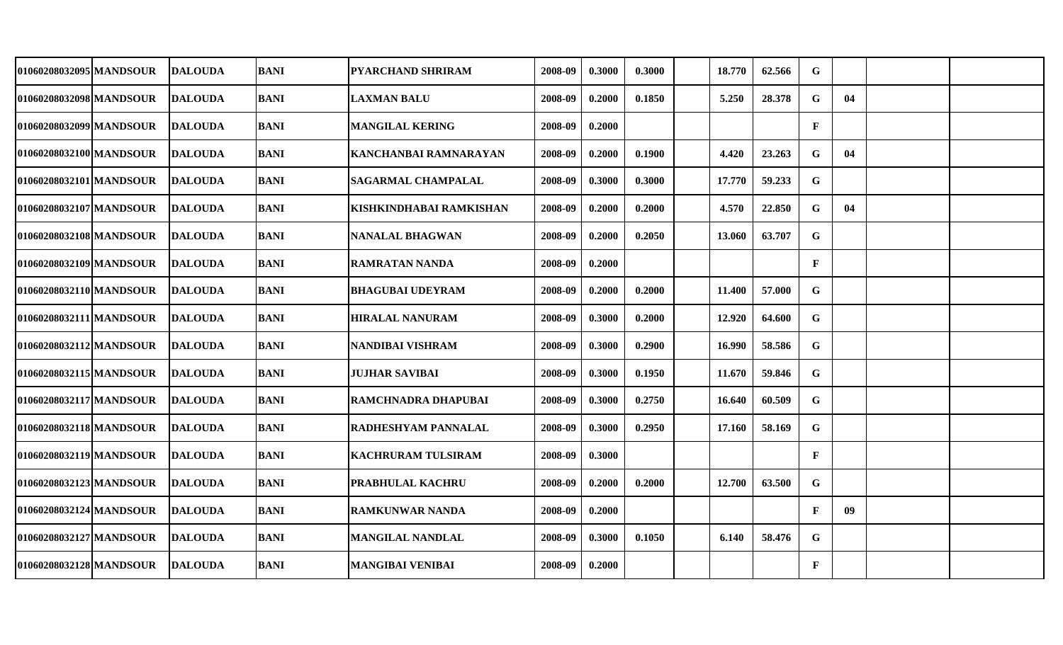| 01060208032095 MANDSOUR | DALOUDA        | <b>BANI</b> | <b>PYARCHAND SHRIRAM</b>  | 2008-09 | 0.3000 | 0.3000 | 18.770 | 62.566 | G            |    |  |
|-------------------------|----------------|-------------|---------------------------|---------|--------|--------|--------|--------|--------------|----|--|
| 01060208032098 MANDSOUR | <b>DALOUDA</b> | <b>BANI</b> | <b>LAXMAN BALU</b>        | 2008-09 | 0.2000 | 0.1850 | 5.250  | 28.378 | G            | 04 |  |
| 01060208032099 MANDSOUR | <b>DALOUDA</b> | <b>BANI</b> | <b>MANGILAL KERING</b>    | 2008-09 | 0.2000 |        |        |        | $\mathbf F$  |    |  |
| 01060208032100 MANDSOUR | <b>DALOUDA</b> | <b>BANI</b> | KANCHANBAI RAMNARAYAN     | 2008-09 | 0.2000 | 0.1900 | 4.420  | 23.263 | ${\bf G}$    | 04 |  |
| 01060208032101 MANDSOUR | <b>DALOUDA</b> | <b>BANI</b> | <b>SAGARMAL CHAMPALAL</b> | 2008-09 | 0.3000 | 0.3000 | 17.770 | 59.233 | G            |    |  |
| 01060208032107 MANDSOUR | <b>DALOUDA</b> | <b>BANI</b> | KISHKINDHABAI RAMKISHAN   | 2008-09 | 0.2000 | 0.2000 | 4.570  | 22.850 | G            | 04 |  |
| 01060208032108 MANDSOUR | <b>DALOUDA</b> | <b>BANI</b> | <b>NANALAL BHAGWAN</b>    | 2008-09 | 0.2000 | 0.2050 | 13.060 | 63.707 | $\mathbf G$  |    |  |
| 01060208032109 MANDSOUR | <b>DALOUDA</b> | <b>BANI</b> | RAMRATAN NANDA            | 2008-09 | 0.2000 |        |        |        | $\mathbf{F}$ |    |  |
| 01060208032110 MANDSOUR | <b>DALOUDA</b> | <b>BANI</b> | <b>BHAGUBAI UDEYRAM</b>   | 2008-09 | 0.2000 | 0.2000 | 11.400 | 57.000 | ${\bf G}$    |    |  |
| 01060208032111 MANDSOUR | <b>DALOUDA</b> | <b>BANI</b> | <b>HIRALAL NANURAM</b>    | 2008-09 | 0.3000 | 0.2000 | 12.920 | 64.600 | $\mathbf G$  |    |  |
| 01060208032112 MANDSOUR | <b>DALOUDA</b> | <b>BANI</b> | NANDIBAI VISHRAM          | 2008-09 | 0.3000 | 0.2900 | 16.990 | 58.586 | $\mathbf G$  |    |  |
| 01060208032115 MANDSOUR | <b>DALOUDA</b> | <b>BANI</b> | <b>JUJHAR SAVIBAI</b>     | 2008-09 | 0.3000 | 0.1950 | 11.670 | 59.846 | ${\bf G}$    |    |  |
| 01060208032117 MANDSOUR | <b>DALOUDA</b> | <b>BANI</b> | RAMCHNADRA DHAPUBAI       | 2008-09 | 0.3000 | 0.2750 | 16.640 | 60.509 | $\mathbf G$  |    |  |
| 01060208032118 MANDSOUR | <b>DALOUDA</b> | BANI        | RADHESHYAM PANNALAL       | 2008-09 | 0.3000 | 0.2950 | 17.160 | 58.169 | G            |    |  |
| 01060208032119 MANDSOUR | <b>DALOUDA</b> | <b>BANI</b> | KACHRURAM TULSIRAM        | 2008-09 | 0.3000 |        |        |        | $\mathbf{F}$ |    |  |
| 01060208032123 MANDSOUR | <b>DALOUDA</b> | <b>BANI</b> | PRABHULAL KACHRU          | 2008-09 | 0.2000 | 0.2000 | 12.700 | 63.500 | G            |    |  |
| 01060208032124 MANDSOUR | <b>DALOUDA</b> | <b>BANI</b> | <b>RAMKUNWAR NANDA</b>    | 2008-09 | 0.2000 |        |        |        | $\mathbf{F}$ | 09 |  |
| 01060208032127 MANDSOUR | <b>DALOUDA</b> | <b>BANI</b> | <b>MANGILAL NANDLAL</b>   | 2008-09 | 0.3000 | 0.1050 | 6.140  | 58.476 | $\mathbf G$  |    |  |
| 01060208032128 MANDSOUR | <b>DALOUDA</b> | <b>BANI</b> | <b>MANGIBAI VENIBAI</b>   | 2008-09 | 0.2000 |        |        |        | $\mathbf{F}$ |    |  |
|                         |                |             |                           |         |        |        |        |        |              |    |  |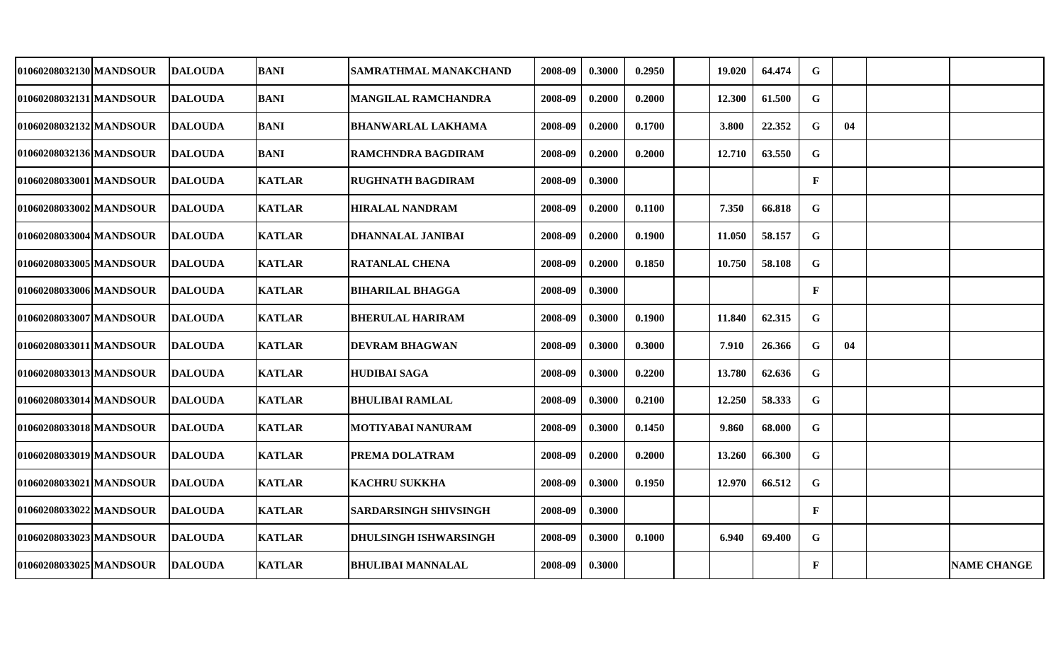| 01060208032130 MANDSOUR | <b>DALOUDA</b> | <b>BANI</b>   | SAMRATHMAL MANAKCHAND        | 2008-09 | 0.3000 | 0.2950 | 19.020 | 64.474 | G            |    |                    |
|-------------------------|----------------|---------------|------------------------------|---------|--------|--------|--------|--------|--------------|----|--------------------|
| 01060208032131 MANDSOUR | <b>DALOUDA</b> | <b>BANI</b>   | MANGILAL RAMCHANDRA          | 2008-09 | 0.2000 | 0.2000 | 12.300 | 61.500 | $\mathbf G$  |    |                    |
| 01060208032132 MANDSOUR | <b>DALOUDA</b> | <b>BANI</b>   | <b>BHANWARLAL LAKHAMA</b>    | 2008-09 | 0.2000 | 0.1700 | 3.800  | 22.352 | G            | 04 |                    |
| 01060208032136 MANDSOUR | <b>DALOUDA</b> | <b>BANI</b>   | RAMCHNDRA BAGDIRAM           | 2008-09 | 0.2000 | 0.2000 | 12.710 | 63.550 | G            |    |                    |
| 01060208033001 MANDSOUR | <b>DALOUDA</b> | <b>KATLAR</b> | <b>RUGHNATH BAGDIRAM</b>     | 2008-09 | 0.3000 |        |        |        | $\mathbf{F}$ |    |                    |
| 01060208033002 MANDSOUR | <b>DALOUDA</b> | <b>KATLAR</b> | <b>HIRALAL NANDRAM</b>       | 2008-09 | 0.2000 | 0.1100 | 7.350  | 66.818 | G            |    |                    |
| 01060208033004 MANDSOUR | <b>DALOUDA</b> | <b>KATLAR</b> | <b>DHANNALAL JANIBAI</b>     | 2008-09 | 0.2000 | 0.1900 | 11.050 | 58.157 | G            |    |                    |
| 01060208033005 MANDSOUR | <b>DALOUDA</b> | <b>KATLAR</b> | <b>RATANLAL CHENA</b>        | 2008-09 | 0.2000 | 0.1850 | 10.750 | 58.108 | $\mathbf G$  |    |                    |
| 01060208033006 MANDSOUR | <b>DALOUDA</b> | <b>KATLAR</b> | <b>BIHARILAL BHAGGA</b>      | 2008-09 | 0.3000 |        |        |        | $\mathbf{F}$ |    |                    |
| 01060208033007 MANDSOUR | <b>DALOUDA</b> | <b>KATLAR</b> | <b>BHERULAL HARIRAM</b>      | 2008-09 | 0.3000 | 0.1900 | 11.840 | 62.315 | G            |    |                    |
| 01060208033011 MANDSOUR | <b>DALOUDA</b> | <b>KATLAR</b> | <b>DEVRAM BHAGWAN</b>        | 2008-09 | 0.3000 | 0.3000 | 7.910  | 26.366 | $\mathbf G$  | 04 |                    |
| 01060208033013 MANDSOUR | <b>DALOUDA</b> | <b>KATLAR</b> | <b>HUDIBAI SAGA</b>          | 2008-09 | 0.3000 | 0.2200 | 13.780 | 62.636 | $\mathbf G$  |    |                    |
| 01060208033014 MANDSOUR | <b>DALOUDA</b> | <b>KATLAR</b> | <b>BHULIBAI RAMLAL</b>       | 2008-09 | 0.3000 | 0.2100 | 12.250 | 58.333 | $\mathbf G$  |    |                    |
| 01060208033018 MANDSOUR | <b>DALOUDA</b> | <b>KATLAR</b> | MOTIYABAI NANURAM            | 2008-09 | 0.3000 | 0.1450 | 9.860  | 68.000 | $\mathbf G$  |    |                    |
| 01060208033019 MANDSOUR | <b>DALOUDA</b> | <b>KATLAR</b> | PREMA DOLATRAM               | 2008-09 | 0.2000 | 0.2000 | 13.260 | 66.300 | G            |    |                    |
| 01060208033021 MANDSOUR | <b>DALOUDA</b> | <b>KATLAR</b> | <b>KACHRU SUKKHA</b>         | 2008-09 | 0.3000 | 0.1950 | 12.970 | 66.512 | G            |    |                    |
| 01060208033022 MANDSOUR | <b>DALOUDA</b> | <b>KATLAR</b> | <b>SARDARSINGH SHIVSINGH</b> | 2008-09 | 0.3000 |        |        |        | $\mathbf F$  |    |                    |
| 01060208033023 MANDSOUR | <b>DALOUDA</b> | <b>KATLAR</b> | <b>DHULSINGH ISHWARSINGH</b> | 2008-09 | 0.3000 | 0.1000 | 6.940  | 69.400 | G            |    |                    |
| 01060208033025 MANDSOUR | <b>DALOUDA</b> | <b>KATLAR</b> | <b>BHULIBAI MANNALAL</b>     | 2008-09 | 0.3000 |        |        |        | $\mathbf{F}$ |    | <b>NAME CHANGE</b> |
|                         |                |               |                              |         |        |        |        |        |              |    |                    |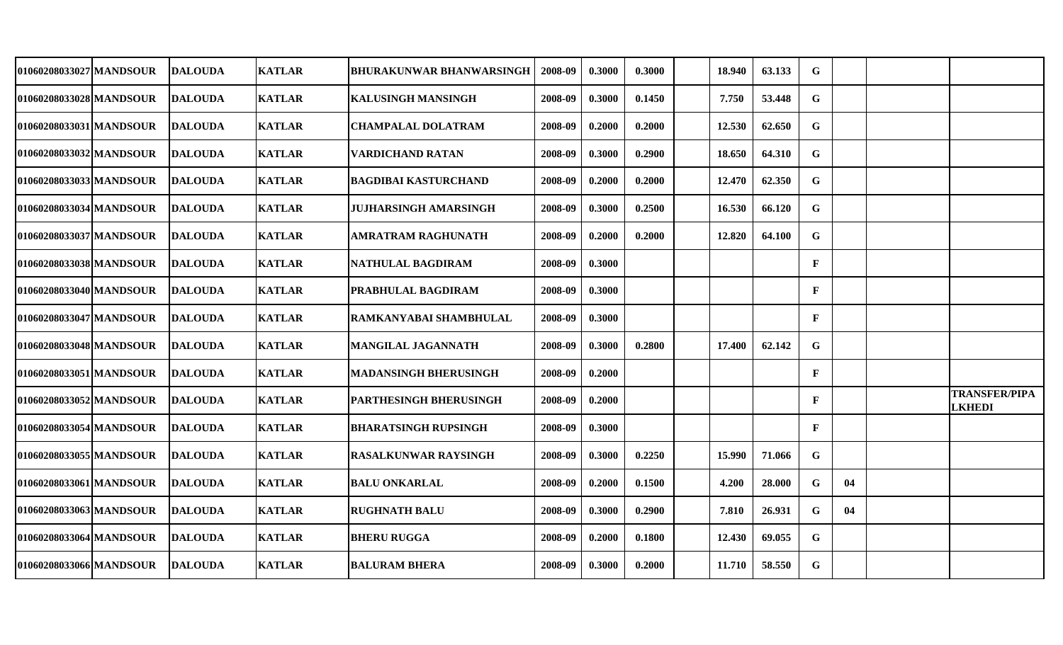| 01060208033027 MANDSOUR | <b>DALOUDA</b> | <b>KATLAR</b> | <b>BHURAKUNWAR BHANWARSINGH</b> | 2008-09 | 0.3000 | 0.3000 | 18.940 | 63.133 | G            |    |                                       |
|-------------------------|----------------|---------------|---------------------------------|---------|--------|--------|--------|--------|--------------|----|---------------------------------------|
| 01060208033028 MANDSOUR | <b>DALOUDA</b> | <b>KATLAR</b> | <b>KALUSINGH MANSINGH</b>       | 2008-09 | 0.3000 | 0.1450 | 7.750  | 53.448 | $\mathbf G$  |    |                                       |
| 01060208033031 MANDSOUR | <b>DALOUDA</b> | <b>KATLAR</b> | <b>CHAMPALAL DOLATRAM</b>       | 2008-09 | 0.2000 | 0.2000 | 12.530 | 62.650 | $\mathbf G$  |    |                                       |
| 01060208033032 MANDSOUR | <b>DALOUDA</b> | <b>KATLAR</b> | <b>VARDICHAND RATAN</b>         | 2008-09 | 0.3000 | 0.2900 | 18.650 | 64.310 | $\mathbf G$  |    |                                       |
| 01060208033033 MANDSOUR | <b>DALOUDA</b> | <b>KATLAR</b> | <b>BAGDIBAI KASTURCHAND</b>     | 2008-09 | 0.2000 | 0.2000 | 12.470 | 62.350 | $\mathbf G$  |    |                                       |
| 01060208033034 MANDSOUR | <b>DALOUDA</b> | <b>KATLAR</b> | <b>JUJHARSINGH AMARSINGH</b>    | 2008-09 | 0.3000 | 0.2500 | 16.530 | 66.120 | $\mathbf G$  |    |                                       |
| 01060208033037 MANDSOUR | <b>DALOUDA</b> | <b>KATLAR</b> | <b>AMRATRAM RAGHUNATH</b>       | 2008-09 | 0.2000 | 0.2000 | 12.820 | 64.100 | $\mathbf G$  |    |                                       |
| 01060208033038 MANDSOUR | <b>DALOUDA</b> | <b>KATLAR</b> | NATHULAL BAGDIRAM               | 2008-09 | 0.3000 |        |        |        | $\mathbf{F}$ |    |                                       |
| 01060208033040 MANDSOUR | <b>DALOUDA</b> | <b>KATLAR</b> | <b>PRABHULAL BAGDIRAM</b>       | 2008-09 | 0.3000 |        |        |        | $\mathbf{F}$ |    |                                       |
| 01060208033047 MANDSOUR | <b>DALOUDA</b> | <b>KATLAR</b> | <b>RAMKANYABAI SHAMBHULAL</b>   | 2008-09 | 0.3000 |        |        |        | $\mathbf{F}$ |    |                                       |
| 01060208033048 MANDSOUR | <b>DALOUDA</b> | <b>KATLAR</b> | <b>MANGILAL JAGANNATH</b>       | 2008-09 | 0.3000 | 0.2800 | 17.400 | 62.142 | G            |    |                                       |
| 01060208033051 MANDSOUR | <b>DALOUDA</b> | <b>KATLAR</b> | <b>MADANSINGH BHERUSINGH</b>    | 2008-09 | 0.2000 |        |        |        | $\mathbf{F}$ |    |                                       |
| 01060208033052 MANDSOUR | <b>DALOUDA</b> | <b>KATLAR</b> | <b>PARTHESINGH BHERUSINGH</b>   | 2008-09 | 0.2000 |        |        |        | $\mathbf{F}$ |    | <b>TRANSFER/PIPA</b><br><b>LKHEDI</b> |
| 01060208033054 MANDSOUR | <b>DALOUDA</b> | <b>KATLAR</b> | <b>BHARATSINGH RUPSINGH</b>     | 2008-09 | 0.3000 |        |        |        | $\mathbf{F}$ |    |                                       |
| 01060208033055 MANDSOUR | <b>DALOUDA</b> | <b>KATLAR</b> | <b>RASALKUNWAR RAYSINGH</b>     | 2008-09 | 0.3000 | 0.2250 | 15.990 | 71.066 | $\mathbf G$  |    |                                       |
| 01060208033061 MANDSOUR | <b>DALOUDA</b> | <b>KATLAR</b> | <b>BALU ONKARLAL</b>            | 2008-09 | 0.2000 | 0.1500 | 4.200  | 28.000 | $\mathbf G$  | 04 |                                       |
| 01060208033063 MANDSOUR | <b>DALOUDA</b> | <b>KATLAR</b> | <b>RUGHNATH BALU</b>            | 2008-09 | 0.3000 | 0.2900 | 7.810  | 26.931 | $\mathbf G$  | 04 |                                       |
| 01060208033064 MANDSOUR | <b>DALOUDA</b> | <b>KATLAR</b> | <b>BHERU RUGGA</b>              | 2008-09 | 0.2000 | 0.1800 | 12.430 | 69.055 | G            |    |                                       |
| 01060208033066 MANDSOUR | <b>DALOUDA</b> | <b>KATLAR</b> | <b>BALURAM BHERA</b>            | 2008-09 | 0.3000 | 0.2000 | 11.710 | 58.550 | $\mathbf G$  |    |                                       |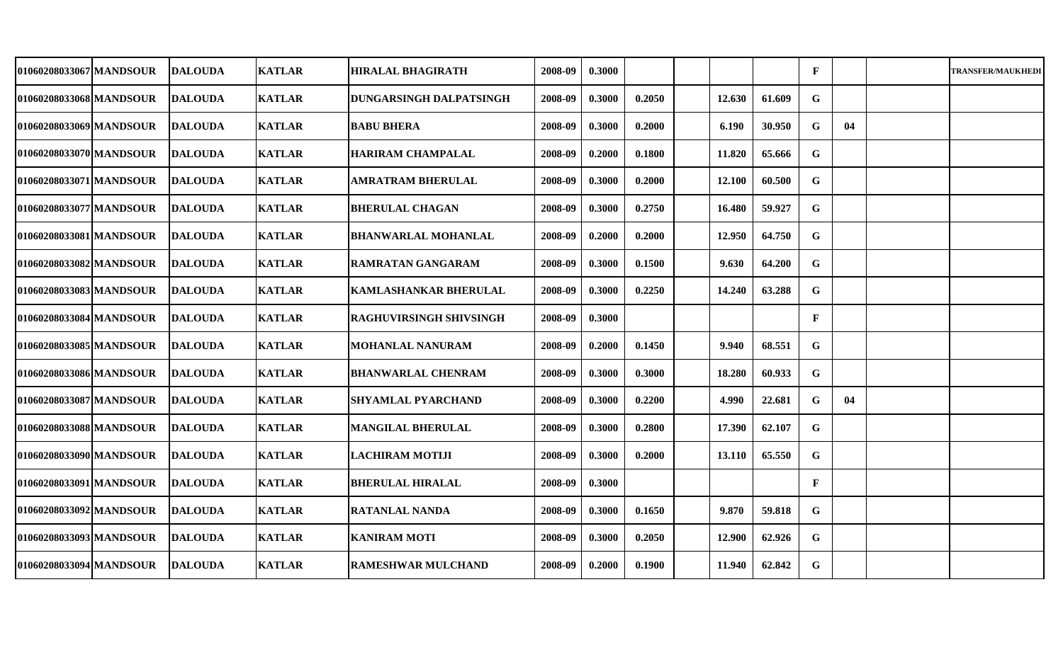| 01060208033067 MANDSOUR | <b>DALOUDA</b>  | <b>KATLAR</b> | <b>HIRALAL BHAGIRATH</b>       | 2008-09 | 0.3000 |        |        |        | $\mathbf{F}$ |    | <b>TRANSFER/MAUKHEDI</b> |
|-------------------------|-----------------|---------------|--------------------------------|---------|--------|--------|--------|--------|--------------|----|--------------------------|
| 01060208033068 MANDSOUR | <b>DALOUDA</b>  | <b>KATLAR</b> | DUNGARSINGH DALPATSINGH        | 2008-09 | 0.3000 | 0.2050 | 12.630 | 61.609 | G            |    |                          |
| 01060208033069 MANDSOUR | <b>DALOUDA</b>  | <b>KATLAR</b> | <b>BABU BHERA</b>              | 2008-09 | 0.3000 | 0.2000 | 6.190  | 30.950 | G            | 04 |                          |
| 01060208033070 MANDSOUR | <b>DALOUDA</b>  | <b>KATLAR</b> | <b>HARIRAM CHAMPALAL</b>       | 2008-09 | 0.2000 | 0.1800 | 11.820 | 65.666 | G            |    |                          |
| 01060208033071 MANDSOUR | <b>DALOUDA</b>  | <b>KATLAR</b> | <b>AMRATRAM BHERULAL</b>       | 2008-09 | 0.3000 | 0.2000 | 12.100 | 60.500 | $\mathbf G$  |    |                          |
| 01060208033077 MANDSOUR | <b>DALOUDA</b>  | <b>KATLAR</b> | <b>BHERULAL CHAGAN</b>         | 2008-09 | 0.3000 | 0.2750 | 16.480 | 59.927 | $\mathbf G$  |    |                          |
| 01060208033081 MANDSOUR | <b>DALOUDA</b>  | <b>KATLAR</b> | <b>BHANWARLAL MOHANLAL</b>     | 2008-09 | 0.2000 | 0.2000 | 12.950 | 64.750 | ${\bf G}$    |    |                          |
| 01060208033082 MANDSOUR | <b>DALOUDA</b>  | <b>KATLAR</b> | <b>RAMRATAN GANGARAM</b>       | 2008-09 | 0.3000 | 0.1500 | 9.630  | 64.200 | $\mathbf G$  |    |                          |
| 01060208033083 MANDSOUR | <b>DALOUDA</b>  | <b>KATLAR</b> | <b>KAMLASHANKAR BHERULAL</b>   | 2008-09 | 0.3000 | 0.2250 | 14.240 | 63.288 | $\mathbf G$  |    |                          |
| 01060208033084lMANDSOUR | <b>DALOUDA</b>  | <b>KATLAR</b> | <b>RAGHUVIRSINGH SHIVSINGH</b> | 2008-09 | 0.3000 |        |        |        | $\mathbf{F}$ |    |                          |
| 01060208033085 MANDSOUR | <b>DALOUDA</b>  | <b>KATLAR</b> | <b>MOHANLAL NANURAM</b>        | 2008-09 | 0.2000 | 0.1450 | 9.940  | 68.551 | G            |    |                          |
| 01060208033086 MANDSOUR | <b>IDALOUDA</b> | <b>KATLAR</b> | <b>BHANWARLAL CHENRAM</b>      | 2008-09 | 0.3000 | 0.3000 | 18.280 | 60.933 | $\mathbf G$  |    |                          |
| 01060208033087 MANDSOUR | <b>DALOUDA</b>  | <b>KATLAR</b> | <b>SHYAMLAL PYARCHAND</b>      | 2008-09 | 0.3000 | 0.2200 | 4.990  | 22.681 | G            | 04 |                          |
| 01060208033088 MANDSOUR | <b>DALOUDA</b>  | <b>KATLAR</b> | <b>MANGILAL BHERULAL</b>       | 2008-09 | 0.3000 | 0.2800 | 17.390 | 62.107 | G            |    |                          |
| 01060208033090 MANDSOUR | <b>DALOUDA</b>  | <b>KATLAR</b> | <b>LACHIRAM MOTIJI</b>         | 2008-09 | 0.3000 | 0.2000 | 13.110 | 65.550 | G            |    |                          |
| 01060208033091 MANDSOUR | <b>DALOUDA</b>  | <b>KATLAR</b> | <b>BHERULAL HIRALAL</b>        | 2008-09 | 0.3000 |        |        |        | $\mathbf{F}$ |    |                          |
| 01060208033092 MANDSOUR | <b>DALOUDA</b>  | <b>KATLAR</b> | <b>RATANLAL NANDA</b>          | 2008-09 | 0.3000 | 0.1650 | 9.870  | 59.818 | G            |    |                          |
| 01060208033093 MANDSOUR | <b>DALOUDA</b>  | <b>KATLAR</b> | <b>KANIRAM MOTI</b>            | 2008-09 | 0.3000 | 0.2050 | 12.900 | 62.926 | G            |    |                          |
| 01060208033094 MANDSOUR | <b>DALOUDA</b>  | <b>KATLAR</b> | <b>RAMESHWAR MULCHAND</b>      | 2008-09 | 0.2000 | 0.1900 | 11.940 | 62.842 | G            |    |                          |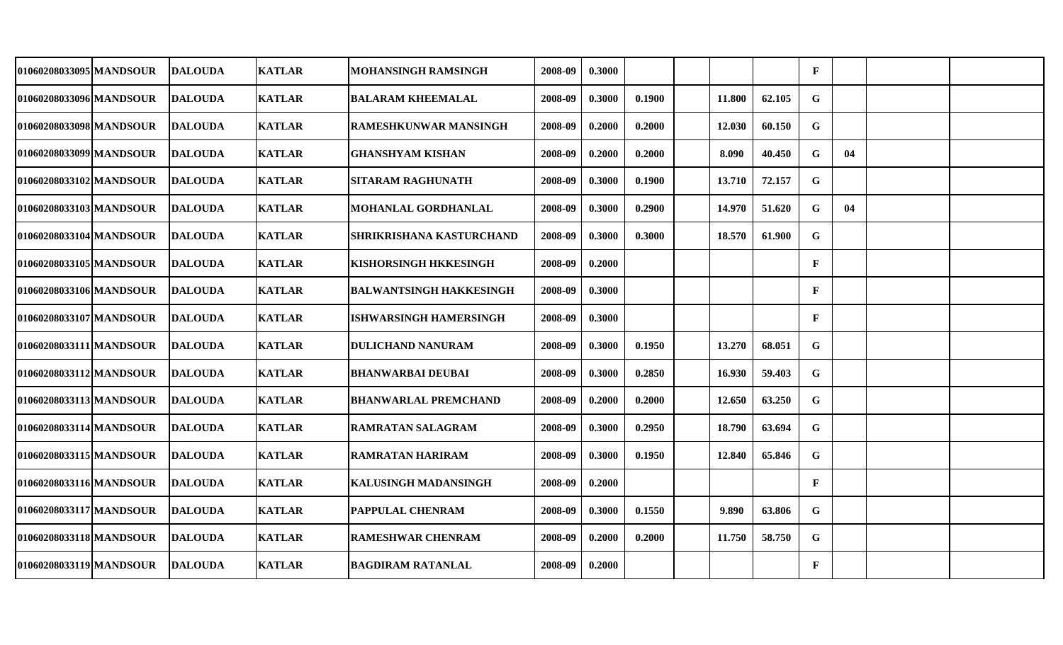| 01060208033095 MANDSOUR | <b>DALOUDA</b>  | <b>KATLAR</b> | <b>MOHANSINGH RAMSINGH</b>     | 2008-09 | 0.3000 |        |        |        | $\mathbf{F}$ |    |  |
|-------------------------|-----------------|---------------|--------------------------------|---------|--------|--------|--------|--------|--------------|----|--|
| 01060208033096 MANDSOUR | <b>DALOUDA</b>  | <b>KATLAR</b> | <b>BALARAM KHEEMALAL</b>       | 2008-09 | 0.3000 | 0.1900 | 11.800 | 62.105 | G            |    |  |
| 01060208033098 MANDSOUR | <b>DALOUDA</b>  | <b>KATLAR</b> | RAMESHKUNWAR MANSINGH          | 2008-09 | 0.2000 | 0.2000 | 12.030 | 60.150 | G            |    |  |
| 01060208033099 MANDSOUR | <b>DALOUDA</b>  | <b>KATLAR</b> | <b>GHANSHYAM KISHAN</b>        | 2008-09 | 0.2000 | 0.2000 | 8.090  | 40.450 | G            | 04 |  |
| 01060208033102 MANDSOUR | <b>DALOUDA</b>  | <b>KATLAR</b> | <b>SITARAM RAGHUNATH</b>       | 2008-09 | 0.3000 | 0.1900 | 13.710 | 72.157 | ${\bf G}$    |    |  |
| 01060208033103 MANDSOUR | <b>DALOUDA</b>  | <b>KATLAR</b> | MOHANLAL GORDHANLAL            | 2008-09 | 0.3000 | 0.2900 | 14.970 | 51.620 | G            | 04 |  |
| 01060208033104 MANDSOUR | <b>DALOUDA</b>  | <b>KATLAR</b> | SHRIKRISHANA KASTURCHAND       | 2008-09 | 0.3000 | 0.3000 | 18.570 | 61.900 | $\mathbf G$  |    |  |
| 01060208033105 MANDSOUR | <b>DALOUDA</b>  | <b>KATLAR</b> | <b>KISHORSINGH HKKESINGH</b>   | 2008-09 | 0.2000 |        |        |        | $\mathbf{F}$ |    |  |
| 01060208033106 MANDSOUR | <b>DALOUDA</b>  | <b>KATLAR</b> | <b>BALWANTSINGH HAKKESINGH</b> | 2008-09 | 0.3000 |        |        |        | $\mathbf{F}$ |    |  |
| 01060208033107 MANDSOUR | <b>DALOUDA</b>  | <b>KATLAR</b> | <b>ISHWARSINGH HAMERSINGH</b>  | 2008-09 | 0.3000 |        |        |        | $\mathbf{F}$ |    |  |
| 01060208033111 MANDSOUR | <b>DALOUDA</b>  | <b>KATLAR</b> | <b>DULICHAND NANURAM</b>       | 2008-09 | 0.3000 | 0.1950 | 13.270 | 68.051 | G            |    |  |
| 01060208033112 MANDSOUR | <b>IDALOUDA</b> | <b>KATLAR</b> | <b>BHANWARBAI DEUBAI</b>       | 2008-09 | 0.3000 | 0.2850 | 16.930 | 59.403 | $\mathbf G$  |    |  |
| 01060208033113 MANDSOUR | <b>DALOUDA</b>  | <b>KATLAR</b> | <b>BHANWARLAL PREMCHAND</b>    | 2008-09 | 0.2000 | 0.2000 | 12.650 | 63.250 | G            |    |  |
| 01060208033114 MANDSOUR | <b>DALOUDA</b>  | <b>KATLAR</b> | <b>RAMRATAN SALAGRAM</b>       | 2008-09 | 0.3000 | 0.2950 | 18.790 | 63.694 | G            |    |  |
| 01060208033115 MANDSOUR | <b>DALOUDA</b>  | <b>KATLAR</b> | <b>RAMRATAN HARIRAM</b>        | 2008-09 | 0.3000 | 0.1950 | 12.840 | 65.846 | G            |    |  |
| 01060208033116 MANDSOUR | <b>DALOUDA</b>  | <b>KATLAR</b> | KALUSINGH MADANSINGH           | 2008-09 | 0.2000 |        |        |        | $\mathbf{F}$ |    |  |
| 01060208033117 MANDSOUR | <b>DALOUDA</b>  | <b>KATLAR</b> | PAPPULAL CHENRAM               | 2008-09 | 0.3000 | 0.1550 | 9.890  | 63.806 | G            |    |  |
| 01060208033118 MANDSOUR | <b>DALOUDA</b>  | <b>KATLAR</b> | RAMESHWAR CHENRAM              | 2008-09 | 0.2000 | 0.2000 | 11.750 | 58.750 | G            |    |  |
| 01060208033119 MANDSOUR | <b>DALOUDA</b>  | <b>KATLAR</b> | <b>BAGDIRAM RATANLAL</b>       | 2008-09 | 0.2000 |        |        |        | $\mathbf{F}$ |    |  |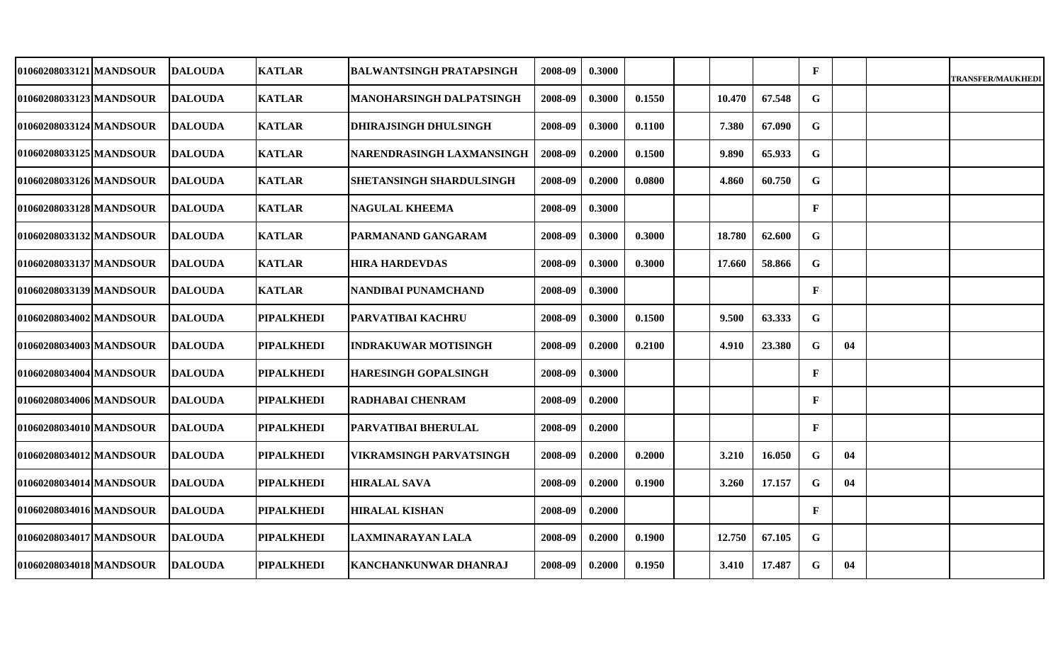| 01060208033121 MANDSOUR | <b>DALOUDA</b> | <b>KATLAR</b>     | <b>BALWANTSINGH PRATAPSINGH</b> | 2008-09 | 0.3000 |        |        |        | $\mathbf{F}$ |    | <b>TRANSFER/MAUKHEDI</b> |
|-------------------------|----------------|-------------------|---------------------------------|---------|--------|--------|--------|--------|--------------|----|--------------------------|
| 01060208033123lMANDSOUR | <b>DALOUDA</b> | <b>KATLAR</b>     | MANOHARSINGH DALPATSINGH        | 2008-09 | 0.3000 | 0.1550 | 10.470 | 67.548 | $\mathbf G$  |    |                          |
| 01060208033124 MANDSOUR | <b>DALOUDA</b> | <b>KATLAR</b>     | <b>DHIRAJSINGH DHULSINGH</b>    | 2008-09 | 0.3000 | 0.1100 | 7.380  | 67.090 | G            |    |                          |
| 01060208033125 MANDSOUR | <b>DALOUDA</b> | <b>KATLAR</b>     | NARENDRASINGH LAXMANSINGH       | 2008-09 | 0.2000 | 0.1500 | 9.890  | 65.933 | $\mathbf G$  |    |                          |
| 01060208033126 MANDSOUR | <b>DALOUDA</b> | <b>KATLAR</b>     | <b>SHETANSINGH SHARDULSINGH</b> | 2008-09 | 0.2000 | 0.0800 | 4.860  | 60.750 | $\mathbf G$  |    |                          |
| 01060208033128 MANDSOUR | <b>DALOUDA</b> | <b>KATLAR</b>     | <b>NAGULAL KHEEMA</b>           | 2008-09 | 0.3000 |        |        |        | $\mathbf{F}$ |    |                          |
| 01060208033132 MANDSOUR | DALOUDA        | <b>KATLAR</b>     | PARMANAND GANGARAM              | 2008-09 | 0.3000 | 0.3000 | 18.780 | 62.600 | G            |    |                          |
| 01060208033137 MANDSOUR | <b>DALOUDA</b> | <b>KATLAR</b>     | <b>HIRA HARDEVDAS</b>           | 2008-09 | 0.3000 | 0.3000 | 17.660 | 58.866 | $\mathbf G$  |    |                          |
| 01060208033139 MANDSOUR | <b>DALOUDA</b> | <b>KATLAR</b>     | NANDIBAI PUNAMCHAND             | 2008-09 | 0.3000 |        |        |        | $\mathbf{F}$ |    |                          |
| 01060208034002 MANDSOUR | <b>DALOUDA</b> | <b>PIPALKHEDI</b> | PARVATIBAI KACHRU               | 2008-09 | 0.3000 | 0.1500 | 9.500  | 63.333 | G            |    |                          |
| 01060208034003 MANDSOUR | <b>DALOUDA</b> | <b>PIPALKHEDI</b> | INDRAKUWAR MOTISINGH            | 2008-09 | 0.2000 | 0.2100 | 4.910  | 23.380 | $\mathbf G$  | 04 |                          |
| 01060208034004 MANDSOUR | <b>DALOUDA</b> | <b>PIPALKHEDI</b> | <b>HARESINGH GOPALSINGH</b>     | 2008-09 | 0.3000 |        |        |        | $\mathbf{F}$ |    |                          |
| 01060208034006 MANDSOUR | <b>DALOUDA</b> | <b>PIPALKHEDI</b> | RADHABAI CHENRAM                | 2008-09 | 0.2000 |        |        |        | $\mathbf{F}$ |    |                          |
| 01060208034010 MANDSOUR | <b>DALOUDA</b> | <b>PIPALKHEDI</b> | PARVATIBAI BHERULAL             | 2008-09 | 0.2000 |        |        |        | $\mathbf{F}$ |    |                          |
| 01060208034012 MANDSOUR | <b>DALOUDA</b> | <b>PIPALKHEDI</b> | VIKRAMSINGH PARVATSINGH         | 2008-09 | 0.2000 | 0.2000 | 3.210  | 16.050 | G            | 04 |                          |
| 01060208034014 MANDSOUR | <b>DALOUDA</b> | <b>PIPALKHEDI</b> | <b>HIRALAL SAVA</b>             | 2008-09 | 0.2000 | 0.1900 | 3.260  | 17.157 | $\mathbf G$  | 04 |                          |
| 01060208034016 MANDSOUR | <b>DALOUDA</b> | <b>PIPALKHEDI</b> | <b>HIRALAL KISHAN</b>           | 2008-09 | 0.2000 |        |        |        | $\mathbf{F}$ |    |                          |
| 01060208034017 MANDSOUR | <b>DALOUDA</b> | <b>PIPALKHEDI</b> | LAXMINARAYAN LALA               | 2008-09 | 0.2000 | 0.1900 | 12.750 | 67.105 | G            |    |                          |
| 01060208034018 MANDSOUR | <b>DALOUDA</b> | <b>PIPALKHEDI</b> | <b>KANCHANKUNWAR DHANRAJ</b>    | 2008-09 | 0.2000 | 0.1950 | 3.410  | 17.487 | $\mathbf G$  | 04 |                          |
|                         |                |                   |                                 |         |        |        |        |        |              |    |                          |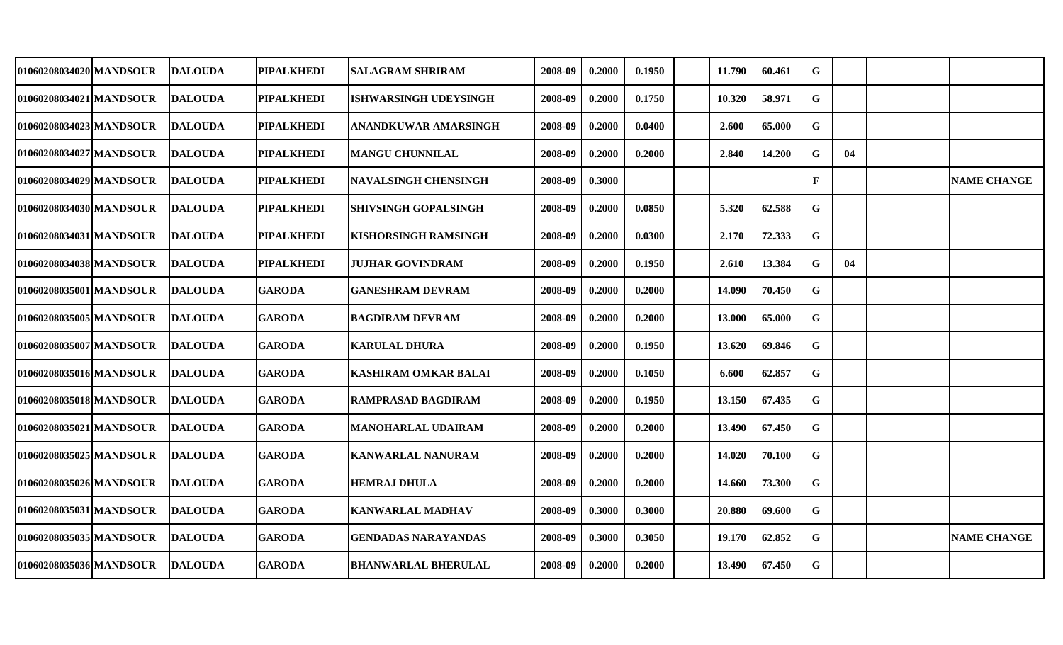| 01060208034020 MANDSOUR | <b>DALOUDA</b>  | <b>PIPALKHEDI</b> | <b>SALAGRAM SHRIRAM</b>      | 2008-09 | 0.2000 | 0.1950 | 11.790 | 60.461 | G            |    |                    |
|-------------------------|-----------------|-------------------|------------------------------|---------|--------|--------|--------|--------|--------------|----|--------------------|
| 01060208034021 MANDSOUR | <b>DALOUDA</b>  | <b>PIPALKHEDI</b> | <b>ISHWARSINGH UDEYSINGH</b> | 2008-09 | 0.2000 | 0.1750 | 10.320 | 58.971 | $\mathbf G$  |    |                    |
| 01060208034023 MANDSOUR | <b>DALOUDA</b>  | <b>PIPALKHEDI</b> | ANANDKUWAR AMARSINGH         | 2008-09 | 0.2000 | 0.0400 | 2.600  | 65.000 | $\mathbf G$  |    |                    |
| 01060208034027 MANDSOUR | <b>DALOUDA</b>  | <b>PIPALKHEDI</b> | <b>MANGU CHUNNILAL</b>       | 2008-09 | 0.2000 | 0.2000 | 2.840  | 14.200 | $\mathbf G$  | 04 |                    |
| 01060208034029 MANDSOUR | <b>DALOUDA</b>  | <b>PIPALKHEDI</b> | <b>NAVALSINGH CHENSINGH</b>  | 2008-09 | 0.3000 |        |        |        | $\mathbf{F}$ |    | <b>NAME CHANGE</b> |
| 01060208034030 MANDSOUR | <b>DALOUDA</b>  | <b>PIPALKHEDI</b> | <b>SHIVSINGH GOPALSINGH</b>  | 2008-09 | 0.2000 | 0.0850 | 5.320  | 62.588 | $\mathbf G$  |    |                    |
| 01060208034031 MANDSOUR | <b>DALOUDA</b>  | <b>PIPALKHEDI</b> | <b>KISHORSINGH RAMSINGH</b>  | 2008-09 | 0.2000 | 0.0300 | 2.170  | 72.333 | $\mathbf G$  |    |                    |
| 01060208034038 MANDSOUR | <b>DALOUDA</b>  | <b>PIPALKHEDI</b> | <b>JUJHAR GOVINDRAM</b>      | 2008-09 | 0.2000 | 0.1950 | 2.610  | 13.384 | $\mathbf G$  | 04 |                    |
| 01060208035001 MANDSOUR | <b>IDALOUDA</b> | <b>GARODA</b>     | <b>GANESHRAM DEVRAM</b>      | 2008-09 | 0.2000 | 0.2000 | 14.090 | 70.450 | $\mathbf G$  |    |                    |
| 01060208035005 MANDSOUR | <b>DALOUDA</b>  | <b>GARODA</b>     | <b>BAGDIRAM DEVRAM</b>       | 2008-09 | 0.2000 | 0.2000 | 13.000 | 65.000 | $\mathbf G$  |    |                    |
| 01060208035007 MANDSOUR | <b>DALOUDA</b>  | <b>GARODA</b>     | <b>KARULAL DHURA</b>         | 2008-09 | 0.2000 | 0.1950 | 13.620 | 69.846 | G            |    |                    |
| 01060208035016 MANDSOUR | <b>IDALOUDA</b> | <b>GARODA</b>     | <b>KASHIRAM OMKAR BALAI</b>  | 2008-09 | 0.2000 | 0.1050 | 6.600  | 62.857 | $\mathbf G$  |    |                    |
| 01060208035018 MANDSOUR | <b>DALOUDA</b>  | <b>GARODA</b>     | <b>RAMPRASAD BAGDIRAM</b>    | 2008-09 | 0.2000 | 0.1950 | 13.150 | 67.435 | $\mathbf G$  |    |                    |
| 01060208035021 MANDSOUR | <b>DALOUDA</b>  | <b>GARODA</b>     | <b>MANOHARLAL UDAIRAM</b>    | 2008-09 | 0.2000 | 0.2000 | 13.490 | 67.450 | G            |    |                    |
| 01060208035025 MANDSOUR | <b>DALOUDA</b>  | <b>GARODA</b>     | <b>KANWARLAL NANURAM</b>     | 2008-09 | 0.2000 | 0.2000 | 14.020 | 70.100 | $\mathbf G$  |    |                    |
| 01060208035026 MANDSOUR | <b>DALOUDA</b>  | <b>GARODA</b>     | HEMRAJ DHULA                 | 2008-09 | 0.2000 | 0.2000 | 14.660 | 73.300 | $\mathbf G$  |    |                    |
| 01060208035031 MANDSOUR | <b>DALOUDA</b>  | <b>GARODA</b>     | <b>KANWARLAL MADHAV</b>      | 2008-09 | 0.3000 | 0.3000 | 20.880 | 69.600 | G            |    |                    |
| 01060208035035 MANDSOUR | <b>DALOUDA</b>  | <b>GARODA</b>     | <b>GENDADAS NARAYANDAS</b>   | 2008-09 | 0.3000 | 0.3050 | 19.170 | 62.852 | $\mathbf G$  |    | <b>NAME CHANGE</b> |
| 01060208035036 MANDSOUR | <b>DALOUDA</b>  | <b>GARODA</b>     | <b>BHANWARLAL BHERULAL</b>   | 2008-09 | 0.2000 | 0.2000 | 13.490 | 67.450 | $\mathbf G$  |    |                    |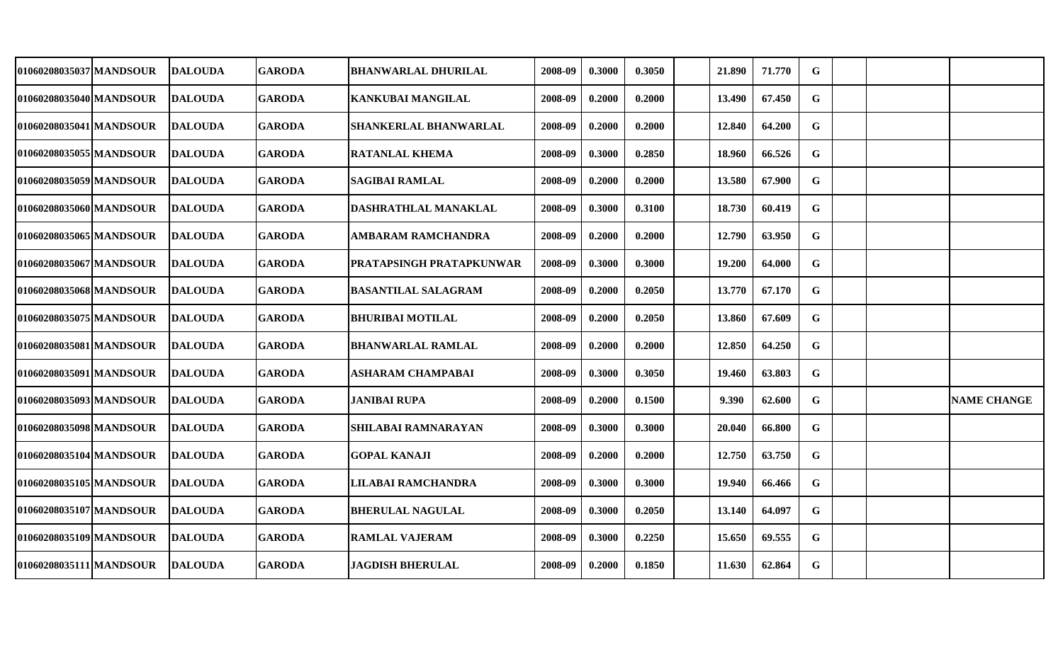| 01060208035037 MANDSOUR  | <b>DALOUDA</b>  | <b>GARODA</b> | <b>BHANWARLAL DHURILAL</b> | 2008-09 | 0.3000 | 0.3050 | 21.890 | 71.770 | G           |  |                    |
|--------------------------|-----------------|---------------|----------------------------|---------|--------|--------|--------|--------|-------------|--|--------------------|
| 01060208035040 MANDSOUR  | <b>DALOUDA</b>  | <b>GARODA</b> | KANKUBAI MANGILAL          | 2008-09 | 0.2000 | 0.2000 | 13.490 | 67.450 | G           |  |                    |
| 01060208035041 MANDSOUR  | <b>DALOUDA</b>  | <b>GARODA</b> | SHANKERLAL BHANWARLAL      | 2008-09 | 0.2000 | 0.2000 | 12.840 | 64.200 | G           |  |                    |
| 01060208035055 MANDSOUR  | <b>DALOUDA</b>  | <b>GARODA</b> | <b>RATANLAL KHEMA</b>      | 2008-09 | 0.3000 | 0.2850 | 18.960 | 66.526 | G           |  |                    |
| 01060208035059 MANDSOUR  | <b>DALOUDA</b>  | <b>GARODA</b> | <b>SAGIBAI RAMLAL</b>      | 2008-09 | 0.2000 | 0.2000 | 13.580 | 67.900 | G           |  |                    |
| 01060208035060 MANDSOUR  | <b>DALOUDA</b>  | <b>GARODA</b> | DASHRATHLAL MANAKLAL       | 2008-09 | 0.3000 | 0.3100 | 18.730 | 60.419 | G           |  |                    |
| 01060208035065 MANDSOUR  | <b>DALOUDA</b>  | <b>GARODA</b> | <b>AMBARAM RAMCHANDRA</b>  | 2008-09 | 0.2000 | 0.2000 | 12.790 | 63.950 | $\mathbf G$ |  |                    |
| 01060208035067 MANDSOUR  | <b>IDALOUDA</b> | <b>GARODA</b> | PRATAPSINGH PRATAPKUNWAR   | 2008-09 | 0.3000 | 0.3000 | 19.200 | 64.000 | $\mathbf G$ |  |                    |
| 01060208035068 MANDSOUR  | <b>DALOUDA</b>  | <b>GARODA</b> | <b>BASANTILAL SALAGRAM</b> | 2008-09 | 0.2000 | 0.2050 | 13.770 | 67.170 | $\mathbf G$ |  |                    |
| 01060208035075 MANDSOUR  | <b>DALOUDA</b>  | <b>GARODA</b> | <b>BHURIBAI MOTILAL</b>    | 2008-09 | 0.2000 | 0.2050 | 13.860 | 67.609 | G           |  |                    |
| 01060208035081 MANDSOUR  | <b>DALOUDA</b>  | <b>GARODA</b> | <b>BHANWARLAL RAMLAL</b>   | 2008-09 | 0.2000 | 0.2000 | 12.850 | 64.250 | G           |  |                    |
| 01060208035091 MANDSOUR  | <b>DALOUDA</b>  | <b>GARODA</b> | <b>ASHARAM CHAMPABAI</b>   | 2008-09 | 0.3000 | 0.3050 | 19.460 | 63.803 | G           |  |                    |
| 01060208035093 MANDSOUR  | <b>DALOUDA</b>  | <b>GARODA</b> | <b>JANIBAI RUPA</b>        | 2008-09 | 0.2000 | 0.1500 | 9.390  | 62.600 | G           |  | <b>NAME CHANGE</b> |
| 01060208035098 MANDSOUR  | <b>DALOUDA</b>  | <b>GARODA</b> | <b>SHILABAI RAMNARAYAN</b> | 2008-09 | 0.3000 | 0.3000 | 20.040 | 66.800 | G           |  |                    |
| 01060208035104 MANDSOUR_ | <b>DALOUDA</b>  | <b>GARODA</b> | <b>GOPAL KANAJI</b>        | 2008-09 | 0.2000 | 0.2000 | 12.750 | 63.750 | G           |  |                    |
| 01060208035105 MANDSOUR  | <b>DALOUDA</b>  | <b>GARODA</b> | LILABAI RAMCHANDRA         | 2008-09 | 0.3000 | 0.3000 | 19.940 | 66.466 | $\mathbf G$ |  |                    |
| 01060208035107 MANDSOUR  | <b>DALOUDA</b>  | <b>GARODA</b> | <b>BHERULAL NAGULAL</b>    | 2008-09 | 0.3000 | 0.2050 | 13.140 | 64.097 | G           |  |                    |
| 01060208035109 MANDSOUR  | <b>IDALOUDA</b> | <b>GARODA</b> | <b>RAMLAL VAJERAM</b>      | 2008-09 | 0.3000 | 0.2250 | 15.650 | 69.555 | $\mathbf G$ |  |                    |
| 01060208035111 MANDSOUR  | <b>DALOUDA</b>  | <b>GARODA</b> | JAGDISH BHERULAL           | 2008-09 | 0.2000 | 0.1850 | 11.630 | 62.864 | G           |  |                    |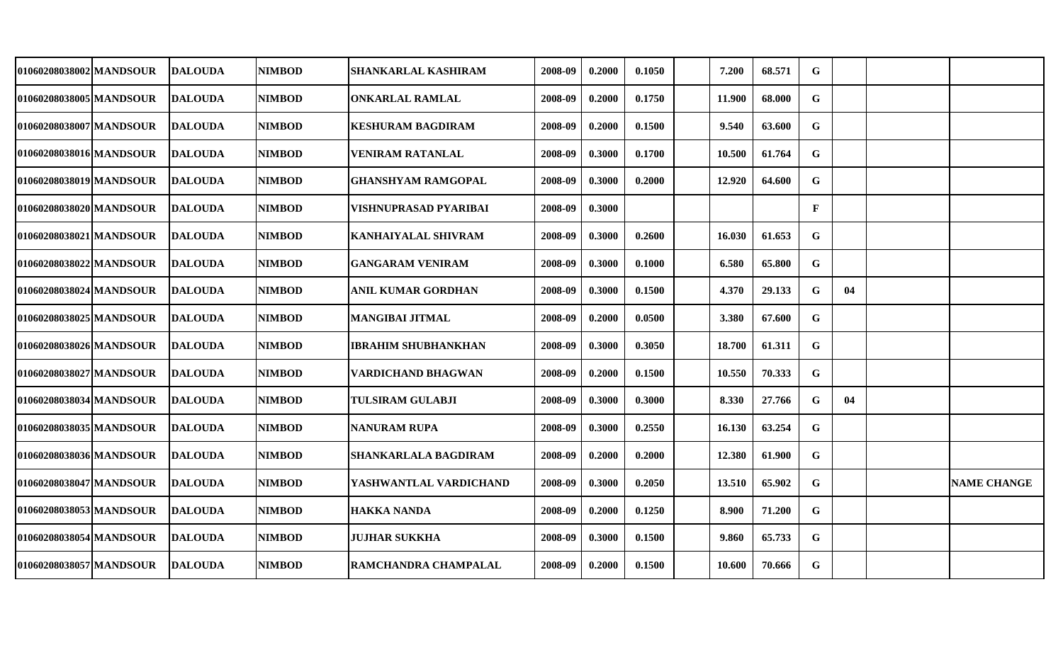| 01060208038002 MANDSOUR  | <b>DALOUDA</b> | NIMBOD        | SHANKARLAL KASHIRAM         | 2008-09 | 0.2000 | 0.1050 | 7.200  | 68.571 | G            |    |                    |
|--------------------------|----------------|---------------|-----------------------------|---------|--------|--------|--------|--------|--------------|----|--------------------|
| 01060208038005 MANDSOUR_ | <b>DALOUDA</b> | <b>NIMBOD</b> | <b>ONKARLAL RAMLAL</b>      | 2008-09 | 0.2000 | 0.1750 | 11.900 | 68.000 | G.           |    |                    |
| 01060208038007 MANDSOUR  | <b>DALOUDA</b> | <b>NIMBOD</b> | <b>KESHURAM BAGDIRAM</b>    | 2008-09 | 0.2000 | 0.1500 | 9.540  | 63.600 | G            |    |                    |
| 01060208038016 MANDSOUR  | <b>DALOUDA</b> | <b>NIMBOD</b> | <b>VENIRAM RATANLAL</b>     | 2008-09 | 0.3000 | 0.1700 | 10.500 | 61.764 | G            |    |                    |
| 01060208038019 MANDSOUR  | <b>DALOUDA</b> | <b>NIMBOD</b> | <b>GHANSHYAM RAMGOPAL</b>   | 2008-09 | 0.3000 | 0.2000 | 12.920 | 64.600 | G            |    |                    |
| 01060208038020 MANDSOUR  | <b>DALOUDA</b> | <b>NIMBOD</b> | VISHNUPRASAD PYARIBAI       | 2008-09 | 0.3000 |        |        |        | $\mathbf{F}$ |    |                    |
| 01060208038021 MANDSOUR  | <b>DALOUDA</b> | <b>NIMBOD</b> | <b>KANHAIYALAL SHIVRAM</b>  | 2008-09 | 0.3000 | 0.2600 | 16.030 | 61.653 | $\mathbf G$  |    |                    |
| 01060208038022 MANDSOUR  | <b>DALOUDA</b> | <b>NIMBOD</b> | <b>GANGARAM VENIRAM</b>     | 2008-09 | 0.3000 | 0.1000 | 6.580  | 65.800 | $\mathbf G$  |    |                    |
| 01060208038024 MANDSOUR  | <b>DALOUDA</b> | <b>NIMBOD</b> | ANIL KUMAR GORDHAN          | 2008-09 | 0.3000 | 0.1500 | 4.370  | 29.133 | $\mathbf G$  | 04 |                    |
| 01060208038025 MANDSOUR  | <b>DALOUDA</b> | <b>NIMBOD</b> | <b>MANGIBAI JITMAL</b>      | 2008-09 | 0.2000 | 0.0500 | 3.380  | 67.600 | $\mathbf G$  |    |                    |
| 01060208038026 MANDSOUR  | <b>DALOUDA</b> | <b>NIMBOD</b> | <b>IBRAHIM SHUBHANKHAN</b>  | 2008-09 | 0.3000 | 0.3050 | 18.700 | 61.311 | G            |    |                    |
| 01060208038027 MANDSOUR  | <b>DALOUDA</b> | <b>NIMBOD</b> | <b>VARDICHAND BHAGWAN</b>   | 2008-09 | 0.2000 | 0.1500 | 10.550 | 70.333 | $\mathbf G$  |    |                    |
| 01060208038034lMANDSOUR  | <b>DALOUDA</b> | <b>NIMBOD</b> | <b>TULSIRAM GULABJI</b>     | 2008-09 | 0.3000 | 0.3000 | 8.330  | 27.766 | G            | 04 |                    |
| 01060208038035 MANDSOUR  | <b>DALOUDA</b> | <b>NIMBOD</b> | <b>NANURAM RUPA</b>         | 2008-09 | 0.3000 | 0.2550 | 16.130 | 63.254 | G            |    |                    |
| 01060208038036 MANDSOUR  | <b>DALOUDA</b> | <b>NIMBOD</b> | <b>SHANKARLALA BAGDIRAM</b> | 2008-09 | 0.2000 | 0.2000 | 12.380 | 61.900 | G            |    |                    |
| 01060208038047 MANDSOUR  | <b>DALOUDA</b> | <b>NIMBOD</b> | YASHWANTLAL VARDICHAND      | 2008-09 | 0.3000 | 0.2050 | 13.510 | 65.902 | G            |    | <b>NAME CHANGE</b> |
| 01060208038053 MANDSOUR  | <b>DALOUDA</b> | <b>NIMBOD</b> | HAKKA NANDA                 | 2008-09 | 0.2000 | 0.1250 | 8.900  | 71.200 | G            |    |                    |
| 01060208038054 MANDSOUR  | <b>DALOUDA</b> | <b>NIMBOD</b> | <b>JUJHAR SUKKHA</b>        | 2008-09 | 0.3000 | 0.1500 | 9.860  | 65.733 | G            |    |                    |
| 01060208038057 MANDSOUR  | <b>DALOUDA</b> | <b>NIMBOD</b> | RAMCHANDRA CHAMPALAL        | 2008-09 | 0.2000 | 0.1500 | 10.600 | 70.666 | $\mathbf G$  |    |                    |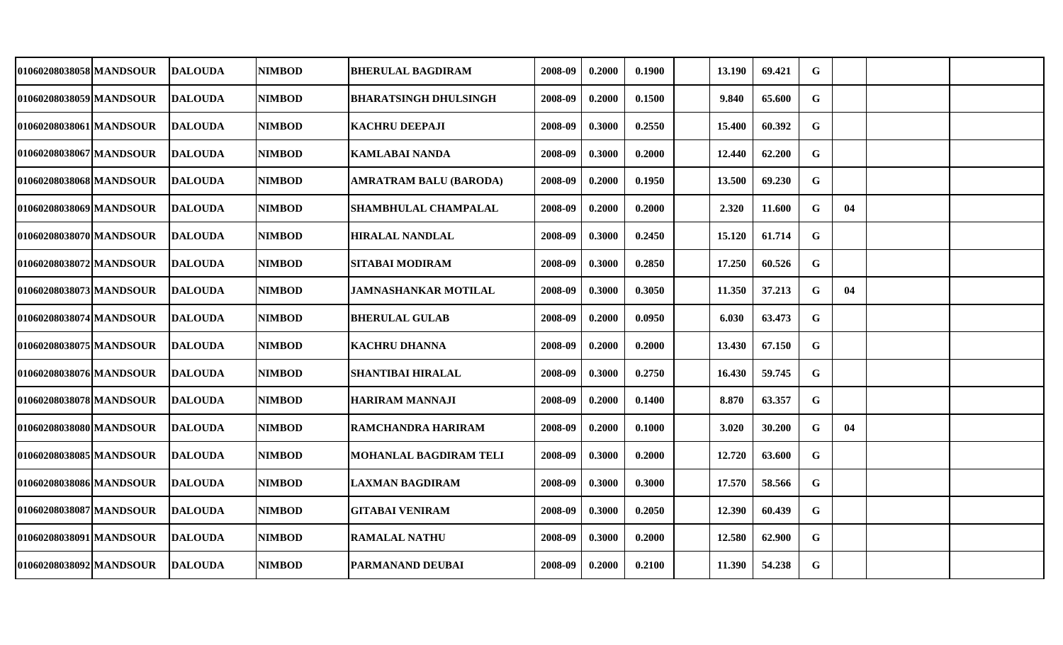| 01060208038058 MANDSOUR<br>01060208038059 MANDSOUR | <b>DALOUDA</b> | <b>NIMBOD</b>                                                                                                                                                                                                        | <b>BHERULAL BAGDIRAM</b>      | 2008-09                                                                                              | 0.2000 | 0.1900 | 13.190 | 69.421 | G           |    |  |
|----------------------------------------------------|----------------|----------------------------------------------------------------------------------------------------------------------------------------------------------------------------------------------------------------------|-------------------------------|------------------------------------------------------------------------------------------------------|--------|--------|--------|--------|-------------|----|--|
|                                                    |                |                                                                                                                                                                                                                      |                               |                                                                                                      |        |        |        |        |             |    |  |
|                                                    | <b>DALOUDA</b> | <b>NIMBOD</b>                                                                                                                                                                                                        | <b>BHARATSINGH DHULSINGH</b>  | 2008-09                                                                                              | 0.2000 | 0.1500 | 9.840  | 65.600 | G           |    |  |
| 01060208038061 MANDSOUR                            |                | <b>NIMBOD</b>                                                                                                                                                                                                        | <b>KACHRU DEEPAJI</b>         | 2008-09                                                                                              | 0.3000 | 0.2550 | 15.400 | 60.392 | $\mathbf G$ |    |  |
| 01060208038067 MANDSOUR                            |                | <b>NIMBOD</b>                                                                                                                                                                                                        | <b>KAMLABAI NANDA</b>         | 2008-09                                                                                              | 0.3000 | 0.2000 | 12.440 | 62.200 | $\mathbf G$ |    |  |
| 01060208038068 MANDSOUR                            |                | <b>NIMBOD</b>                                                                                                                                                                                                        | <b>AMRATRAM BALU (BARODA)</b> | 2008-09                                                                                              | 0.2000 | 0.1950 | 13.500 | 69.230 | $\mathbf G$ |    |  |
| 01060208038069 MANDSOUR                            |                | <b>NIMBOD</b>                                                                                                                                                                                                        | <b>SHAMBHULAL CHAMPALAL</b>   | 2008-09                                                                                              | 0.2000 | 0.2000 | 2.320  | 11.600 | $\mathbf G$ | 04 |  |
| 01060208038070 MANDSOUR                            |                | <b>NIMBOD</b>                                                                                                                                                                                                        |                               | 2008-09                                                                                              | 0.3000 | 0.2450 | 15.120 | 61.714 | $\mathbf G$ |    |  |
| 01060208038072 MANDSOUR                            |                | <b>NIMBOD</b>                                                                                                                                                                                                        | <b>SITABAI MODIRAM</b>        | 2008-09                                                                                              | 0.3000 | 0.2850 | 17.250 | 60.526 | $\mathbf G$ |    |  |
| 01060208038073 MANDSOUR                            |                | <b>NIMBOD</b>                                                                                                                                                                                                        | <b>JAMNASHANKAR MOTILAL</b>   | 2008-09                                                                                              | 0.3000 | 0.3050 | 11.350 | 37.213 | $\mathbf G$ | 04 |  |
| 01060208038074 MANDSOUR                            | <b>DALOUDA</b> | <b>NIMBOD</b>                                                                                                                                                                                                        | <b>BHERULAL GULAB</b>         | 2008-09                                                                                              | 0.2000 | 0.0950 | 6.030  | 63.473 | $\mathbf G$ |    |  |
| 01060208038075 MANDSOUR                            | <b>DALOUDA</b> | <b>NIMBOD</b>                                                                                                                                                                                                        | <b>KACHRU DHANNA</b>          | 2008-09                                                                                              | 0.2000 | 0.2000 | 13.430 | 67.150 | G           |    |  |
| 01060208038076 MANDSOUR                            | <b>DALOUDA</b> | <b>NIMBOD</b>                                                                                                                                                                                                        | <b>SHANTIBAI HIRALAL</b>      | 2008-09                                                                                              | 0.3000 | 0.2750 | 16.430 | 59.745 | $\mathbf G$ |    |  |
| 01060208038078 MANDSOUR                            | <b>DALOUDA</b> | <b>NIMBOD</b>                                                                                                                                                                                                        | <b>HARIRAM MANNAJI</b>        | 2008-09                                                                                              | 0.2000 | 0.1400 | 8.870  | 63.357 | $\mathbf G$ |    |  |
| 01060208038080 MANDSOUR                            |                | <b>NIMBOD</b>                                                                                                                                                                                                        | RAMCHANDRA HARIRAM            | 2008-09                                                                                              | 0.2000 | 0.1000 | 3.020  | 30.200 | $\mathbf G$ | 04 |  |
| 01060208038085 MANDSOUR                            | <b>DALOUDA</b> | <b>NIMBOD</b>                                                                                                                                                                                                        | MOHANLAL BAGDIRAM TELI        | 2008-09                                                                                              | 0.3000 | 0.2000 | 12.720 | 63.600 | $\mathbf G$ |    |  |
| 01060208038086 MANDSOUR                            |                | <b>NIMBOD</b>                                                                                                                                                                                                        |                               | 2008-09                                                                                              | 0.3000 | 0.3000 | 17.570 | 58.566 | $\mathbf G$ |    |  |
| 01060208038087 MANDSOUR                            |                | <b>NIMBOD</b>                                                                                                                                                                                                        | <b>GITABAI VENIRAM</b>        | 2008-09                                                                                              | 0.3000 | 0.2050 | 12.390 | 60.439 | $\mathbf G$ |    |  |
| 01060208038091 MANDSOUR                            |                | <b>NIMBOD</b>                                                                                                                                                                                                        |                               | 2008-09                                                                                              | 0.3000 | 0.2000 | 12.580 | 62.900 | $\mathbf G$ |    |  |
| 01060208038092 MANDSOUR                            |                | <b>NIMBOD</b>                                                                                                                                                                                                        |                               | 2008-09                                                                                              | 0.2000 | 0.2100 | 11.390 | 54.238 | $\mathbf G$ |    |  |
|                                                    |                | <b>DALOUDA</b><br><b>DALOUDA</b><br><b>DALOUDA</b><br><b>DALOUDA</b><br><b>DALOUDA</b><br><b>DALOUDA</b><br><b>DALOUDA</b><br><b>DALOUDA</b><br><b>DALOUDA</b><br><b>DALOUDA</b><br><b>DALOUDA</b><br><b>DALOUDA</b> |                               | <b>HIRALAL NANDLAL</b><br><b>LAXMAN BAGDIRAM</b><br><b>RAMALAL NATHU</b><br><b> PARMANAND DEUBAI</b> |        |        |        |        |             |    |  |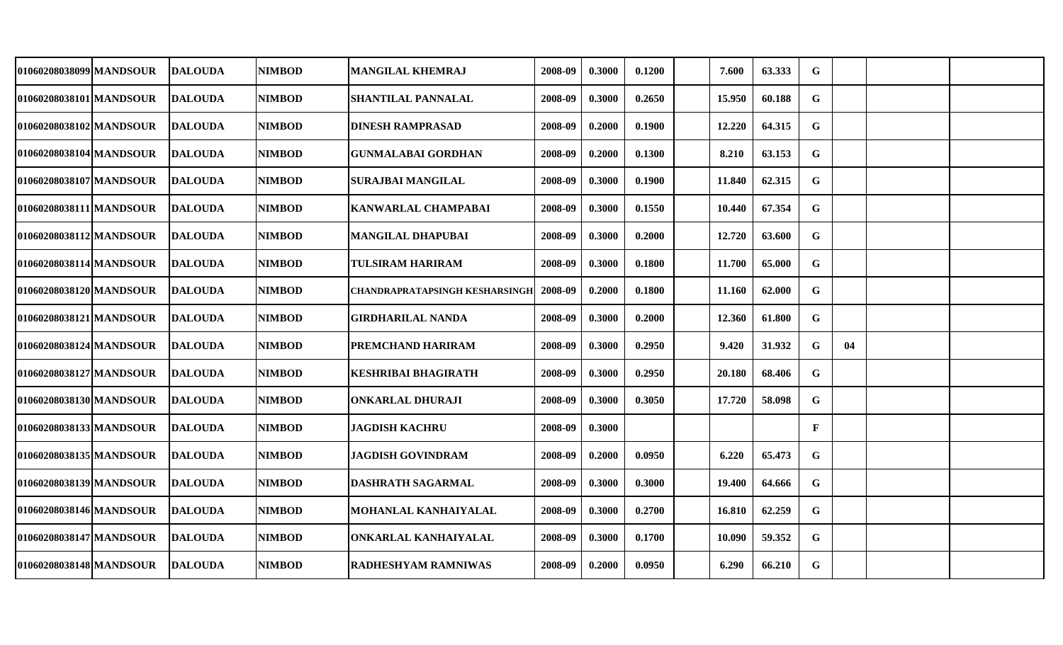| 01060208038099 MANDSOUR | <b>DALOUDA</b> | <b>NIMBOD</b> | <b>MANGILAL KHEMRAJ</b>        | 2008-09 | 0.3000 | 0.1200 | 7.600  | 63.333 | G            |    |  |
|-------------------------|----------------|---------------|--------------------------------|---------|--------|--------|--------|--------|--------------|----|--|
| 01060208038101 MANDSOUR | <b>DALOUDA</b> | <b>NIMBOD</b> | <b>SHANTILAL PANNALAL</b>      | 2008-09 | 0.3000 | 0.2650 | 15.950 | 60.188 | $\mathbf G$  |    |  |
| 01060208038102 MANDSOUR | <b>DALOUDA</b> | <b>NIMBOD</b> | <b>DINESH RAMPRASAD</b>        | 2008-09 | 0.2000 | 0.1900 | 12.220 | 64.315 | G            |    |  |
| 01060208038104 MANDSOUR | <b>DALOUDA</b> | <b>NIMBOD</b> | <b>GUNMALABAI GORDHAN</b>      | 2008-09 | 0.2000 | 0.1300 | 8.210  | 63.153 | $\mathbf G$  |    |  |
| 01060208038107 MANDSOUR | <b>DALOUDA</b> | <b>NIMBOD</b> | <b>SURAJBAI MANGILAL</b>       | 2008-09 | 0.3000 | 0.1900 | 11.840 | 62.315 | $\mathbf G$  |    |  |
| 01060208038111 MANDSOUR | <b>DALOUDA</b> | <b>NIMBOD</b> | <b>KANWARLAL CHAMPABAI</b>     | 2008-09 | 0.3000 | 0.1550 | 10.440 | 67.354 | $\mathbf G$  |    |  |
| 01060208038112 MANDSOUR | <b>DALOUDA</b> | <b>NIMBOD</b> | <b>MANGILAL DHAPUBAI</b>       | 2008-09 | 0.3000 | 0.2000 | 12.720 | 63.600 | G            |    |  |
| 01060208038114 MANDSOUR | <b>DALOUDA</b> | <b>NIMBOD</b> | <b>TULSIRAM HARIRAM</b>        | 2008-09 | 0.3000 | 0.1800 | 11.700 | 65.000 | $\mathbf{G}$ |    |  |
| 01060208038120 MANDSOUR | <b>DALOUDA</b> | <b>NIMBOD</b> | CHANDRAPRATAPSINGH KESHARSINGH | 2008-09 | 0.2000 | 0.1800 | 11.160 | 62.000 | $\mathbf G$  |    |  |
| 01060208038121 MANDSOUR | <b>DALOUDA</b> | <b>NIMBOD</b> | <b>GIRDHARILAL NANDA</b>       | 2008-09 | 0.3000 | 0.2000 | 12.360 | 61.800 | G            |    |  |
| 01060208038124 MANDSOUR | <b>DALOUDA</b> | <b>NIMBOD</b> | PREMCHAND HARIRAM              | 2008-09 | 0.3000 | 0.2950 | 9.420  | 31.932 | $\mathbf G$  | 04 |  |
| 01060208038127 MANDSOUR | <b>DALOUDA</b> | <b>NIMBOD</b> | <b>KESHRIBAI BHAGIRATH</b>     | 2008-09 | 0.3000 | 0.2950 | 20.180 | 68.406 | G            |    |  |
| 01060208038130 MANDSOUR | <b>DALOUDA</b> | <b>NIMBOD</b> | <b>ONKARLAL DHURAJI</b>        | 2008-09 | 0.3000 | 0.3050 | 17.720 | 58.098 | G            |    |  |
| 01060208038133 MANDSOUR | <b>DALOUDA</b> | <b>NIMBOD</b> | <b>JAGDISH KACHRU</b>          | 2008-09 | 0.3000 |        |        |        | $\mathbf{F}$ |    |  |
| 01060208038135 MANDSOUR | <b>DALOUDA</b> | <b>NIMBOD</b> | <b>JAGDISH GOVINDRAM</b>       | 2008-09 | 0.2000 | 0.0950 | 6.220  | 65.473 | G            |    |  |
| 01060208038139 MANDSOUR | <b>DALOUDA</b> | <b>NIMBOD</b> | <b>DASHRATH SAGARMAL</b>       | 2008-09 | 0.3000 | 0.3000 | 19.400 | 64.666 | G            |    |  |
| 01060208038146 MANDSOUR | <b>DALOUDA</b> | <b>NIMBOD</b> | MOHANLAL KANHAIYALAL           | 2008-09 | 0.3000 | 0.2700 | 16.810 | 62.259 | G            |    |  |
| 01060208038147 MANDSOUR | <b>DALOUDA</b> | <b>NIMBOD</b> | ONKARLAL KANHAIYALAL           | 2008-09 | 0.3000 | 0.1700 | 10.090 | 59.352 | G            |    |  |
| 01060208038148 MANDSOUR | <b>DALOUDA</b> | <b>NIMBOD</b> | <b>RADHESHYAM RAMNIWAS</b>     | 2008-09 | 0.2000 | 0.0950 | 6.290  | 66.210 | G            |    |  |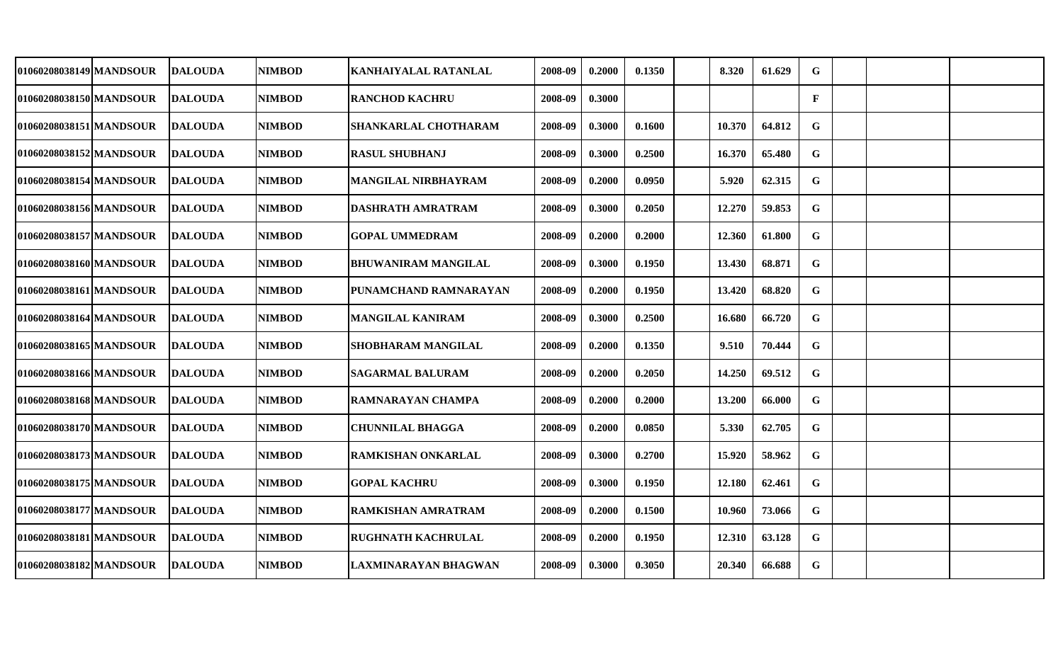| 01060208038149 MANDSOUR | <b>DALOUDA</b> | <b>NIMBOD</b> | <b>KANHAIYALAL RATANLAL</b>  | 2008-09 | 0.2000 | 0.1350 | 8.320  | 61.629 | G            |  |  |
|-------------------------|----------------|---------------|------------------------------|---------|--------|--------|--------|--------|--------------|--|--|
| 01060208038150 MANDSOUR | <b>DALOUDA</b> | <b>NIMBOD</b> | <b>RANCHOD KACHRU</b>        | 2008-09 | 0.3000 |        |        |        | $\mathbf{F}$ |  |  |
| 01060208038151 MANDSOUR | <b>DALOUDA</b> | <b>NIMBOD</b> | <b>SHANKARLAL CHOTHARAM</b>  | 2008-09 | 0.3000 | 0.1600 | 10.370 | 64.812 | $\mathbf G$  |  |  |
| 01060208038152 MANDSOUR | <b>DALOUDA</b> | <b>NIMBOD</b> | <b>RASUL SHUBHANJ</b>        | 2008-09 | 0.3000 | 0.2500 | 16.370 | 65.480 | $\mathbf G$  |  |  |
| 01060208038154 MANDSOUR | <b>DALOUDA</b> | <b>NIMBOD</b> | <b>MANGILAL NIRBHAYRAM</b>   | 2008-09 | 0.2000 | 0.0950 | 5.920  | 62.315 | $\mathbf G$  |  |  |
| 01060208038156 MANDSOUR | <b>DALOUDA</b> | <b>NIMBOD</b> | <b>DASHRATH AMRATRAM</b>     | 2008-09 | 0.3000 | 0.2050 | 12.270 | 59.853 | $\mathbf G$  |  |  |
| 01060208038157 MANDSOUR | <b>DALOUDA</b> | <b>NIMBOD</b> | <b>GOPAL UMMEDRAM</b>        | 2008-09 | 0.2000 | 0.2000 | 12.360 | 61.800 | $\mathbf G$  |  |  |
| 01060208038160 MANDSOUR | <b>DALOUDA</b> | <b>NIMBOD</b> | BHUWANIRAM MANGILAL          | 2008-09 | 0.3000 | 0.1950 | 13.430 | 68.871 | $\mathbf G$  |  |  |
| 01060208038161 MANDSOUR | <b>DALOUDA</b> | <b>NIMBOD</b> | <b>PUNAMCHAND RAMNARAYAN</b> | 2008-09 | 0.2000 | 0.1950 | 13.420 | 68.820 | $\mathbf G$  |  |  |
| 01060208038164 MANDSOUR | <b>DALOUDA</b> | <b>NIMBOD</b> | <b>MANGILAL KANIRAM</b>      | 2008-09 | 0.3000 | 0.2500 | 16.680 | 66.720 | G            |  |  |
| 01060208038165 MANDSOUR | <b>DALOUDA</b> | <b>NIMBOD</b> | SHOBHARAM MANGILAL           | 2008-09 | 0.2000 | 0.1350 | 9.510  | 70.444 | $\mathbf G$  |  |  |
| 01060208038166 MANDSOUR | <b>DALOUDA</b> | <b>NIMBOD</b> | <b>SAGARMAL BALURAM</b>      | 2008-09 | 0.2000 | 0.2050 | 14.250 | 69.512 | G            |  |  |
| 01060208038168lMANDSOUR | <b>DALOUDA</b> | <b>NIMBOD</b> | RAMNARAYAN CHAMPA            | 2008-09 | 0.2000 | 0.2000 | 13.200 | 66.000 | G            |  |  |
| 01060208038170 MANDSOUR | <b>DALOUDA</b> | <b>NIMBOD</b> | <b>CHUNNILAL BHAGGA</b>      | 2008-09 | 0.2000 | 0.0850 | 5.330  | 62.705 | G            |  |  |
| 01060208038173 MANDSOUR | <b>DALOUDA</b> | <b>NIMBOD</b> | <b>RAMKISHAN ONKARLAL</b>    | 2008-09 | 0.3000 | 0.2700 | 15.920 | 58.962 | $\mathbf G$  |  |  |
| 01060208038175 MANDSOUR | <b>DALOUDA</b> | <b>NIMBOD</b> | <b>GOPAL KACHRU</b>          | 2008-09 | 0.3000 | 0.1950 | 12.180 | 62.461 | G            |  |  |
| 01060208038177 MANDSOUR | <b>DALOUDA</b> | <b>NIMBOD</b> | RAMKISHAN AMRATRAM           | 2008-09 | 0.2000 | 0.1500 | 10.960 | 73.066 | G            |  |  |
| 01060208038181 MANDSOUR | <b>DALOUDA</b> | <b>NIMBOD</b> | <b>RUGHNATH KACHRULAL</b>    | 2008-09 | 0.2000 | 0.1950 | 12.310 | 63.128 | G            |  |  |
| 01060208038182 MANDSOUR | <b>DALOUDA</b> | <b>NIMBOD</b> | LAXMINARAYAN BHAGWAN         | 2008-09 | 0.3000 | 0.3050 | 20.340 | 66.688 | $\mathbf G$  |  |  |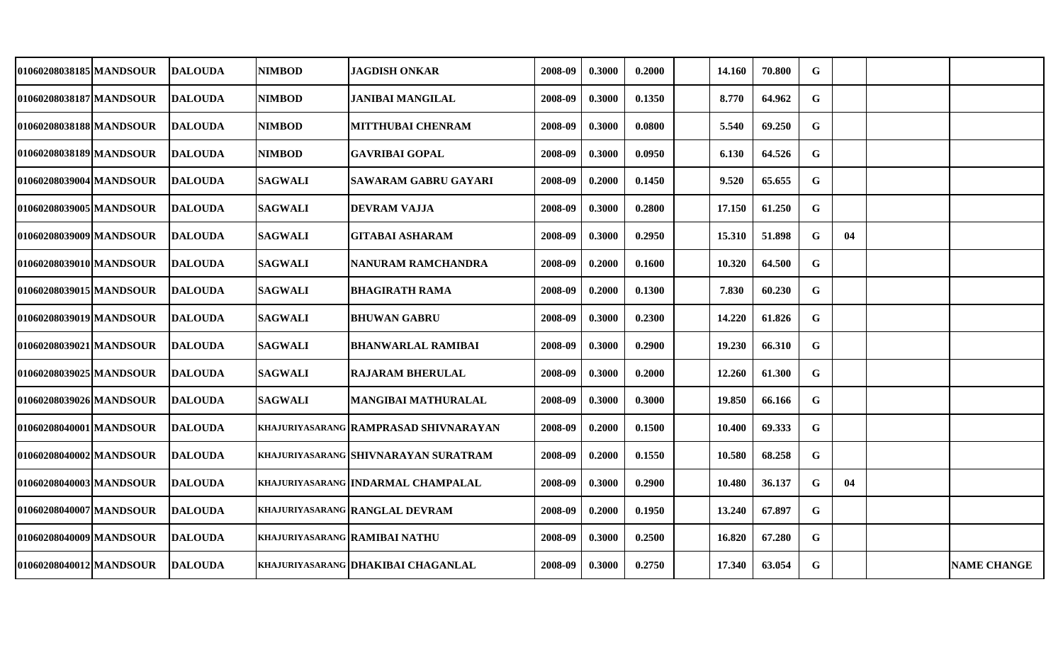| 01060208038185 MANDSOUR | <b>DALOUDA</b> | <b>NIMBOD</b>                 | JAGDISH ONKAR                          | 2008-09 | 0.3000 | 0.2000 | 14.160 | 70.800 | G           |    |                    |
|-------------------------|----------------|-------------------------------|----------------------------------------|---------|--------|--------|--------|--------|-------------|----|--------------------|
| 01060208038187 MANDSOUR | <b>DALOUDA</b> | <b>NIMBOD</b>                 | <b>JANIBAI MANGILAL</b>                | 2008-09 | 0.3000 | 0.1350 | 8.770  | 64.962 | $\mathbf G$ |    |                    |
| 01060208038188 MANDSOUR | <b>DALOUDA</b> | <b>NIMBOD</b>                 | MITTHUBAI CHENRAM                      | 2008-09 | 0.3000 | 0.0800 | 5.540  | 69.250 | G           |    |                    |
| 01060208038189 MANDSOUR | <b>DALOUDA</b> | <b>NIMBOD</b>                 | <b>GAVRIBAI GOPAL</b>                  | 2008-09 | 0.3000 | 0.0950 | 6.130  | 64.526 | G           |    |                    |
| 01060208039004 MANDSOUR | <b>DALOUDA</b> | <b>SAGWALI</b>                | SAWARAM GABRU GAYARI                   | 2008-09 | 0.2000 | 0.1450 | 9.520  | 65.655 | $\mathbf G$ |    |                    |
| 01060208039005 MANDSOUR | <b>DALOUDA</b> | <b>SAGWALI</b>                | <b>DEVRAM VAJJA</b>                    | 2008-09 | 0.3000 | 0.2800 | 17.150 | 61.250 | G           |    |                    |
| 01060208039009 MANDSOUR | <b>DALOUDA</b> | <b>SAGWALI</b>                | <b>GITABAI ASHARAM</b>                 | 2008-09 | 0.3000 | 0.2950 | 15.310 | 51.898 | G           | 04 |                    |
| 01060208039010 MANDSOUR | <b>DALOUDA</b> | <b>SAGWALI</b>                | NANURAM RAMCHANDRA                     | 2008-09 | 0.2000 | 0.1600 | 10.320 | 64.500 | $\mathbf G$ |    |                    |
| 01060208039015IMANDSOUR | <b>DALOUDA</b> | <b>SAGWALI</b>                | <b>BHAGIRATH RAMA</b>                  | 2008-09 | 0.2000 | 0.1300 | 7.830  | 60.230 | G           |    |                    |
| 01060208039019 MANDSOUR | <b>DALOUDA</b> | <b>SAGWALI</b>                | <b>BHUWAN GABRU</b>                    | 2008-09 | 0.3000 | 0.2300 | 14.220 | 61.826 | G           |    |                    |
| 01060208039021 MANDSOUR | <b>DALOUDA</b> | <b>SAGWALI</b>                | <b>BHANWARLAL RAMIBAI</b>              | 2008-09 | 0.3000 | 0.2900 | 19.230 | 66.310 | $\mathbf G$ |    |                    |
| 01060208039025 MANDSOUR | <b>DALOUDA</b> | <b>SAGWALI</b>                | <b>RAJARAM BHERULAL</b>                | 2008-09 | 0.3000 | 0.2000 | 12.260 | 61.300 | $\mathbf G$ |    |                    |
| 01060208039026 MANDSOUR | <b>DALOUDA</b> | <b>SAGWALI</b>                | <b>MANGIBAI MATHURALAL</b>             | 2008-09 | 0.3000 | 0.3000 | 19.850 | 66.166 | G           |    |                    |
| 01060208040001 MANDSOUR | <b>DALOUDA</b> |                               | khajuriyasarang  RAMPRASAD SHIVNARAYAN | 2008-09 | 0.2000 | 0.1500 | 10.400 | 69.333 | $\mathbf G$ |    |                    |
| 01060208040002 MANDSOUR | <b>DALOUDA</b> |                               | khajuriyasarang  SHIVNARAYAN SURATRAM  | 2008-09 | 0.2000 | 0.1550 | 10.580 | 68.258 | G           |    |                    |
| 01060208040003 MANDSOUR | <b>DALOUDA</b> |                               | khajuriyasarang [INDARMAL CHAMPALAL    | 2008-09 | 0.3000 | 0.2900 | 10.480 | 36.137 | G           | 04 |                    |
| 01060208040007 MANDSOUR | <b>DALOUDA</b> |                               | KHAJURIYASARANG RANGLAL DEVRAM         | 2008-09 | 0.2000 | 0.1950 | 13.240 | 67.897 | $\mathbf G$ |    |                    |
| 01060208040009 MANDSOUR | <b>DALOUDA</b> | KHAJURIYASARANG RAMIBAI NATHU |                                        | 2008-09 | 0.3000 | 0.2500 | 16.820 | 67.280 | G           |    |                    |
| 01060208040012 MANDSOUR | <b>DALOUDA</b> |                               | KHAJURIYASARANG DHAKIBAI CHAGANLAL     | 2008-09 | 0.3000 | 0.2750 | 17.340 | 63.054 | $\mathbf G$ |    | <b>NAME CHANGE</b> |
|                         |                |                               |                                        |         |        |        |        |        |             |    |                    |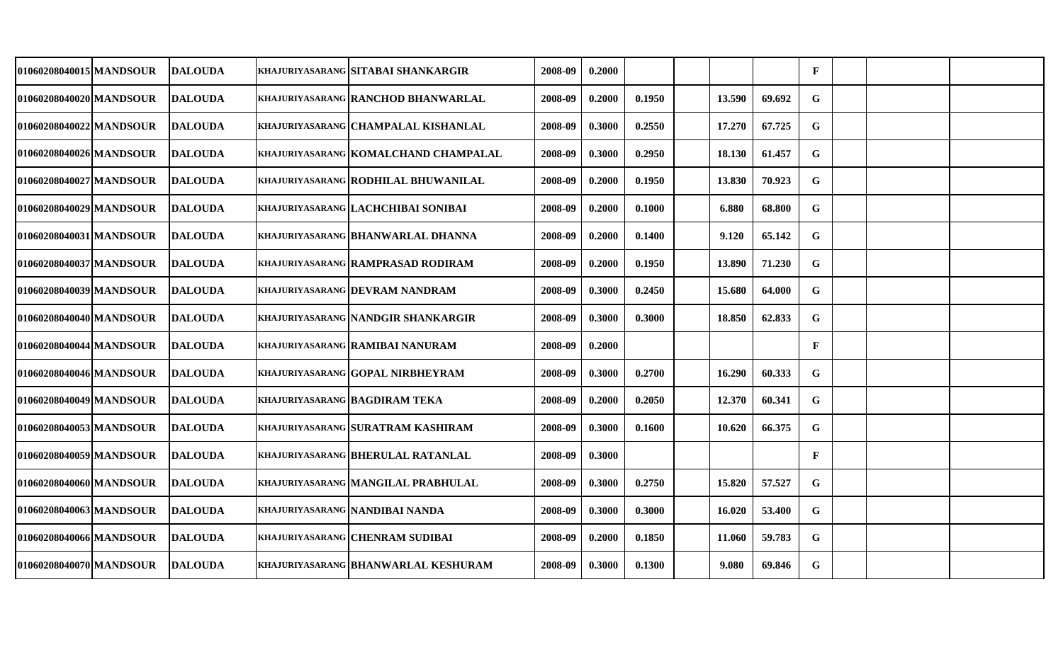| 01060208040015 MANDSOUR | <b>DALOUDA</b> | khajuriyasarang  sitabai shankargir      | 2008-09 | 0.2000 |        |        |        | $\mathbf{F}$ |  |  |
|-------------------------|----------------|------------------------------------------|---------|--------|--------|--------|--------|--------------|--|--|
| 01060208040020 MANDSOUR | <b>DALOUDA</b> | khajuriyasarang  RANCHOD BHANWARLAL      | 2008-09 | 0.2000 | 0.1950 | 13.590 | 69.692 | G            |  |  |
| 01060208040022 MANDSOUR | <b>DALOUDA</b> | khajuriyasarang  CHAMPALAL KISHANLAL     | 2008-09 | 0.3000 | 0.2550 | 17.270 | 67.725 | G            |  |  |
| 01060208040026 MANDSOUR | <b>DALOUDA</b> | KHAJURIYASARANG KOMALCHAND CHAMPALAL     | 2008-09 | 0.3000 | 0.2950 | 18.130 | 61.457 | $\mathbf G$  |  |  |
| 01060208040027 MANDSOUR | <b>DALOUDA</b> | khajuriyasarang   RODHILAL BHUWANILAL    | 2008-09 | 0.2000 | 0.1950 | 13.830 | 70.923 | G            |  |  |
| 01060208040029 MANDSOUR | <b>DALOUDA</b> | KHAJURIYASARANG LACHCHIBAI SONIBAI       | 2008-09 | 0.2000 | 0.1000 | 6.880  | 68.800 | G            |  |  |
| 01060208040031 MANDSOUR | <b>DALOUDA</b> | KHAJURIYASARANG BHANWARLAL DHANNA        | 2008-09 | 0.2000 | 0.1400 | 9.120  | 65.142 | $\mathbf G$  |  |  |
| 01060208040037 MANDSOUR | <b>DALOUDA</b> | <b>KHAJURIYASARANG RAMPRASAD RODIRAM</b> | 2008-09 | 0.2000 | 0.1950 | 13.890 | 71.230 | $\mathbf G$  |  |  |
| 01060208040039 MANDSOUR | <b>DALOUDA</b> | <b>KHAJURIYASARANG DEVRAM NANDRAM</b>    | 2008-09 | 0.3000 | 0.2450 | 15.680 | 64.000 | $\mathbf G$  |  |  |
| 01060208040040 MANDSOUR | <b>DALOUDA</b> | khajuriyasarang  NANDGIR SHANKARGIR      | 2008-09 | 0.3000 | 0.3000 | 18.850 | 62.833 | $\mathbf G$  |  |  |
| 01060208040044 MANDSOUR | <b>DALOUDA</b> | KHAJURIYASARANG RAMIBAI NANURAM          | 2008-09 | 0.2000 |        |        |        | $\mathbf{F}$ |  |  |
| 01060208040046 MANDSOUR | <b>DALOUDA</b> | KHAJURIYASARANG GOPAL NIRBHEYRAM         | 2008-09 | 0.3000 | 0.2700 | 16.290 | 60.333 | G            |  |  |
| 01060208040049 MANDSOUR | <b>DALOUDA</b> | khajuriyasarang  BAGDIRAM TEKA           | 2008-09 | 0.2000 | 0.2050 | 12.370 | 60.341 | G            |  |  |
| 01060208040053 MANDSOUR | <b>DALOUDA</b> | KHAJURIYASARANG SURATRAM KASHIRAM        | 2008-09 | 0.3000 | 0.1600 | 10.620 | 66.375 | G            |  |  |
| 01060208040059 MANDSOUR | <b>DALOUDA</b> | KHAJURIYASARANG BHERULAL RATANLAL        | 2008-09 | 0.3000 |        |        |        | $\mathbf{F}$ |  |  |
| 01060208040060 MANDSOUR | <b>DALOUDA</b> | KHAJURIYASARANG MANGILAL PRABHULAL       | 2008-09 | 0.3000 | 0.2750 | 15.820 | 57.527 | G            |  |  |
| 01060208040063lMANDSOUR | <b>DALOUDA</b> | khajuriyasarang  NANDIBAI NANDA          | 2008-09 | 0.3000 | 0.3000 | 16.020 | 53.400 | $\mathbf G$  |  |  |
| 01060208040066 MANDSOUR | <b>DALOUDA</b> | khajuriyasarang  CHENRAM SUDIBAI         | 2008-09 | 0.2000 | 0.1850 | 11.060 | 59.783 | G            |  |  |
| 01060208040070 MANDSOUR | <b>DALOUDA</b> | khajuriyasarang  BHANWARLAL KESHURAM     | 2008-09 | 0.3000 | 0.1300 | 9.080  | 69.846 | G            |  |  |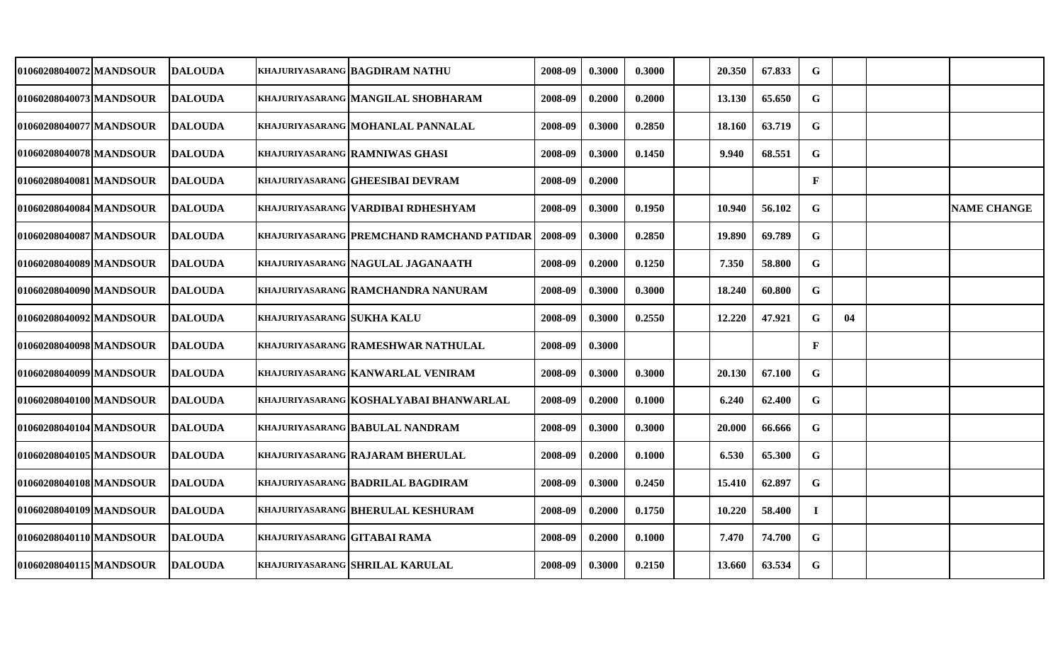| 01060208040072 MANDSOUR | <b>DALOUDA</b> |                              | <b>KHAJURIYASARANG BAGDIRAM NATHU</b>      | 2008-09 | 0.3000 | 0.3000 | 20.350 | 67.833 | G            |    |                    |
|-------------------------|----------------|------------------------------|--------------------------------------------|---------|--------|--------|--------|--------|--------------|----|--------------------|
| 01060208040073 MANDSOUR | <b>DALOUDA</b> |                              | KHAJURIYASARANG MANGILAL SHOBHARAM         | 2008-09 | 0.2000 | 0.2000 | 13.130 | 65.650 | G            |    |                    |
| 01060208040077 MANDSOUR | <b>DALOUDA</b> |                              | KHAJURIYASARANG MOHANLAL PANNALAL          | 2008-09 | 0.3000 | 0.2850 | 18.160 | 63.719 | G            |    |                    |
| 01060208040078 MANDSOUR | <b>DALOUDA</b> |                              | <b>KHAJURIYASARANG RAMNIWAS GHASI</b>      | 2008-09 | 0.3000 | 0.1450 | 9.940  | 68.551 | G            |    |                    |
| 01060208040081 MANDSOUR | <b>DALOUDA</b> |                              | <b>KHAJURIYASARANG GHEESIBAI DEVRAM</b>    | 2008-09 | 0.2000 |        |        |        | $\mathbf{F}$ |    |                    |
| 01060208040084 MANDSOUR | <b>DALOUDA</b> |                              | KHAJURIYASARANG VARDIBAI RDHESHYAM         | 2008-09 | 0.3000 | 0.1950 | 10.940 | 56.102 | G            |    | <b>NAME CHANGE</b> |
| 01060208040087 MANDSOUR | <b>DALOUDA</b> |                              | KHAJURIYASARANG PREMCHAND RAMCHAND PATIDAR | 2008-09 | 0.3000 | 0.2850 | 19.890 | 69.789 | G            |    |                    |
| 01060208040089 MANDSOUR | <b>DALOUDA</b> |                              | KHAJURIYASARANG NAGULAL JAGANAATH          | 2008-09 | 0.2000 | 0.1250 | 7.350  | 58.800 | G            |    |                    |
| 01060208040090lMANDSOUR | <b>DALOUDA</b> |                              | KHAJURIYASARANG RAMCHANDRA NANURAM         | 2008-09 | 0.3000 | 0.3000 | 18.240 | 60.800 | $\mathbf G$  |    |                    |
| 01060208040092 MANDSOUR | <b>DALOUDA</b> | KHAJURIYASARANG SUKHA KALU   |                                            | 2008-09 | 0.3000 | 0.2550 | 12.220 | 47.921 | $\mathbf G$  | 04 |                    |
| 010602080400981MANDSOUR | <b>DALOUDA</b> |                              | KHAJURIYASARANG RAMESHWAR NATHULAL         | 2008-09 | 0.3000 |        |        |        | $\mathbf{F}$ |    |                    |
| 01060208040099 MANDSOUR | <b>DALOUDA</b> |                              | KHAJURIYASARANG KANWARLAL VENIRAM          | 2008-09 | 0.3000 | 0.3000 | 20.130 | 67.100 | G            |    |                    |
| 01060208040100lMANDSOUR | <b>DALOUDA</b> |                              | KHAJURIYASARANG   KOSHALYABAI BHANWARLAL   | 2008-09 | 0.2000 | 0.1000 | 6.240  | 62.400 | G            |    |                    |
| 01060208040104 MANDSOUR | <b>DALOUDA</b> |                              | KHAJURIYASARANG BABULAL NANDRAM            | 2008-09 | 0.3000 | 0.3000 | 20.000 | 66.666 | G            |    |                    |
| 01060208040105 MANDSOUR | <b>DALOUDA</b> |                              | KHAJURIYASARANG RAJARAM BHERULAL           | 2008-09 | 0.2000 | 0.1000 | 6.530  | 65.300 | G            |    |                    |
| 01060208040108 MANDSOUR | <b>DALOUDA</b> |                              | <b>KHAJURIYASARANG BADRILAL BAGDIRAM</b>   | 2008-09 | 0.3000 | 0.2450 | 15.410 | 62.897 | G            |    |                    |
| 01060208040109 MANDSOUR | <b>DALOUDA</b> |                              | <b>KHAJURIYASARANG BHERULAL KESHURAM</b>   | 2008-09 | 0.2000 | 0.1750 | 10.220 | 58.400 | $\bf I$      |    |                    |
| 01060208040110 MANDSOUR | DALOUDA        | KHAJURIYASARANG GITABAI RAMA |                                            | 2008-09 | 0.2000 | 0.1000 | 7.470  | 74.700 | G            |    |                    |
| 01060208040115 MANDSOUR | <b>DALOUDA</b> |                              | KHAJURIYASARANG SHRILAL KARULAL            | 2008-09 | 0.3000 | 0.2150 | 13.660 | 63.534 | $\mathbf G$  |    |                    |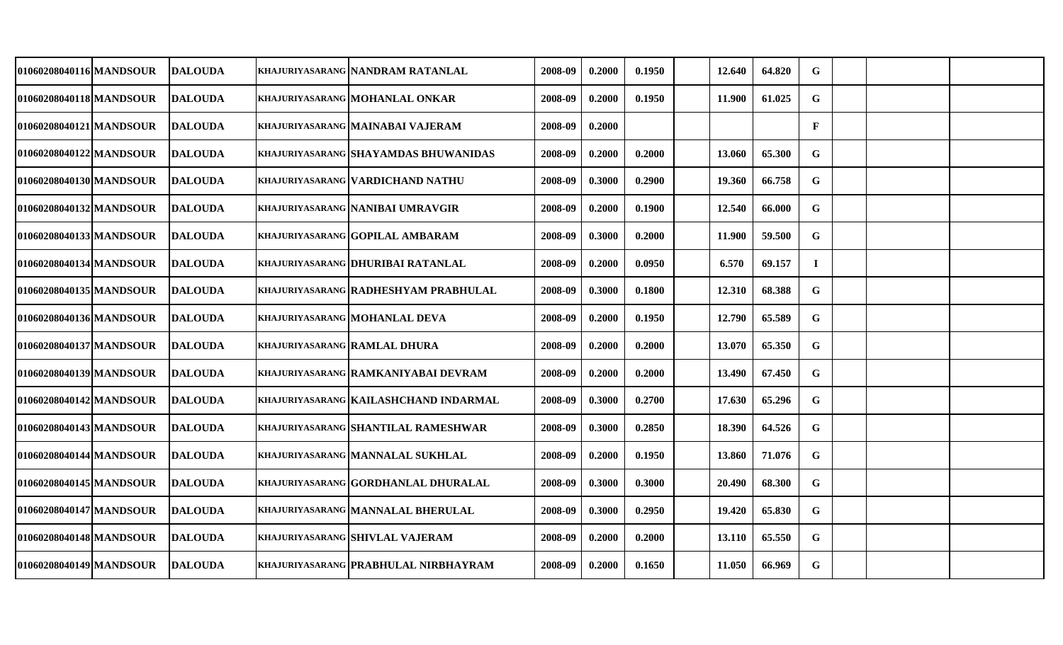| 01060208040116 MANDSOUR  | <b>DALOUDA</b>  | khajuriyasarang  NANDRAM RATANLAL       | 2008-09 | 0.2000 | 0.1950 | 12.640 | 64.820 | G            |  |  |
|--------------------------|-----------------|-----------------------------------------|---------|--------|--------|--------|--------|--------------|--|--|
| 01060208040118 MANDSOUR  | <b>IDALOUDA</b> | khajuriyasarang  MOHANLAL ONKAR         | 2008-09 | 0.2000 | 0.1950 | 11.900 | 61.025 | $\mathbf G$  |  |  |
| 01060208040121 MANDSOUR  | <b>DALOUDA</b>  | KHAJURIYASARANG MAINABAI VAJERAM        | 2008-09 | 0.2000 |        |        |        | $\mathbf{F}$ |  |  |
| 01060208040122 MANDSOUR  | <b>DALOUDA</b>  | khajuriyasarang  SHAYAMDAS BHUWANIDAS   | 2008-09 | 0.2000 | 0.2000 | 13.060 | 65.300 | G            |  |  |
| 01060208040130 MANDSOUR  | <b>DALOUDA</b>  | khajuriyasarang   VARDICHAND NATHU      | 2008-09 | 0.3000 | 0.2900 | 19.360 | 66.758 | $\mathbf G$  |  |  |
| 01060208040132 MANDSOUR  | <b>DALOUDA</b>  | <b>KHAJURIYASARANG NANIBAI UMRAVGIR</b> | 2008-09 | 0.2000 | 0.1900 | 12.540 | 66.000 | G            |  |  |
| 01060208040133 MANDSOUR  | <b>DALOUDA</b>  | KHAJURIYASARANG GOPILAL AMBARAM         | 2008-09 | 0.3000 | 0.2000 | 11.900 | 59.500 | $\mathbf G$  |  |  |
| 01060208040134 MANDSOUR  | <b>DALOUDA</b>  | KHAJURIYASARANG DHURIBAI RATANLAL       | 2008-09 | 0.2000 | 0.0950 | 6.570  | 69.157 | $\bf{I}$     |  |  |
| 01060208040135 MANDSOUR  | <b>DALOUDA</b>  | khajuriyasarang  RADHESHYAM PRABHULAL   | 2008-09 | 0.3000 | 0.1800 | 12.310 | 68.388 | ${\bf G}$    |  |  |
| 01060208040136 MANDSOUR  | <b>DALOUDA</b>  | khajuriyasarang  MOHANLAL DEVA          | 2008-09 | 0.2000 | 0.1950 | 12.790 | 65.589 | $\mathbf G$  |  |  |
| 01060208040137 MANDSOUR  | <b>IDALOUDA</b> | <b>KHAJURIYASARANG RAMLAL DHURA</b>     | 2008-09 | 0.2000 | 0.2000 | 13.070 | 65.350 | $\mathbf G$  |  |  |
| 01060208040139 MANDSOUR  | <b>DALOUDA</b>  | khajuriyasarang   RAMKANIYABAI DEVRAM   | 2008-09 | 0.2000 | 0.2000 | 13.490 | 67.450 | G            |  |  |
| 01060208040142 MANDSOUR  | <b>IDALOUDA</b> | khajuriyasarang  KAILASHCHAND INDARMAL  | 2008-09 | 0.3000 | 0.2700 | 17.630 | 65.296 | G            |  |  |
| 01060208040143 MANDSOUR  | <b>DALOUDA</b>  | khajuriyasarang  SHANTILAL RAMESHWAR    | 2008-09 | 0.3000 | 0.2850 | 18.390 | 64.526 | $\mathbf G$  |  |  |
| 01060208040144 MANDSOUR  | <b>DALOUDA</b>  | khajuriyasarang  MANNALAL SUKHLAL       | 2008-09 | 0.2000 | 0.1950 | 13.860 | 71.076 | $\mathbf G$  |  |  |
| 01060208040145 MANDSOUR  | <b>DALOUDA</b>  | KHAJURIYASARANG GORDHANLAL DHURALAL     | 2008-09 | 0.3000 | 0.3000 | 20.490 | 68.300 | G            |  |  |
| 01060208040147 MANDSOUR_ | <b>DALOUDA</b>  | khajuriyasarang  MANNALAL BHERULAL      | 2008-09 | 0.3000 | 0.2950 | 19.420 | 65.830 | $\mathbf G$  |  |  |
| 01060208040148 MANDSOUR  | <b>DALOUDA</b>  | KHAJURIYASARANG SHIVLAL VAJERAM         | 2008-09 | 0.2000 | 0.2000 | 13.110 | 65.550 | G            |  |  |
| 01060208040149 MANDSOUR  | <b>DALOUDA</b>  | KHAJURIYASARANG PRABHULAL NIRBHAYRAM    | 2008-09 | 0.2000 | 0.1650 | 11.050 | 66.969 | $\mathbf G$  |  |  |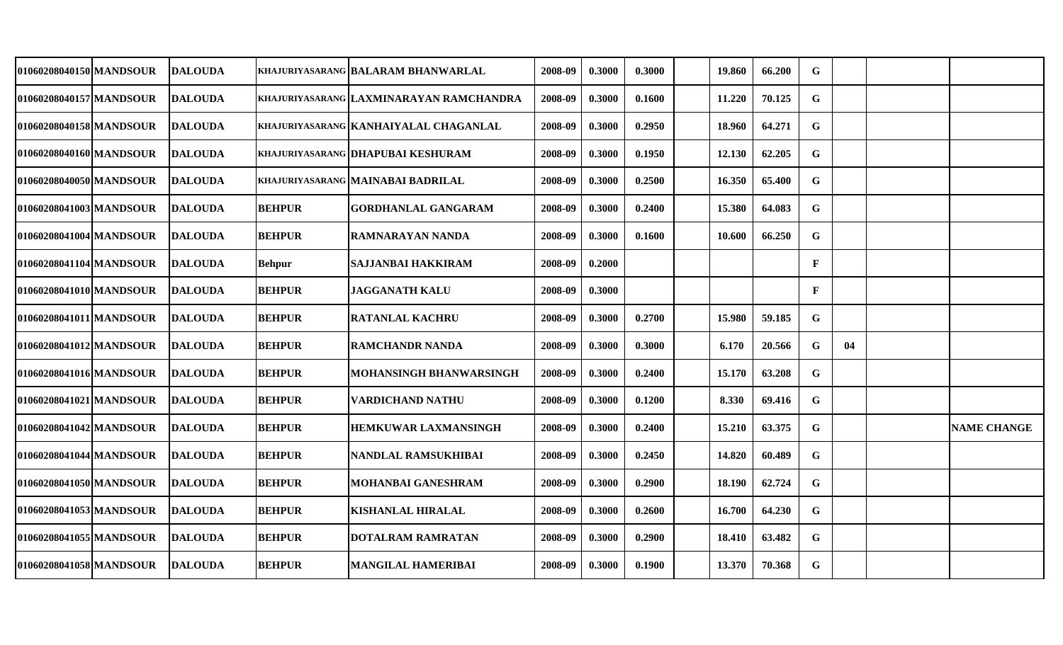| 01060208040150 MANDSOUR | <b>DALOUDA</b>  |               | KHAJURIYASARANG  BALARAM BHANWARLAL      | 2008-09 | 0.3000 | 0.3000 | 19.860 | 66.200 | G            |    |                    |
|-------------------------|-----------------|---------------|------------------------------------------|---------|--------|--------|--------|--------|--------------|----|--------------------|
| 01060208040157 MANDSOUR | <b>DALOUDA</b>  |               | KHAJURIYASARANG  LAXMINARAYAN RAMCHANDRA | 2008-09 | 0.3000 | 0.1600 | 11.220 | 70.125 | $\mathbf G$  |    |                    |
| 01060208040158 MANDSOUR | <b>DALOUDA</b>  |               | KHAJURIYASARANG KANHAIYALAL CHAGANLAL    | 2008-09 | 0.3000 | 0.2950 | 18.960 | 64.271 | $\mathbf G$  |    |                    |
| 01060208040160 MANDSOUR | <b>IDALOUDA</b> |               | KHAJURIYASARANG DHAPUBAI KESHURAM        | 2008-09 | 0.3000 | 0.1950 | 12.130 | 62.205 | $\mathbf G$  |    |                    |
| 01060208040050 MANDSOUR | <b>DALOUDA</b>  |               | KHAJURIYASARANG MAINABAI BADRILAL        | 2008-09 | 0.3000 | 0.2500 | 16.350 | 65.400 | $\mathbf G$  |    |                    |
| 01060208041003 MANDSOUR | <b>DALOUDA</b>  | <b>BEHPUR</b> | <b>GORDHANLAL GANGARAM</b>               | 2008-09 | 0.3000 | 0.2400 | 15.380 | 64.083 | $\mathbf G$  |    |                    |
| 01060208041004 MANDSOUR | <b>DALOUDA</b>  | <b>BEHPUR</b> | <b>RAMNARAYAN NANDA</b>                  | 2008-09 | 0.3000 | 0.1600 | 10.600 | 66.250 | $\mathbf G$  |    |                    |
| 01060208041104 MANDSOUR | <b>DALOUDA</b>  | <b>Behpur</b> | <b>SAJJANBAI HAKKIRAM</b>                | 2008-09 | 0.2000 |        |        |        | $\mathbf{F}$ |    |                    |
| 01060208041010 MANDSOUR | <b>DALOUDA</b>  | <b>BEHPUR</b> | <b>JAGGANATH KALU</b>                    | 2008-09 | 0.3000 |        |        |        | $\mathbf{F}$ |    |                    |
| 01060208041011 MANDSOUR | <b>DALOUDA</b>  | <b>BEHPUR</b> | <b>RATANLAL KACHRU</b>                   | 2008-09 | 0.3000 | 0.2700 | 15.980 | 59.185 | $\mathbf G$  |    |                    |
| 01060208041012 MANDSOUR | <b>IDALOUDA</b> | <b>BEHPUR</b> | <b>RAMCHANDR NANDA</b>                   | 2008-09 | 0.3000 | 0.3000 | 6.170  | 20.566 | G            | 04 |                    |
| 01060208041016 MANDSOUR | <b>DALOUDA</b>  | <b>BEHPUR</b> | MOHANSINGH BHANWARSINGH                  | 2008-09 | 0.3000 | 0.2400 | 15.170 | 63.208 | G            |    |                    |
| 01060208041021 MANDSOUR | <b>IDALOUDA</b> | <b>BEHPUR</b> | VARDICHAND NATHU                         | 2008-09 | 0.3000 | 0.1200 | 8.330  | 69.416 | $\mathbf G$  |    |                    |
| 01060208041042 MANDSOUR | <b>DALOUDA</b>  | <b>BEHPUR</b> | <b>HEMKUWAR LAXMANSINGH</b>              | 2008-09 | 0.3000 | 0.2400 | 15.210 | 63.375 | $\mathbf G$  |    | <b>NAME CHANGE</b> |
| 01060208041044 MANDSOUR | <b>DALOUDA</b>  | <b>BEHPUR</b> | NANDLAL RAMSUKHIBAI                      | 2008-09 | 0.3000 | 0.2450 | 14.820 | 60.489 | $\mathbf G$  |    |                    |
| 01060208041050 MANDSOUR | <b>DALOUDA</b>  | <b>BEHPUR</b> | MOHANBAI GANESHRAM                       | 2008-09 | 0.3000 | 0.2900 | 18.190 | 62.724 | G            |    |                    |
| 01060208041053 MANDSOUR | <b>DALOUDA</b>  | <b>BEHPUR</b> | <b>KISHANLAL HIRALAL</b>                 | 2008-09 | 0.3000 | 0.2600 | 16.700 | 64.230 | $\mathbf G$  |    |                    |
| 01060208041055 MANDSOUR | <b>DALOUDA</b>  | <b>BEHPUR</b> | <b>DOTALRAM RAMRATAN</b>                 | 2008-09 | 0.3000 | 0.2900 | 18.410 | 63.482 | $\mathbf G$  |    |                    |
| 01060208041058 MANDSOUR | <b>DALOUDA</b>  | <b>BEHPUR</b> | MANGILAL HAMERIBAI                       | 2008-09 | 0.3000 | 0.1900 | 13.370 | 70.368 | $\mathbf G$  |    |                    |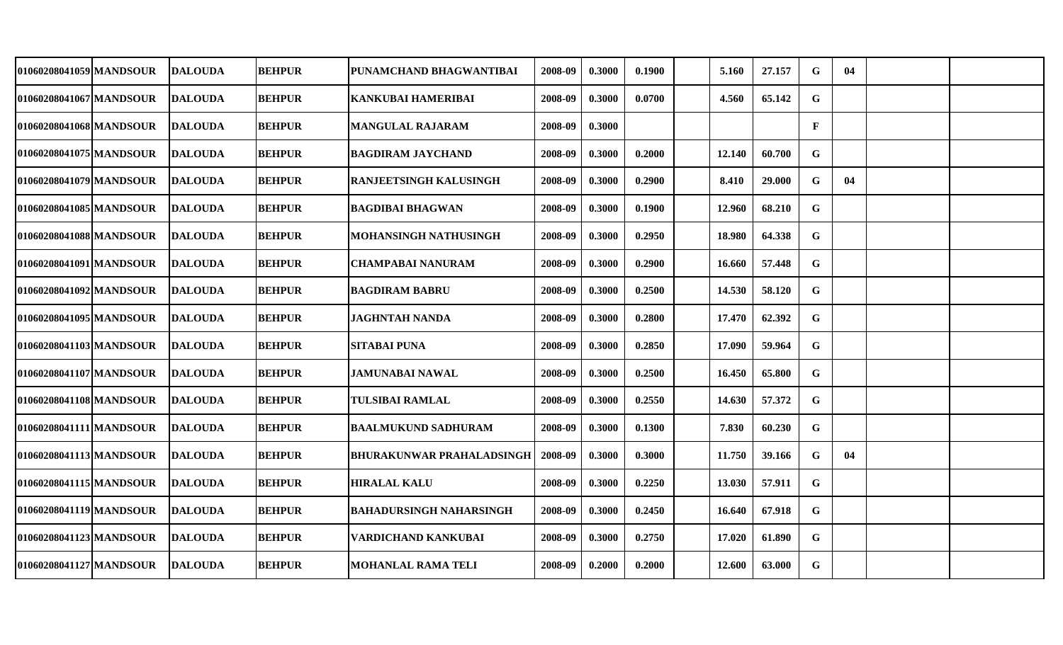| 01060208041059 MANDSOUR | <b>DALOUDA</b> | <b>BEHPUR</b> | PUNAMCHAND BHAGWANTIBAI          | 2008-09 | 0.3000 | 0.1900 | 5.160  | 27.157 | G            | 04 |  |
|-------------------------|----------------|---------------|----------------------------------|---------|--------|--------|--------|--------|--------------|----|--|
| 01060208041067 MANDSOUR | <b>DALOUDA</b> | <b>BEHPUR</b> | <b>KANKUBAI HAMERIBAI</b>        | 2008-09 | 0.3000 | 0.0700 | 4.560  | 65.142 | G            |    |  |
| 01060208041068 MANDSOUR | <b>DALOUDA</b> | <b>BEHPUR</b> | <b>MANGULAL RAJARAM</b>          | 2008-09 | 0.3000 |        |        |        | $\mathbf{F}$ |    |  |
| 01060208041075 MANDSOUR | <b>DALOUDA</b> | <b>BEHPUR</b> | <b>BAGDIRAM JAYCHAND</b>         | 2008-09 | 0.3000 | 0.2000 | 12.140 | 60.700 | G            |    |  |
| 01060208041079 MANDSOUR | <b>DALOUDA</b> | <b>BEHPUR</b> | <b>RANJEETSINGH KALUSINGH</b>    | 2008-09 | 0.3000 | 0.2900 | 8.410  | 29.000 | $\mathbf G$  | 04 |  |
| 01060208041085 MANDSOUR | <b>DALOUDA</b> | <b>BEHPUR</b> | BAGDIBAI BHAGWAN                 | 2008-09 | 0.3000 | 0.1900 | 12.960 | 68.210 | $\mathbf G$  |    |  |
| 01060208041088 MANDSOUR | <b>DALOUDA</b> | <b>BEHPUR</b> | MOHANSINGH NATHUSINGH            | 2008-09 | 0.3000 | 0.2950 | 18.980 | 64.338 | $\mathbf G$  |    |  |
| 01060208041091 MANDSOUR | <b>DALOUDA</b> | <b>BEHPUR</b> | <b>CHAMPABAI NANURAM</b>         | 2008-09 | 0.3000 | 0.2900 | 16.660 | 57.448 | $\mathbf G$  |    |  |
| 01060208041092 MANDSOUR | <b>DALOUDA</b> | <b>BEHPUR</b> | <b>BAGDIRAM BABRU</b>            | 2008-09 | 0.3000 | 0.2500 | 14.530 | 58.120 | G            |    |  |
| 01060208041095 MANDSOUR | <b>DALOUDA</b> | <b>BEHPUR</b> | <b>JAGHNTAH NANDA</b>            | 2008-09 | 0.3000 | 0.2800 | 17.470 | 62.392 | $\mathbf G$  |    |  |
| 01060208041103 MANDSOUR | <b>DALOUDA</b> | <b>BEHPUR</b> | <b>SITABAI PUNA</b>              | 2008-09 | 0.3000 | 0.2850 | 17.090 | 59.964 | G            |    |  |
| 01060208041107 MANDSOUR | <b>DALOUDA</b> | <b>BEHPUR</b> | JAMUNABAI NAWAL                  | 2008-09 | 0.3000 | 0.2500 | 16.450 | 65.800 | $\mathbf G$  |    |  |
| 01060208041108 MANDSOUR | <b>DALOUDA</b> | <b>BEHPUR</b> | <b>TULSIBAI RAMLAL</b>           | 2008-09 | 0.3000 | 0.2550 | 14.630 | 57.372 | G            |    |  |
| 01060208041111 MANDSOUR | <b>DALOUDA</b> | <b>BEHPUR</b> | <b>BAALMUKUND SADHURAM</b>       | 2008-09 | 0.3000 | 0.1300 | 7.830  | 60.230 | G            |    |  |
| 01060208041113 MANDSOUR | <b>DALOUDA</b> | <b>BEHPUR</b> | <b>BHURAKUNWAR PRAHALADSINGH</b> | 2008-09 | 0.3000 | 0.3000 | 11.750 | 39.166 | $\mathbf G$  | 04 |  |
| 01060208041115 MANDSOUR | <b>DALOUDA</b> | <b>BEHPUR</b> | <b>HIRALAL KALU</b>              | 2008-09 | 0.3000 | 0.2250 | 13.030 | 57.911 | G            |    |  |
| 01060208041119 MANDSOUR | <b>DALOUDA</b> | <b>BEHPUR</b> | <b>BAHADURSINGH NAHARSINGH</b>   | 2008-09 | 0.3000 | 0.2450 | 16.640 | 67.918 | G            |    |  |
| 01060208041123 MANDSOUR | <b>DALOUDA</b> | <b>BEHPUR</b> | VARDICHAND KANKUBAI              | 2008-09 | 0.3000 | 0.2750 | 17.020 | 61.890 | G            |    |  |
| 01060208041127 MANDSOUR | <b>DALOUDA</b> | <b>BEHPUR</b> | <b>MOHANLAL RAMA TELI</b>        | 2008-09 | 0.2000 | 0.2000 | 12.600 | 63.000 | $\mathbf G$  |    |  |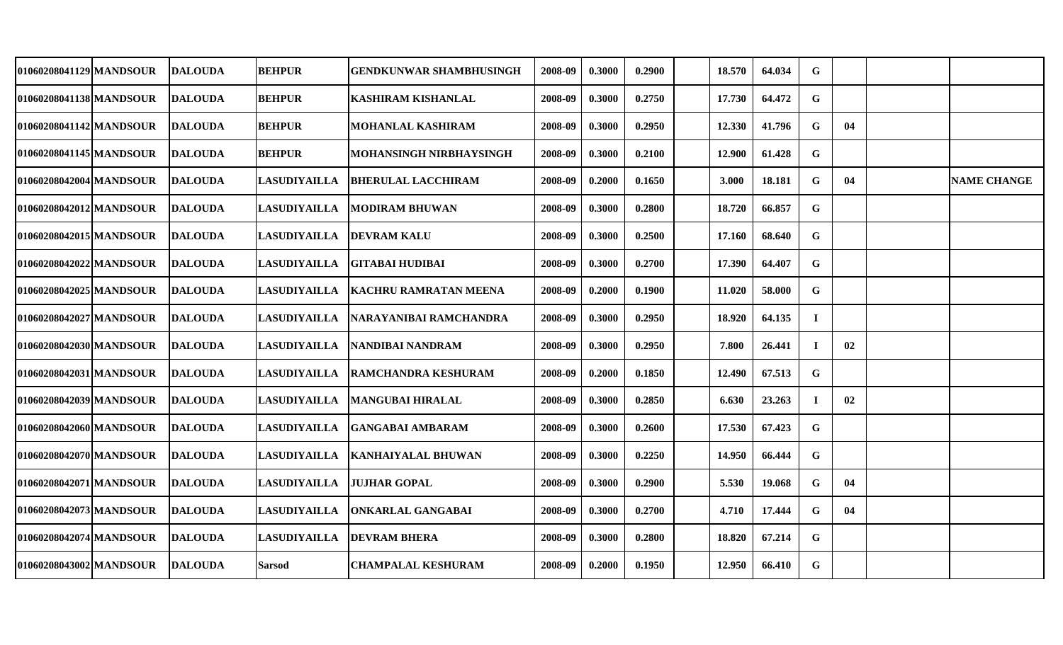| 01060208041129 MANDSOUR | <b>DALOUDA</b>  | <b>BEHPUR</b>       | <b>GENDKUNWAR SHAMBHUSINGH</b> | 2008-09 | 0.3000 | 0.2900 | 18.570 | 64.034 | G           |    |                    |
|-------------------------|-----------------|---------------------|--------------------------------|---------|--------|--------|--------|--------|-------------|----|--------------------|
| 01060208041138 MANDSOUR | <b>DALOUDA</b>  | <b>BEHPUR</b>       | <b>KASHIRAM KISHANLAL</b>      | 2008-09 | 0.3000 | 0.2750 | 17.730 | 64.472 | G           |    |                    |
| 01060208041142 MANDSOUR | <b>IDALOUDA</b> | <b>BEHPUR</b>       | <b>MOHANLAL KASHIRAM</b>       | 2008-09 | 0.3000 | 0.2950 | 12.330 | 41.796 | G           | 04 |                    |
| 01060208041145 MANDSOUR | <b>DALOUDA</b>  | <b>BEHPUR</b>       | MOHANSINGH NIRBHAYSINGH        | 2008-09 | 0.3000 | 0.2100 | 12.900 | 61.428 | G           |    |                    |
| 01060208042004 MANDSOUR | <b>DALOUDA</b>  | <b>LASUDIYAILLA</b> | <b>BHERULAL LACCHIRAM</b>      | 2008-09 | 0.2000 | 0.1650 | 3.000  | 18.181 | $\mathbf G$ | 04 | <b>NAME CHANGE</b> |
| 01060208042012 MANDSOUR | <b>DALOUDA</b>  | <b>LASUDIYAILLA</b> | <b>MODIRAM BHUWAN</b>          | 2008-09 | 0.3000 | 0.2800 | 18.720 | 66.857 | $\mathbf G$ |    |                    |
| 01060208042015 MANDSOUR | <b>DALOUDA</b>  | <b>LASUDIYAILLA</b> | <b>DEVRAM KALU</b>             | 2008-09 | 0.3000 | 0.2500 | 17.160 | 68.640 | $\mathbf G$ |    |                    |
| 01060208042022 MANDSOUR | <b>DALOUDA</b>  | <b>LASUDIYAILLA</b> | <b>GITABAI HUDIBAI</b>         | 2008-09 | 0.3000 | 0.2700 | 17.390 | 64.407 | $\mathbf G$ |    |                    |
| 01060208042025 MANDSOUR | <b>DALOUDA</b>  | <b>LASUDIYAILLA</b> | <b>KACHRU RAMRATAN MEENA</b>   | 2008-09 | 0.2000 | 0.1900 | 11.020 | 58.000 | $\mathbf G$ |    |                    |
| 01060208042027IMANDSOUR | <b>DALOUDA</b>  | <b>LASUDIYAILLA</b> | NARAYANIBAI RAMCHANDRA         | 2008-09 | 0.3000 | 0.2950 | 18.920 | 64.135 | $\bf{I}$    |    |                    |
| 01060208042030 MANDSOUR | <b>DALOUDA</b>  | <b>LASUDIYAILLA</b> | NANDIBAI NANDRAM               | 2008-09 | 0.3000 | 0.2950 | 7.800  | 26.441 | $\bf{I}$    | 02 |                    |
| 01060208042031 MANDSOUR | <b>IDALOUDA</b> | <b>LASUDIYAILLA</b> | <b>RAMCHANDRA KESHURAM</b>     | 2008-09 | 0.2000 | 0.1850 | 12.490 | 67.513 | $\mathbf G$ |    |                    |
| 01060208042039 MANDSOUR | <b>DALOUDA</b>  | <b>LASUDIYAILLA</b> | <b>MANGUBAI HIRALAL</b>        | 2008-09 | 0.3000 | 0.2850 | 6.630  | 23.263 | $\bf{I}$    | 02 |                    |
| 01060208042060 MANDSOUR | <b>DALOUDA</b>  | <b>LASUDIYAILLA</b> | GANGABAI AMBARAM               | 2008-09 | 0.3000 | 0.2600 | 17.530 | 67.423 | $\mathbf G$ |    |                    |
| 01060208042070 MANDSOUR | <b>DALOUDA</b>  | <b>LASUDIYAILLA</b> | <b>KANHAIYALAL BHUWAN</b>      | 2008-09 | 0.3000 | 0.2250 | 14.950 | 66.444 | G           |    |                    |
| 01060208042071 MANDSOUR | <b>DALOUDA</b>  | <b>LASUDIYAILLA</b> | <b>JUJHAR GOPAL</b>            | 2008-09 | 0.3000 | 0.2900 | 5.530  | 19.068 | G           | 04 |                    |
| 01060208042073 MANDSOUR | <b>DALOUDA</b>  | <b>LASUDIYAILLA</b> | <b>ONKARLAL GANGABAI</b>       | 2008-09 | 0.3000 | 0.2700 | 4.710  | 17.444 | $\mathbf G$ | 04 |                    |
| 01060208042074 MANDSOUR | <b>DALOUDA</b>  | <b>LASUDIYAILLA</b> | <b>DEVRAM BHERA</b>            | 2008-09 | 0.3000 | 0.2800 | 18.820 | 67.214 | $\mathbf G$ |    |                    |
| 01060208043002 MANDSOUR | <b>DALOUDA</b>  | <b>Sarsod</b>       | <b>CHAMPALAL KESHURAM</b>      | 2008-09 | 0.2000 | 0.1950 | 12.950 | 66.410 | $\mathbf G$ |    |                    |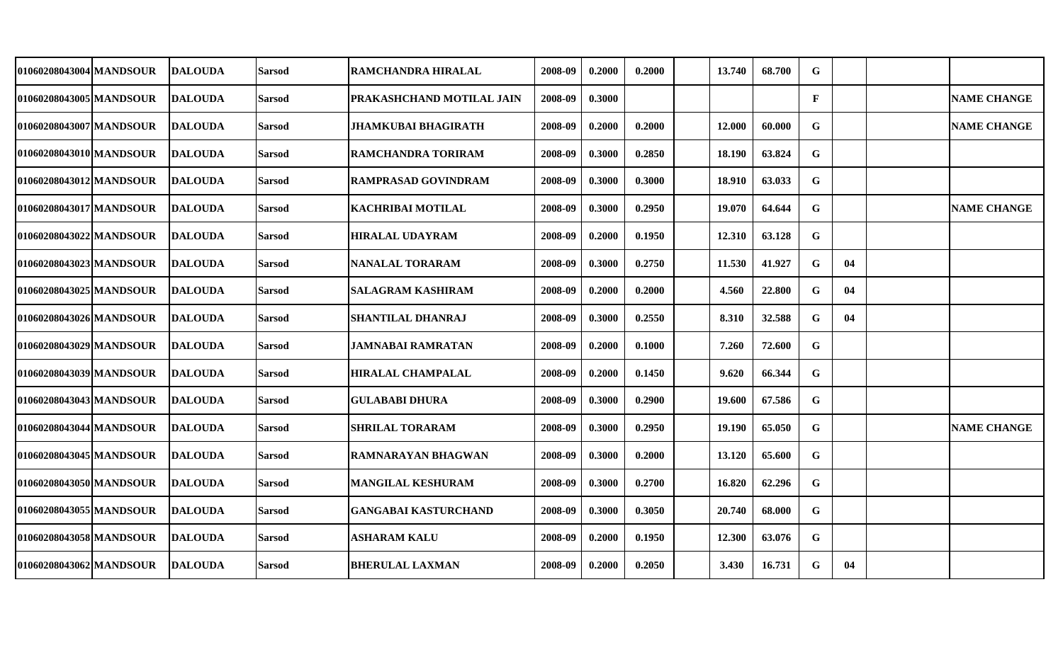| 01060208043004 MANDSOUR | <b>DALOUDA</b> | Sarsod        | RAMCHANDRA HIRALAL          | 2008-09 | 0.2000 | 0.2000 | 13.740 | 68.700 | G            |    |                    |
|-------------------------|----------------|---------------|-----------------------------|---------|--------|--------|--------|--------|--------------|----|--------------------|
| 01060208043005 MANDSOUR | <b>DALOUDA</b> | Sarsod        | PRAKASHCHAND MOTILAL JAIN   | 2008-09 | 0.3000 |        |        |        | $\mathbf{F}$ |    | <b>NAME CHANGE</b> |
| 01060208043007 MANDSOUR | DALOUDA        | Sarsod        | <b>JHAMKUBAI BHAGIRATH</b>  | 2008-09 | 0.2000 | 0.2000 | 12.000 | 60.000 | G            |    | <b>NAME CHANGE</b> |
| 01060208043010 MANDSOUR | <b>DALOUDA</b> | <b>Sarsod</b> | RAMCHANDRA TORIRAM          | 2008-09 | 0.3000 | 0.2850 | 18.190 | 63.824 | $\mathbf G$  |    |                    |
| 01060208043012 MANDSOUR | <b>DALOUDA</b> | <b>Sarsod</b> | RAMPRASAD GOVINDRAM         | 2008-09 | 0.3000 | 0.3000 | 18.910 | 63.033 | $\mathbf G$  |    |                    |
| 01060208043017 MANDSOUR | <b>DALOUDA</b> | <b>Sarsod</b> | KACHRIBAI MOTILAL           | 2008-09 | 0.3000 | 0.2950 | 19.070 | 64.644 | G            |    | <b>NAME CHANGE</b> |
| 01060208043022 MANDSOUR | <b>DALOUDA</b> | Sarsod        | <b>HIRALAL UDAYRAM</b>      | 2008-09 | 0.2000 | 0.1950 | 12.310 | 63.128 | $\mathbf G$  |    |                    |
| 01060208043023 MANDSOUR | <b>DALOUDA</b> | Sarsod        | <b>NANALAL TORARAM</b>      | 2008-09 | 0.3000 | 0.2750 | 11.530 | 41.927 | G            | 04 |                    |
| 01060208043025 MANDSOUR | <b>DALOUDA</b> | <b>Sarsod</b> | <b>SALAGRAM KASHIRAM</b>    | 2008-09 | 0.2000 | 0.2000 | 4.560  | 22.800 | G            | 04 |                    |
| 01060208043026 MANDSOUR | <b>DALOUDA</b> | <b>Sarsod</b> | <b>SHANTILAL DHANRAJ</b>    | 2008-09 | 0.3000 | 0.2550 | 8.310  | 32.588 | $\mathbf G$  | 04 |                    |
| 01060208043029 MANDSOUR | <b>DALOUDA</b> | <b>Sarsod</b> | JAMNABAI RAMRATAN           | 2008-09 | 0.2000 | 0.1000 | 7.260  | 72.600 | G            |    |                    |
| 01060208043039 MANDSOUR | <b>DALOUDA</b> | <b>Sarsod</b> | <b>HIRALAL CHAMPALAL</b>    | 2008-09 | 0.2000 | 0.1450 | 9.620  | 66.344 | $\mathbf G$  |    |                    |
| 010602080430431MANDSOUR | <b>DALOUDA</b> | <b>Sarsod</b> | GULABABI DHURA              | 2008-09 | 0.3000 | 0.2900 | 19.600 | 67.586 | $\mathbf G$  |    |                    |
| 01060208043044 MANDSOUR | <b>DALOUDA</b> | <b>Sarsod</b> | <b>SHRILAL TORARAM</b>      | 2008-09 | 0.3000 | 0.2950 | 19.190 | 65.050 | $\mathbf G$  |    | <b>NAME CHANGE</b> |
| 01060208043045 MANDSOUR | <b>DALOUDA</b> | Sarsod        | RAMNARAYAN BHAGWAN          | 2008-09 | 0.3000 | 0.2000 | 13.120 | 65.600 | G            |    |                    |
| 01060208043050 MANDSOUR | <b>DALOUDA</b> | Sarsod        | MANGILAL KESHURAM           | 2008-09 | 0.3000 | 0.2700 | 16.820 | 62.296 | $\mathbf G$  |    |                    |
| 01060208043055 MANDSOUR | <b>DALOUDA</b> | Sarsod        | <b>GANGABAI KASTURCHAND</b> | 2008-09 | 0.3000 | 0.3050 | 20.740 | 68.000 | G            |    |                    |
| 01060208043058 MANDSOUR | <b>DALOUDA</b> | Sarsod        | <b>ASHARAM KALU</b>         | 2008-09 | 0.2000 | 0.1950 | 12.300 | 63.076 | G            |    |                    |
| 01060208043062 MANDSOUR | <b>DALOUDA</b> | <b>Sarsod</b> | <b>BHERULAL LAXMAN</b>      | 2008-09 | 0.2000 | 0.2050 | 3.430  | 16.731 | G            | 04 |                    |
|                         |                |               |                             |         |        |        |        |        |              |    |                    |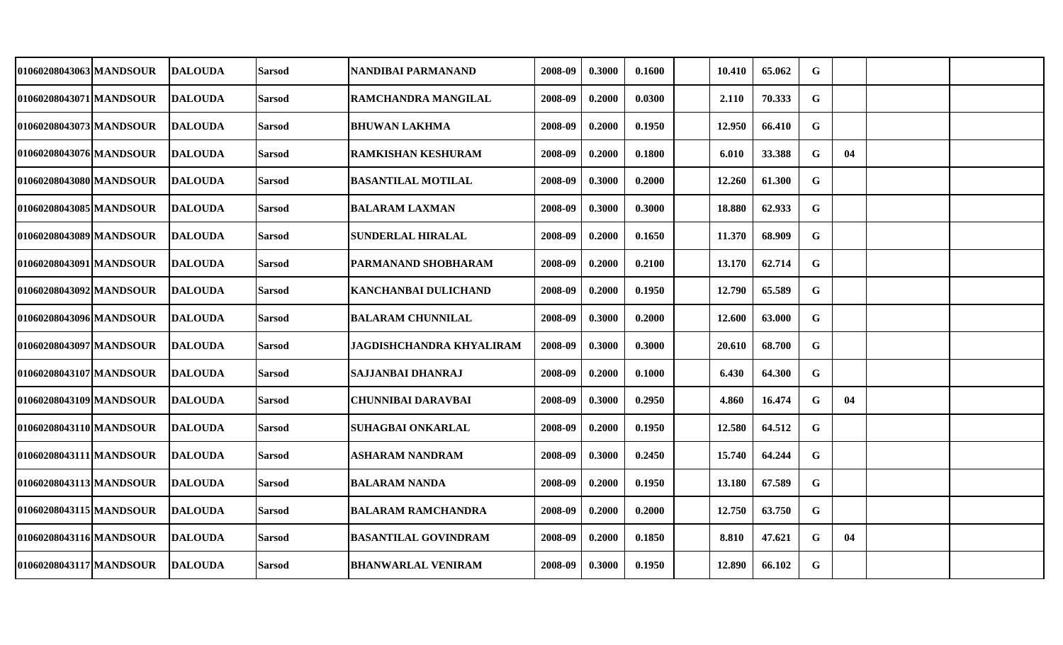| 01060208043063 MANDSOUR | <b>DALOUDA</b>  | <b>Sarsod</b> | NANDIBAI PARMANAND              | 2008-09 | 0.3000 | 0.1600 | 10.410 | 65.062 | G           |    |  |
|-------------------------|-----------------|---------------|---------------------------------|---------|--------|--------|--------|--------|-------------|----|--|
| 01060208043071 MANDSOUR | <b>DALOUDA</b>  | <b>Sarsod</b> | RAMCHANDRA MANGILAL             | 2008-09 | 0.2000 | 0.0300 | 2.110  | 70.333 | G           |    |  |
| 01060208043073 MANDSOUR | <b>DALOUDA</b>  | <b>Sarsod</b> | <b>BHUWAN LAKHMA</b>            | 2008-09 | 0.2000 | 0.1950 | 12.950 | 66.410 | G           |    |  |
| 01060208043076 MANDSOUR | <b>DALOUDA</b>  | <b>Sarsod</b> | <b>RAMKISHAN KESHURAM</b>       | 2008-09 | 0.2000 | 0.1800 | 6.010  | 33.388 | G           | 04 |  |
| 01060208043080 MANDSOUR | <b>DALOUDA</b>  | <b>Sarsod</b> | <b>BASANTILAL MOTILAL</b>       | 2008-09 | 0.3000 | 0.2000 | 12.260 | 61.300 | G           |    |  |
| 01060208043085 MANDSOUR | <b>DALOUDA</b>  | <b>Sarsod</b> | <b>BALARAM LAXMAN</b>           | 2008-09 | 0.3000 | 0.3000 | 18.880 | 62.933 | G           |    |  |
| 01060208043089 MANDSOUR | <b>DALOUDA</b>  | <b>Sarsod</b> | <b>SUNDERLAL HIRALAL</b>        | 2008-09 | 0.2000 | 0.1650 | 11.370 | 68.909 | $\mathbf G$ |    |  |
| 01060208043091 MANDSOUR | <b>IDALOUDA</b> | <b>Sarsod</b> | PARMANAND SHOBHARAM             | 2008-09 | 0.2000 | 0.2100 | 13.170 | 62.714 | $\mathbf G$ |    |  |
| 01060208043092 MANDSOUR | <b>DALOUDA</b>  | <b>Sarsod</b> | KANCHANBAI DULICHAND            | 2008-09 | 0.2000 | 0.1950 | 12.790 | 65.589 | $\mathbf G$ |    |  |
| 01060208043096 MANDSOUR | <b>DALOUDA</b>  | <b>Sarsod</b> | <b>BALARAM CHUNNILAL</b>        | 2008-09 | 0.3000 | 0.2000 | 12.600 | 63.000 | G           |    |  |
| 01060208043097 MANDSOUR | <b>DALOUDA</b>  | <b>Sarsod</b> | <b>JAGDISHCHANDRA KHYALIRAM</b> | 2008-09 | 0.3000 | 0.3000 | 20.610 | 68.700 | G           |    |  |
| 01060208043107 MANDSOUR | <b>DALOUDA</b>  | <b>Sarsod</b> | SAJJANBAI DHANRAJ               | 2008-09 | 0.2000 | 0.1000 | 6.430  | 64.300 | $\mathbf G$ |    |  |
| 01060208043109 MANDSOUR | <b>DALOUDA</b>  | <b>Sarsod</b> | CHUNNIBAI DARAVBAI              | 2008-09 | 0.3000 | 0.2950 | 4.860  | 16.474 | $\mathbf G$ | 04 |  |
| 01060208043110 MANDSOUR | <b>DALOUDA</b>  | <b>Sarsod</b> | <b>SUHAGBAI ONKARLAL</b>        | 2008-09 | 0.2000 | 0.1950 | 12.580 | 64.512 | G           |    |  |
| 01060208043111 MANDSOUR | DALOUDA         | <b>Sarsod</b> | ASHARAM NANDRAM                 | 2008-09 | 0.3000 | 0.2450 | 15.740 | 64.244 | G           |    |  |
| 01060208043113 MANDSOUR | <b>DALOUDA</b>  | <b>Sarsod</b> | <b>BALARAM NANDA</b>            | 2008-09 | 0.2000 | 0.1950 | 13.180 | 67.589 | $\mathbf G$ |    |  |
| 01060208043115 MANDSOUR | <b>DALOUDA</b>  | <b>Sarsod</b> | <b>BALARAM RAMCHANDRA</b>       | 2008-09 | 0.2000 | 0.2000 | 12.750 | 63.750 | G           |    |  |
| 01060208043116 MANDSOUR | <b>IDALOUDA</b> | <b>Sarsod</b> | <b>BASANTILAL GOVINDRAM</b>     | 2008-09 | 0.2000 | 0.1850 | 8.810  | 47.621 | G           | 04 |  |
| 01060208043117 MANDSOUR | <b>DALOUDA</b>  | <b>Sarsod</b> | <b>BHANWARLAL VENIRAM</b>       | 2008-09 | 0.3000 | 0.1950 | 12.890 | 66.102 | G           |    |  |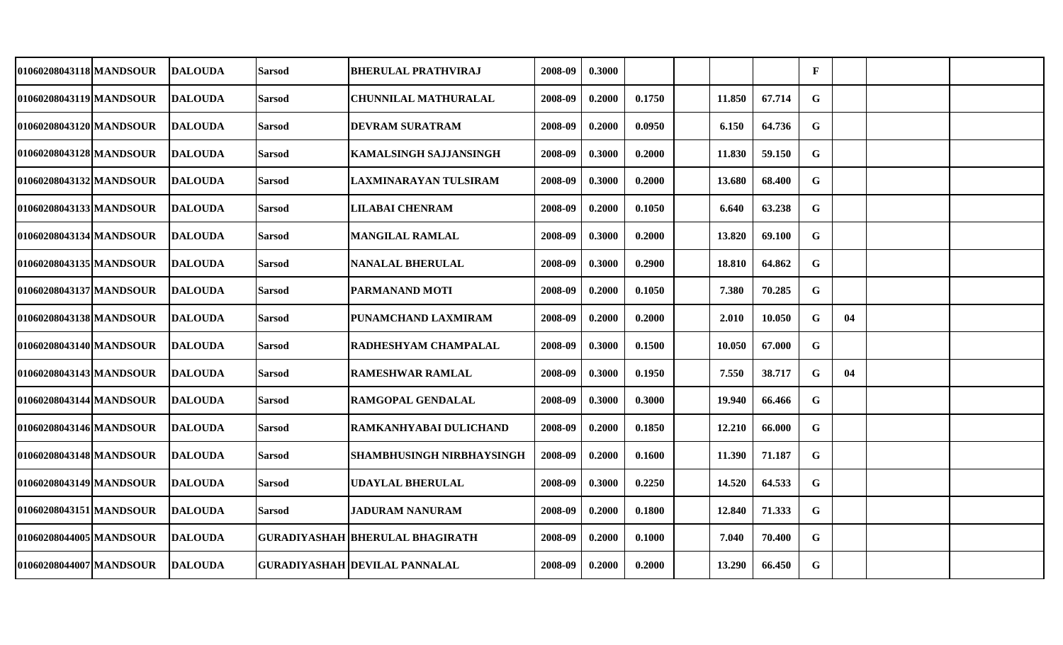| 01060208043118 MANDSOUR | <b>DALOUDA</b> | <b>Sarsod</b> | <b>BHERULAL PRATHVIRAJ</b>             | 2008-09 | 0.3000 |        |        |        | $\mathbf{F}$ |    |  |
|-------------------------|----------------|---------------|----------------------------------------|---------|--------|--------|--------|--------|--------------|----|--|
| 01060208043119 MANDSOUR | <b>DALOUDA</b> | <b>Sarsod</b> | <b>CHUNNILAL MATHURALAL</b>            | 2008-09 | 0.2000 | 0.1750 | 11.850 | 67.714 | G            |    |  |
| 01060208043120 MANDSOUR | <b>DALOUDA</b> | <b>Sarsod</b> | <b>DEVRAM SURATRAM</b>                 | 2008-09 | 0.2000 | 0.0950 | 6.150  | 64.736 | $\mathbf G$  |    |  |
| 01060208043128 MANDSOUR | <b>DALOUDA</b> | <b>Sarsod</b> | <b>KAMALSINGH SAJJANSINGH</b>          | 2008-09 | 0.3000 | 0.2000 | 11.830 | 59.150 | G            |    |  |
| 01060208043132 MANDSOUR | <b>DALOUDA</b> | <b>Sarsod</b> | LAXMINARAYAN TULSIRAM                  | 2008-09 | 0.3000 | 0.2000 | 13.680 | 68.400 | $\mathbf G$  |    |  |
| 01060208043133 MANDSOUR | <b>DALOUDA</b> | <b>Sarsod</b> | <b>LILABAI CHENRAM</b>                 | 2008-09 | 0.2000 | 0.1050 | 6.640  | 63.238 | $\mathbf G$  |    |  |
| 01060208043134 MANDSOUR | <b>DALOUDA</b> | <b>Sarsod</b> | <b>MANGILAL RAMLAL</b>                 | 2008-09 | 0.3000 | 0.2000 | 13.820 | 69.100 | G            |    |  |
| 01060208043135 MANDSOUR | <b>DALOUDA</b> | <b>Sarsod</b> | <b>NANALAL BHERULAL</b>                | 2008-09 | 0.3000 | 0.2900 | 18.810 | 64.862 | $\mathbf G$  |    |  |
| 01060208043137 MANDSOUR | <b>DALOUDA</b> | <b>Sarsod</b> | PARMANAND MOTI                         | 2008-09 | 0.2000 | 0.1050 | 7.380  | 70.285 | $\mathbf G$  |    |  |
| 01060208043138 MANDSOUR | <b>DALOUDA</b> | <b>Sarsod</b> | PUNAMCHAND LAXMIRAM                    | 2008-09 | 0.2000 | 0.2000 | 2.010  | 10.050 | $\mathbf G$  | 04 |  |
| 01060208043140 MANDSOUR | <b>DALOUDA</b> | <b>Sarsod</b> | <b>RADHESHYAM CHAMPALAL</b>            | 2008-09 | 0.3000 | 0.1500 | 10.050 | 67.000 | G            |    |  |
| 01060208043143 MANDSOUR | <b>DALOUDA</b> | <b>Sarsod</b> | <b>RAMESHWAR RAMLAL</b>                | 2008-09 | 0.3000 | 0.1950 | 7.550  | 38.717 | G            | 04 |  |
| 01060208043144lMANDSOUR | <b>DALOUDA</b> | <b>Sarsod</b> | <b>RAMGOPAL GENDALAL</b>               | 2008-09 | 0.3000 | 0.3000 | 19.940 | 66.466 | $\mathbf G$  |    |  |
| 01060208043146 MANDSOUR | <b>DALOUDA</b> | <b>Sarsod</b> | RAMKANHYABAI DULICHAND                 | 2008-09 | 0.2000 | 0.1850 | 12.210 | 66.000 | G            |    |  |
| 01060208043148 MANDSOUR | <b>DALOUDA</b> | <b>Sarsod</b> | <b>SHAMBHUSINGH NIRBHAYSINGH</b>       | 2008-09 | 0.2000 | 0.1600 | 11.390 | 71.187 | G            |    |  |
| 01060208043149 MANDSOUR | <b>DALOUDA</b> | <b>Sarsod</b> | <b>UDAYLAL BHERULAL</b>                | 2008-09 | 0.3000 | 0.2250 | 14.520 | 64.533 | G            |    |  |
| 01060208043151 MANDSOUR | <b>DALOUDA</b> | <b>Sarsod</b> | <b>JADURAM NANURAM</b>                 | 2008-09 | 0.2000 | 0.1800 | 12.840 | 71.333 | $\mathbf G$  |    |  |
| 01060208044005 MANDSOUR | <b>DALOUDA</b> |               | <b>GURADIYASHAH BHERULAL BHAGIRATH</b> | 2008-09 | 0.2000 | 0.1000 | 7.040  | 70.400 | G            |    |  |
| 01060208044007 MANDSOUR | <b>DALOUDA</b> |               | <b>GURADIYASHAH DEVILAL PANNALAL</b>   | 2008-09 | 0.2000 | 0.2000 | 13.290 | 66.450 | $\mathbf G$  |    |  |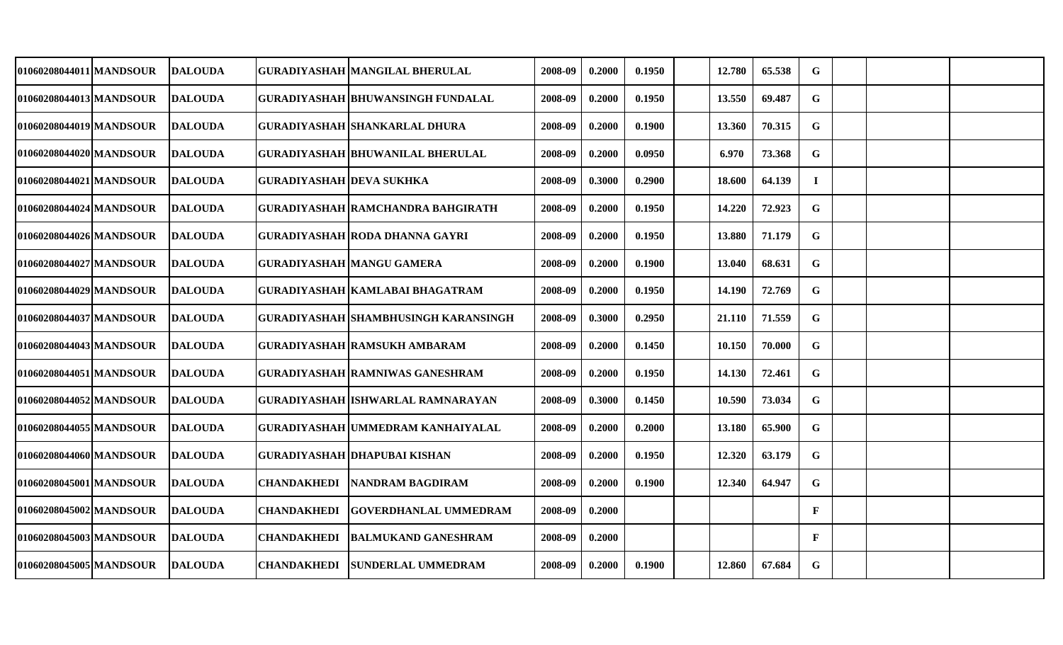| 0.1950<br>13.550<br>69.487<br>G<br>01060208044013 MANDSOUR<br><b>DALOUDA</b><br><b>GURADIYASHAH BHUWANSINGH FUNDALAL</b><br>2008-09<br>0.2000<br>$\mathbf G$<br>01060208044019 MANDSOUR<br><b>DALOUDA</b><br><b>GURADIYASHAH SHANKARLAL DHURA</b><br>0.2000<br>0.1900<br>13.360<br>70.315<br>2008-09<br>$\mathbf G$<br>0.0950<br>01060208044020lMANDSOUR<br><b>DALOUDA</b><br><b>GURADIYASHAH BHUWANILAL BHERULAL</b><br>2008-09<br>0.2000<br>6.970<br>73.368<br>01060208044021 MANDSOUR<br><b>GURADIYASHAH DEVA SUKHKA</b><br>0.3000<br>0.2900<br>18.600<br>64.139<br><b>DALOUDA</b><br>2008-09<br>L<br>0.1950<br>72.923<br>G<br>01060208044024 MANDSOUR<br><b>DALOUDA</b><br>GURADIYASHAH RAMCHANDRA BAHGIRATH<br>2008-09<br>0.2000<br>14.220 |  |
|-------------------------------------------------------------------------------------------------------------------------------------------------------------------------------------------------------------------------------------------------------------------------------------------------------------------------------------------------------------------------------------------------------------------------------------------------------------------------------------------------------------------------------------------------------------------------------------------------------------------------------------------------------------------------------------------------------------------------------------------------|--|
|                                                                                                                                                                                                                                                                                                                                                                                                                                                                                                                                                                                                                                                                                                                                                 |  |
|                                                                                                                                                                                                                                                                                                                                                                                                                                                                                                                                                                                                                                                                                                                                                 |  |
|                                                                                                                                                                                                                                                                                                                                                                                                                                                                                                                                                                                                                                                                                                                                                 |  |
|                                                                                                                                                                                                                                                                                                                                                                                                                                                                                                                                                                                                                                                                                                                                                 |  |
|                                                                                                                                                                                                                                                                                                                                                                                                                                                                                                                                                                                                                                                                                                                                                 |  |
| $\mathbf G$<br>0.2000<br>0.1950<br>13.880<br>71.179<br>01060208044026 MANDSOUR<br>DALOUDA<br>GURADIYASHAH  RODA DHANNA GAYRI<br>2008-09                                                                                                                                                                                                                                                                                                                                                                                                                                                                                                                                                                                                         |  |
| $\mathbf G$<br>0.1900<br>01060208044027 MANDSOUR<br><b>DALOUDA</b><br><b>GURADIYASHAH MANGU GAMERA</b><br>2008-09<br>0.2000<br>13.040<br>68.631                                                                                                                                                                                                                                                                                                                                                                                                                                                                                                                                                                                                 |  |
| $\mathbf G$<br>0.2000<br>0.1950<br>14.190<br>72.769<br>01060208044029 MANDSOUR<br><b>DALOUDA</b><br>GURADIYASHAH KAMLABAI BHAGATRAM<br>2008-09                                                                                                                                                                                                                                                                                                                                                                                                                                                                                                                                                                                                  |  |
| $\mathbf G$<br>0.2950<br>71.559<br>01060208044037 MANDSOUR<br><b>DALOUDA</b><br>GURADIYASHAH SHAMBHUSINGH KARANSINGH<br>2008-09<br>0.3000<br>21.110                                                                                                                                                                                                                                                                                                                                                                                                                                                                                                                                                                                             |  |
| $\mathbf G$<br>01060208044043 MANDSOUR<br><b>DALOUDA</b><br><b>GURADIYASHAH RAMSUKH AMBARAM</b><br>0.1450<br>10.150<br>70.000<br>2008-09<br>0.2000                                                                                                                                                                                                                                                                                                                                                                                                                                                                                                                                                                                              |  |
| $\mathbf G$<br><b>GURADIYASHAH RAMNIWAS GANESHRAM</b><br>0.1950<br>01060208044051 MANDSOUR<br><b>DALOUDA</b><br>2008-09<br>0.2000<br>14.130<br>72.461                                                                                                                                                                                                                                                                                                                                                                                                                                                                                                                                                                                           |  |
| $\mathbf G$<br>01060208044052 MANDSOUR<br><b>DALOUDA</b><br><b>GURADIYASHAH ISHWARLAL RAMNARAYAN</b><br>0.3000<br>0.1450<br>10.590<br>73.034<br>2008-09                                                                                                                                                                                                                                                                                                                                                                                                                                                                                                                                                                                         |  |
| 01060208044055 MANDSOUR<br>0.2000<br>G<br><b>DALOUDA</b><br>GURADIYASHAH  UMMEDRAM KANHAIYALAL<br>2008-09<br>0.2000<br>13.180<br>65.900                                                                                                                                                                                                                                                                                                                                                                                                                                                                                                                                                                                                         |  |
| $\mathbf G$<br><b>DALOUDA</b><br>GURADIYASHAH DHAPUBAI KISHAN<br>0.2000<br>0.1950<br>12.320<br>63.179<br>01060208044060lMANDSOUR<br>2008-09                                                                                                                                                                                                                                                                                                                                                                                                                                                                                                                                                                                                     |  |
| 0.1900<br>12.340<br>64.947<br>G<br>01060208045001 MANDSOUR<br><b>DALOUDA</b><br><b>CHANDAKHEDI</b><br><b>NANDRAM BAGDIRAM</b><br>2008-09<br>0.2000                                                                                                                                                                                                                                                                                                                                                                                                                                                                                                                                                                                              |  |
| $\mathbf{F}$<br><b>CHANDAKHEDI</b><br>01060208045002 MANDSOUR<br><b>DALOUDA</b><br> GOVERDHANLAL UMMEDRAM<br>2008-09<br>0.2000                                                                                                                                                                                                                                                                                                                                                                                                                                                                                                                                                                                                                  |  |
| $\mathbf{F}$<br>01060208045003 MANDSOUR<br><b>DALOUDA</b><br><b>CHANDAKHEDI</b><br><b>BALMUKAND GANESHRAM</b><br>2008-09<br>0.2000                                                                                                                                                                                                                                                                                                                                                                                                                                                                                                                                                                                                              |  |
| $\mathbf G$<br>01060208045005 MANDSOUR<br><b>DALOUDA</b><br><b>CHANDAKHEDI</b><br><b>SUNDERLAL UMMEDRAM</b><br>0.1900<br>12.860<br>67.684<br>2008-09<br>0.2000                                                                                                                                                                                                                                                                                                                                                                                                                                                                                                                                                                                  |  |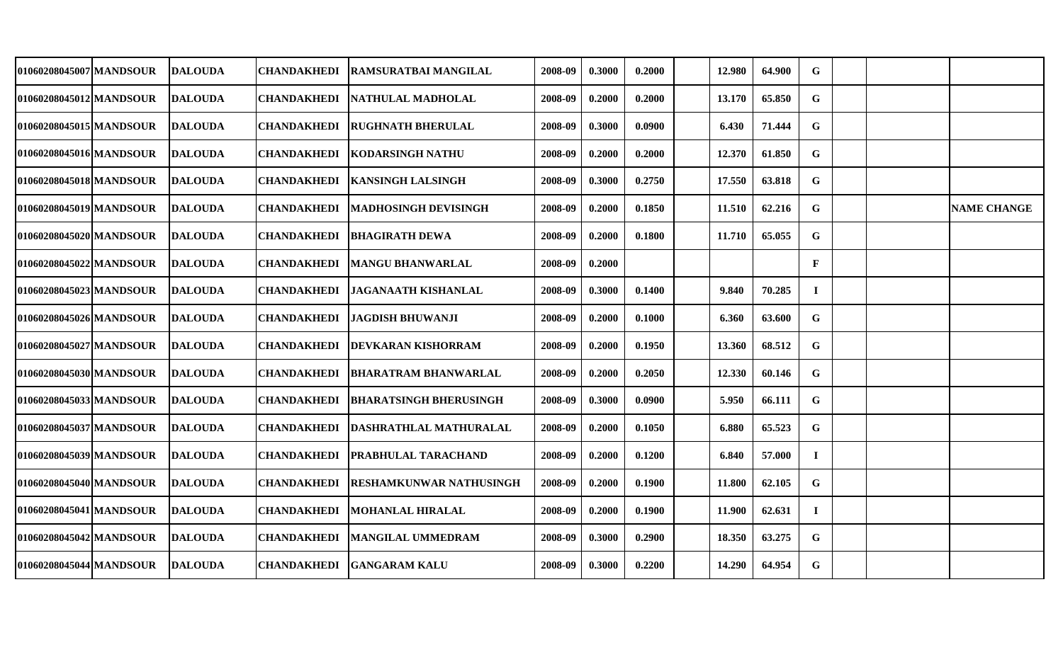| 01060208045007 MANDSOUR | <b>DALOUDA</b> | CHANDAKHEDI        | RAMSURATBAI MANGILAL          | 2008-09 | 0.3000 | 0.2000 | 12.980 | 64.900 | G            |  |                    |
|-------------------------|----------------|--------------------|-------------------------------|---------|--------|--------|--------|--------|--------------|--|--------------------|
| 01060208045012 MANDSOUR | <b>DALOUDA</b> | <b>CHANDAKHEDI</b> | NATHULAL MADHOLAL             | 2008-09 | 0.2000 | 0.2000 | 13.170 | 65.850 | G            |  |                    |
| 01060208045015 MANDSOUR | <b>DALOUDA</b> | <b>CHANDAKHEDI</b> | <b>RUGHNATH BHERULAL</b>      | 2008-09 | 0.3000 | 0.0900 | 6.430  | 71.444 | G            |  |                    |
| 01060208045016 MANDSOUR | <b>DALOUDA</b> | <b>CHANDAKHEDI</b> | <b>KODARSINGH NATHU</b>       | 2008-09 | 0.2000 | 0.2000 | 12.370 | 61.850 | $\mathbf G$  |  |                    |
| 01060208045018 MANDSOUR | <b>DALOUDA</b> | <b>CHANDAKHEDI</b> | <b>KANSINGH LALSINGH</b>      | 2008-09 | 0.3000 | 0.2750 | 17.550 | 63.818 | G            |  |                    |
| 01060208045019 MANDSOUR | <b>DALOUDA</b> | <b>CHANDAKHEDI</b> | MADHOSINGH DEVISINGH          | 2008-09 | 0.2000 | 0.1850 | 11.510 | 62.216 | G            |  | <b>NAME CHANGE</b> |
| 01060208045020 MANDSOUR | <b>DALOUDA</b> | <b>CHANDAKHEDI</b> | <b>BHAGIRATH DEWA</b>         | 2008-09 | 0.2000 | 0.1800 | 11.710 | 65.055 | $\mathbf G$  |  |                    |
| 01060208045022 MANDSOUR | <b>DALOUDA</b> | <b>CHANDAKHEDI</b> | <b>MANGU BHANWARLAL</b>       | 2008-09 | 0.2000 |        |        |        | $\mathbf{F}$ |  |                    |
| 010602080450231MANDSOUR | <b>DALOUDA</b> | <b>CHANDAKHEDI</b> | <b>JAGANAATH KISHANLAL</b>    | 2008-09 | 0.3000 | 0.1400 | 9.840  | 70.285 | $\bf{I}$     |  |                    |
| 01060208045026 MANDSOUR | <b>DALOUDA</b> | <b>CHANDAKHEDI</b> | <b>JAGDISH BHUWANJI</b>       | 2008-09 | 0.2000 | 0.1000 | 6.360  | 63.600 | $\mathbf G$  |  |                    |
| 01060208045027 MANDSOUR | <b>DALOUDA</b> | <b>CHANDAKHEDI</b> | DEVKARAN KISHORRAM            | 2008-09 | 0.2000 | 0.1950 | 13.360 | 68.512 | G            |  |                    |
| 01060208045030 MANDSOUR | <b>DALOUDA</b> | <b>CHANDAKHEDI</b> | BHARATRAM BHANWARLAL          | 2008-09 | 0.2000 | 0.2050 | 12.330 | 60.146 | $\mathbf G$  |  |                    |
| 010602080450331MANDSOUR | <b>DALOUDA</b> | <b>CHANDAKHEDI</b> | <b>BHARATSINGH BHERUSINGH</b> | 2008-09 | 0.3000 | 0.0900 | 5.950  | 66.111 | G            |  |                    |
| 01060208045037 MANDSOUR | <b>DALOUDA</b> | <b>CHANDAKHEDI</b> | DASHRATHLAL MATHURALAL        | 2008-09 | 0.2000 | 0.1050 | 6.880  | 65.523 | G            |  |                    |
| 01060208045039 MANDSOUR | <b>DALOUDA</b> | <b>CHANDAKHEDI</b> | PRABHULAL TARACHAND           | 2008-09 | 0.2000 | 0.1200 | 6.840  | 57.000 | $\bf{I}$     |  |                    |
| 01060208045040 MANDSOUR | <b>DALOUDA</b> | <b>CHANDAKHEDI</b> | RESHAMKUNWAR NATHUSINGH       | 2008-09 | 0.2000 | 0.1900 | 11.800 | 62.105 | G            |  |                    |
| 01060208045041 MANDSOUR | <b>DALOUDA</b> | <b>CHANDAKHEDI</b> | MOHANLAL HIRALAL              | 2008-09 | 0.2000 | 0.1900 | 11.900 | 62.631 | $\bf{I}$     |  |                    |
| 01060208045042 MANDSOUR | <b>DALOUDA</b> | <b>CHANDAKHEDI</b> | MANGILAL UMMEDRAM             | 2008-09 | 0.3000 | 0.2900 | 18.350 | 63.275 | G            |  |                    |
| 01060208045044 MANDSOUR | <b>DALOUDA</b> | <b>CHANDAKHEDI</b> | <b>GANGARAM KALU</b>          | 2008-09 | 0.3000 | 0.2200 | 14.290 | 64.954 | $\mathbf G$  |  |                    |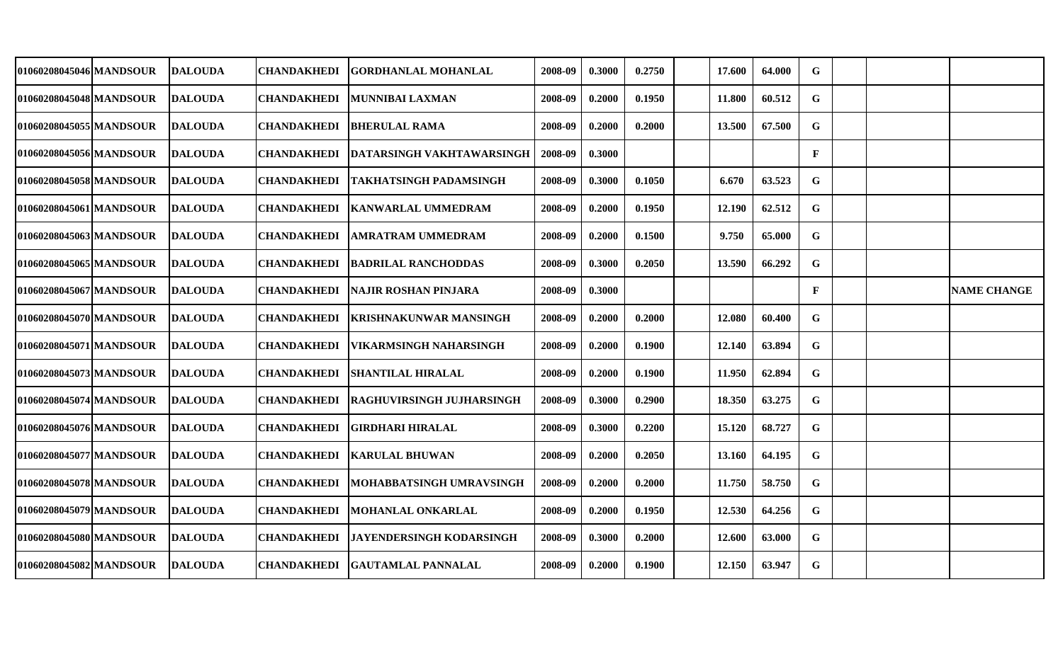| G<br>G<br>$\mathbf G$<br>$\mathbf F$<br>G<br>$\mathbf G$ | 64.000<br>60.512<br>67.500<br>63.523 |                    |
|----------------------------------------------------------|--------------------------------------|--------------------|
|                                                          |                                      |                    |
|                                                          |                                      |                    |
|                                                          |                                      |                    |
|                                                          |                                      |                    |
|                                                          |                                      |                    |
|                                                          | 62.512                               |                    |
| $\mathbf G$                                              | 65.000                               |                    |
| ${\bf G}$                                                | 66.292                               |                    |
| $\mathbf F$                                              |                                      | <b>NAME CHANGE</b> |
| $\mathbf G$                                              | 60.400                               |                    |
| G                                                        | 63.894                               |                    |
| $\mathbf G$                                              | 62.894                               |                    |
| G                                                        | 63.275                               |                    |
| $\mathbf G$                                              | 68.727                               |                    |
|                                                          | 64.195                               |                    |
| $\mathbf G$                                              |                                      |                    |
| $\mathbf G$                                              | 58.750                               |                    |
| $\mathbf G$                                              | 64.256                               |                    |
| $\mathbf G$                                              | 63.000                               |                    |
|                                                          |                                      |                    |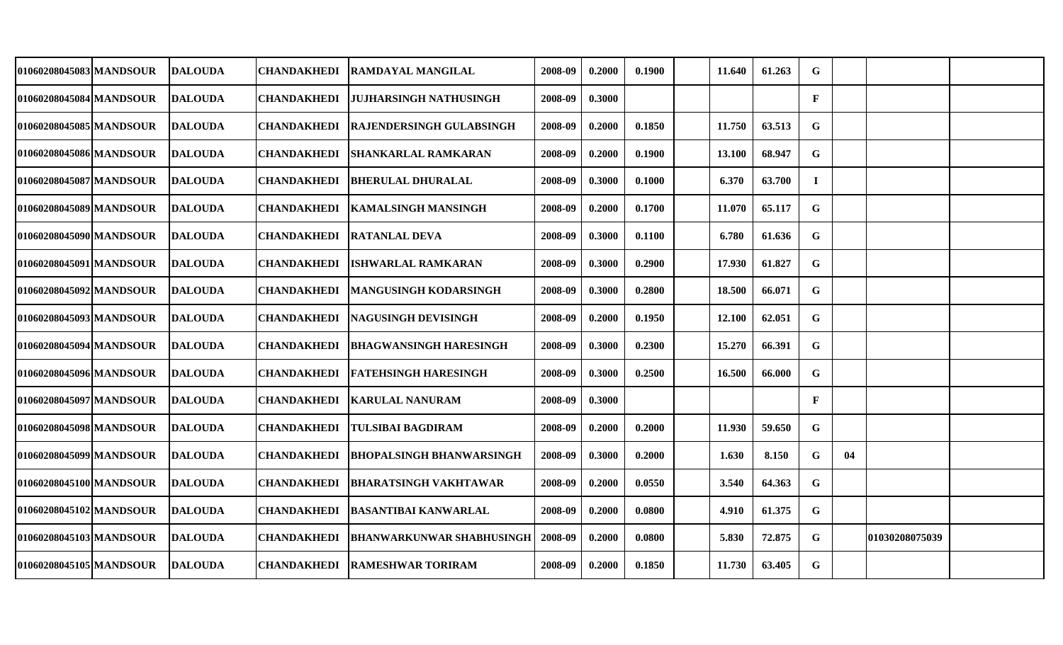| 01060208045083 MANDSOUR | <b>DALOUDA</b> | <b>CHANDAKHEDI</b> | <b>RAMDAYAL MANGILAL</b>         | 2008-09 | 0.2000 | 0.1900 | 11.640 | 61.263 | G            |    |                |  |
|-------------------------|----------------|--------------------|----------------------------------|---------|--------|--------|--------|--------|--------------|----|----------------|--|
| 01060208045084 MANDSOUR | <b>DALOUDA</b> | <b>CHANDAKHEDI</b> | JUJHARSINGH NATHUSINGH           | 2008-09 | 0.3000 |        |        |        | $\mathbf{F}$ |    |                |  |
| 01060208045085 MANDSOUR | <b>DALOUDA</b> | <b>CHANDAKHEDI</b> | <b>RAJENDERSINGH GULABSINGH</b>  | 2008-09 | 0.2000 | 0.1850 | 11.750 | 63.513 | G            |    |                |  |
| 01060208045086 MANDSOUR | <b>DALOUDA</b> | <b>CHANDAKHEDI</b> | <b>SHANKARLAL RAMKARAN</b>       | 2008-09 | 0.2000 | 0.1900 | 13.100 | 68.947 | G            |    |                |  |
| 01060208045087 MANDSOUR | <b>DALOUDA</b> | <b>CHANDAKHEDI</b> | <b>BHERULAL DHURALAL</b>         | 2008-09 | 0.3000 | 0.1000 | 6.370  | 63.700 | $\bf I$      |    |                |  |
| 01060208045089 MANDSOUR | <b>DALOUDA</b> | <b>CHANDAKHEDI</b> | <b>KAMALSINGH MANSINGH</b>       | 2008-09 | 0.2000 | 0.1700 | 11.070 | 65.117 | $\mathbf G$  |    |                |  |
| 01060208045090 MANDSOUR | <b>DALOUDA</b> | <b>CHANDAKHEDI</b> | <b>RATANLAL DEVA</b>             | 2008-09 | 0.3000 | 0.1100 | 6.780  | 61.636 | $\mathbf G$  |    |                |  |
| 01060208045091 MANDSOUR | <b>DALOUDA</b> | <b>CHANDAKHEDI</b> | <b>ISHWARLAL RAMKARAN</b>        | 2008-09 | 0.3000 | 0.2900 | 17.930 | 61.827 | $\mathbf G$  |    |                |  |
| 010602080450921MANDSOUR | <b>DALOUDA</b> | <b>CHANDAKHEDI</b> | <b>MANGUSINGH KODARSINGH</b>     | 2008-09 | 0.3000 | 0.2800 | 18.500 | 66.071 | $\mathbf G$  |    |                |  |
| 01060208045093 MANDSOUR | <b>DALOUDA</b> | <b>CHANDAKHEDI</b> | <b>NAGUSINGH DEVISINGH</b>       | 2008-09 | 0.2000 | 0.1950 | 12.100 | 62.051 | G            |    |                |  |
| 01060208045094 MANDSOUR | <b>DALOUDA</b> | <b>CHANDAKHEDI</b> | BHAGWANSINGH HARESINGH           | 2008-09 | 0.3000 | 0.2300 | 15.270 | 66.391 | G            |    |                |  |
| 01060208045096 MANDSOUR | <b>DALOUDA</b> | <b>CHANDAKHEDI</b> | FATEHSINGH HARESINGH             | 2008-09 | 0.3000 | 0.2500 | 16.500 | 66.000 | G            |    |                |  |
| 01060208045097 MANDSOUR | <b>DALOUDA</b> | <b>CHANDAKHEDI</b> | KARULAL NANURAM                  | 2008-09 | 0.3000 |        |        |        | $\mathbf{F}$ |    |                |  |
| 01060208045098 MANDSOUR | <b>DALOUDA</b> | <b>CHANDAKHEDI</b> | <b>TULSIBAI BAGDIRAM</b>         | 2008-09 | 0.2000 | 0.2000 | 11.930 | 59.650 | G            |    |                |  |
| 01060208045099 MANDSOUR | <b>DALOUDA</b> | <b>CHANDAKHEDI</b> | BHOPALSINGH BHANWARSINGH         | 2008-09 | 0.3000 | 0.2000 | 1.630  | 8.150  | G            | 04 |                |  |
| 01060208045100 MANDSOUR | <b>DALOUDA</b> | CHANDAKHEDI        | BHARATSINGH VAKHTAWAR            | 2008-09 | 0.2000 | 0.0550 | 3.540  | 64.363 | $\mathbf G$  |    |                |  |
| 01060208045102 MANDSOUR | <b>DALOUDA</b> | <b>CHANDAKHEDI</b> | BASANTIBAI KANWARLAL             | 2008-09 | 0.2000 | 0.0800 | 4.910  | 61.375 | G            |    |                |  |
| 01060208045103 MANDSOUR | <b>DALOUDA</b> | <b>CHANDAKHEDI</b> | <b>BHANWARKUNWAR SHABHUSINGH</b> | 2008-09 | 0.2000 | 0.0800 | 5.830  | 72.875 | G            |    | 01030208075039 |  |
| 01060208045105 MANDSOUR | <b>DALOUDA</b> | <b>CHANDAKHEDI</b> | <b>IRAMESHWAR TORIRAM</b>        | 2008-09 | 0.2000 | 0.1850 | 11.730 | 63.405 | G            |    |                |  |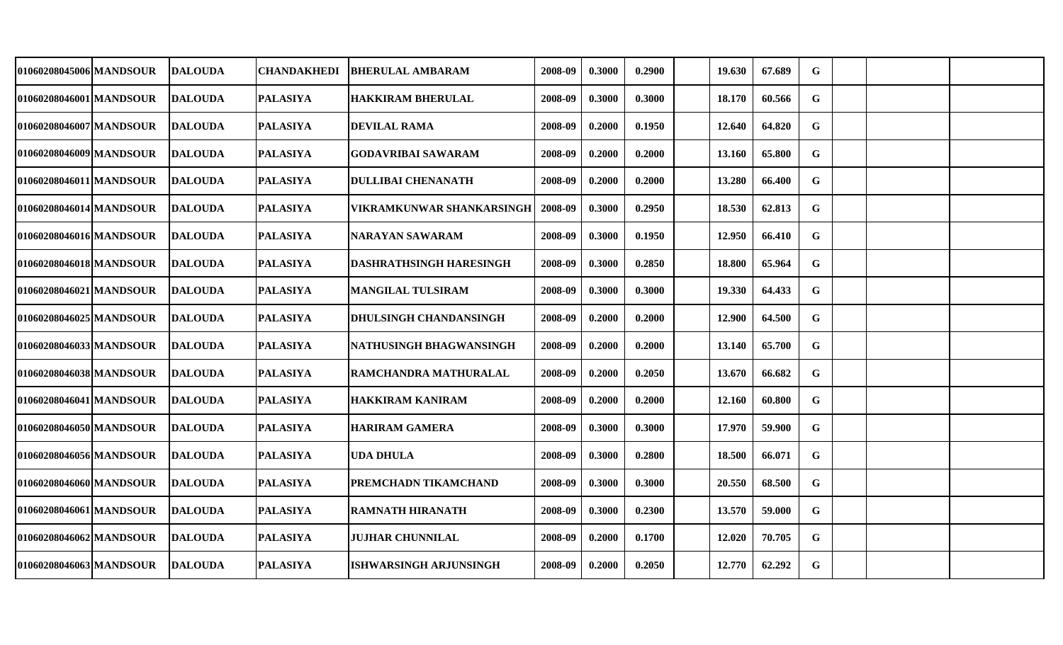| 01060208045006 MANDSOUR | <b>DALOUDA</b> | CHANDAKHEDI     | <b>BHERULAL AMBARAM</b>          | 2008-09 | 0.3000 | 0.2900 | 19.630 | 67.689 | G           |  |  |
|-------------------------|----------------|-----------------|----------------------------------|---------|--------|--------|--------|--------|-------------|--|--|
| 01060208046001 MANDSOUR | <b>DALOUDA</b> | <b>PALASIYA</b> | <b>HAKKIRAM BHERULAL</b>         | 2008-09 | 0.3000 | 0.3000 | 18.170 | 60.566 | G           |  |  |
| 01060208046007 MANDSOUR | <b>DALOUDA</b> | <b>PALASIYA</b> | <b>DEVILAL RAMA</b>              | 2008-09 | 0.2000 | 0.1950 | 12.640 | 64.820 | G           |  |  |
| 01060208046009 MANDSOUR | <b>DALOUDA</b> | <b>PALASIYA</b> | <b>GODAVRIBAI SAWARAM</b>        | 2008-09 | 0.2000 | 0.2000 | 13.160 | 65.800 | $\mathbf G$ |  |  |
| 01060208046011 MANDSOUR | <b>DALOUDA</b> | <b>PALASIYA</b> | <b>DULLIBAI CHENANATH</b>        | 2008-09 | 0.2000 | 0.2000 | 13.280 | 66.400 | $\mathbf G$ |  |  |
| 01060208046014 MANDSOUR | <b>DALOUDA</b> | <b>PALASIYA</b> | <b>VIKRAMKUNWAR SHANKARSINGH</b> | 2008-09 | 0.3000 | 0.2950 | 18.530 | 62.813 | $\mathbf G$ |  |  |
| 01060208046016 MANDSOUR | <b>DALOUDA</b> | <b>PALASIYA</b> | <b>NARAYAN SAWARAM</b>           | 2008-09 | 0.3000 | 0.1950 | 12.950 | 66.410 | $\mathbf G$ |  |  |
| 01060208046018 MANDSOUR | <b>DALOUDA</b> | <b>PALASIYA</b> | <b>DASHRATHSINGH HARESINGH</b>   | 2008-09 | 0.3000 | 0.2850 | 18.800 | 65.964 | $\mathbf G$ |  |  |
| 01060208046021 MANDSOUR | <b>DALOUDA</b> | <b>PALASIYA</b> | <b>MANGILAL TULSIRAM</b>         | 2008-09 | 0.3000 | 0.3000 | 19.330 | 64.433 | $\mathbf G$ |  |  |
| 01060208046025 MANDSOUR | <b>DALOUDA</b> | <b>PALASIYA</b> | <b>DHULSINGH CHANDANSINGH</b>    | 2008-09 | 0.2000 | 0.2000 | 12.900 | 64.500 | $\mathbf G$ |  |  |
| 01060208046033 MANDSOUR | <b>DALOUDA</b> | <b>PALASIYA</b> | NATHUSINGH BHAGWANSINGH          | 2008-09 | 0.2000 | 0.2000 | 13.140 | 65.700 | G           |  |  |
| 01060208046038 MANDSOUR | <b>DALOUDA</b> | <b>PALASIYA</b> | RAMCHANDRA MATHURALAL            | 2008-09 | 0.2000 | 0.2050 | 13.670 | 66.682 | G           |  |  |
| 01060208046041 MANDSOUR | <b>DALOUDA</b> | <b>PALASIYA</b> | <b>HAKKIRAM KANIRAM</b>          | 2008-09 | 0.2000 | 0.2000 | 12.160 | 60.800 | $\mathbf G$ |  |  |
| 01060208046050 MANDSOUR | <b>DALOUDA</b> | <b>PALASIYA</b> | <b>HARIRAM GAMERA</b>            | 2008-09 | 0.3000 | 0.3000 | 17.970 | 59.900 | G           |  |  |
| 01060208046056 MANDSOUR | <b>DALOUDA</b> | <b>PALASIYA</b> | <b>UDA DHULA</b>                 | 2008-09 | 0.3000 | 0.2800 | 18.500 | 66.071 | $\mathbf G$ |  |  |
| 01060208046060 MANDSOUR | <b>DALOUDA</b> | <b>PALASIYA</b> | <b>PREMCHADN TIKAMCHAND</b>      | 2008-09 | 0.3000 | 0.3000 | 20.550 | 68.500 | $\mathbf G$ |  |  |
| 01060208046061 MANDSOUR | <b>DALOUDA</b> | <b>PALASIYA</b> | <b>RAMNATH HIRANATH</b>          | 2008-09 | 0.3000 | 0.2300 | 13.570 | 59.000 | G           |  |  |
| 01060208046062 MANDSOUR | <b>DALOUDA</b> | <b>PALASIYA</b> | <b>JUJHAR CHUNNILAL</b>          | 2008-09 | 0.2000 | 0.1700 | 12.020 | 70.705 | $\mathbf G$ |  |  |
| 01060208046063 MANDSOUR | <b>DALOUDA</b> | <b>PALASIYA</b> | <b>ISHWARSINGH ARJUNSINGH</b>    | 2008-09 | 0.2000 | 0.2050 | 12.770 | 62.292 | $\mathbf G$ |  |  |
|                         |                |                 |                                  |         |        |        |        |        |             |  |  |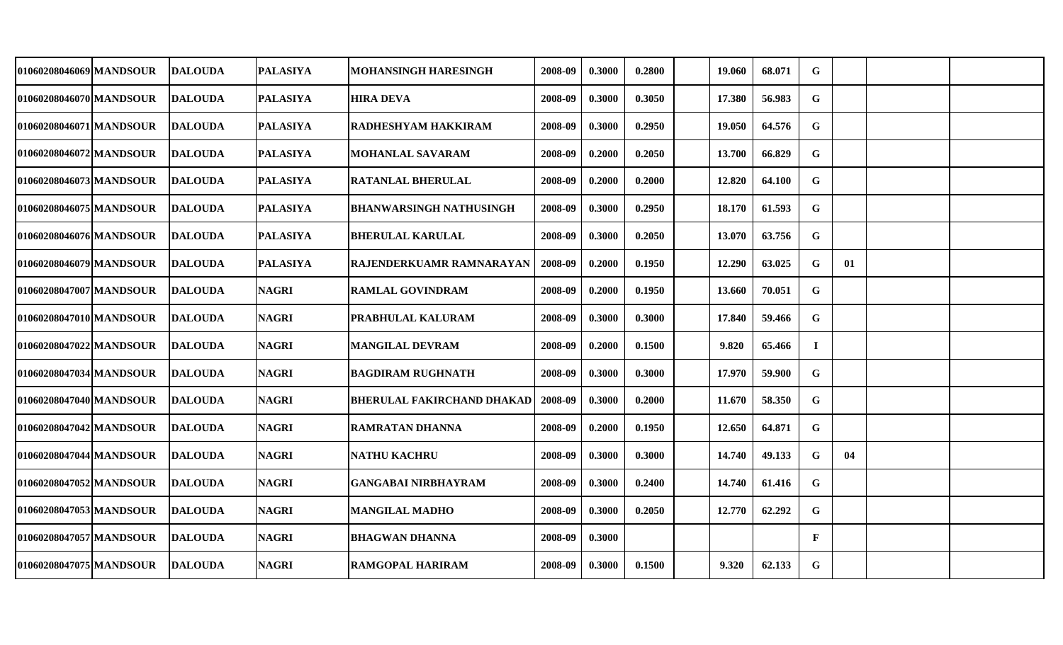| 01060208046069 MANDSOUR | <b>DALOUDA</b> | <b>PALASIYA</b> | MOHANSINGH HARESINGH              | 2008-09 | 0.3000 | 0.2800 | 19.060 | 68.071 | G            |    |  |
|-------------------------|----------------|-----------------|-----------------------------------|---------|--------|--------|--------|--------|--------------|----|--|
| 01060208046070 MANDSOUR | <b>DALOUDA</b> | <b>PALASIYA</b> | <b>HIRA DEVA</b>                  | 2008-09 | 0.3000 | 0.3050 | 17.380 | 56.983 | G            |    |  |
| 01060208046071 MANDSOUR | <b>DALOUDA</b> | <b>PALASIYA</b> | <b>RADHESHYAM HAKKIRAM</b>        | 2008-09 | 0.3000 | 0.2950 | 19.050 | 64.576 | $\mathbf G$  |    |  |
| 01060208046072 MANDSOUR | <b>DALOUDA</b> | <b>PALASIYA</b> | <b>MOHANLAL SAVARAM</b>           | 2008-09 | 0.2000 | 0.2050 | 13.700 | 66.829 | G            |    |  |
| 01060208046073 MANDSOUR | <b>DALOUDA</b> | <b>PALASIYA</b> | <b>RATANLAL BHERULAL</b>          | 2008-09 | 0.2000 | 0.2000 | 12.820 | 64.100 | $\mathbf G$  |    |  |
| 01060208046075 MANDSOUR | <b>DALOUDA</b> | <b>PALASIYA</b> | <b>BHANWARSINGH NATHUSINGH</b>    | 2008-09 | 0.3000 | 0.2950 | 18.170 | 61.593 | $\mathbf G$  |    |  |
| 01060208046076 MANDSOUR | <b>DALOUDA</b> | <b>PALASIYA</b> | <b>BHERULAL KARULAL</b>           | 2008-09 | 0.3000 | 0.2050 | 13.070 | 63.756 | ${\bf G}$    |    |  |
| 01060208046079 MANDSOUR | <b>DALOUDA</b> | <b>PALASIYA</b> | RAJENDERKUAMR RAMNARAYAN          | 2008-09 | 0.2000 | 0.1950 | 12.290 | 63.025 | $\mathbf G$  | 01 |  |
| 01060208047007 MANDSOUR | <b>DALOUDA</b> | <b>NAGRI</b>    | <b>RAMLAL GOVINDRAM</b>           | 2008-09 | 0.2000 | 0.1950 | 13.660 | 70.051 | $\mathbf G$  |    |  |
| 01060208047010 MANDSOUR | <b>DALOUDA</b> | <b>NAGRI</b>    | PRABHULAL KALURAM                 | 2008-09 | 0.3000 | 0.3000 | 17.840 | 59.466 | $\mathbf G$  |    |  |
| 01060208047022 MANDSOUR | <b>DALOUDA</b> | <b>NAGRI</b>    | <b>MANGILAL DEVRAM</b>            | 2008-09 | 0.2000 | 0.1500 | 9.820  | 65.466 | $\bf{I}$     |    |  |
| 01060208047034 MANDSOUR | <b>DALOUDA</b> | <b>NAGRI</b>    | <b>BAGDIRAM RUGHNATH</b>          | 2008-09 | 0.3000 | 0.3000 | 17.970 | 59.900 | $\mathbf G$  |    |  |
| 01060208047040 MANDSOUR | <b>DALOUDA</b> | <b>NAGRI</b>    | <b>BHERULAL FAKIRCHAND DHAKAD</b> | 2008-09 | 0.3000 | 0.2000 | 11.670 | 58.350 | G            |    |  |
| 01060208047042 MANDSOUR | <b>DALOUDA</b> | <b>NAGRI</b>    | <b>RAMRATAN DHANNA</b>            | 2008-09 | 0.2000 | 0.1950 | 12.650 | 64.871 | G            |    |  |
| 01060208047044 MANDSOUR | <b>DALOUDA</b> | <b>NAGRI</b>    | <b>NATHU KACHRU</b>               | 2008-09 | 0.3000 | 0.3000 | 14.740 | 49.133 | G            | 04 |  |
| 01060208047052 MANDSOUR | <b>DALOUDA</b> | <b>NAGRI</b>    | <b>GANGABAI NIRBHAYRAM</b>        | 2008-09 | 0.3000 | 0.2400 | 14.740 | 61.416 | G            |    |  |
| 01060208047053 MANDSOUR | <b>DALOUDA</b> | <b>NAGRI</b>    | <b>MANGILAL MADHO</b>             | 2008-09 | 0.3000 | 0.2050 | 12.770 | 62.292 | G            |    |  |
| 01060208047057 MANDSOUR | <b>DALOUDA</b> | <b>NAGRI</b>    | <b>BHAGWAN DHANNA</b>             | 2008-09 | 0.3000 |        |        |        | $\mathbf{F}$ |    |  |
| 01060208047075 MANDSOUR | <b>DALOUDA</b> | <b>NAGRI</b>    | <b>RAMGOPAL HARIRAM</b>           | 2008-09 | 0.3000 | 0.1500 | 9.320  | 62.133 | $\mathbf G$  |    |  |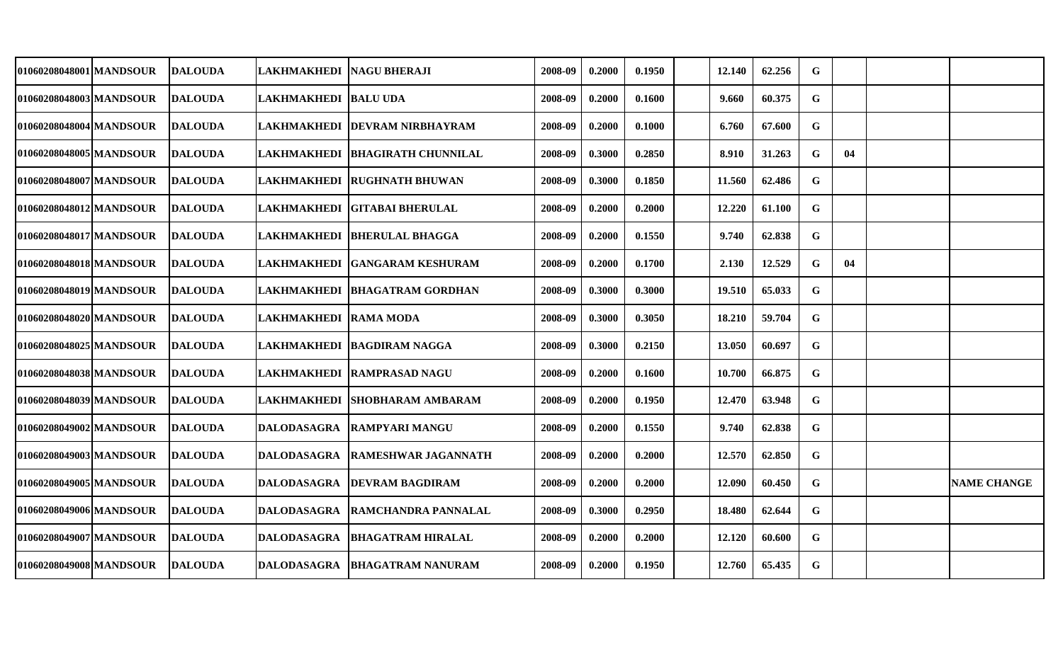| 01060208048001 MANDSOUR  | <b>DALOUDA</b> | LAKHMAKHEDI  NAGU BHERAJI |                                   | 2008-09 | 0.2000 | 0.1950 | 12.140 | 62.256 | G           |    |                    |
|--------------------------|----------------|---------------------------|-----------------------------------|---------|--------|--------|--------|--------|-------------|----|--------------------|
| 01060208048003 MANDSOUR  | <b>DALOUDA</b> | LAKHMAKHEDI  BALU UDA     |                                   | 2008-09 | 0.2000 | 0.1600 | 9.660  | 60.375 | G           |    |                    |
| 01060208048004 MANDSOUR  | <b>DALOUDA</b> |                           | LAKHMAKHEDI  DEVRAM NIRBHAYRAM    | 2008-09 | 0.2000 | 0.1000 | 6.760  | 67.600 | $\mathbf G$ |    |                    |
| 01060208048005 MANDSOUR  | <b>DALOUDA</b> |                           | LAKHMAKHEDI   BHAGIRATH CHUNNILAL | 2008-09 | 0.3000 | 0.2850 | 8.910  | 31.263 | $\mathbf G$ | 04 |                    |
| 01060208048007 MANDSOUR  | <b>DALOUDA</b> |                           | LAKHMAKHEDI RUGHNATH BHUWAN       | 2008-09 | 0.3000 | 0.1850 | 11.560 | 62.486 | $\mathbf G$ |    |                    |
| 01060208048012 MANDSOUR  | <b>DALOUDA</b> | LAKHMAKHEDI               | <b>GITABAI BHERULAL</b>           | 2008-09 | 0.2000 | 0.2000 | 12.220 | 61.100 | G           |    |                    |
| 01060208048017 MANDSOUR  | <b>DALOUDA</b> | <b>LAKHMAKHEDI</b>        | <b>BHERULAL BHAGGA</b>            | 2008-09 | 0.2000 | 0.1550 | 9.740  | 62.838 | $\mathbf G$ |    |                    |
| 01060208048018 MANDSOUR  | <b>DALOUDA</b> |                           | LAKHMAKHEDI  GANGARAM KESHURAM    | 2008-09 | 0.2000 | 0.1700 | 2.130  | 12.529 | G           | 04 |                    |
| 01060208048019 MANDSOUR_ | <b>DALOUDA</b> |                           | LAKHMAKHEDI  BHAGATRAM GORDHAN    | 2008-09 | 0.3000 | 0.3000 | 19.510 | 65.033 | G           |    |                    |
| 01060208048020 MANDSOUR  | <b>DALOUDA</b> | LAKHMAKHEDI  RAMA MODA    |                                   | 2008-09 | 0.3000 | 0.3050 | 18.210 | 59.704 | $\mathbf G$ |    |                    |
| 01060208048025 MANDSOUR  | <b>DALOUDA</b> |                           | LAKHMAKHEDI   BAGDIRAM NAGGA      | 2008-09 | 0.3000 | 0.2150 | 13.050 | 60.697 | G           |    |                    |
| 01060208048038 MANDSOUR  | <b>DALOUDA</b> |                           | LAKHMAKHEDI RAMPRASAD NAGU        | 2008-09 | 0.2000 | 0.1600 | 10.700 | 66.875 | $\mathbf G$ |    |                    |
| 01060208048039 MANDSOUR  | <b>DALOUDA</b> | <b>LAKHMAKHEDI</b>        | <b>ISHOBHARAM AMBARAM</b>         | 2008-09 | 0.2000 | 0.1950 | 12.470 | 63.948 | $\mathbf G$ |    |                    |
| 01060208049002 MANDSOUR  | <b>DALOUDA</b> | <b>DALODASAGRA</b>        | <b>RAMPYARI MANGU</b>             | 2008-09 | 0.2000 | 0.1550 | 9.740  | 62.838 | G           |    |                    |
| 01060208049003 MANDSOUR  | <b>DALOUDA</b> | <b>DALODASAGRA</b>        | RAMESHWAR JAGANNATH               | 2008-09 | 0.2000 | 0.2000 | 12.570 | 62.850 | G           |    |                    |
| 01060208049005 MANDSOUR  | <b>DALOUDA</b> | <b>DALODASAGRA</b>        | <b>DEVRAM BAGDIRAM</b>            | 2008-09 | 0.2000 | 0.2000 | 12.090 | 60.450 | G           |    | <b>NAME CHANGE</b> |
| 01060208049006 MANDSOUR  | <b>DALOUDA</b> | <b>DALODASAGRA</b>        | <b>RAMCHANDRA PANNALAL</b>        | 2008-09 | 0.3000 | 0.2950 | 18.480 | 62.644 | G           |    |                    |
| 01060208049007 MANDSOUR  | <b>DALOUDA</b> | <b>DALODASAGRA</b>        | <b>BHAGATRAM HIRALAL</b>          | 2008-09 | 0.2000 | 0.2000 | 12.120 | 60.600 | G           |    |                    |
| 01060208049008 MANDSOUR  | <b>DALOUDA</b> | <b>DALODASAGRA</b>        | <b>BHAGATRAM NANURAM</b>          | 2008-09 | 0.2000 | 0.1950 | 12.760 | 65.435 | $\mathbf G$ |    |                    |
|                          |                |                           |                                   |         |        |        |        |        |             |    |                    |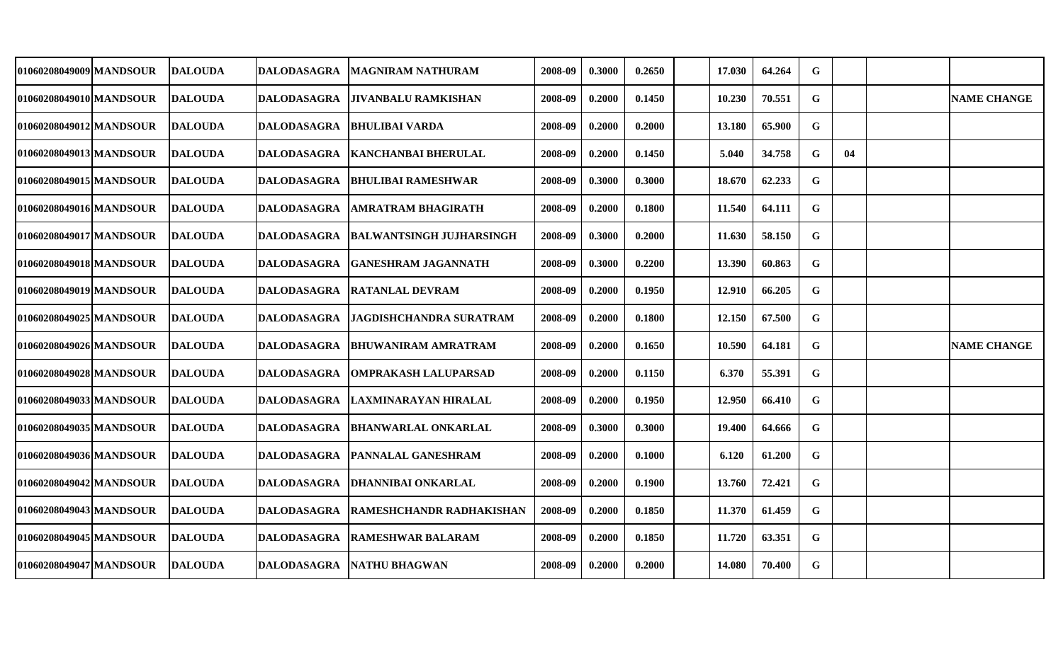| 01060208049009 MANDSOUR | <b>DALOUDA</b> | DALODASAGRA        | <b>MAGNIRAM NATHURAM</b>        | 2008-09 | 0.3000 | 0.2650 | 17.030 | 64.264 | G           |    |                    |
|-------------------------|----------------|--------------------|---------------------------------|---------|--------|--------|--------|--------|-------------|----|--------------------|
| 01060208049010 MANDSOUR | <b>DALOUDA</b> | DALODASAGRA        | JIVANBALU RAMKISHAN             | 2008-09 | 0.2000 | 0.1450 | 10.230 | 70.551 | G           |    | <b>NAME CHANGE</b> |
| 01060208049012 MANDSOUR | <b>DALOUDA</b> | DALODASAGRA        | BHULIBAI VARDA                  | 2008-09 | 0.2000 | 0.2000 | 13.180 | 65.900 | G           |    |                    |
| 01060208049013 MANDSOUR | <b>DALOUDA</b> | <b>DALODASAGRA</b> | <b>KANCHANBAI BHERULAL</b>      | 2008-09 | 0.2000 | 0.1450 | 5.040  | 34.758 | G           | 04 |                    |
| 01060208049015 MANDSOUR | <b>DALOUDA</b> | DALODASAGRA        | IBHULIBAI RAMESHWAR             | 2008-09 | 0.3000 | 0.3000 | 18.670 | 62.233 | $\mathbf G$ |    |                    |
| 01060208049016 MANDSOUR | <b>DALOUDA</b> | <b>DALODASAGRA</b> | AMRATRAM BHAGIRATH              | 2008-09 | 0.2000 | 0.1800 | 11.540 | 64.111 | G           |    |                    |
| 01060208049017 MANDSOUR | <b>DALOUDA</b> | <b>DALODASAGRA</b> | <b>BALWANTSINGH JUJHARSINGH</b> | 2008-09 | 0.3000 | 0.2000 | 11.630 | 58.150 | G           |    |                    |
| 01060208049018 MANDSOUR | <b>DALOUDA</b> | <b>DALODASAGRA</b> | <b>GANESHRAM JAGANNATH</b>      | 2008-09 | 0.3000 | 0.2200 | 13.390 | 60.863 | $\mathbf G$ |    |                    |
| 01060208049019 MANDSOUR | <b>DALOUDA</b> | <b>DALODASAGRA</b> | <b>RATANLAL DEVRAM</b>          | 2008-09 | 0.2000 | 0.1950 | 12.910 | 66.205 | $\mathbf G$ |    |                    |
| 010602080490251MANDSOUR | <b>DALOUDA</b> | <b>DALODASAGRA</b> | JAGDISHCHANDRA SURATRAM         | 2008-09 | 0.2000 | 0.1800 | 12.150 | 67.500 | $\mathbf G$ |    |                    |
| 01060208049026 MANDSOUR | <b>DALOUDA</b> | <b>DALODASAGRA</b> | <b>BHUWANIRAM AMRATRAM</b>      | 2008-09 | 0.2000 | 0.1650 | 10.590 | 64.181 | G           |    | <b>NAME CHANGE</b> |
| 01060208049028 MANDSOUR | <b>DALOUDA</b> | <b>DALODASAGRA</b> | <b>OMPRAKASH LALUPARSAD</b>     | 2008-09 | 0.2000 | 0.1150 | 6.370  | 55.391 | G           |    |                    |
| 01060208049033 MANDSOUR | <b>DALOUDA</b> | DALODASAGRA        | LAXMINARAYAN HIRALAL            | 2008-09 | 0.2000 | 0.1950 | 12.950 | 66.410 | G           |    |                    |
| 010602080490351MANDSOUR | <b>DALOUDA</b> | <b>DALODASAGRA</b> | BHANWARLAL ONKARLAL             | 2008-09 | 0.3000 | 0.3000 | 19.400 | 64.666 | G           |    |                    |
| 01060208049036 MANDSOUR | <b>DALOUDA</b> | <b>DALODASAGRA</b> | PANNALAL GANESHRAM              | 2008-09 | 0.2000 | 0.1000 | 6.120  | 61.200 | G           |    |                    |
| 01060208049042 MANDSOUR | <b>DALOUDA</b> | <b>DALODASAGRA</b> | DHANNIBAI ONKARLAL              | 2008-09 | 0.2000 | 0.1900 | 13.760 | 72.421 | $\mathbf G$ |    |                    |
| 01060208049043 MANDSOUR | <b>DALOUDA</b> | DALODASAGRA        | RAMESHCHANDR RADHAKISHAN        | 2008-09 | 0.2000 | 0.1850 | 11.370 | 61.459 | G           |    |                    |
| 01060208049045 MANDSOUR | DALOUDA        | DALODASAGRA        | <b>RAMESHWAR BALARAM</b>        | 2008-09 | 0.2000 | 0.1850 | 11.720 | 63.351 | $\mathbf G$ |    |                    |
| 01060208049047 MANDSOUR | <b>DALOUDA</b> |                    | DALODASAGRA NATHU BHAGWAN       | 2008-09 | 0.2000 | 0.2000 | 14.080 | 70.400 | $\mathbf G$ |    |                    |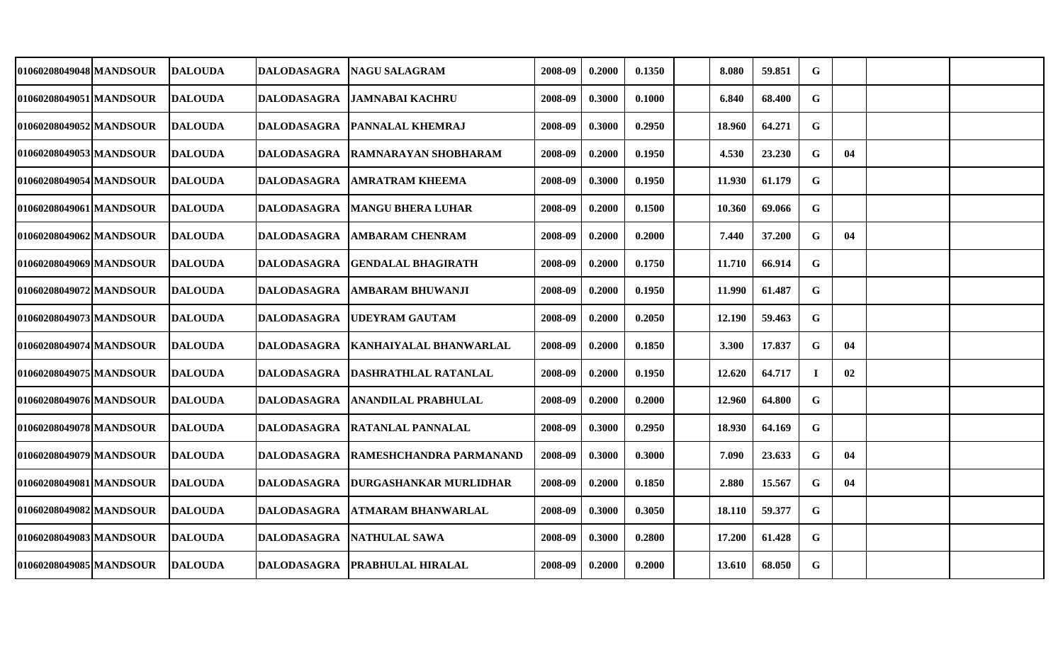| 01060208049048 MANDSOUR | <b>DALOUDA</b> | DALODASAGRA        | <b>NAGU SALAGRAM</b>              | 2008-09 | 0.2000 | 0.1350 | 8.080  | 59.851 | G           |    |  |
|-------------------------|----------------|--------------------|-----------------------------------|---------|--------|--------|--------|--------|-------------|----|--|
| 01060208049051 MANDSOUR | <b>DALOUDA</b> | DALODASAGRA        | JAMNABAI KACHRU                   | 2008-09 | 0.3000 | 0.1000 | 6.840  | 68.400 | G           |    |  |
| 01060208049052 MANDSOUR | <b>DALOUDA</b> | <b>DALODASAGRA</b> | <b>PANNALAL KHEMRAJ</b>           | 2008-09 | 0.3000 | 0.2950 | 18.960 | 64.271 | G           |    |  |
| 01060208049053 MANDSOUR | <b>DALOUDA</b> |                    | DALODASAGRA  RAMNARAYAN SHOBHARAM | 2008-09 | 0.2000 | 0.1950 | 4.530  | 23.230 | G           | 04 |  |
| 01060208049054 MANDSOUR | <b>DALOUDA</b> | <b>DALODASAGRA</b> | <b>AMRATRAM KHEEMA</b>            | 2008-09 | 0.3000 | 0.1950 | 11.930 | 61.179 | G           |    |  |
| 01060208049061 MANDSOUR | <b>DALOUDA</b> | DALODASAGRA        | <b>MANGU BHERA LUHAR</b>          | 2008-09 | 0.2000 | 0.1500 | 10.360 | 69.066 | G           |    |  |
| 01060208049062 MANDSOUR | <b>DALOUDA</b> | <b>DALODASAGRA</b> | <b>AMBARAM CHENRAM</b>            | 2008-09 | 0.2000 | 0.2000 | 7.440  | 37.200 | G           | 04 |  |
| 01060208049069 MANDSOUR | <b>DALOUDA</b> | <b>DALODASAGRA</b> | <b>GENDALAL BHAGIRATH</b>         | 2008-09 | 0.2000 | 0.1750 | 11.710 | 66.914 | G           |    |  |
| 01060208049072 MANDSOUR | <b>DALOUDA</b> | <b>DALODASAGRA</b> | AMBARAM BHUWANJI                  | 2008-09 | 0.2000 | 0.1950 | 11.990 | 61.487 | $\mathbf G$ |    |  |
| 01060208049073 MANDSOUR | <b>DALOUDA</b> | DALODASAGRA        | <b>UDEYRAM GAUTAM</b>             | 2008-09 | 0.2000 | 0.2050 | 12.190 | 59.463 | $\mathbf G$ |    |  |
| 01060208049074 MANDSOUR | <b>DALOUDA</b> | <b>DALODASAGRA</b> | KANHAIYALAL BHANWARLAL            | 2008-09 | 0.2000 | 0.1850 | 3.300  | 17.837 | G           | 04 |  |
| 01060208049075 MANDSOUR | <b>DALOUDA</b> | DALODASAGRA        | <b>DASHRATHLAL RATANLAL</b>       | 2008-09 | 0.2000 | 0.1950 | 12.620 | 64.717 | $\bf{I}$    | 02 |  |
| 01060208049076 MANDSOUR | <b>DALOUDA</b> | <b>DALODASAGRA</b> | ANANDILAL PRABHULAL               | 2008-09 | 0.2000 | 0.2000 | 12.960 | 64.800 | G           |    |  |
| 01060208049078 MANDSOUR | <b>DALOUDA</b> | <b>DALODASAGRA</b> | RATANLAL PANNALAL                 | 2008-09 | 0.3000 | 0.2950 | 18.930 | 64.169 | $\mathbf G$ |    |  |
| 01060208049079 MANDSOUR | <b>DALOUDA</b> | <b>DALODASAGRA</b> | RAMESHCHANDRA PARMANAND           | 2008-09 | 0.3000 | 0.3000 | 7.090  | 23.633 | G           | 04 |  |
| 01060208049081 MANDSOUR | <b>DALOUDA</b> | <b>DALODASAGRA</b> | DURGASHANKAR MURLIDHAR            | 2008-09 | 0.2000 | 0.1850 | 2.880  | 15.567 | G           | 04 |  |
| 01060208049082 MANDSOUR | <b>DALOUDA</b> | <b>DALODASAGRA</b> | ATMARAM BHANWARLAL                | 2008-09 | 0.3000 | 0.3050 | 18.110 | 59.377 | $\mathbf G$ |    |  |
| 01060208049083 MANDSOUR | <b>DALOUDA</b> | DALODASAGRA        | <b>NATHULAL SAWA</b>              | 2008-09 | 0.3000 | 0.2800 | 17.200 | 61.428 | $\mathbf G$ |    |  |
| 01060208049085 MANDSOUR | <b>DALOUDA</b> |                    | DALODASAGRA   PRABHULAL HIRALAL   | 2008-09 | 0.2000 | 0.2000 | 13.610 | 68.050 | $\mathbf G$ |    |  |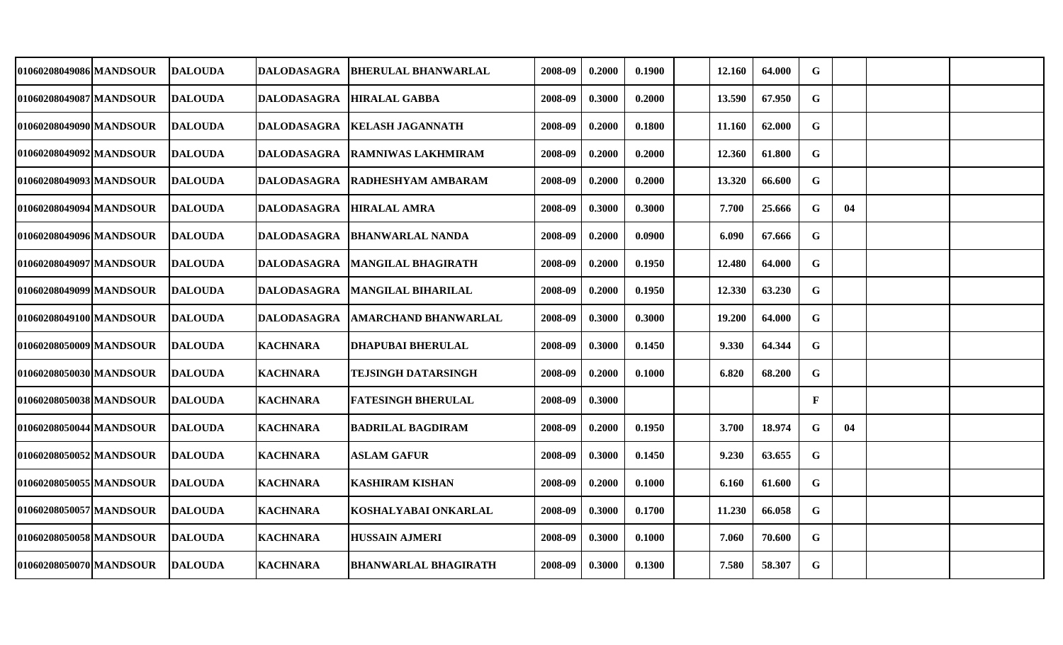| 01060208049086 MANDSOUR | <b>DALOUDA</b>  | DALODASAGRA        | <b>BHERULAL BHANWARLAL</b>     | 2008-09 | 0.2000 | 0.1900 | 12.160 | 64.000 | G            |    |  |
|-------------------------|-----------------|--------------------|--------------------------------|---------|--------|--------|--------|--------|--------------|----|--|
| 01060208049087 MANDSOUR | <b>DALOUDA</b>  | <b>DALODASAGRA</b> | <b>HIRALAL GABBA</b>           | 2008-09 | 0.3000 | 0.2000 | 13.590 | 67.950 | G            |    |  |
| 01060208049090 MANDSOUR | <b>DALOUDA</b>  | <b>DALODASAGRA</b> | <b>KELASH JAGANNATH</b>        | 2008-09 | 0.2000 | 0.1800 | 11.160 | 62.000 | $\mathbf G$  |    |  |
| 01060208049092MANDSOUR  | <b>DALOUDA</b>  |                    | DALODASAGRA RAMNIWAS LAKHMIRAM | 2008-09 | 0.2000 | 0.2000 | 12.360 | 61.800 | G            |    |  |
| 01060208049093 MANDSOUR | <b>DALOUDA</b>  | DALODASAGRA        | <b>RADHESHYAM AMBARAM</b>      | 2008-09 | 0.2000 | 0.2000 | 13.320 | 66.600 | G            |    |  |
| 01060208049094 MANDSOUR | <b>DALOUDA</b>  | <b>DALODASAGRA</b> | <b>HIRALAL AMRA</b>            | 2008-09 | 0.3000 | 0.3000 | 7.700  | 25.666 | G            | 04 |  |
| 01060208049096 MANDSOUR | <b>DALOUDA</b>  | <b>DALODASAGRA</b> | <b>BHANWARLAL NANDA</b>        | 2008-09 | 0.2000 | 0.0900 | 6.090  | 67.666 | $\mathbf G$  |    |  |
| 01060208049097 MANDSOUR | <b>IDALOUDA</b> | <b>DALODASAGRA</b> | <b>MANGILAL BHAGIRATH</b>      | 2008-09 | 0.2000 | 0.1950 | 12.480 | 64.000 | $\mathbf G$  |    |  |
| 01060208049099 MANDSOUR | <b>DALOUDA</b>  | <b>DALODASAGRA</b> | <b>MANGILAL BIHARILAL</b>      | 2008-09 | 0.2000 | 0.1950 | 12.330 | 63.230 | $\mathbf G$  |    |  |
| 01060208049100 MANDSOUR | <b>DALOUDA</b>  | <b>DALODASAGRA</b> | <b>AMARCHAND BHANWARLAL</b>    | 2008-09 | 0.3000 | 0.3000 | 19.200 | 64.000 | G            |    |  |
| 01060208050009 MANDSOUR | <b>DALOUDA</b>  | <b>KACHNARA</b>    | <b>DHAPUBAI BHERULAL</b>       | 2008-09 | 0.3000 | 0.1450 | 9.330  | 64.344 | G            |    |  |
| 01060208050030 MANDSOUR | <b>DALOUDA</b>  | <b>KACHNARA</b>    | <b>TEJSINGH DATARSINGH</b>     | 2008-09 | 0.2000 | 0.1000 | 6.820  | 68.200 | G            |    |  |
| 01060208050038 MANDSOUR | <b>DALOUDA</b>  | <b>KACHNARA</b>    | <b>FATESINGH BHERULAL</b>      | 2008-09 | 0.3000 |        |        |        | $\mathbf{F}$ |    |  |
| 01060208050044 MANDSOUR | <b>DALOUDA</b>  | <b>KACHNARA</b>    | <b>BADRILAL BAGDIRAM</b>       | 2008-09 | 0.2000 | 0.1950 | 3.700  | 18.974 | G            | 04 |  |
| 01060208050052 MANDSOUR | <b>DALOUDA</b>  | <b>KACHNARA</b>    | <b>ASLAM GAFUR</b>             | 2008-09 | 0.3000 | 0.1450 | 9.230  | 63.655 | $\mathbf G$  |    |  |
| 01060208050055 MANDSOUR | <b>DALOUDA</b>  | <b>KACHNARA</b>    | <b>KASHIRAM KISHAN</b>         | 2008-09 | 0.2000 | 0.1000 | 6.160  | 61.600 | $\mathbf G$  |    |  |
| 01060208050057 MANDSOUR | <b>DALOUDA</b>  | <b>KACHNARA</b>    | KOSHALYABAI ONKARLAL           | 2008-09 | 0.3000 | 0.1700 | 11.230 | 66.058 | G            |    |  |
| 01060208050058 MANDSOUR | <b>IDALOUDA</b> | <b>KACHNARA</b>    | <b>HUSSAIN AJMERI</b>          | 2008-09 | 0.3000 | 0.1000 | 7.060  | 70.600 | $\mathbf G$  |    |  |
| 01060208050070 MANDSOUR | <b>DALOUDA</b>  | <b>KACHNARA</b>    | <b>BHANWARLAL BHAGIRATH</b>    | 2008-09 | 0.3000 | 0.1300 | 7.580  | 58.307 | G            |    |  |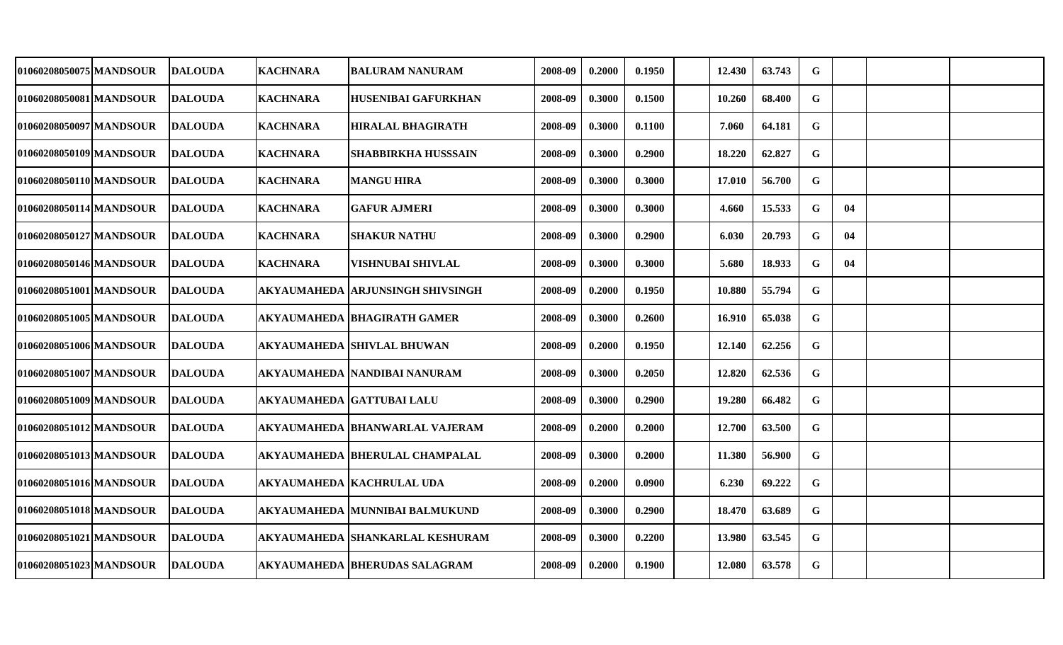| 01060208050075 MANDSOUR | <b>DALOUDA</b> | <b>KACHNARA</b> | <b>BALURAM NANURAM</b>               | 2008-09 | 0.2000 | 0.1950 | 12.430 | 63.743 | G           |    |  |
|-------------------------|----------------|-----------------|--------------------------------------|---------|--------|--------|--------|--------|-------------|----|--|
| 01060208050081 MANDSOUR | <b>DALOUDA</b> | <b>KACHNARA</b> | <b>HUSENIBAI GAFURKHAN</b>           | 2008-09 | 0.3000 | 0.1500 | 10.260 | 68.400 | G           |    |  |
| 01060208050097 MANDSOUR | <b>DALOUDA</b> | <b>KACHNARA</b> | <b>HIRALAL BHAGIRATH</b>             | 2008-09 | 0.3000 | 0.1100 | 7.060  | 64.181 | $\mathbf G$ |    |  |
| 01060208050109 MANDSOUR | <b>DALOUDA</b> | <b>KACHNARA</b> | <b>SHABBIRKHA HUSSSAIN</b>           | 2008-09 | 0.3000 | 0.2900 | 18.220 | 62.827 | G           |    |  |
| 01060208050110 MANDSOUR | <b>DALOUDA</b> | <b>KACHNARA</b> | <b>MANGU HIRA</b>                    | 2008-09 | 0.3000 | 0.3000 | 17.010 | 56.700 | $\mathbf G$ |    |  |
| 01060208050114 MANDSOUR | <b>DALOUDA</b> | <b>KACHNARA</b> | <b>GAFUR AJMERI</b>                  | 2008-09 | 0.3000 | 0.3000 | 4.660  | 15.533 | $\mathbf G$ | 04 |  |
| 01060208050127 MANDSOUR | <b>DALOUDA</b> | <b>KACHNARA</b> | <b>SHAKUR NATHU</b>                  | 2008-09 | 0.3000 | 0.2900 | 6.030  | 20.793 | $\mathbf G$ | 04 |  |
| 01060208050146 MANDSOUR | <b>DALOUDA</b> | <b>KACHNARA</b> | <b>VISHNUBAI SHIVLAL</b>             | 2008-09 | 0.3000 | 0.3000 | 5.680  | 18.933 | $\mathbf G$ | 04 |  |
| 01060208051001 MANDSOUR | <b>DALOUDA</b> |                 | AKYAUMAHEDA  ARJUNSINGH SHIVSINGH    | 2008-09 | 0.2000 | 0.1950 | 10.880 | 55.794 | $\mathbf G$ |    |  |
| 01060208051005 MANDSOUR | <b>DALOUDA</b> |                 | <b>AKYAUMAHEDA BHAGIRATH GAMER</b>   | 2008-09 | 0.3000 | 0.2600 | 16.910 | 65.038 | $\mathbf G$ |    |  |
| 01060208051006 MANDSOUR | <b>DALOUDA</b> |                 | AKYAUMAHEDA SHIVLAL BHUWAN           | 2008-09 | 0.2000 | 0.1950 | 12.140 | 62.256 | G           |    |  |
| 01060208051007 MANDSOUR | <b>DALOUDA</b> |                 | AKYAUMAHEDA  NANDIBAI NANURAM        | 2008-09 | 0.3000 | 0.2050 | 12.820 | 62.536 | $\mathbf G$ |    |  |
| 01060208051009 MANDSOUR | <b>DALOUDA</b> |                 | AKYAUMAHEDA  GATTUBAI LALU           | 2008-09 | 0.3000 | 0.2900 | 19.280 | 66.482 | G           |    |  |
| 01060208051012 MANDSOUR | <b>DALOUDA</b> |                 | AKYAUMAHEDA BHANWARLAL VAJERAM       | 2008-09 | 0.2000 | 0.2000 | 12.700 | 63.500 | $\mathbf G$ |    |  |
| 01060208051013 MANDSOUR | <b>DALOUDA</b> |                 | AKYAUMAHEDA  BHERULAL CHAMPALAL      | 2008-09 | 0.3000 | 0.2000 | 11.380 | 56.900 | G           |    |  |
| 01060208051016 MANDSOUR | <b>DALOUDA</b> |                 | AKYAUMAHEDA  KACHRULAL UDA           | 2008-09 | 0.2000 | 0.0900 | 6.230  | 69.222 | $\mathbf G$ |    |  |
| 01060208051018 MANDSOUR | <b>DALOUDA</b> |                 | AKYAUMAHEDA  MUNNIBAI BALMUKUND      | 2008-09 | 0.3000 | 0.2900 | 18.470 | 63.689 | $\mathbf G$ |    |  |
| 01060208051021 MANDSOUR | <b>DALOUDA</b> |                 | AKYAUMAHEDA  SHANKARLAL KESHURAM     | 2008-09 | 0.3000 | 0.2200 | 13.980 | 63.545 | G           |    |  |
| 01060208051023 MANDSOUR | <b>DALOUDA</b> |                 | <b>AKYAUMAHEDA BHERUDAS SALAGRAM</b> | 2008-09 | 0.2000 | 0.1900 | 12.080 | 63.578 | $\mathbf G$ |    |  |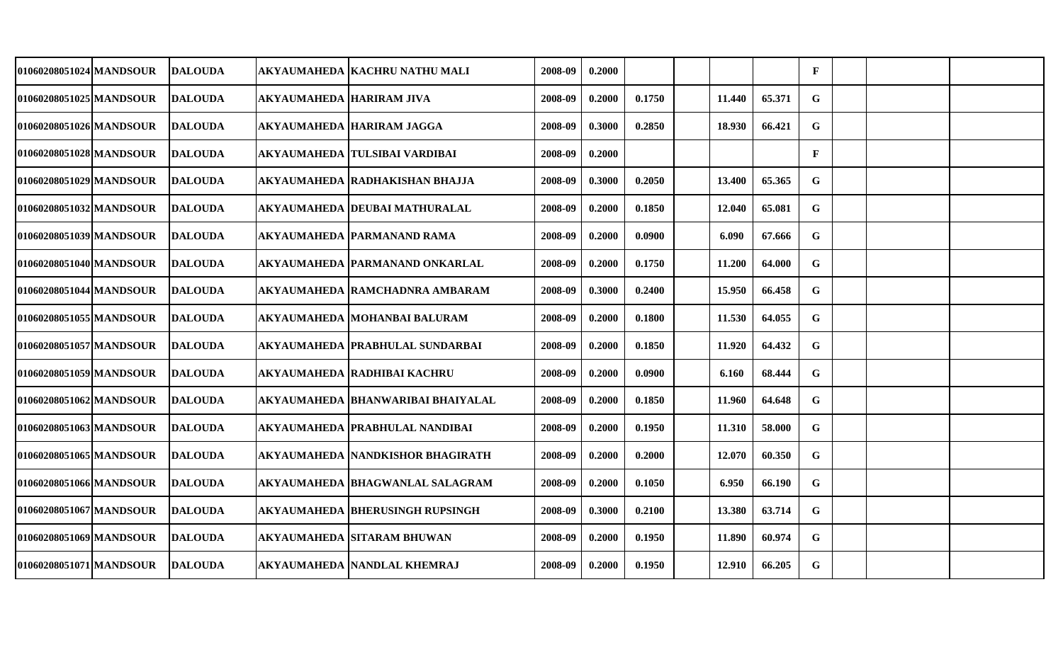| 01060208051024 MANDSOUR | <b>DALOUDA</b> |                          | AKYAUMAHEDA  KACHRU NATHU MALI     | 2008-09 | 0.2000 |        |        |        | $\mathbf{F}$ |  |  |
|-------------------------|----------------|--------------------------|------------------------------------|---------|--------|--------|--------|--------|--------------|--|--|
| 01060208051025 MANDSOUR | <b>DALOUDA</b> | AKYAUMAHEDA HARIRAM JIVA |                                    | 2008-09 | 0.2000 | 0.1750 | 11.440 | 65.371 | G            |  |  |
| 01060208051026 MANDSOUR | <b>DALOUDA</b> |                          | AKYAUMAHEDA  HARIRAM JAGGA         | 2008-09 | 0.3000 | 0.2850 | 18.930 | 66.421 | $\mathbf G$  |  |  |
| 01060208051028 MANDSOUR | <b>DALOUDA</b> |                          | AKYAUMAHEDA TULSIBAI VARDIBAI      | 2008-09 | 0.2000 |        |        |        | $\mathbf F$  |  |  |
| 01060208051029 MANDSOUR | <b>DALOUDA</b> |                          | AKYAUMAHEDA RADHAKISHAN BHAJJA     | 2008-09 | 0.3000 | 0.2050 | 13.400 | 65.365 | G            |  |  |
| 01060208051032 MANDSOUR | <b>DALOUDA</b> |                          | AKYAUMAHEDA  DEUBAI MATHURALAL     | 2008-09 | 0.2000 | 0.1850 | 12.040 | 65.081 | G            |  |  |
| 01060208051039 MANDSOUR | <b>DALOUDA</b> |                          | AKYAUMAHEDA  PARMANAND RAMA        | 2008-09 | 0.2000 | 0.0900 | 6.090  | 67.666 | $\mathbf G$  |  |  |
| 01060208051040 MANDSOUR | <b>DALOUDA</b> |                          | AKYAUMAHEDA PARMANAND ONKARLAL     | 2008-09 | 0.2000 | 0.1750 | 11.200 | 64.000 | $\mathbf G$  |  |  |
| 01060208051044 MANDSOUR | <b>DALOUDA</b> |                          | AKYAUMAHEDA  RAMCHADNRA AMBARAM    | 2008-09 | 0.3000 | 0.2400 | 15.950 | 66.458 | $\mathbf G$  |  |  |
| 01060208051055 MANDSOUR | <b>DALOUDA</b> |                          | AKYAUMAHEDA MOHANBAI BALURAM       | 2008-09 | 0.2000 | 0.1800 | 11.530 | 64.055 | $\mathbf G$  |  |  |
| 01060208051057 MANDSOUR | <b>DALOUDA</b> |                          | AKYAUMAHEDA PRABHULAL SUNDARBAI    | 2008-09 | 0.2000 | 0.1850 | 11.920 | 64.432 | $\mathbf G$  |  |  |
| 01060208051059 MANDSOUR | <b>DALOUDA</b> |                          | AKYAUMAHEDA  RADHIBAI KACHRU       | 2008-09 | 0.2000 | 0.0900 | 6.160  | 68.444 | G            |  |  |
| 01060208051062 MANDSOUR | <b>DALOUDA</b> |                          | AKYAUMAHEDA  BHANWARIBAI BHAIYALAL | 2008-09 | 0.2000 | 0.1850 | 11.960 | 64.648 | $\mathbf G$  |  |  |
| 01060208051063 MANDSOUR | <b>DALOUDA</b> |                          | AKYAUMAHEDA  PRABHULAL NANDIBAI    | 2008-09 | 0.2000 | 0.1950 | 11.310 | 58.000 | G            |  |  |
| 01060208051065 MANDSOUR | <b>DALOUDA</b> |                          | AKYAUMAHEDA  NANDKISHOR BHAGIRATH  | 2008-09 | 0.2000 | 0.2000 | 12.070 | 60.350 | G            |  |  |
| 01060208051066 MANDSOUR | <b>DALOUDA</b> |                          | AKYAUMAHEDA  BHAGWANLAL SALAGRAM   | 2008-09 | 0.2000 | 0.1050 | 6.950  | 66.190 | G            |  |  |
| 01060208051067 MANDSOUR | <b>DALOUDA</b> |                          | AKYAUMAHEDA  BHERUSINGH RUPSINGH   | 2008-09 | 0.3000 | 0.2100 | 13.380 | 63.714 | $\mathbf G$  |  |  |
| 01060208051069 MANDSOUR | <b>DALOUDA</b> |                          | AKYAUMAHEDA SITARAM BHUWAN         | 2008-09 | 0.2000 | 0.1950 | 11.890 | 60.974 | G            |  |  |
| 01060208051071 MANDSOUR | <b>DALOUDA</b> |                          | <b>AKYAUMAHEDA NANDLAL KHEMRAJ</b> | 2008-09 | 0.2000 | 0.1950 | 12.910 | 66.205 | $\mathbf G$  |  |  |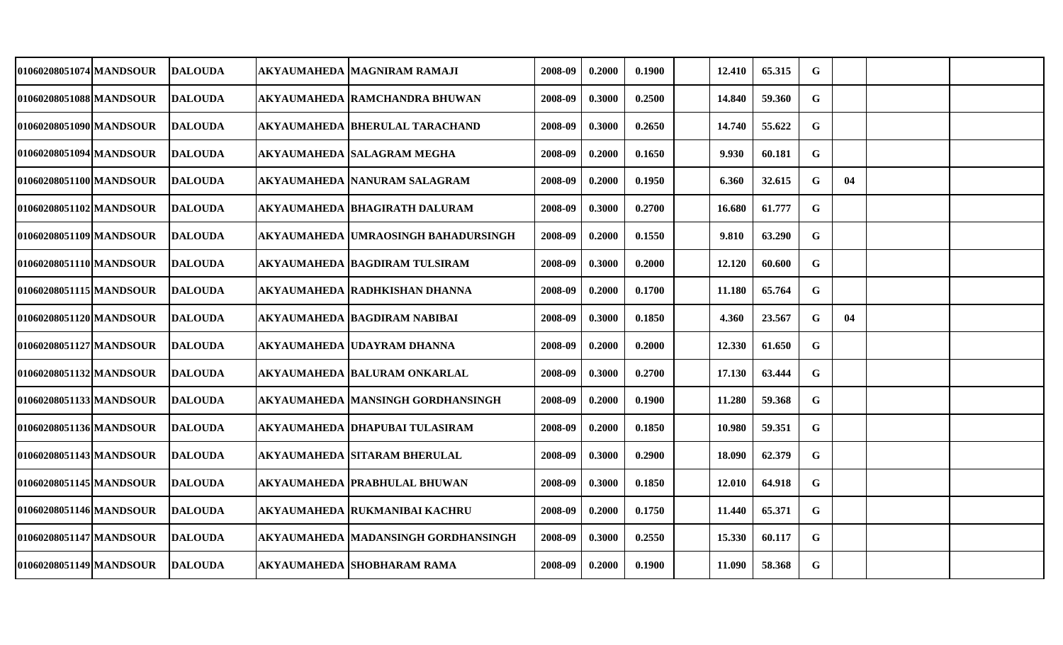| 01060208051074 MANDSOUR  | <b>DALOUDA</b> | AKYAUMAHEDA MAGNIRAM RAMAJI                | 2008-09 | 0.2000 | 0.1900 | 12.410 | 65.315 | G           |    |  |
|--------------------------|----------------|--------------------------------------------|---------|--------|--------|--------|--------|-------------|----|--|
| 01060208051088 MANDSOUR  | <b>DALOUDA</b> | AKYAUMAHEDA  RAMCHANDRA BHUWAN             | 2008-09 | 0.3000 | 0.2500 | 14.840 | 59.360 | G           |    |  |
| 01060208051090 MANDSOUR  | <b>DALOUDA</b> | AKYAUMAHEDA BHERULAL TARACHAND             | 2008-09 | 0.3000 | 0.2650 | 14.740 | 55.622 | G           |    |  |
| 01060208051094 MANDSOUR  | <b>DALOUDA</b> | <b>AKYAUMAHEDA SALAGRAM MEGHA</b>          | 2008-09 | 0.2000 | 0.1650 | 9.930  | 60.181 | $\mathbf G$ |    |  |
| 01060208051100 MANDSOUR  | <b>DALOUDA</b> | AKYAUMAHEDA  NANURAM SALAGRAM              | 2008-09 | 0.2000 | 0.1950 | 6.360  | 32.615 | G           | 04 |  |
| 01060208051102 MANDSOUR  | <b>DALOUDA</b> | <b>AKYAUMAHEDA BHAGIRATH DALURAM</b>       | 2008-09 | 0.3000 | 0.2700 | 16.680 | 61.777 | G           |    |  |
| 01060208051109 MANDSOUR  | <b>DALOUDA</b> | <b>AKYAUMAHEDA UMRAOSINGH BAHADURSINGH</b> | 2008-09 | 0.2000 | 0.1550 | 9.810  | 63.290 | $\mathbf G$ |    |  |
| 01060208051110 MANDSOUR  | <b>DALOUDA</b> | <b>AKYAUMAHEDA BAGDIRAM TULSIRAM</b>       | 2008-09 | 0.3000 | 0.2000 | 12.120 | 60.600 | G           |    |  |
| 01060208051115 MANDSOUR  | <b>DALOUDA</b> | AKYAUMAHEDA  RADHKISHAN DHANNA             | 2008-09 | 0.2000 | 0.1700 | 11.180 | 65.764 | $\mathbf G$ |    |  |
| 01060208051120 MANDSOUR  | <b>DALOUDA</b> | AKYAUMAHEDA  BAGDIRAM NABIBAI              | 2008-09 | 0.3000 | 0.1850 | 4.360  | 23.567 | G           | 04 |  |
| 01060208051127 MANDSOUR  | <b>DALOUDA</b> | <b>AKYAUMAHEDA UDAYRAM DHANNA</b>          | 2008-09 | 0.2000 | 0.2000 | 12.330 | 61.650 | G           |    |  |
| 01060208051132 MANDSOUR  | <b>DALOUDA</b> | <b>AKYAUMAHEDA BALURAM ONKARLAL</b>        | 2008-09 | 0.3000 | 0.2700 | 17.130 | 63.444 | $\mathbf G$ |    |  |
| 01060208051133 MANDSOUR  | <b>DALOUDA</b> | AKYAUMAHEDA  MANSINGH GORDHANSINGH         | 2008-09 | 0.2000 | 0.1900 | 11.280 | 59.368 | G           |    |  |
| 01060208051136 MANDSOUR  | <b>DALOUDA</b> | AKYAUMAHEDA  DHAPUBAI TULASIRAM            | 2008-09 | 0.2000 | 0.1850 | 10.980 | 59.351 | G           |    |  |
| 01060208051143 MANDSOUR  | <b>DALOUDA</b> | AKYAUMAHEDA SITARAM BHERULAL               | 2008-09 | 0.3000 | 0.2900 | 18.090 | 62.379 | G           |    |  |
| 01060208051145 MANDSOUR  | <b>DALOUDA</b> | AKYAUMAHEDA  PRABHULAL BHUWAN              | 2008-09 | 0.3000 | 0.1850 | 12.010 | 64.918 | G           |    |  |
| 01060208051146 MANDSOUR_ | <b>DALOUDA</b> | AKYAUMAHEDA  RUKMANIBAI KACHRU             | 2008-09 | 0.2000 | 0.1750 | 11.440 | 65.371 | G           |    |  |
| 01060208051147 MANDSOUR  | <b>DALOUDA</b> | AKYAUMAHEDA  MADANSINGH GORDHANSINGH       | 2008-09 | 0.3000 | 0.2550 | 15.330 | 60.117 | G           |    |  |
| 01060208051149 MANDSOUR  | <b>DALOUDA</b> | <b>AKYAUMAHEDA SHOBHARAM RAMA</b>          | 2008-09 | 0.2000 | 0.1900 | 11.090 | 58.368 | G           |    |  |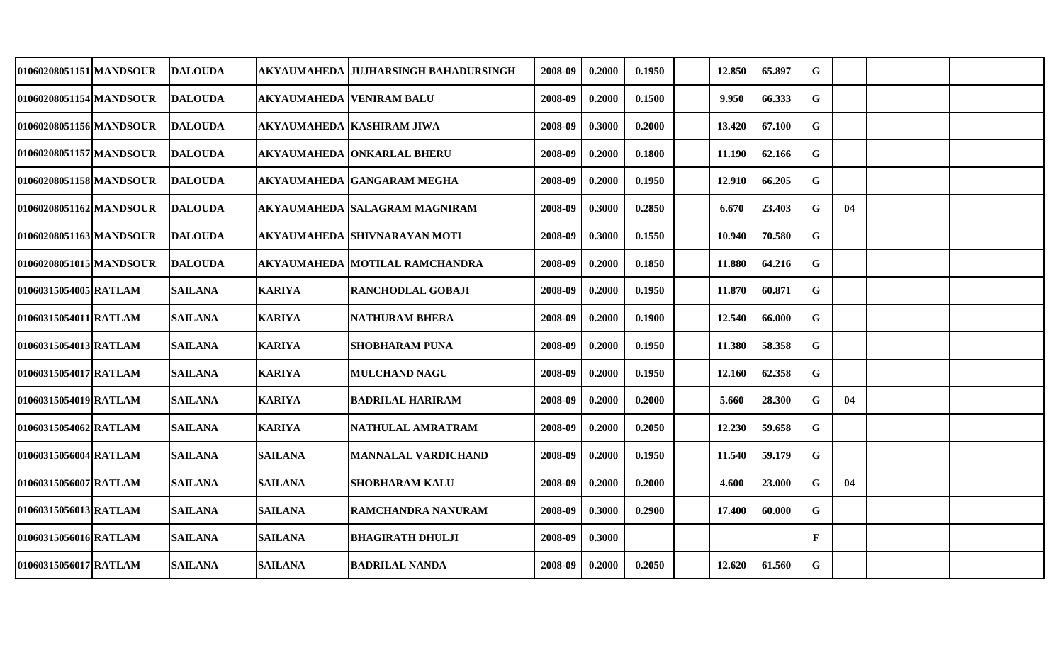| 01060208051151 MANDSOUR | <b>DALOUDA</b> |                                 | AKYAUMAHEDA  JUJHARSINGH BAHADURSINGH | 2008-09 | 0.2000 | 0.1950 | 12.850 | 65.897 | G            |    |  |
|-------------------------|----------------|---------------------------------|---------------------------------------|---------|--------|--------|--------|--------|--------------|----|--|
| 01060208051154 MANDSOUR | <b>DALOUDA</b> | <b>AKYAUMAHEDA VENIRAM BALU</b> |                                       | 2008-09 | 0.2000 | 0.1500 | 9.950  | 66.333 | G            |    |  |
| 01060208051156 MANDSOUR | <b>DALOUDA</b> |                                 | <b>AKYAUMAHEDA KASHIRAM JIWA</b>      | 2008-09 | 0.3000 | 0.2000 | 13.420 | 67.100 | G            |    |  |
| 01060208051157 MANDSOUR | <b>DALOUDA</b> |                                 | AKYAUMAHEDA  ONKARLAL BHERU           | 2008-09 | 0.2000 | 0.1800 | 11.190 | 62.166 | G            |    |  |
| 01060208051158 MANDSOUR | <b>DALOUDA</b> |                                 | <b>AKYAUMAHEDA GANGARAM MEGHA</b>     | 2008-09 | 0.2000 | 0.1950 | 12.910 | 66.205 | G            |    |  |
| 01060208051162 MANDSOUR | <b>DALOUDA</b> |                                 | AKYAUMAHEDA SALAGRAM MAGNIRAM         | 2008-09 | 0.3000 | 0.2850 | 6.670  | 23.403 | $\mathbf G$  | 04 |  |
| 01060208051163 MANDSOUR | <b>DALOUDA</b> |                                 | <b>AKYAUMAHEDA SHIVNARAYAN MOTI</b>   | 2008-09 | 0.3000 | 0.1550 | 10.940 | 70.580 | G            |    |  |
| 01060208051015 MANDSOUR | <b>DALOUDA</b> |                                 | <b>AKYAUMAHEDA MOTILAL RAMCHANDRA</b> | 2008-09 | 0.2000 | 0.1850 | 11.880 | 64.216 | $\mathbf G$  |    |  |
| 01060315054005 RATLAM   | <b>SAILANA</b> | <b>KARIYA</b>                   | RANCHODLAL GOBAJI                     | 2008-09 | 0.2000 | 0.1950 | 11.870 | 60.871 | $\mathbf G$  |    |  |
| 01060315054011 RATLAM   | <b>SAILANA</b> | <b>KARIYA</b>                   | <b>NATHURAM BHERA</b>                 | 2008-09 | 0.2000 | 0.1900 | 12.540 | 66.000 | G            |    |  |
| 01060315054013 RATLAM   | <b>SAILANA</b> | <b>KARIYA</b>                   | <b>SHOBHARAM PUNA</b>                 | 2008-09 | 0.2000 | 0.1950 | 11.380 | 58.358 | G            |    |  |
| 01060315054017 RATLAM   | <b>SAILANA</b> | <b>KARIYA</b>                   | <b>MULCHAND NAGU</b>                  | 2008-09 | 0.2000 | 0.1950 | 12.160 | 62.358 | $\mathbf G$  |    |  |
| 01060315054019 RATLAM   | <b>SAILANA</b> | <b>KARIYA</b>                   | <b>BADRILAL HARIRAM</b>               | 2008-09 | 0.2000 | 0.2000 | 5.660  | 28.300 | G            | 04 |  |
| 01060315054062 RATLAM   | <b>SAILANA</b> | <b>KARIYA</b>                   | NATHULAL AMRATRAM                     | 2008-09 | 0.2000 | 0.2050 | 12.230 | 59.658 | G            |    |  |
| 01060315056004 RATLAM   | <b>SAILANA</b> | <b>SAILANA</b>                  | <b>MANNALAL VARDICHAND</b>            | 2008-09 | 0.2000 | 0.1950 | 11.540 | 59.179 | G            |    |  |
| 01060315056007 RATLAM   | <b>SAILANA</b> | <b>SAILANA</b>                  | <b>SHOBHARAM KALU</b>                 | 2008-09 | 0.2000 | 0.2000 | 4.600  | 23.000 | G            | 04 |  |
| 01060315056013 RATLAM   | <b>SAILANA</b> | <b>SAILANA</b>                  | RAMCHANDRA NANURAM                    | 2008-09 | 0.3000 | 0.2900 | 17.400 | 60.000 | G            |    |  |
| 01060315056016 RATLAM   | <b>SAILANA</b> | <b>SAILANA</b>                  | <b>BHAGIRATH DHULJI</b>               | 2008-09 | 0.3000 |        |        |        | $\mathbf{F}$ |    |  |
| 01060315056017 RATLAM   | <b>SAILANA</b> | <b>SAILANA</b>                  | <b>BADRILAL NANDA</b>                 | 2008-09 | 0.2000 | 0.2050 | 12.620 | 61.560 | $\mathbf G$  |    |  |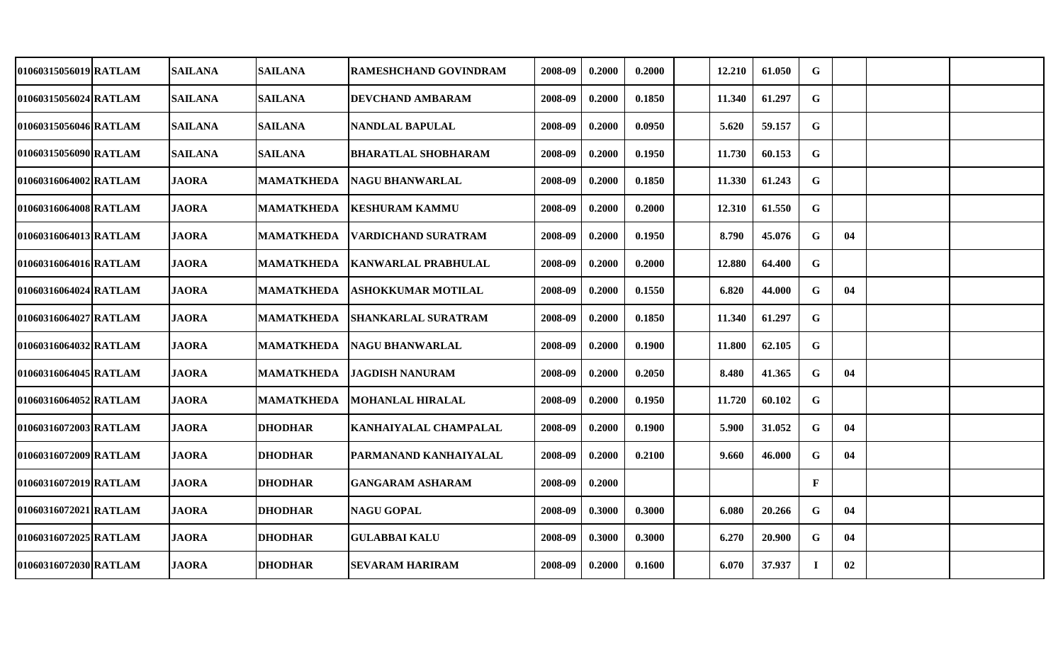| 01060315056019 RATLAM | <b>SAILANA</b> | <b>SAILANA</b>    | RAMESHCHAND GOVINDRAM      | 2008-09 | 0.2000 | 0.2000 | 12.210 | 61.050 | G            |    |  |
|-----------------------|----------------|-------------------|----------------------------|---------|--------|--------|--------|--------|--------------|----|--|
| 01060315056024 RATLAM | <b>SAILANA</b> | <b>SAILANA</b>    | DEVCHAND AMBARAM           | 2008-09 | 0.2000 | 0.1850 | 11.340 | 61.297 | G            |    |  |
| 01060315056046 RATLAM | <b>SAILANA</b> | <b>SAILANA</b>    | <b>NANDLAL BAPULAL</b>     | 2008-09 | 0.2000 | 0.0950 | 5.620  | 59.157 | $\mathbf G$  |    |  |
| 01060315056090 RATLAM | <b>SAILANA</b> | <b>SAILANA</b>    | <b>BHARATLAL SHOBHARAM</b> | 2008-09 | 0.2000 | 0.1950 | 11.730 | 60.153 | G            |    |  |
| 01060316064002 RATLAM | <b>JAORA</b>   | <b>MAMATKHEDA</b> | <b>NAGU BHANWARLAL</b>     | 2008-09 | 0.2000 | 0.1850 | 11.330 | 61.243 | $\mathbf G$  |    |  |
| 01060316064008 RATLAM | <b>JAORA</b>   | <b>MAMATKHEDA</b> | <b>KESHURAM KAMMU</b>      | 2008-09 | 0.2000 | 0.2000 | 12.310 | 61.550 | $\mathbf G$  |    |  |
| 01060316064013 RATLAM | <b>JAORA</b>   | <b>MAMATKHEDA</b> | <b>VARDICHAND SURATRAM</b> | 2008-09 | 0.2000 | 0.1950 | 8.790  | 45.076 | $\mathbf G$  | 04 |  |
| 01060316064016 RATLAM | <b>JAORA</b>   | <b>MAMATKHEDA</b> | <b>KANWARLAL PRABHULAL</b> | 2008-09 | 0.2000 | 0.2000 | 12.880 | 64.400 | $\mathbf G$  |    |  |
| 01060316064024 RATLAM | <b>JAORA</b>   | <b>MAMATKHEDA</b> | <b>ASHOKKUMAR MOTILAL</b>  | 2008-09 | 0.2000 | 0.1550 | 6.820  | 44.000 | $\mathbf G$  | 04 |  |
| 01060316064027 RATLAM | <b>JAORA</b>   | <b>MAMATKHEDA</b> | <b>SHANKARLAL SURATRAM</b> | 2008-09 | 0.2000 | 0.1850 | 11.340 | 61.297 | $\mathbf G$  |    |  |
| 01060316064032 RATLAM | <b>JAORA</b>   | <b>MAMATKHEDA</b> | <b>NAGU BHANWARLAL</b>     | 2008-09 | 0.2000 | 0.1900 | 11.800 | 62.105 | $\mathbf G$  |    |  |
| 01060316064045 RATLAM | <b>JAORA</b>   | <b>MAMATKHEDA</b> | <b>JAGDISH NANURAM</b>     | 2008-09 | 0.2000 | 0.2050 | 8.480  | 41.365 | $\mathbf G$  | 04 |  |
| 01060316064052 RATLAM | <b>JAORA</b>   | <b>MAMATKHEDA</b> | <b>MOHANLAL HIRALAL</b>    | 2008-09 | 0.2000 | 0.1950 | 11.720 | 60.102 | G            |    |  |
| 01060316072003 RATLAM | <b>JAORA</b>   | <b>DHODHAR</b>    | KANHAIYALAL CHAMPALAL      | 2008-09 | 0.2000 | 0.1900 | 5.900  | 31.052 | $\mathbf G$  | 04 |  |
| 01060316072009 RATLAM | <b>JAORA</b>   | <b>DHODHAR</b>    | PARMANAND KANHAIYALAL      | 2008-09 | 0.2000 | 0.2100 | 9.660  | 46.000 | $\mathbf G$  | 04 |  |
| 01060316072019 RATLAM | <b>JAORA</b>   | <b>DHODHAR</b>    | <b>GANGARAM ASHARAM</b>    | 2008-09 | 0.2000 |        |        |        | $\mathbf{F}$ |    |  |
| 01060316072021 RATLAM | <b>JAORA</b>   | <b>DHODHAR</b>    | <b>NAGU GOPAL</b>          | 2008-09 | 0.3000 | 0.3000 | 6.080  | 20.266 | $\mathbf G$  | 04 |  |
| 01060316072025 RATLAM | <b>JAORA</b>   | <b>DHODHAR</b>    | <b>GULABBAI KALU</b>       | 2008-09 | 0.3000 | 0.3000 | 6.270  | 20.900 | $\mathbf G$  | 04 |  |
| 01060316072030 RATLAM | <b>JAORA</b>   | <b>DHODHAR</b>    | <b>SEVARAM HARIRAM</b>     | 2008-09 | 0.2000 | 0.1600 | 6.070  | 37.937 | $\mathbf I$  | 02 |  |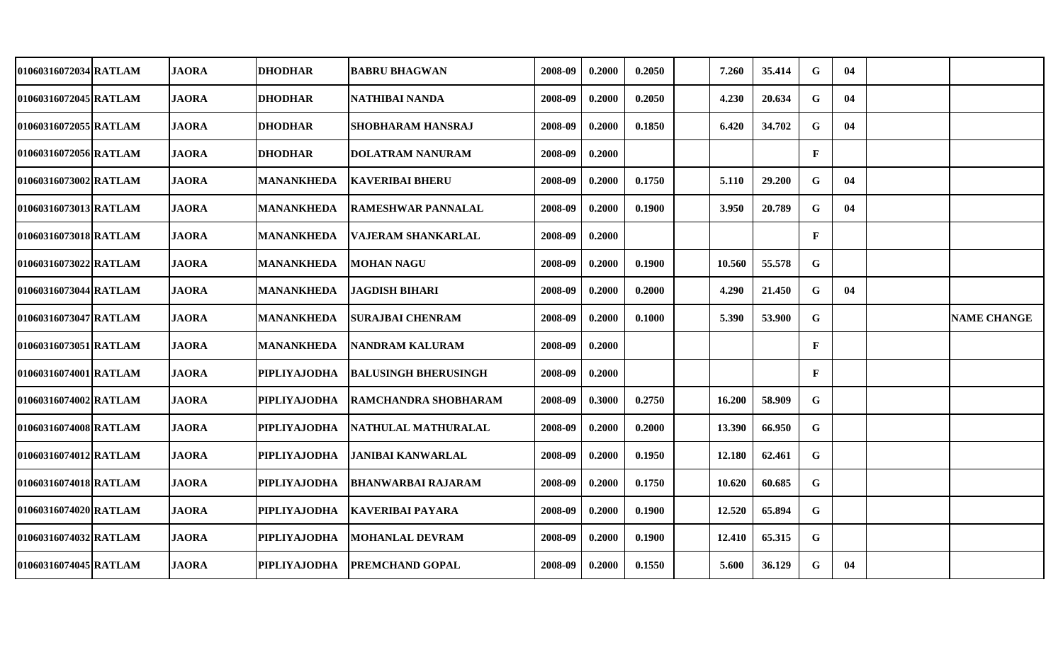| 01060316072034 RATLAM | <b>JAORA</b> | <b>DHODHAR</b>      | <b>BABRU BHAGWAN</b>        | 2008-09 | 0.2000 | 0.2050 | 7.260  | 35.414 | G            | 04 |                    |
|-----------------------|--------------|---------------------|-----------------------------|---------|--------|--------|--------|--------|--------------|----|--------------------|
| 01060316072045 RATLAM | <b>JAORA</b> | <b>DHODHAR</b>      | NATHIBAI NANDA              | 2008-09 | 0.2000 | 0.2050 | 4.230  | 20.634 | G            | 04 |                    |
| 01060316072055 RATLAM | <b>JAORA</b> | <b>DHODHAR</b>      | <b>SHOBHARAM HANSRAJ</b>    | 2008-09 | 0.2000 | 0.1850 | 6.420  | 34.702 | G            | 04 |                    |
| 01060316072056 RATLAM | <b>JAORA</b> | <b>DHODHAR</b>      | <b>DOLATRAM NANURAM</b>     | 2008-09 | 0.2000 |        |        |        | $\mathbf{F}$ |    |                    |
| 01060316073002 RATLAM | <b>JAORA</b> | <b>MANANKHEDA</b>   | <b>KAVERIBAI BHERU</b>      | 2008-09 | 0.2000 | 0.1750 | 5.110  | 29.200 | G            | 04 |                    |
| 01060316073013 RATLAM | <b>JAORA</b> | <b>MANANKHEDA</b>   | <b>RAMESHWAR PANNALAL</b>   | 2008-09 | 0.2000 | 0.1900 | 3.950  | 20.789 | G            | 04 |                    |
| 01060316073018 RATLAM | <b>JAORA</b> | <b>MANANKHEDA</b>   | <b>VAJERAM SHANKARLAL</b>   | 2008-09 | 0.2000 |        |        |        | $\mathbf{F}$ |    |                    |
| 01060316073022 RATLAM | <b>JAORA</b> | <b>MANANKHEDA</b>   | <b>MOHAN NAGU</b>           | 2008-09 | 0.2000 | 0.1900 | 10.560 | 55.578 | $\mathbf G$  |    |                    |
| 01060316073044 RATLAM | <b>JAORA</b> | <b>MANANKHEDA</b>   | <b>JAGDISH BIHARI</b>       | 2008-09 | 0.2000 | 0.2000 | 4.290  | 21.450 | $\mathbf G$  | 04 |                    |
| 01060316073047 RATLAM | <b>JAORA</b> | MANANKHEDA          | <b>SURAJBAI CHENRAM</b>     | 2008-09 | 0.2000 | 0.1000 | 5.390  | 53.900 | $\mathbf G$  |    | <b>NAME CHANGE</b> |
| 01060316073051 RATLAM | <b>JAORA</b> | <b>MANANKHEDA</b>   | <b>NANDRAM KALURAM</b>      | 2008-09 | 0.2000 |        |        |        | $\mathbf{F}$ |    |                    |
| 01060316074001 RATLAM | <b>JAORA</b> | <b>PIPLIYAJODHA</b> | <b>BALUSINGH BHERUSINGH</b> | 2008-09 | 0.2000 |        |        |        | $\mathbf{F}$ |    |                    |
| 01060316074002 RATLAM | <b>JAORA</b> | PIPLIYAJODHA        | RAMCHANDRA SHOBHARAM        | 2008-09 | 0.3000 | 0.2750 | 16.200 | 58.909 | G            |    |                    |
| 01060316074008 RATLAM | <b>JAORA</b> | <b>PIPLIYAJODHA</b> | NATHULAL MATHURALAL         | 2008-09 | 0.2000 | 0.2000 | 13.390 | 66.950 | G            |    |                    |
| 01060316074012 RATLAM | <b>JAORA</b> | <b>PIPLIYAJODHA</b> | <b>JANIBAI KANWARLAL</b>    | 2008-09 | 0.2000 | 0.1950 | 12.180 | 62.461 | G            |    |                    |
| 01060316074018 RATLAM | <b>JAORA</b> | <b>PIPLIYAJODHA</b> | <b>BHANWARBAI RAJARAM</b>   | 2008-09 | 0.2000 | 0.1750 | 10.620 | 60.685 | G            |    |                    |
| 01060316074020IRATLAM | <b>JAORA</b> | <b>PIPLIYAJODHA</b> | KAVERIBAI PAYARA            | 2008-09 | 0.2000 | 0.1900 | 12.520 | 65.894 | G            |    |                    |
| 01060316074032 RATLAM | <b>JAORA</b> | <b>PIPLIYAJODHA</b> | MOHANLAL DEVRAM             | 2008-09 | 0.2000 | 0.1900 | 12.410 | 65.315 | G            |    |                    |
| 01060316074045 RATLAM | <b>JAORA</b> | <b>PIPLIYAJODHA</b> | <b>PREMCHAND GOPAL</b>      | 2008-09 | 0.2000 | 0.1550 | 5.600  | 36.129 | G            | 04 |                    |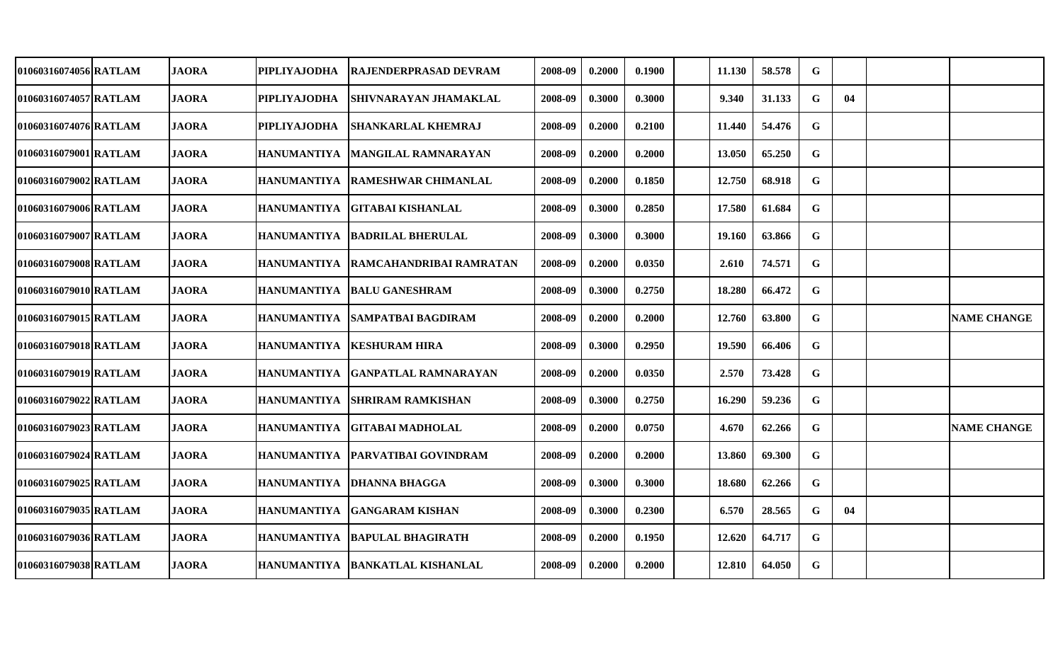| 01060316074056 RATLAM | <b>JAORA</b> | PIPLIYAJODHA        | RAJENDERPRASAD DEVRAM           | 2008-09 | 0.2000 | 0.1900 | 11.130 | 58.578 | G           |    |                    |
|-----------------------|--------------|---------------------|---------------------------------|---------|--------|--------|--------|--------|-------------|----|--------------------|
| 01060316074057 RATLAM | <b>JAORA</b> | <b>PIPLIYAJODHA</b> | SHIVNARAYAN JHAMAKLAL           | 2008-09 | 0.3000 | 0.3000 | 9.340  | 31.133 | G           | 04 |                    |
| 01060316074076 RATLAM | <b>JAORA</b> | <b>PIPLIYAJODHA</b> | <b>SHANKARLAL KHEMRAJ</b>       | 2008-09 | 0.2000 | 0.2100 | 11.440 | 54.476 | G           |    |                    |
| 01060316079001 RATLAM | <b>JAORA</b> | HANUMANTIYA         | <b>MANGILAL RAMNARAYAN</b>      | 2008-09 | 0.2000 | 0.2000 | 13.050 | 65.250 | $\mathbf G$ |    |                    |
| 01060316079002 RATLAM | <b>JAORA</b> | <b>HANUMANTIYA</b>  | <b>RAMESHWAR CHIMANLAL</b>      | 2008-09 | 0.2000 | 0.1850 | 12.750 | 68.918 | G           |    |                    |
| 01060316079006 RATLAM | <b>JAORA</b> | <b>HANUMANTIYA</b>  | <b>GITABAI KISHANLAL</b>        | 2008-09 | 0.3000 | 0.2850 | 17.580 | 61.684 | G           |    |                    |
| 01060316079007 RATLAM | <b>JAORA</b> | <b>HANUMANTIYA</b>  | <b>BADRILAL BHERULAL</b>        | 2008-09 | 0.3000 | 0.3000 | 19.160 | 63.866 | $\mathbf G$ |    |                    |
| 01060316079008 RATLAM | <b>JAORA</b> | HANUMANTIYA         | RAMCAHANDRIBAI RAMRATAN         | 2008-09 | 0.2000 | 0.0350 | 2.610  | 74.571 | $\mathbf G$ |    |                    |
| 01060316079010 RATLAM | <b>JAORA</b> | HANUMANTIYA         | <b>BALU GANESHRAM</b>           | 2008-09 | 0.3000 | 0.2750 | 18.280 | 66.472 | $\mathbf G$ |    |                    |
| 01060316079015 RATLAM | <b>JAORA</b> | HANUMANTIYA         | <b>SAMPATBAI BAGDIRAM</b>       | 2008-09 | 0.2000 | 0.2000 | 12.760 | 63.800 | G           |    | <b>NAME CHANGE</b> |
| 01060316079018 RATLAM | <b>JAORA</b> | HANUMANTIYA         | <b>KESHURAM HIRA</b>            | 2008-09 | 0.3000 | 0.2950 | 19.590 | 66.406 | G           |    |                    |
| 01060316079019 RATLAM | <b>JAORA</b> | HANUMANTIYA         | <b>GANPATLAL RAMNARAYAN</b>     | 2008-09 | 0.2000 | 0.0350 | 2.570  | 73.428 | $\mathbf G$ |    |                    |
| 01060316079022 RATLAM | <b>JAORA</b> | <b>HANUMANTIYA</b>  | SHRIRAM RAMKISHAN               | 2008-09 | 0.3000 | 0.2750 | 16.290 | 59.236 | G           |    |                    |
| 01060316079023 RATLAM | <b>JAORA</b> | <b>HANUMANTIYA</b>  | <b>GITABAI MADHOLAL</b>         | 2008-09 | 0.2000 | 0.0750 | 4.670  | 62.266 | G           |    | <b>NAME CHANGE</b> |
| 01060316079024 RATLAM | <b>JAORA</b> | <b>HANUMANTIYA</b>  | <b>PARVATIBAI GOVINDRAM</b>     | 2008-09 | 0.2000 | 0.2000 | 13.860 | 69.300 | G           |    |                    |
| 01060316079025 RATLAM | <b>JAORA</b> | HANUMANTIYA         | <b>DHANNA BHAGGA</b>            | 2008-09 | 0.3000 | 0.3000 | 18.680 | 62.266 | $\mathbf G$ |    |                    |
| 01060316079035 RATLAM | <b>JAORA</b> | <b>HANUMANTIYA</b>  | <b>GANGARAM KISHAN</b>          | 2008-09 | 0.3000 | 0.2300 | 6.570  | 28.565 | $\mathbf G$ | 04 |                    |
| 01060316079036 RATLAM | <b>JAORA</b> |                     | HANUMANTIYA  BAPULAL BHAGIRATH  | 2008-09 | 0.2000 | 0.1950 | 12.620 | 64.717 | G           |    |                    |
| 01060316079038 RATLAM | <b>JAORA</b> |                     | HANUMANTIYA BANKATLAL KISHANLAL | 2008-09 | 0.2000 | 0.2000 | 12.810 | 64.050 | $\mathbf G$ |    |                    |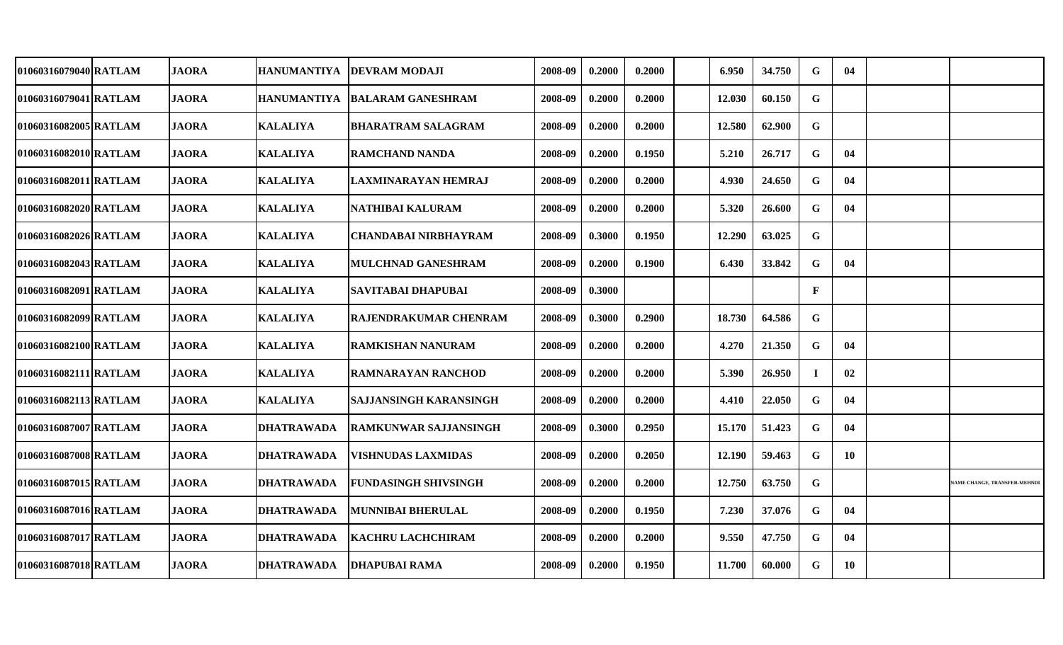| 01060316079040 RATLAM | <b>JAORA</b> | <b>HANUMANTIYA</b> | <b>DEVRAM MODAJI</b>          | 2008-09 | 0.2000 | 0.2000 | 6.950  | 34.750 | G            | 04        |                              |
|-----------------------|--------------|--------------------|-------------------------------|---------|--------|--------|--------|--------|--------------|-----------|------------------------------|
| 01060316079041lRATLAM | <b>JAORA</b> | <b>HANUMANTIYA</b> | <b>BALARAM GANESHRAM</b>      | 2008-09 | 0.2000 | 0.2000 | 12.030 | 60.150 | G            |           |                              |
| 01060316082005 RATLAM | <b>JAORA</b> | <b>KALALIYA</b>    | <b>BHARATRAM SALAGRAM</b>     | 2008-09 | 0.2000 | 0.2000 | 12.580 | 62.900 | G            |           |                              |
| 01060316082010 RATLAM | <b>JAORA</b> | <b>KALALIYA</b>    | <b>RAMCHAND NANDA</b>         | 2008-09 | 0.2000 | 0.1950 | 5.210  | 26.717 | $\mathbf G$  | 04        |                              |
| 01060316082011 RATLAM | <b>JAORA</b> | <b>KALALIYA</b>    | LAXMINARAYAN HEMRAJ           | 2008-09 | 0.2000 | 0.2000 | 4.930  | 24.650 | G            | 04        |                              |
| 01060316082020 RATLAM | <b>JAORA</b> | <b>KALALIYA</b>    | NATHIBAI KALURAM              | 2008-09 | 0.2000 | 0.2000 | 5.320  | 26.600 | G            | 04        |                              |
| 01060316082026 RATLAM | <b>JAORA</b> | <b>KALALIYA</b>    | <b>CHANDABAI NIRBHAYRAM</b>   | 2008-09 | 0.3000 | 0.1950 | 12.290 | 63.025 | $\mathbf G$  |           |                              |
| 01060316082043 RATLAM | <b>JAORA</b> | <b>KALALIYA</b>    | MULCHNAD GANESHRAM            | 2008-09 | 0.2000 | 0.1900 | 6.430  | 33.842 | G            | 04        |                              |
| 01060316082091 RATLAM | <b>JAORA</b> | <b>KALALIYA</b>    | SAVITABAI DHAPUBAI            | 2008-09 | 0.3000 |        |        |        | $\mathbf{F}$ |           |                              |
| 01060316082099 RATLAM | <b>JAORA</b> | <b>KALALIYA</b>    | <b>RAJENDRAKUMAR CHENRAM</b>  | 2008-09 | 0.3000 | 0.2900 | 18.730 | 64.586 | $\mathbf G$  |           |                              |
| 01060316082100 RATLAM | <b>JAORA</b> | <b>KALALIYA</b>    | <b>RAMKISHAN NANURAM</b>      | 2008-09 | 0.2000 | 0.2000 | 4.270  | 21.350 | G            | 04        |                              |
| 01060316082111 RATLAM | <b>JAORA</b> | <b>KALALIYA</b>    | <b>RAMNARAYAN RANCHOD</b>     | 2008-09 | 0.2000 | 0.2000 | 5.390  | 26.950 | Т.           | 02        |                              |
| 01060316082113 RATLAM | <b>JAORA</b> | <b>KALALIYA</b>    | <b>SAJJANSINGH KARANSINGH</b> | 2008-09 | 0.2000 | 0.2000 | 4.410  | 22.050 | G            | 04        |                              |
| 01060316087007 RATLAM | <b>JAORA</b> | <b>DHATRAWADA</b>  | <b>RAMKUNWAR SAJJANSINGH</b>  | 2008-09 | 0.3000 | 0.2950 | 15.170 | 51.423 | G            | 04        |                              |
| 01060316087008 RATLAM | <b>JAORA</b> | <b>DHATRAWADA</b>  | <b>VISHNUDAS LAXMIDAS</b>     | 2008-09 | 0.2000 | 0.2050 | 12.190 | 59.463 | G            | <b>10</b> |                              |
| 01060316087015 RATLAM | <b>JAORA</b> | <b>DHATRAWADA</b>  | FUNDASINGH SHIVSINGH          | 2008-09 | 0.2000 | 0.2000 | 12.750 | 63.750 | G            |           | NAME CHANGE, TRANSFER-MEHNDI |
| 01060316087016 RATLAM | <b>JAORA</b> | <b>DHATRAWADA</b>  | <b>MUNNIBAI BHERULAL</b>      | 2008-09 | 0.2000 | 0.1950 | 7.230  | 37.076 | G            | 04        |                              |
| 01060316087017 RATLAM | <b>JAORA</b> | <b>DHATRAWADA</b>  | <b>KACHRU LACHCHIRAM</b>      | 2008-09 | 0.2000 | 0.2000 | 9.550  | 47.750 | G            | 04        |                              |
| 01060316087018 RATLAM | <b>JAORA</b> | <b>DHATRAWADA</b>  | <b>DHAPUBAI RAMA</b>          | 2008-09 | 0.2000 | 0.1950 | 11.700 | 60.000 | G            | 10        |                              |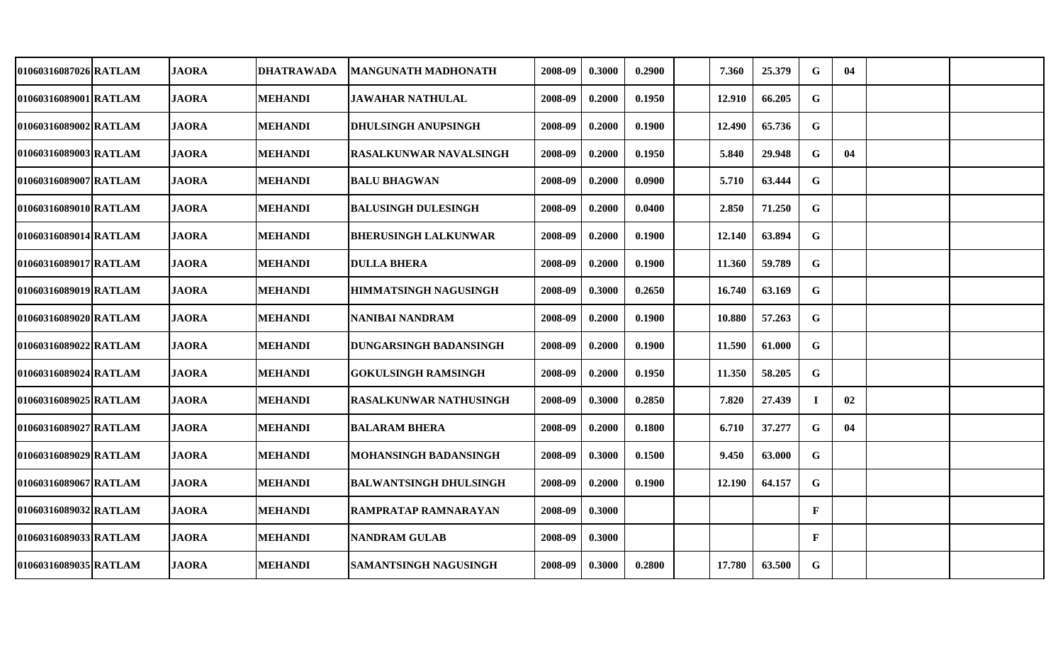| 01060316087026 RATLAM | <b>JAORA</b> | <b>DHATRAWADA</b> | <b>MANGUNATH MADHONATH</b>    | 2008-09 | 0.3000 | 0.2900 | 7.360  | 25.379 | $\mathbf G$  | 04 |  |
|-----------------------|--------------|-------------------|-------------------------------|---------|--------|--------|--------|--------|--------------|----|--|
| 01060316089001 RATLAM | <b>JAORA</b> | <b>MEHANDI</b>    | <b>JAWAHAR NATHULAL</b>       | 2008-09 | 0.2000 | 0.1950 | 12.910 | 66.205 | G            |    |  |
| 01060316089002 RATLAM | <b>JAORA</b> | <b>MEHANDI</b>    | <b>DHULSINGH ANUPSINGH</b>    | 2008-09 | 0.2000 | 0.1900 | 12.490 | 65.736 | $\mathbf G$  |    |  |
| 01060316089003 RATLAM | <b>JAORA</b> | <b>MEHANDI</b>    | <b>RASALKUNWAR NAVALSINGH</b> | 2008-09 | 0.2000 | 0.1950 | 5.840  | 29.948 | $\mathbf G$  | 04 |  |
| 01060316089007 RATLAM | <b>JAORA</b> | <b>MEHANDI</b>    | <b>BALU BHAGWAN</b>           | 2008-09 | 0.2000 | 0.0900 | 5.710  | 63.444 | $\mathbf G$  |    |  |
| 01060316089010 RATLAM | <b>JAORA</b> | <b>MEHANDI</b>    | <b>BALUSINGH DULESINGH</b>    | 2008-09 | 0.2000 | 0.0400 | 2.850  | 71.250 | $\mathbf G$  |    |  |
| 01060316089014 RATLAM | <b>JAORA</b> | <b>MEHANDI</b>    | <b>BHERUSINGH LALKUNWAR</b>   | 2008-09 | 0.2000 | 0.1900 | 12.140 | 63.894 | $\mathbf G$  |    |  |
| 01060316089017 RATLAM | <b>JAORA</b> | <b>MEHANDI</b>    | <b>DULLA BHERA</b>            | 2008-09 | 0.2000 | 0.1900 | 11.360 | 59.789 | $\mathbf G$  |    |  |
| 01060316089019 RATLAM | <b>JAORA</b> | <b>MEHANDI</b>    | <b>HIMMATSINGH NAGUSINGH</b>  | 2008-09 | 0.3000 | 0.2650 | 16.740 | 63.169 | $\mathbf G$  |    |  |
| 01060316089020 RATLAM | <b>JAORA</b> | <b>MEHANDI</b>    | <b>NANIBAI NANDRAM</b>        | 2008-09 | 0.2000 | 0.1900 | 10.880 | 57.263 | $\mathbf G$  |    |  |
| 01060316089022 RATLAM | <b>JAORA</b> | <b>MEHANDI</b>    | <b>DUNGARSINGH BADANSINGH</b> | 2008-09 | 0.2000 | 0.1900 | 11.590 | 61.000 | $\mathbf G$  |    |  |
| 01060316089024 RATLAM | <b>JAORA</b> | <b>MEHANDI</b>    | <b>GOKULSINGH RAMSINGH</b>    | 2008-09 | 0.2000 | 0.1950 | 11.350 | 58.205 | G            |    |  |
| 01060316089025 RATLAM | <b>JAORA</b> | <b>MEHANDI</b>    | RASALKUNWAR NATHUSINGH        | 2008-09 | 0.3000 | 0.2850 | 7.820  | 27.439 | $\bf{I}$     | 02 |  |
| 01060316089027 RATLAM | <b>JAORA</b> | <b>MEHANDI</b>    | <b>BALARAM BHERA</b>          | 2008-09 | 0.2000 | 0.1800 | 6.710  | 37.277 | $\mathbf G$  | 04 |  |
| 01060316089029 RATLAM | <b>JAORA</b> | MEHANDI           | <b>MOHANSINGH BADANSINGH</b>  | 2008-09 | 0.3000 | 0.1500 | 9.450  | 63.000 | $\mathbf G$  |    |  |
| 01060316089067 RATLAM | <b>JAORA</b> | <b>MEHANDI</b>    | <b>BALWANTSINGH DHULSINGH</b> | 2008-09 | 0.2000 | 0.1900 | 12.190 | 64.157 | $\mathbf G$  |    |  |
| 01060316089032 RATLAM | <b>JAORA</b> | <b>MEHANDI</b>    | <b>RAMPRATAP RAMNARAYAN</b>   | 2008-09 | 0.3000 |        |        |        | $\mathbf{F}$ |    |  |
| 01060316089033 RATLAM | <b>JAORA</b> | <b>MEHANDI</b>    | <b>NANDRAM GULAB</b>          | 2008-09 | 0.3000 |        |        |        | $\mathbf{F}$ |    |  |
| 01060316089035 RATLAM | <b>JAORA</b> | <b>MEHANDI</b>    | <b>SAMANTSINGH NAGUSINGH</b>  | 2008-09 | 0.3000 | 0.2800 | 17.780 | 63.500 | $\mathbf G$  |    |  |
|                       |              |                   |                               |         |        |        |        |        |              |    |  |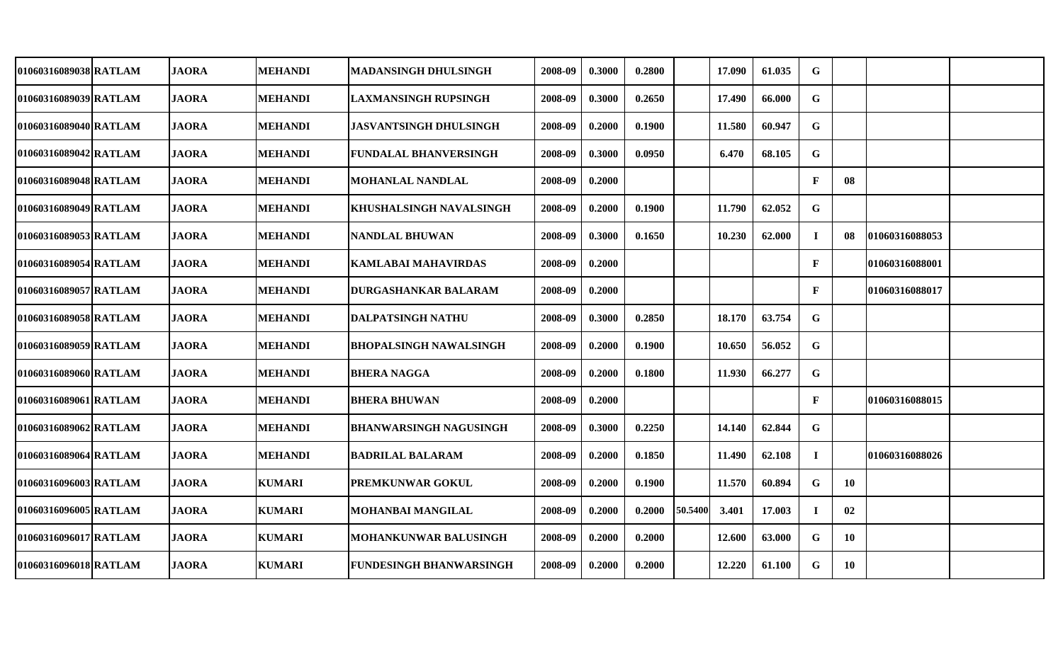| 01060316089038 RATLAM | <b>JAORA</b> | <b>MEHANDI</b> | <b>MADANSINGH DHULSINGH</b>    | 2008-09 | 0.3000 | 0.2800 |         | 17.090 | 61.035 | G            |           |                 |  |
|-----------------------|--------------|----------------|--------------------------------|---------|--------|--------|---------|--------|--------|--------------|-----------|-----------------|--|
| 01060316089039 RATLAM | <b>JAORA</b> | <b>MEHANDI</b> | <b>LAXMANSINGH RUPSINGH</b>    | 2008-09 | 0.3000 | 0.2650 |         | 17.490 | 66.000 | G            |           |                 |  |
| 01060316089040 RATLAM | <b>JAORA</b> | <b>MEHANDI</b> | <b>JASVANTSINGH DHULSINGH</b>  | 2008-09 | 0.2000 | 0.1900 |         | 11.580 | 60.947 | $\mathbf G$  |           |                 |  |
| 01060316089042 RATLAM | <b>JAORA</b> | <b>MEHANDI</b> | <b>FUNDALAL BHANVERSINGH</b>   | 2008-09 | 0.3000 | 0.0950 |         | 6.470  | 68.105 | $\mathbf G$  |           |                 |  |
| 01060316089048 RATLAM | <b>JAORA</b> | <b>MEHANDI</b> | <b>MOHANLAL NANDLAL</b>        | 2008-09 | 0.2000 |        |         |        |        | $\mathbf{F}$ | 08        |                 |  |
| 01060316089049 RATLAM | <b>JAORA</b> | <b>MEHANDI</b> | KHUSHALSINGH NAVALSINGH        | 2008-09 | 0.2000 | 0.1900 |         | 11.790 | 62.052 | G            |           |                 |  |
| 01060316089053 RATLAM | <b>JAORA</b> | <b>MEHANDI</b> | <b>NANDLAL BHUWAN</b>          | 2008-09 | 0.3000 | 0.1650 |         | 10.230 | 62.000 | $\bf{I}$     | 08        | 101060316088053 |  |
| 01060316089054 RATLAM | <b>JAORA</b> | <b>MEHANDI</b> | <b>KAMLABAI MAHAVIRDAS</b>     | 2008-09 | 0.2000 |        |         |        |        | $\mathbf{F}$ |           | 01060316088001  |  |
| 01060316089057 RATLAM | <b>JAORA</b> | <b>MEHANDI</b> | <b>DURGASHANKAR BALARAM</b>    | 2008-09 | 0.2000 |        |         |        |        | $\mathbf{F}$ |           | 01060316088017  |  |
| 01060316089058 RATLAM | <b>JAORA</b> | <b>MEHANDI</b> | <b>DALPATSINGH NATHU</b>       | 2008-09 | 0.3000 | 0.2850 |         | 18.170 | 63.754 | $\mathbf G$  |           |                 |  |
| 01060316089059 RATLAM | <b>JAORA</b> | <b>MEHANDI</b> | <b>BHOPALSINGH NAWALSINGH</b>  | 2008-09 | 0.2000 | 0.1900 |         | 10.650 | 56.052 | $\mathbf G$  |           |                 |  |
| 01060316089060 RATLAM | <b>JAORA</b> | <b>MEHANDI</b> | <b>BHERA NAGGA</b>             | 2008-09 | 0.2000 | 0.1800 |         | 11.930 | 66.277 | $\mathbf G$  |           |                 |  |
| 01060316089061 RATLAM | <b>JAORA</b> | <b>MEHANDI</b> | <b>BHERA BHUWAN</b>            | 2008-09 | 0.2000 |        |         |        |        | $\mathbf{F}$ |           | 01060316088015  |  |
| 01060316089062 RATLAM | <b>JAORA</b> | <b>MEHANDI</b> | <b>BHANWARSINGH NAGUSINGH</b>  | 2008-09 | 0.3000 | 0.2250 |         | 14.140 | 62.844 | G            |           |                 |  |
| 01060316089064 RATLAM | <b>JAORA</b> | <b>MEHANDI</b> | <b>BADRILAL BALARAM</b>        | 2008-09 | 0.2000 | 0.1850 |         | 11.490 | 62.108 | $\mathbf I$  |           | 01060316088026  |  |
| 01060316096003 RATLAM | <b>JAORA</b> | <b>KUMARI</b>  | PREMKUNWAR GOKUL               | 2008-09 | 0.2000 | 0.1900 |         | 11.570 | 60.894 | ${\bf G}$    | <b>10</b> |                 |  |
| 01060316096005 RATLAM | <b>JAORA</b> | <b>KUMARI</b>  | MOHANBAI MANGILAL              | 2008-09 | 0.2000 | 0.2000 | 50.5400 | 3.401  | 17.003 | $\bf{I}$     | 02        |                 |  |
| 01060316096017 RATLAM | <b>JAORA</b> | <b>KUMARI</b>  | MOHANKUNWAR BALUSINGH          | 2008-09 | 0.2000 | 0.2000 |         | 12.600 | 63.000 | $\mathbf G$  | <b>10</b> |                 |  |
| 01060316096018 RATLAM | <b>JAORA</b> | <b>KUMARI</b>  | <b>FUNDESINGH BHANWARSINGH</b> | 2008-09 | 0.2000 | 0.2000 |         | 12.220 | 61.100 | $\mathbf G$  | <b>10</b> |                 |  |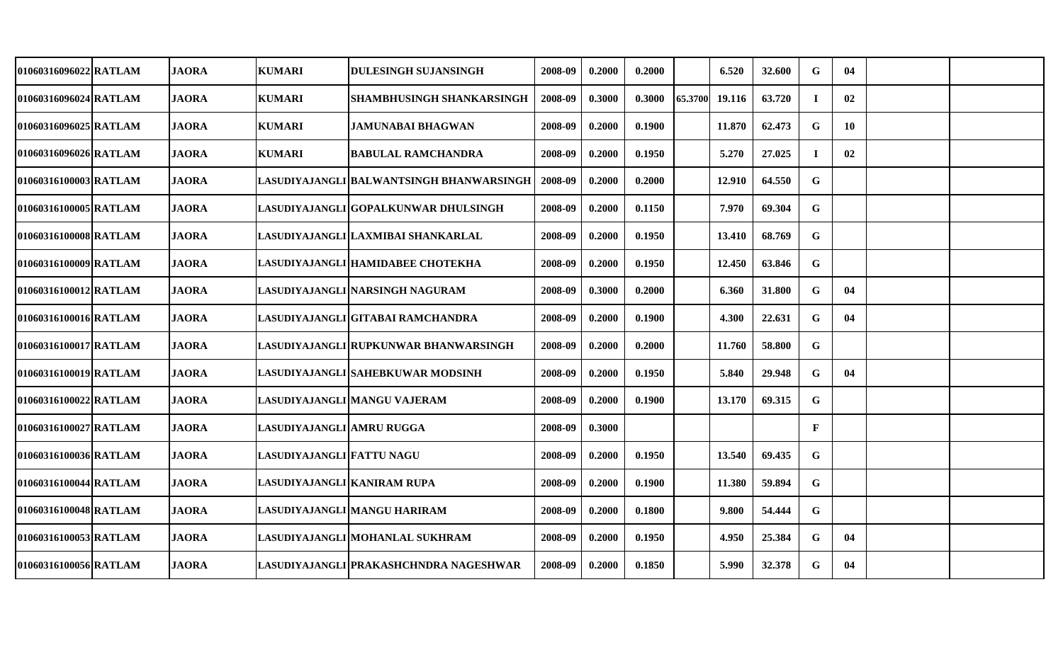| 01060316096022 RATLAM | <b>JAORA</b> | <b>KUMARI</b>               | DULESINGH SUJANSINGH                     | 2008-09 | 0.2000 | 0.2000 |         | 6.520  | 32.600 | G            | 04 |  |
|-----------------------|--------------|-----------------------------|------------------------------------------|---------|--------|--------|---------|--------|--------|--------------|----|--|
| 01060316096024 RATLAM | <b>JAORA</b> | <b>KUMARI</b>               | <b>SHAMBHUSINGH SHANKARSINGH</b>         | 2008-09 | 0.3000 | 0.3000 | 65.3700 | 19.116 | 63.720 | $\bf I$      | 02 |  |
| 01060316096025 RATLAM | <b>JAORA</b> | <b>KUMARI</b>               | <b>JAMUNABAI BHAGWAN</b>                 | 2008-09 | 0.2000 | 0.1900 |         | 11.870 | 62.473 | $\mathbf G$  | 10 |  |
| 01060316096026 RATLAM | <b>JAORA</b> | <b>KUMARI</b>               | <b>BABULAL RAMCHANDRA</b>                | 2008-09 | 0.2000 | 0.1950 |         | 5.270  | 27.025 | $\bf I$      | 02 |  |
| 01060316100003 RATLAM | <b>JAORA</b> |                             | LASUDIYAJANGLI BALWANTSINGH BHANWARSINGH | 2008-09 | 0.2000 | 0.2000 |         | 12.910 | 64.550 | $\mathbf G$  |    |  |
| 01060316100005 RATLAM | <b>JAORA</b> |                             | LASUDIYAJANGLI GOPALKUNWAR DHULSINGH     | 2008-09 | 0.2000 | 0.1150 |         | 7.970  | 69.304 | G            |    |  |
| 01060316100008 RATLAM | <b>JAORA</b> |                             | LASUDIYAJANGLI LAXMIBAI SHANKARLAL       | 2008-09 | 0.2000 | 0.1950 |         | 13.410 | 68.769 | $\mathbf G$  |    |  |
| 01060316100009 RATLAM | <b>JAORA</b> |                             | LASUDIYAJANGLI HAMIDABEE CHOTEKHA        | 2008-09 | 0.2000 | 0.1950 |         | 12.450 | 63.846 | $\mathbf G$  |    |  |
| 01060316100012 RATLAM | <b>JAORA</b> |                             | LASUDIYAJANGLI NARSINGH NAGURAM          | 2008-09 | 0.3000 | 0.2000 |         | 6.360  | 31.800 | G            | 04 |  |
| 01060316100016 RATLAM | <b>JAORA</b> |                             | LASUDIYAJANGLI GITABAI RAMCHANDRA        | 2008-09 | 0.2000 | 0.1900 |         | 4.300  | 22.631 | $\mathbf G$  | 04 |  |
| 01060316100017 RATLAM | <b>JAORA</b> |                             | LASUDIYAJANGLI RUPKUNWAR BHANWARSINGH    | 2008-09 | 0.2000 | 0.2000 |         | 11.760 | 58.800 | $\mathbf G$  |    |  |
| 01060316100019 RATLAM | <b>JAORA</b> |                             | LASUDIYAJANGLI SAHEBKUWAR MODSINH        | 2008-09 | 0.2000 | 0.1950 |         | 5.840  | 29.948 | $\mathbf G$  | 04 |  |
| 01060316100022 RATLAM | <b>JAORA</b> |                             | LASUDIYAJANGLI MANGU VAJERAM             | 2008-09 | 0.2000 | 0.1900 |         | 13.170 | 69.315 | $\mathbf G$  |    |  |
| 01060316100027 RATLAM | <b>JAORA</b> | LASUDIYAJANGLI AMRU RUGGA   |                                          | 2008-09 | 0.3000 |        |         |        |        | $\mathbf{F}$ |    |  |
| 01060316100036 RATLAM | <b>JAORA</b> | LASUDIYAJANGLI FATTU NAGU   |                                          | 2008-09 | 0.2000 | 0.1950 |         | 13.540 | 69.435 | G            |    |  |
| 01060316100044 RATLAM | <b>JAORA</b> | LASUDIYAJANGLI KANIRAM RUPA |                                          | 2008-09 | 0.2000 | 0.1900 |         | 11.380 | 59.894 | $\mathbf G$  |    |  |
| 01060316100048 RATLAM | <b>JAORA</b> |                             | LASUDIYAJANGLI MANGU HARIRAM             | 2008-09 | 0.2000 | 0.1800 |         | 9.800  | 54.444 | $\mathbf G$  |    |  |
| 01060316100053 RATLAM | <b>JAORA</b> |                             | LASUDIYAJANGLI MOHANLAL SUKHRAM          | 2008-09 | 0.2000 | 0.1950 |         | 4.950  | 25.384 | $\mathbf G$  | 04 |  |
| 01060316100056 RATLAM | <b>JAORA</b> |                             | LASUDIYAJANGLI PRAKASHCHNDRA NAGESHWAR   | 2008-09 | 0.2000 | 0.1850 |         | 5.990  | 32.378 | $\mathbf G$  | 04 |  |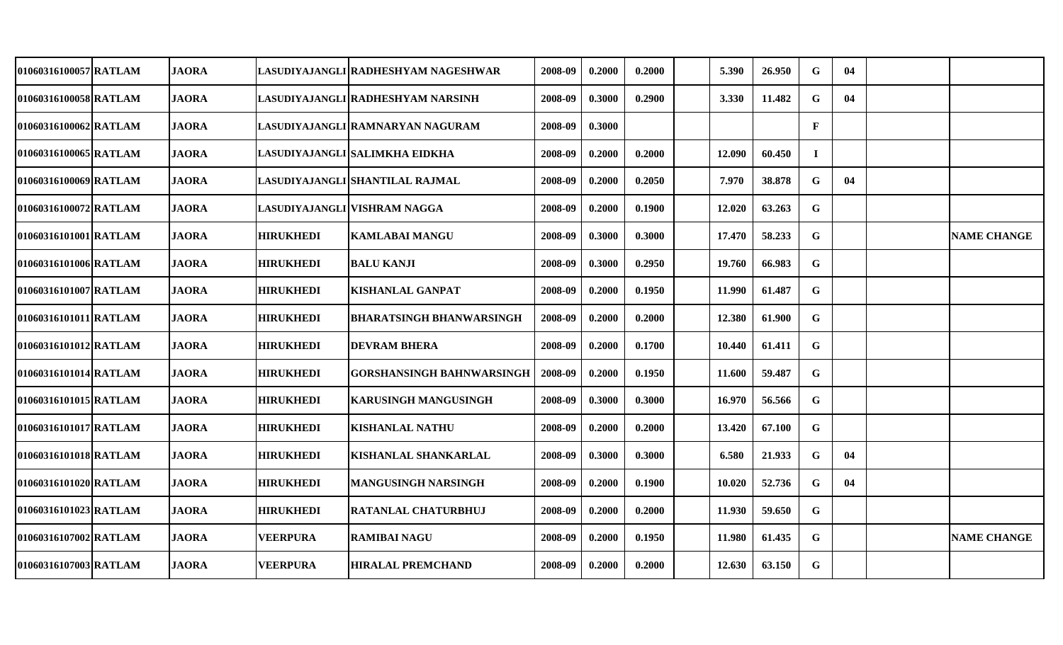| 01060316100057 RATLAM | <b>JAORA</b> |                  | LASUDIYAJANGLI RADHESHYAM NAGESHWAR | 2008-09 | 0.2000 | 0.2000 | 5.390  | 26.950 | G            | 04 |                    |
|-----------------------|--------------|------------------|-------------------------------------|---------|--------|--------|--------|--------|--------------|----|--------------------|
| 01060316100058 RATLAM | <b>JAORA</b> |                  | LASUDIYAJANGLI RADHESHYAM NARSINH   | 2008-09 | 0.3000 | 0.2900 | 3.330  | 11.482 | G            | 04 |                    |
| 01060316100062 RATLAM | <b>JAORA</b> |                  | LASUDIYAJANGLI RAMNARYAN NAGURAM    | 2008-09 | 0.3000 |        |        |        | $\mathbf{F}$ |    |                    |
| 01060316100065 RATLAM | <b>JAORA</b> |                  | LASUDIYAJANGLI SALIMKHA EIDKHA      | 2008-09 | 0.2000 | 0.2000 | 12.090 | 60.450 | $\mathbf I$  |    |                    |
| 01060316100069 RATLAM | <b>JAORA</b> |                  | LASUDIYAJANGLI SHANTILAL RAJMAL     | 2008-09 | 0.2000 | 0.2050 | 7.970  | 38.878 | G            | 04 |                    |
| 01060316100072 RATLAM | <b>JAORA</b> |                  | LASUDIYAJANGLI VISHRAM NAGGA        | 2008-09 | 0.2000 | 0.1900 | 12.020 | 63.263 | $\mathbf G$  |    |                    |
| 01060316101001 RATLAM | <b>JAORA</b> | <b>HIRUKHEDI</b> | <b>KAMLABAI MANGU</b>               | 2008-09 | 0.3000 | 0.3000 | 17.470 | 58.233 | $\mathbf G$  |    | <b>NAME CHANGE</b> |
| 01060316101006 RATLAM | <b>JAORA</b> | <b>HIRUKHEDI</b> | <b>BALU KANJI</b>                   | 2008-09 | 0.3000 | 0.2950 | 19.760 | 66.983 | $\mathbf G$  |    |                    |
| 01060316101007 RATLAM | <b>JAORA</b> | <b>HIRUKHEDI</b> | <b>KISHANLAL GANPAT</b>             | 2008-09 | 0.2000 | 0.1950 | 11.990 | 61.487 | G            |    |                    |
| 01060316101011 RATLAM | <b>JAORA</b> | <b>HIRUKHEDI</b> | <b>BHARATSINGH BHANWARSINGH</b>     | 2008-09 | 0.2000 | 0.2000 | 12.380 | 61.900 | $\mathbf G$  |    |                    |
| 01060316101012 RATLAM | <b>JAORA</b> | <b>HIRUKHEDI</b> | <b>DEVRAM BHERA</b>                 | 2008-09 | 0.2000 | 0.1700 | 10.440 | 61.411 | $\mathbf G$  |    |                    |
| 01060316101014 RATLAM | <b>JAORA</b> | <b>HIRUKHEDI</b> | <b>GORSHANSINGH BAHNWARSINGH</b>    | 2008-09 | 0.2000 | 0.1950 | 11.600 | 59.487 | G            |    |                    |
| 01060316101015 RATLAM | <b>JAORA</b> | <b>HIRUKHEDI</b> | <b>KARUSINGH MANGUSINGH</b>         | 2008-09 | 0.3000 | 0.3000 | 16.970 | 56.566 | G            |    |                    |
| 01060316101017 RATLAM | <b>JAORA</b> | <b>HIRUKHEDI</b> | <b>KISHANLAL NATHU</b>              | 2008-09 | 0.2000 | 0.2000 | 13.420 | 67.100 | G            |    |                    |
| 01060316101018 RATLAM | <b>JAORA</b> | <b>HIRUKHEDI</b> | KISHANLAL SHANKARLAL                | 2008-09 | 0.3000 | 0.3000 | 6.580  | 21.933 | G            | 04 |                    |
| 01060316101020 RATLAM | <b>JAORA</b> | <b>HIRUKHEDI</b> | <b>MANGUSINGH NARSINGH</b>          | 2008-09 | 0.2000 | 0.1900 | 10.020 | 52.736 | G            | 04 |                    |
| 01060316101023 RATLAM | <b>JAORA</b> | <b>HIRUKHEDI</b> | RATANLAL CHATURBHUJ                 | 2008-09 | 0.2000 | 0.2000 | 11.930 | 59.650 | G            |    |                    |
| 01060316107002 RATLAM | <b>JAORA</b> | <b>VEERPURA</b>  | <b>RAMIBAI NAGU</b>                 | 2008-09 | 0.2000 | 0.1950 | 11.980 | 61.435 | $\mathbf G$  |    | <b>NAME CHANGE</b> |
| 01060316107003 RATLAM | <b>JAORA</b> | <b>VEERPURA</b>  | <b>HIRALAL PREMCHAND</b>            | 2008-09 | 0.2000 | 0.2000 | 12.630 | 63.150 | $\mathbf G$  |    |                    |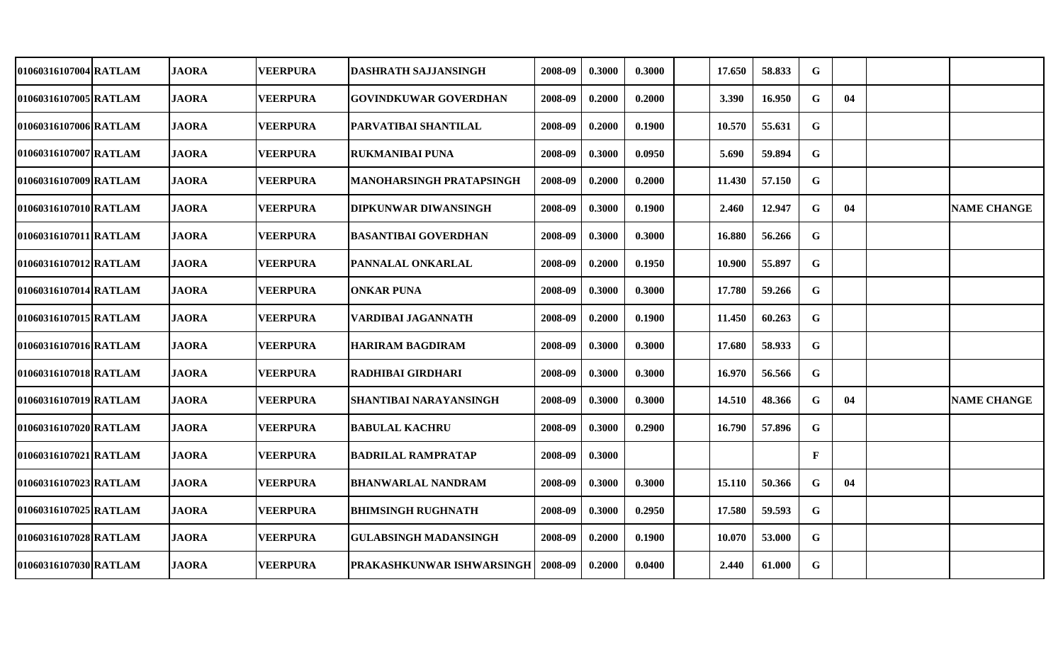| 01060316107004 RATLAM | <b>JAORA</b> | <b>VEERPURA</b> | <b>DASHRATH SAJJANSINGH</b>                | 2008-09 | 0.3000 | 0.3000 | 17.650 | 58.833 | G            |    |                    |
|-----------------------|--------------|-----------------|--------------------------------------------|---------|--------|--------|--------|--------|--------------|----|--------------------|
| 01060316107005 RATLAM | <b>JAORA</b> | <b>VEERPURA</b> | <b>GOVINDKUWAR GOVERDHAN</b>               | 2008-09 | 0.2000 | 0.2000 | 3.390  | 16.950 | G            | 04 |                    |
| 01060316107006 RATLAM | <b>JAORA</b> | <b>VEERPURA</b> | <b>PARVATIBAI SHANTILAL</b>                | 2008-09 | 0.2000 | 0.1900 | 10.570 | 55.631 | G            |    |                    |
| 01060316107007 RATLAM | <b>JAORA</b> | <b>VEERPURA</b> | <b>RUKMANIBAI PUNA</b>                     | 2008-09 | 0.3000 | 0.0950 | 5.690  | 59.894 | $\mathbf G$  |    |                    |
| 01060316107009 RATLAM | <b>JAORA</b> | <b>VEERPURA</b> | <b>MANOHARSINGH PRATAPSINGH</b>            | 2008-09 | 0.2000 | 0.2000 | 11.430 | 57.150 | G            |    |                    |
| 01060316107010 RATLAM | <b>JAORA</b> | <b>VEERPURA</b> | <b>DIPKUNWAR DIWANSINGH</b>                | 2008-09 | 0.3000 | 0.1900 | 2.460  | 12.947 | G            | 04 | <b>NAME CHANGE</b> |
| 01060316107011 RATLAM | <b>JAORA</b> | <b>VEERPURA</b> | <b>BASANTIBAI GOVERDHAN</b>                | 2008-09 | 0.3000 | 0.3000 | 16.880 | 56.266 | ${\bf G}$    |    |                    |
| 01060316107012 RATLAM | <b>JAORA</b> | <b>VEERPURA</b> | <b>PANNALAL ONKARLAL</b>                   | 2008-09 | 0.2000 | 0.1950 | 10.900 | 55.897 | $\mathbf G$  |    |                    |
| 01060316107014 RATLAM | <b>JAORA</b> | <b>VEERPURA</b> | <b>ONKAR PUNA</b>                          | 2008-09 | 0.3000 | 0.3000 | 17.780 | 59.266 | $\mathbf G$  |    |                    |
| 01060316107015 RATLAM | <b>JAORA</b> | <b>VEERPURA</b> | VARDIBAI JAGANNATH                         | 2008-09 | 0.2000 | 0.1900 | 11.450 | 60.263 | ${\bf G}$    |    |                    |
| 01060316107016 RATLAM | <b>JAORA</b> | <b>VEERPURA</b> | <b>HARIRAM BAGDIRAM</b>                    | 2008-09 | 0.3000 | 0.3000 | 17.680 | 58.933 | $\mathbf G$  |    |                    |
| 01060316107018 RATLAM | <b>JAORA</b> | <b>VEERPURA</b> | <b>RADHIBAI GIRDHARI</b>                   | 2008-09 | 0.3000 | 0.3000 | 16.970 | 56.566 | $\mathbf G$  |    |                    |
| 01060316107019 RATLAM | <b>JAORA</b> | <b>VEERPURA</b> | <b>SHANTIBAI NARAYANSINGH</b>              | 2008-09 | 0.3000 | 0.3000 | 14.510 | 48.366 | G            | 04 | <b>NAME CHANGE</b> |
| 01060316107020 RATLAM | <b>JAORA</b> | <b>VEERPURA</b> | <b>BABULAL KACHRU</b>                      | 2008-09 | 0.3000 | 0.2900 | 16.790 | 57.896 | G            |    |                    |
| 01060316107021 RATLAM | <b>JAORA</b> | <b>VEERPURA</b> | <b>BADRILAL RAMPRATAP</b>                  | 2008-09 | 0.3000 |        |        |        | $\mathbf{F}$ |    |                    |
| 01060316107023 RATLAM | <b>JAORA</b> | <b>VEERPURA</b> | <b>BHANWARLAL NANDRAM</b>                  | 2008-09 | 0.3000 | 0.3000 | 15.110 | 50.366 | G            | 04 |                    |
| 01060316107025 RATLAM | <b>JAORA</b> | <b>VEERPURA</b> | <b>BHIMSINGH RUGHNATH</b>                  | 2008-09 | 0.3000 | 0.2950 | 17.580 | 59.593 | $\mathbf G$  |    |                    |
| 01060316107028 RATLAM | <b>JAORA</b> | <b>VEERPURA</b> | <b>GULABSINGH MADANSINGH</b>               | 2008-09 | 0.2000 | 0.1900 | 10.070 | 53.000 | $\mathbf G$  |    |                    |
| 01060316107030 RATLAM | <b>JAORA</b> | <b>VEERPURA</b> | <b>PRAKASHKUNWAR ISHWARSINGH   2008-09</b> |         | 0.2000 | 0.0400 | 2.440  | 61.000 | $\mathbf G$  |    |                    |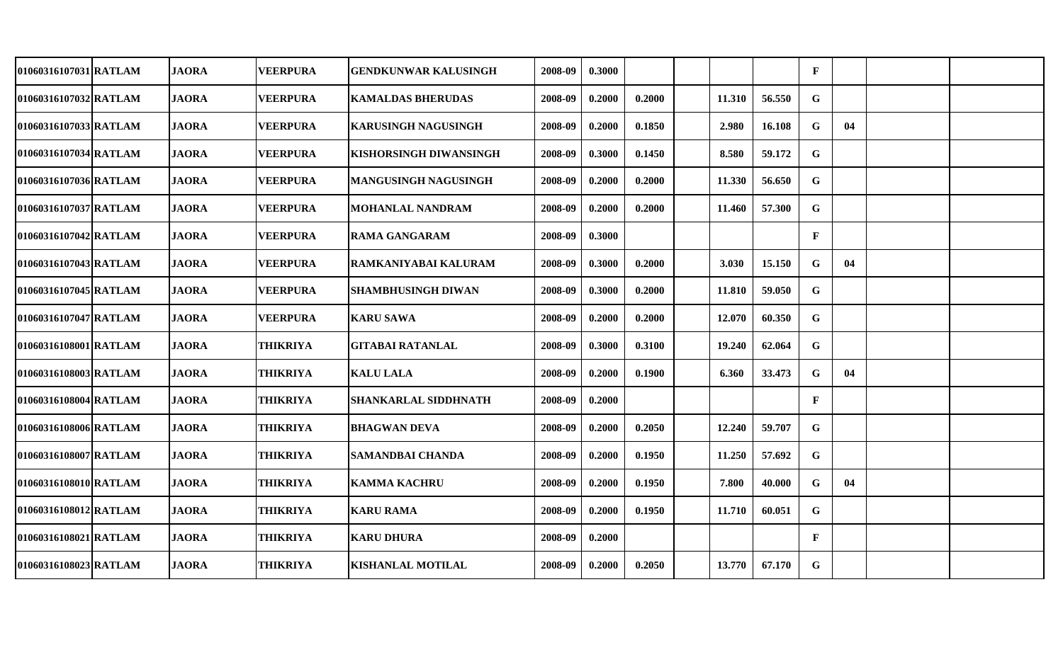| 01060316107031 RATLAM | <b>JAORA</b> | <b>VEERPURA</b> | <b>GENDKUNWAR KALUSINGH</b> | 2008-09 | 0.3000 |        |        |        | $\mathbf{F}$ |    |  |
|-----------------------|--------------|-----------------|-----------------------------|---------|--------|--------|--------|--------|--------------|----|--|
| 01060316107032 RATLAM | <b>JAORA</b> | <b>VEERPURA</b> | <b>KAMALDAS BHERUDAS</b>    | 2008-09 | 0.2000 | 0.2000 | 11.310 | 56.550 | G            |    |  |
| 01060316107033 RATLAM | <b>JAORA</b> | <b>VEERPURA</b> | <b>KARUSINGH NAGUSINGH</b>  | 2008-09 | 0.2000 | 0.1850 | 2.980  | 16.108 | G            | 04 |  |
| 01060316107034 RATLAM | <b>JAORA</b> | <b>VEERPURA</b> | KISHORSINGH DIWANSINGH      | 2008-09 | 0.3000 | 0.1450 | 8.580  | 59.172 | G            |    |  |
| 01060316107036 RATLAM | <b>JAORA</b> | <b>VEERPURA</b> | <b>MANGUSINGH NAGUSINGH</b> | 2008-09 | 0.2000 | 0.2000 | 11.330 | 56.650 | G            |    |  |
| 01060316107037 RATLAM | <b>JAORA</b> | <b>VEERPURA</b> | <b>MOHANLAL NANDRAM</b>     | 2008-09 | 0.2000 | 0.2000 | 11.460 | 57.300 | G            |    |  |
| 01060316107042 RATLAM | <b>JAORA</b> | <b>VEERPURA</b> | <b>RAMA GANGARAM</b>        | 2008-09 | 0.3000 |        |        |        | $\mathbf{F}$ |    |  |
| 01060316107043 RATLAM | <b>JAORA</b> | <b>VEERPURA</b> | RAMKANIYABAI KALURAM        | 2008-09 | 0.3000 | 0.2000 | 3.030  | 15.150 | $\mathbf G$  | 04 |  |
| 01060316107045 RATLAM | <b>JAORA</b> | <b>VEERPURA</b> | <b>SHAMBHUSINGH DIWAN</b>   | 2008-09 | 0.3000 | 0.2000 | 11.810 | 59.050 | $\mathbf G$  |    |  |
| 01060316107047 RATLAM | <b>JAORA</b> | <b>VEERPURA</b> | <b>KARU SAWA</b>            | 2008-09 | 0.2000 | 0.2000 | 12.070 | 60.350 | $\mathbf G$  |    |  |
| 01060316108001 RATLAM | <b>JAORA</b> | <b>THIKRIYA</b> | <b>GITABAI RATANLAL</b>     | 2008-09 | 0.3000 | 0.3100 | 19.240 | 62.064 | G            |    |  |
| 01060316108003 RATLAM | <b>JAORA</b> | <b>THIKRIYA</b> | <b>KALU LALA</b>            | 2008-09 | 0.2000 | 0.1900 | 6.360  | 33.473 | G            | 04 |  |
| 01060316108004 RATLAM | <b>JAORA</b> | <b>THIKRIYA</b> | SHANKARLAL SIDDHNATH        | 2008-09 | 0.2000 |        |        |        | $\mathbf{F}$ |    |  |
| 01060316108006 RATLAM | <b>JAORA</b> | <b>THIKRIYA</b> | <b>BHAGWAN DEVA</b>         | 2008-09 | 0.2000 | 0.2050 | 12.240 | 59.707 | G            |    |  |
| 01060316108007 RATLAM | <b>JAORA</b> | <b>THIKRIYA</b> | SAMANDBAI CHANDA            | 2008-09 | 0.2000 | 0.1950 | 11.250 | 57.692 | G            |    |  |
| 01060316108010 RATLAM | <b>JAORA</b> | <b>THIKRIYA</b> | <b>KAMMA KACHRU</b>         | 2008-09 | 0.2000 | 0.1950 | 7.800  | 40.000 | G            | 04 |  |
| 01060316108012 RATLAM | <b>JAORA</b> | <b>THIKRIYA</b> | <b>KARU RAMA</b>            | 2008-09 | 0.2000 | 0.1950 | 11.710 | 60.051 | G            |    |  |
| 01060316108021 RATLAM | <b>JAORA</b> | <b>THIKRIYA</b> | <b>KARU DHURA</b>           | 2008-09 | 0.2000 |        |        |        | $\mathbf{F}$ |    |  |
| 01060316108023 RATLAM | <b>JAORA</b> | <b>THIKRIYA</b> | <b>KISHANLAL MOTILAL</b>    | 2008-09 | 0.2000 | 0.2050 | 13.770 | 67.170 | $\mathbf G$  |    |  |
|                       |              |                 |                             |         |        |        |        |        |              |    |  |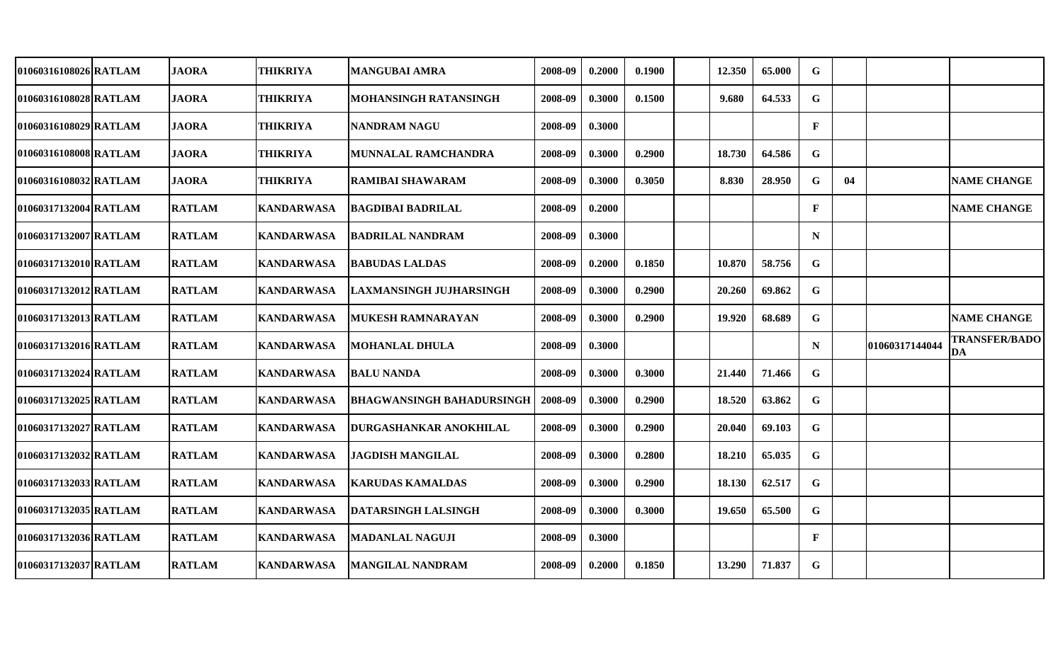| 01060316108026 RATLAM | <b>JAORA</b>  | <b>THIKRIYA</b>   | <b>MANGUBAI AMRA</b>       | 2008-09 | 0.2000 | 0.1900 | 12.350 | 65.000 | G            |    |                |                                   |
|-----------------------|---------------|-------------------|----------------------------|---------|--------|--------|--------|--------|--------------|----|----------------|-----------------------------------|
| 01060316108028 RATLAM | <b>JAORA</b>  | <b>THIKRIYA</b>   | MOHANSINGH RATANSINGH      | 2008-09 | 0.3000 | 0.1500 | 9.680  | 64.533 | G            |    |                |                                   |
| 01060316108029 RATLAM | <b>JAORA</b>  | <b>THIKRIYA</b>   | <b>NANDRAM NAGU</b>        | 2008-09 | 0.3000 |        |        |        | $\mathbf{F}$ |    |                |                                   |
| 01060316108008 RATLAM | <b>JAORA</b>  | <b>THIKRIYA</b>   | <b>MUNNALAL RAMCHANDRA</b> | 2008-09 | 0.3000 | 0.2900 | 18.730 | 64.586 | G            |    |                |                                   |
| 01060316108032 RATLAM | <b>JAORA</b>  | <b>THIKRIYA</b>   | <b>RAMIBAI SHAWARAM</b>    | 2008-09 | 0.3000 | 0.3050 | 8.830  | 28.950 | G            | 04 |                | <b>NAME CHANGE</b>                |
| 01060317132004 RATLAM | <b>RATLAM</b> | <b>KANDARWASA</b> | <b>BAGDIBAI BADRILAL</b>   | 2008-09 | 0.2000 |        |        |        | $\mathbf{F}$ |    |                | <b>NAME CHANGE</b>                |
| 01060317132007 RATLAM | <b>RATLAM</b> | <b>KANDARWASA</b> | <b>BADRILAL NANDRAM</b>    | 2008-09 | 0.3000 |        |        |        | N            |    |                |                                   |
| 01060317132010 RATLAM | <b>RATLAM</b> | <b>KANDARWASA</b> | <b>BABUDAS LALDAS</b>      | 2008-09 | 0.2000 | 0.1850 | 10.870 | 58.756 | G            |    |                |                                   |
| 01060317132012 RATLAM | <b>RATLAM</b> | <b>KANDARWASA</b> | LAXMANSINGH JUJHARSINGH    | 2008-09 | 0.3000 | 0.2900 | 20.260 | 69.862 | $\mathbf G$  |    |                |                                   |
| 01060317132013 RATLAM | <b>RATLAM</b> | <b>KANDARWASA</b> | <b>MUKESH RAMNARAYAN</b>   | 2008-09 | 0.3000 | 0.2900 | 19.920 | 68.689 | ${\bf G}$    |    |                | <b>NAME CHANGE</b>                |
| 01060317132016 RATLAM | <b>RATLAM</b> | <b>KANDARWASA</b> | <b>MOHANLAL DHULA</b>      | 2008-09 | 0.3000 |        |        |        | N            |    | 01060317144044 | <b>TRANSFER/BADO</b><br><b>DA</b> |
| 01060317132024 RATLAM | <b>RATLAM</b> | <b>KANDARWASA</b> | <b>BALU NANDA</b>          | 2008-09 | 0.3000 | 0.3000 | 21.440 | 71.466 | G            |    |                |                                   |
| 01060317132025 RATLAM | <b>RATLAM</b> | <b>KANDARWASA</b> | BHAGWANSINGH BAHADURSINGH  | 2008-09 | 0.3000 | 0.2900 | 18.520 | 63.862 | G            |    |                |                                   |
| 01060317132027 RATLAM | <b>RATLAM</b> | <b>KANDARWASA</b> | DURGASHANKAR ANOKHILAL     | 2008-09 | 0.3000 | 0.2900 | 20.040 | 69.103 | G            |    |                |                                   |
| 01060317132032 RATLAM | <b>RATLAM</b> | <b>KANDARWASA</b> | <b>JAGDISH MANGILAL</b>    | 2008-09 | 0.3000 | 0.2800 | 18.210 | 65.035 | G            |    |                |                                   |
| 01060317132033 RATLAM | <b>RATLAM</b> | <b>KANDARWASA</b> | <b>KARUDAS KAMALDAS</b>    | 2008-09 | 0.3000 | 0.2900 | 18.130 | 62.517 | G            |    |                |                                   |
| 01060317132035 RATLAM | <b>RATLAM</b> | <b>KANDARWASA</b> | DATARSINGH LALSINGH        | 2008-09 | 0.3000 | 0.3000 | 19.650 | 65.500 | $\mathbf G$  |    |                |                                   |
| 01060317132036 RATLAM | <b>RATLAM</b> | <b>KANDARWASA</b> | <b>MADANLAL NAGUJI</b>     | 2008-09 | 0.3000 |        |        |        | $\mathbf{F}$ |    |                |                                   |
| 01060317132037 RATLAM | <b>RATLAM</b> | <b>KANDARWASA</b> | <b>MANGILAL NANDRAM</b>    | 2008-09 | 0.2000 | 0.1850 | 13.290 | 71.837 | $\mathbf G$  |    |                |                                   |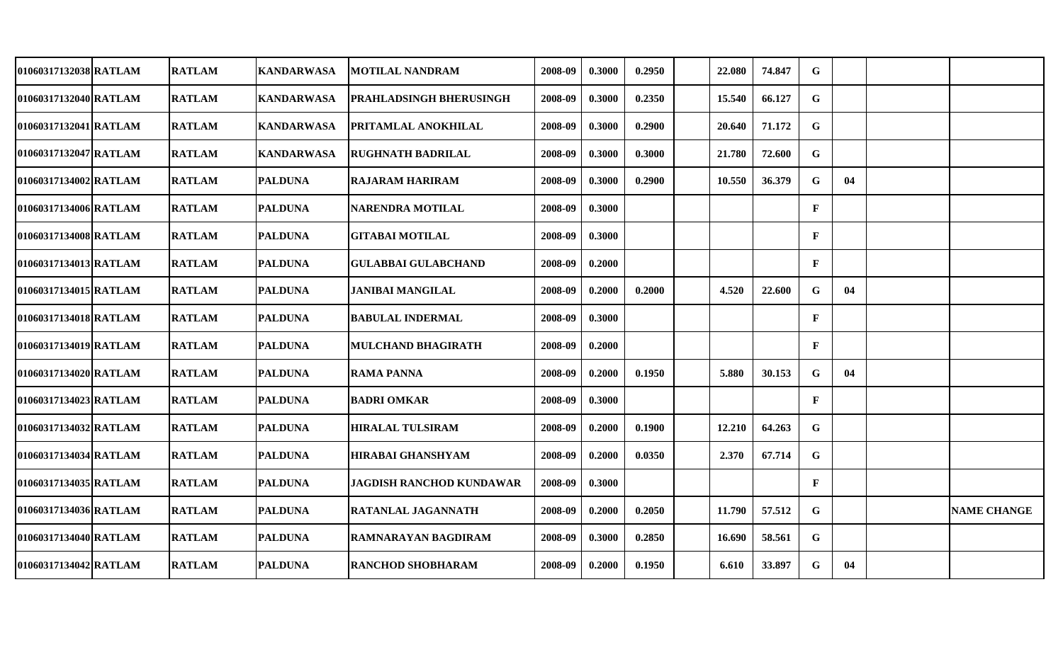| 01060317132038 RATLAM | <b>RATLAM</b> | <b>KANDARWASA</b> | <b>MOTILAL NANDRAM</b>          | 2008-09 | 0.3000 | 0.2950 | 22.080 | 74.847 | G            |    |                    |
|-----------------------|---------------|-------------------|---------------------------------|---------|--------|--------|--------|--------|--------------|----|--------------------|
| 01060317132040 RATLAM | <b>RATLAM</b> | <b>KANDARWASA</b> | PRAHLADSINGH BHERUSINGH         | 2008-09 | 0.3000 | 0.2350 | 15.540 | 66.127 | G            |    |                    |
| 01060317132041 RATLAM | <b>RATLAM</b> | <b>KANDARWASA</b> | PRITAMLAL ANOKHILAL             | 2008-09 | 0.3000 | 0.2900 | 20.640 | 71.172 | $\mathbf G$  |    |                    |
| 01060317132047 RATLAM | <b>RATLAM</b> | <b>KANDARWASA</b> | <b>RUGHNATH BADRILAL</b>        | 2008-09 | 0.3000 | 0.3000 | 21.780 | 72.600 | $\mathbf G$  |    |                    |
| 01060317134002 RATLAM | <b>RATLAM</b> | <b>PALDUNA</b>    | <b>RAJARAM HARIRAM</b>          | 2008-09 | 0.3000 | 0.2900 | 10.550 | 36.379 | $\mathbf G$  | 04 |                    |
| 01060317134006 RATLAM | <b>RATLAM</b> | <b>PALDUNA</b>    | <b>NARENDRA MOTILAL</b>         | 2008-09 | 0.3000 |        |        |        | $\mathbf{F}$ |    |                    |
| 01060317134008 RATLAM | <b>RATLAM</b> | <b>PALDUNA</b>    | <b>GITABAI MOTILAL</b>          | 2008-09 | 0.3000 |        |        |        | $\mathbf{F}$ |    |                    |
| 01060317134013 RATLAM | <b>RATLAM</b> | <b>PALDUNA</b>    | <b>GULABBAI GULABCHAND</b>      | 2008-09 | 0.2000 |        |        |        | $\mathbf{F}$ |    |                    |
| 01060317134015 RATLAM | <b>RATLAM</b> | <b>PALDUNA</b>    | <b>JANIBAI MANGILAL</b>         | 2008-09 | 0.2000 | 0.2000 | 4.520  | 22.600 | G            | 04 |                    |
| 01060317134018 RATLAM | <b>RATLAM</b> | <b>PALDUNA</b>    | <b>BABULAL INDERMAL</b>         | 2008-09 | 0.3000 |        |        |        | $\mathbf{F}$ |    |                    |
| 01060317134019 RATLAM | <b>RATLAM</b> | <b>PALDUNA</b>    | <b>MULCHAND BHAGIRATH</b>       | 2008-09 | 0.2000 |        |        |        | $\mathbf{F}$ |    |                    |
| 01060317134020 RATLAM | <b>RATLAM</b> | <b>PALDUNA</b>    | <b>RAMA PANNA</b>               | 2008-09 | 0.2000 | 0.1950 | 5.880  | 30.153 | $\mathbf G$  | 04 |                    |
| 01060317134023 RATLAM | <b>RATLAM</b> | <b>PALDUNA</b>    | <b>BADRI OMKAR</b>              | 2008-09 | 0.3000 |        |        |        | $\mathbf{F}$ |    |                    |
| 01060317134032 RATLAM | <b>RATLAM</b> | <b>PALDUNA</b>    | <b>HIRALAL TULSIRAM</b>         | 2008-09 | 0.2000 | 0.1900 | 12.210 | 64.263 | $\mathbf G$  |    |                    |
| 01060317134034 RATLAM | <b>RATLAM</b> | <b>PALDUNA</b>    | <b>HIRABAI GHANSHYAM</b>        | 2008-09 | 0.2000 | 0.0350 | 2.370  | 67.714 | $\mathbf G$  |    |                    |
| 01060317134035 RATLAM | <b>RATLAM</b> | <b>PALDUNA</b>    | <b>JAGDISH RANCHOD KUNDAWAR</b> | 2008-09 | 0.3000 |        |        |        | $\mathbf{F}$ |    |                    |
| 01060317134036 RATLAM | <b>RATLAM</b> | <b>PALDUNA</b>    | RATANLAL JAGANNATH              | 2008-09 | 0.2000 | 0.2050 | 11.790 | 57.512 | $\mathbf G$  |    | <b>NAME CHANGE</b> |
| 01060317134040 RATLAM | <b>RATLAM</b> | <b>PALDUNA</b>    | <b>RAMNARAYAN BAGDIRAM</b>      | 2008-09 | 0.3000 | 0.2850 | 16.690 | 58.561 | $\mathbf G$  |    |                    |
| 01060317134042 RATLAM | <b>RATLAM</b> | <b>PALDUNA</b>    | <b>RANCHOD SHOBHARAM</b>        | 2008-09 | 0.2000 | 0.1950 | 6.610  | 33.897 | $\mathbf G$  | 04 |                    |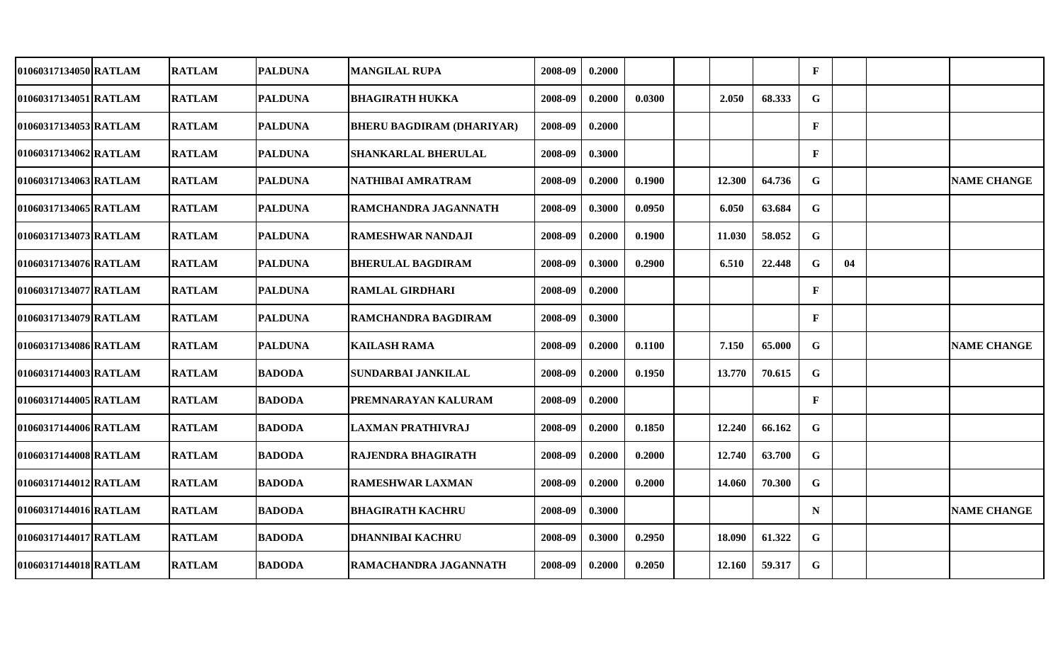| 01060317134050 RATLAM | <b>RATLAM</b> | <b>PALDUNA</b> | <b>MANGILAL RUPA</b>             | 2008-09 | 0.2000 |        |        |        | $\mathbf{F}$ |    |                    |
|-----------------------|---------------|----------------|----------------------------------|---------|--------|--------|--------|--------|--------------|----|--------------------|
| 01060317134051 RATLAM | <b>RATLAM</b> | <b>PALDUNA</b> | <b>BHAGIRATH HUKKA</b>           | 2008-09 | 0.2000 | 0.0300 | 2.050  | 68.333 | $\mathbf G$  |    |                    |
| 01060317134053 RATLAM | <b>RATLAM</b> | <b>PALDUNA</b> | <b>BHERU BAGDIRAM (DHARIYAR)</b> | 2008-09 | 0.2000 |        |        |        | $\mathbf{F}$ |    |                    |
| 01060317134062 RATLAM | <b>RATLAM</b> | <b>PALDUNA</b> | <b>SHANKARLAL BHERULAL</b>       | 2008-09 | 0.3000 |        |        |        | $\mathbf{F}$ |    |                    |
| 01060317134063 RATLAM | <b>RATLAM</b> | <b>PALDUNA</b> | NATHIBAI AMRATRAM                | 2008-09 | 0.2000 | 0.1900 | 12.300 | 64.736 | $\mathbf G$  |    | <b>NAME CHANGE</b> |
| 01060317134065 RATLAM | <b>RATLAM</b> | <b>PALDUNA</b> | <b>RAMCHANDRA JAGANNATH</b>      | 2008-09 | 0.3000 | 0.0950 | 6.050  | 63.684 | $\mathbf G$  |    |                    |
| 01060317134073 RATLAM | <b>RATLAM</b> | <b>PALDUNA</b> | <b>RAMESHWAR NANDAJI</b>         | 2008-09 | 0.2000 | 0.1900 | 11.030 | 58.052 | $\mathbf G$  |    |                    |
| 01060317134076 RATLAM | <b>RATLAM</b> | <b>PALDUNA</b> | <b>BHERULAL BAGDIRAM</b>         | 2008-09 | 0.3000 | 0.2900 | 6.510  | 22.448 | $\mathbf G$  | 04 |                    |
| 01060317134077 RATLAM | <b>RATLAM</b> | <b>PALDUNA</b> | <b>RAMLAL GIRDHARI</b>           | 2008-09 | 0.2000 |        |        |        | $\mathbf{F}$ |    |                    |
| 01060317134079 RATLAM | <b>RATLAM</b> | <b>PALDUNA</b> | RAMCHANDRA BAGDIRAM              | 2008-09 | 0.3000 |        |        |        | $\mathbf{F}$ |    |                    |
| 01060317134086 RATLAM | <b>RATLAM</b> | <b>PALDUNA</b> | <b>KAILASH RAMA</b>              | 2008-09 | 0.2000 | 0.1100 | 7.150  | 65.000 | G            |    | <b>NAME CHANGE</b> |
| 01060317144003 RATLAM | <b>RATLAM</b> | <b>BADODA</b>  | SUNDARBAI JANKILAL               | 2008-09 | 0.2000 | 0.1950 | 13.770 | 70.615 | $\mathbf G$  |    |                    |
| 01060317144005 RATLAM | <b>RATLAM</b> | <b>BADODA</b>  | PREMNARAYAN KALURAM              | 2008-09 | 0.2000 |        |        |        | $\mathbf{F}$ |    |                    |
| 01060317144006 RATLAM | <b>RATLAM</b> | <b>BADODA</b>  | <b>LAXMAN PRATHIVRAJ</b>         | 2008-09 | 0.2000 | 0.1850 | 12.240 | 66.162 | $\mathbf G$  |    |                    |
| 01060317144008 RATLAM | <b>RATLAM</b> | <b>BADODA</b>  | RAJENDRA BHAGIRATH               | 2008-09 | 0.2000 | 0.2000 | 12.740 | 63.700 | $\mathbf G$  |    |                    |
| 01060317144012 RATLAM | <b>RATLAM</b> | <b>BADODA</b>  | <b>RAMESHWAR LAXMAN</b>          | 2008-09 | 0.2000 | 0.2000 | 14.060 | 70.300 | $\mathbf G$  |    |                    |
| 01060317144016 RATLAM | <b>RATLAM</b> | <b>BADODA</b>  | <b>BHAGIRATH KACHRU</b>          | 2008-09 | 0.3000 |        |        |        | $\mathbf N$  |    | <b>NAME CHANGE</b> |
| 01060317144017 RATLAM | <b>RATLAM</b> | <b>BADODA</b>  | <b>DHANNIBAI KACHRU</b>          | 2008-09 | 0.3000 | 0.2950 | 18.090 | 61.322 | $\mathbf G$  |    |                    |
| 01060317144018 RATLAM | <b>RATLAM</b> | <b>BADODA</b>  | RAMACHANDRA JAGANNATH            | 2008-09 | 0.2000 | 0.2050 | 12.160 | 59.317 | $\mathbf G$  |    |                    |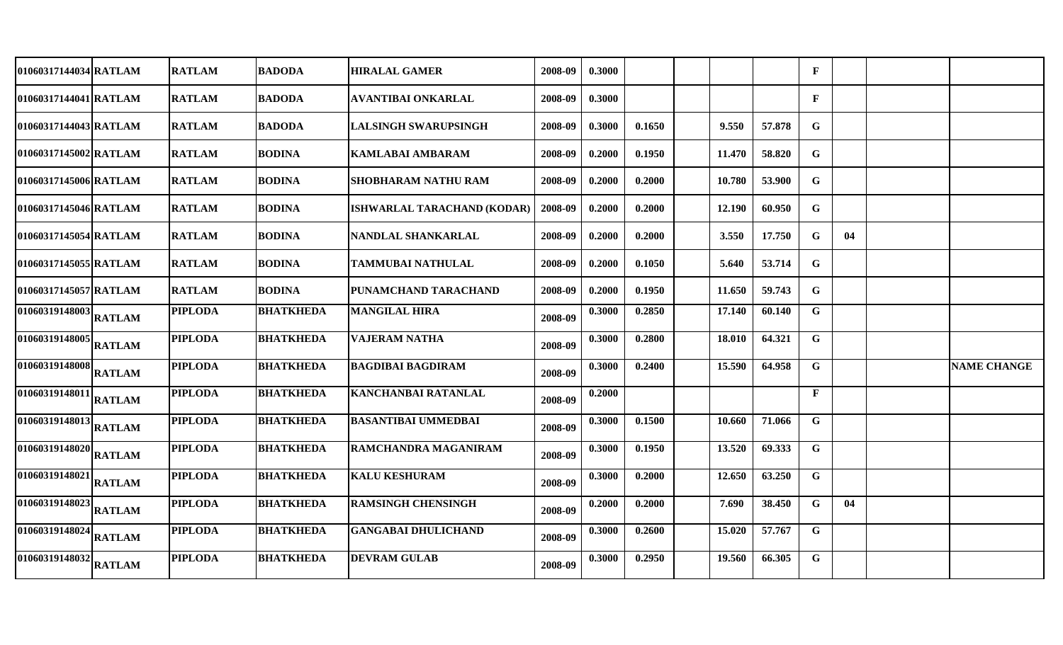| 01060317144034 RATLAM                         |               | <b>RATLAM</b>  | <b>BADODA</b>    | <b>HIRALAL GAMER</b>        | 2008-09 | 0.3000 |        |        |        | $\mathbf{F}$ |    |                    |
|-----------------------------------------------|---------------|----------------|------------------|-----------------------------|---------|--------|--------|--------|--------|--------------|----|--------------------|
| 01060317144041 RATLAM                         |               | <b>RATLAM</b>  | <b>BADODA</b>    | AVANTIBAI ONKARLAL          | 2008-09 | 0.3000 |        |        |        | $\mathbf{F}$ |    |                    |
| 01060317144043 RATLAM                         |               | <b>RATLAM</b>  | <b>BADODA</b>    | <b>LALSINGH SWARUPSINGH</b> | 2008-09 | 0.3000 | 0.1650 | 9.550  | 57.878 | G            |    |                    |
| 01060317145002 RATLAM                         |               | <b>RATLAM</b>  | <b>BODINA</b>    | <b>KAMLABAI AMBARAM</b>     | 2008-09 | 0.2000 | 0.1950 | 11.470 | 58.820 | G            |    |                    |
| 01060317145006 RATLAM                         |               | <b>RATLAM</b>  | <b>BODINA</b>    | <b>SHOBHARAM NATHU RAM</b>  | 2008-09 | 0.2000 | 0.2000 | 10.780 | 53.900 | G            |    |                    |
| 01060317145046 RATLAM                         |               | <b>RATLAM</b>  | <b>BODINA</b>    | ISHWARLAL TARACHAND (KODAR) | 2008-09 | 0.2000 | 0.2000 | 12.190 | 60.950 | G            |    |                    |
| 01060317145054 RATLAM                         |               | <b>RATLAM</b>  | <b>BODINA</b>    | NANDLAL SHANKARLAL          | 2008-09 | 0.2000 | 0.2000 | 3.550  | 17.750 | G            | 04 |                    |
| 01060317145055 RATLAM                         |               | <b>RATLAM</b>  | <b>BODINA</b>    | <b>TAMMUBAI NATHULAL</b>    | 2008-09 | 0.2000 | 0.1050 | 5.640  | 53.714 | $\mathbf G$  |    |                    |
| 01060317145057 RATLAM                         |               | <b>RATLAM</b>  | <b>BODINA</b>    | PUNAMCHAND TARACHAND        | 2008-09 | 0.2000 | 0.1950 | 11.650 | 59.743 | $\mathbf G$  |    |                    |
| $\overline{01060319148003}\Big _{\rm RATLAM}$ |               | <b>PIPLODA</b> | <b>BHATKHEDA</b> | <b>MANGILAL HIRA</b>        | 2008-09 | 0.3000 | 0.2850 | 17.140 | 60.140 | $\mathbf G$  |    |                    |
| 01060319148005                                | <b>RATLAM</b> | <b>PIPLODA</b> | <b>BHATKHEDA</b> | <b>VAJERAM NATHA</b>        | 2008-09 | 0.3000 | 0.2800 | 18.010 | 64.321 | G            |    |                    |
| 01060319148008                                | <b>RATLAM</b> | <b>PIPLODA</b> | <b>BHATKHEDA</b> | <b>BAGDIBAI BAGDIRAM</b>    | 2008-09 | 0.3000 | 0.2400 | 15.590 | 64.958 | G            |    | <b>NAME CHANGE</b> |
| 01060319148011                                | <b>RATLAM</b> | <b>PIPLODA</b> | <b>BHATKHEDA</b> | <b>KANCHANBAI RATANLAL</b>  | 2008-09 | 0.2000 |        |        |        | $\mathbf{F}$ |    |                    |
| 01060319148013                                | <b>RATLAM</b> | <b>PIPLODA</b> | <b>BHATKHEDA</b> | <b>BASANTIBAI UMMEDBAI</b>  | 2008-09 | 0.3000 | 0.1500 | 10.660 | 71.066 | G            |    |                    |
| 01060319148020                                | <b>RATLAM</b> | <b>PIPLODA</b> | <b>BHATKHEDA</b> | RAMCHANDRA MAGANIRAM        | 2008-09 | 0.3000 | 0.1950 | 13.520 | 69.333 | $\mathbf G$  |    |                    |
| 01060319148021                                | <b>RATLAM</b> | <b>PIPLODA</b> | <b>BHATKHEDA</b> | <b>KALU KESHURAM</b>        | 2008-09 | 0.3000 | 0.2000 | 12.650 | 63.250 | G            |    |                    |
| 01060319148023                                | <b>RATLAM</b> | <b>PIPLODA</b> | <b>BHATKHEDA</b> | <b>RAMSINGH CHENSINGH</b>   | 2008-09 | 0.2000 | 0.2000 | 7.690  | 38.450 | G            | 04 |                    |
| 01060319148024                                | <b>RATLAM</b> | <b>PIPLODA</b> | <b>BHATKHEDA</b> | <b>GANGABAI DHULICHAND</b>  | 2008-09 | 0.3000 | 0.2600 | 15.020 | 57.767 | G            |    |                    |
| 01060319148032                                | <b>RATLAM</b> | <b>PIPLODA</b> | <b>BHATKHEDA</b> | <b>DEVRAM GULAB</b>         | 2008-09 | 0.3000 | 0.2950 | 19.560 | 66.305 | G            |    |                    |
|                                               |               |                |                  |                             |         |        |        |        |        |              |    |                    |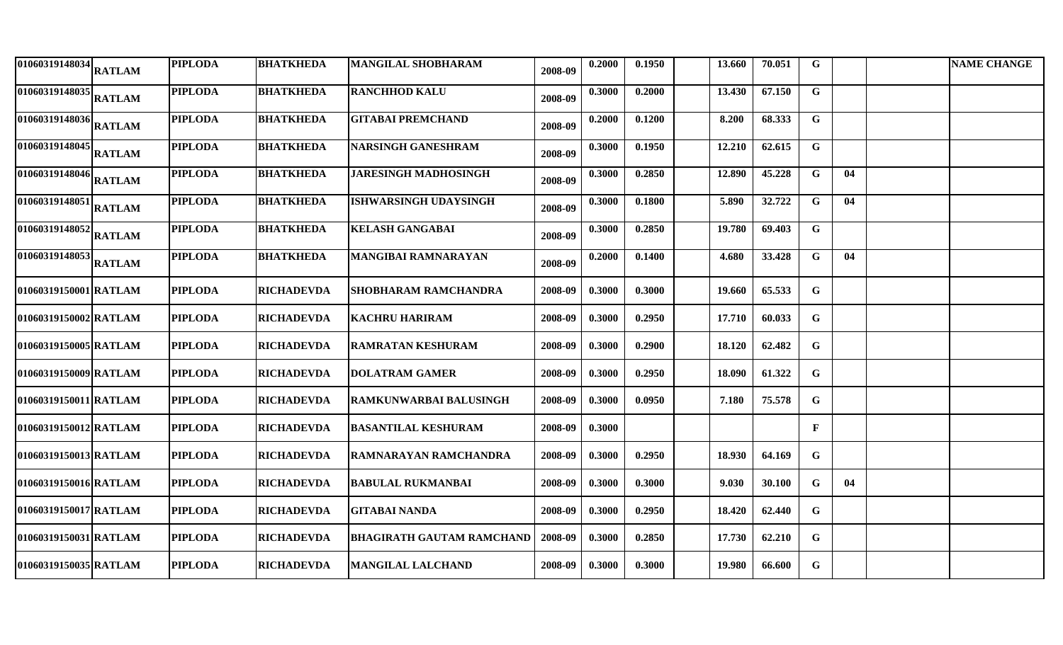| $\overline{1010603}19148034$ RATLAM          |               | <b>PIPLODA</b> | <b>BHATKHEDA</b>  | <b>MANGILAL SHOBHARAM</b>        | 2008-09 | 0.2000 | 0.1950 | 13.660 | 70.051 | $\mathbf G$  |    | <b>NAME CHANGE</b> |
|----------------------------------------------|---------------|----------------|-------------------|----------------------------------|---------|--------|--------|--------|--------|--------------|----|--------------------|
| $\sqrt{01060319148035}\bigg _{\rm {RATLAM}}$ |               | <b>PIPLODA</b> | <b>BHATKHEDA</b>  | <b>RANCHHOD KALU</b>             | 2008-09 | 0.3000 | 0.2000 | 13.430 | 67.150 | G            |    |                    |
| $\sqrt{010603191480}36$ RATLAM               |               | <b>PIPLODA</b> | <b>BHATKHEDA</b>  | <b>GITABAI PREMCHAND</b>         | 2008-09 | 0.2000 | 0.1200 | 8.200  | 68.333 | $\mathbf G$  |    |                    |
| $\sqrt{010603191480}45\Big _{\rm RATLAM}$    |               | <b>PIPLODA</b> | <b>BHATKHEDA</b>  | <b>NARSINGH GANESHRAM</b>        | 2008-09 | 0.3000 | 0.1950 | 12.210 | 62.615 | $\mathbf G$  |    |                    |
| $\sqrt{01060319148046}$ RATLAM               |               | <b>PIPLODA</b> | <b>BHATKHEDA</b>  | <b>JARESINGH MADHOSINGH</b>      | 2008-09 | 0.3000 | 0.2850 | 12.890 | 45.228 | $\mathbf G$  | 04 |                    |
| $\sqrt{01060319148051}$ RATLAM               |               | <b>PIPLODA</b> | <b>BHATKHEDA</b>  | <b>ISHWARSINGH UDAYSINGH</b>     | 2008-09 | 0.3000 | 0.1800 | 5.890  | 32.722 | G            | 04 |                    |
| $\sqrt{0106031914805}$ 2 RATLAM              |               | <b>PIPLODA</b> | <b>BHATKHEDA</b>  | <b>KELASH GANGABAI</b>           | 2008-09 | 0.3000 | 0.2850 | 19.780 | 69.403 | $\mathbf G$  |    |                    |
| 01060319148053                               | <b>RATLAM</b> | <b>PIPLODA</b> | <b>BHATKHEDA</b>  | <b>MANGIBAI RAMNARAYAN</b>       | 2008-09 | 0.2000 | 0.1400 | 4.680  | 33.428 | $\mathbf G$  | 04 |                    |
| 01060319150001 RATLAM                        |               | <b>PIPLODA</b> | <b>RICHADEVDA</b> | <b>SHOBHARAM RAMCHANDRA</b>      | 2008-09 | 0.3000 | 0.3000 | 19.660 | 65.533 | $\mathbf G$  |    |                    |
| 01060319150002 RATLAM                        |               | <b>PIPLODA</b> | <b>RICHADEVDA</b> | <b>KACHRU HARIRAM</b>            | 2008-09 | 0.3000 | 0.2950 | 17.710 | 60.033 | $\mathbf G$  |    |                    |
| 01060319150005 RATLAM                        |               | <b>PIPLODA</b> | <b>RICHADEVDA</b> | <b>RAMRATAN KESHURAM</b>         | 2008-09 | 0.3000 | 0.2900 | 18.120 | 62.482 | $\mathbf G$  |    |                    |
| 01060319150009 RATLAM                        |               | <b>PIPLODA</b> | <b>RICHADEVDA</b> | <b>DOLATRAM GAMER</b>            | 2008-09 | 0.3000 | 0.2950 | 18.090 | 61.322 | $\mathbf G$  |    |                    |
| 01060319150011 RATLAM                        |               | <b>PIPLODA</b> | <b>RICHADEVDA</b> | <b>RAMKUNWARBAI BALUSINGH</b>    | 2008-09 | 0.3000 | 0.0950 | 7.180  | 75.578 | G            |    |                    |
| 01060319150012 RATLAM                        |               | <b>PIPLODA</b> | <b>RICHADEVDA</b> | <b>BASANTILAL KESHURAM</b>       | 2008-09 | 0.3000 |        |        |        | $\mathbf{F}$ |    |                    |
| 01060319150013 RATLAM                        |               | <b>PIPLODA</b> | <b>RICHADEVDA</b> | <b>RAMNARAYAN RAMCHANDRA</b>     | 2008-09 | 0.3000 | 0.2950 | 18.930 | 64.169 | G            |    |                    |
| 01060319150016 RATLAM                        |               | <b>PIPLODA</b> | <b>RICHADEVDA</b> | <b>BABULAL RUKMANBAI</b>         | 2008-09 | 0.3000 | 0.3000 | 9.030  | 30.100 | $\mathbf G$  | 04 |                    |
| 01060319150017 RATLAM                        |               | <b>PIPLODA</b> | <b>RICHADEVDA</b> | <b>GITABAI NANDA</b>             | 2008-09 | 0.3000 | 0.2950 | 18.420 | 62.440 | $\mathbf G$  |    |                    |
| 01060319150031 RATLAM                        |               | <b>PIPLODA</b> | <b>RICHADEVDA</b> | <b>BHAGIRATH GAUTAM RAMCHAND</b> | 2008-09 | 0.3000 | 0.2850 | 17.730 | 62.210 | $\mathbf G$  |    |                    |
| 01060319150035 RATLAM                        |               | <b>PIPLODA</b> | <b>RICHADEVDA</b> | <b>MANGILAL LALCHAND</b>         | 2008-09 | 0.3000 | 0.3000 | 19.980 | 66.600 | $\mathbf G$  |    |                    |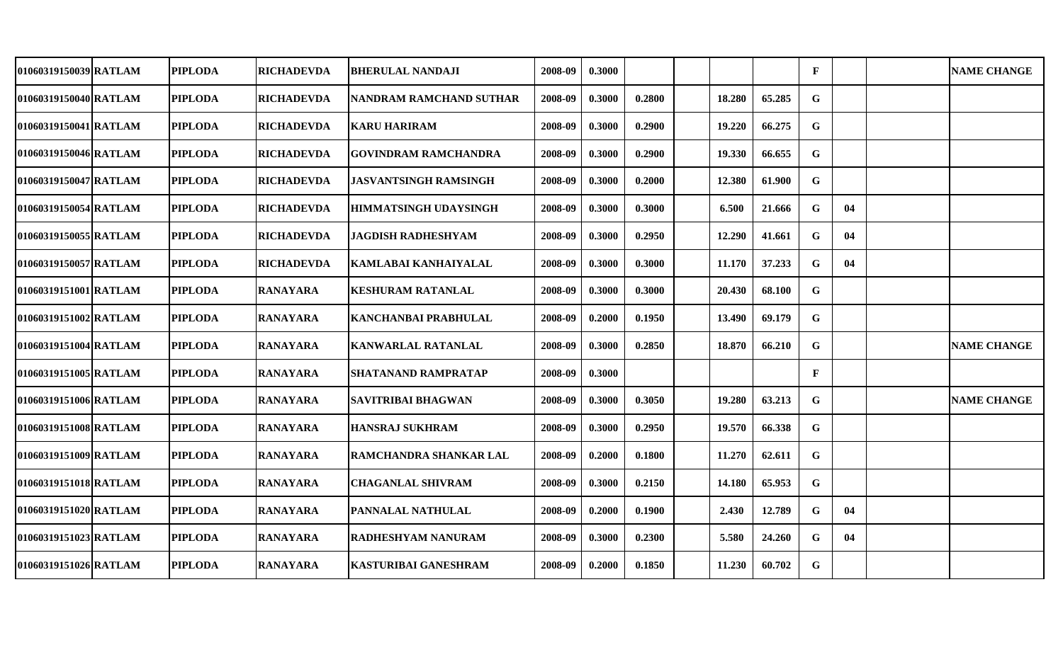| 01060319150039 RATLAM | <b>PIPLODA</b> | <b>RICHADEVDA</b> | <b>BHERULAL NANDAJI</b>        | 2008-09 | 0.3000 |        |        |        | $\mathbf{F}$ |    | <b>NAME CHANGE</b> |
|-----------------------|----------------|-------------------|--------------------------------|---------|--------|--------|--------|--------|--------------|----|--------------------|
| 01060319150040 RATLAM | <b>PIPLODA</b> | <b>RICHADEVDA</b> | <b>NANDRAM RAMCHAND SUTHAR</b> | 2008-09 | 0.3000 | 0.2800 | 18.280 | 65.285 | $\mathbf G$  |    |                    |
| 01060319150041 RATLAM | <b>PIPLODA</b> | <b>RICHADEVDA</b> | <b>KARU HARIRAM</b>            | 2008-09 | 0.3000 | 0.2900 | 19.220 | 66.275 | G            |    |                    |
| 01060319150046 RATLAM | <b>PIPLODA</b> | <b>RICHADEVDA</b> | <b>GOVINDRAM RAMCHANDRA</b>    | 2008-09 | 0.3000 | 0.2900 | 19.330 | 66.655 | $\mathbf G$  |    |                    |
| 01060319150047 RATLAM | <b>PIPLODA</b> | <b>RICHADEVDA</b> | <b>JASVANTSINGH RAMSINGH</b>   | 2008-09 | 0.3000 | 0.2000 | 12.380 | 61.900 | ${\bf G}$    |    |                    |
| 01060319150054 RATLAM | <b>PIPLODA</b> | <b>RICHADEVDA</b> | <b>HIMMATSINGH UDAYSINGH</b>   | 2008-09 | 0.3000 | 0.3000 | 6.500  | 21.666 | G            | 04 |                    |
| 01060319150055 RATLAM | <b>PIPLODA</b> | <b>RICHADEVDA</b> | <b>JAGDISH RADHESHYAM</b>      | 2008-09 | 0.3000 | 0.2950 | 12.290 | 41.661 | G            | 04 |                    |
| 01060319150057 RATLAM | <b>PIPLODA</b> | <b>RICHADEVDA</b> | KAMLABAI KANHAIYALAL           | 2008-09 | 0.3000 | 0.3000 | 11.170 | 37.233 | $\mathbf G$  | 04 |                    |
| 01060319151001 RATLAM | <b>PIPLODA</b> | <b>RANAYARA</b>   | <b>KESHURAM RATANLAL</b>       | 2008-09 | 0.3000 | 0.3000 | 20.430 | 68.100 | $\mathbf G$  |    |                    |
| 01060319151002 RATLAM | <b>PIPLODA</b> | <b>RANAYARA</b>   | KANCHANBAI PRABHULAL           | 2008-09 | 0.2000 | 0.1950 | 13.490 | 69.179 | G            |    |                    |
| 01060319151004 RATLAM | <b>PIPLODA</b> | <b>RANAYARA</b>   | <b>KANWARLAL RATANLAL</b>      | 2008-09 | 0.3000 | 0.2850 | 18.870 | 66.210 | G            |    | <b>NAME CHANGE</b> |
| 01060319151005 RATLAM | <b>PIPLODA</b> | <b>RANAYARA</b>   | <b>SHATANAND RAMPRATAP</b>     | 2008-09 | 0.3000 |        |        |        | $\mathbf{F}$ |    |                    |
| 01060319151006 RATLAM | <b>PIPLODA</b> | <b>RANAYARA</b>   | <b>SAVITRIBAI BHAGWAN</b>      | 2008-09 | 0.3000 | 0.3050 | 19.280 | 63.213 | G            |    | <b>NAME CHANGE</b> |
| 01060319151008 RATLAM | <b>PIPLODA</b> | <b>RANAYARA</b>   | <b>HANSRAJ SUKHRAM</b>         | 2008-09 | 0.3000 | 0.2950 | 19.570 | 66.338 | $\mathbf G$  |    |                    |
| 01060319151009 RATLAM | <b>PIPLODA</b> | <b>RANAYARA</b>   | RAMCHANDRA SHANKAR LAL         | 2008-09 | 0.2000 | 0.1800 | 11.270 | 62.611 | G            |    |                    |
| 01060319151018 RATLAM | <b>PIPLODA</b> | <b>RANAYARA</b>   | <b>CHAGANLAL SHIVRAM</b>       | 2008-09 | 0.3000 | 0.2150 | 14.180 | 65.953 | $\mathbf G$  |    |                    |
| 01060319151020 RATLAM | <b>PIPLODA</b> | <b>RANAYARA</b>   | <b>PANNALAL NATHULAL</b>       | 2008-09 | 0.2000 | 0.1900 | 2.430  | 12.789 | G            | 04 |                    |
| 01060319151023 RATLAM | <b>PIPLODA</b> | <b>RANAYARA</b>   | <b>RADHESHYAM NANURAM</b>      | 2008-09 | 0.3000 | 0.2300 | 5.580  | 24.260 | G            | 04 |                    |
| 01060319151026 RATLAM | <b>PIPLODA</b> | <b>RANAYARA</b>   | <b>KASTURIBAI GANESHRAM</b>    | 2008-09 | 0.2000 | 0.1850 | 11.230 | 60.702 | $\mathbf G$  |    |                    |
|                       |                |                   |                                |         |        |        |        |        |              |    |                    |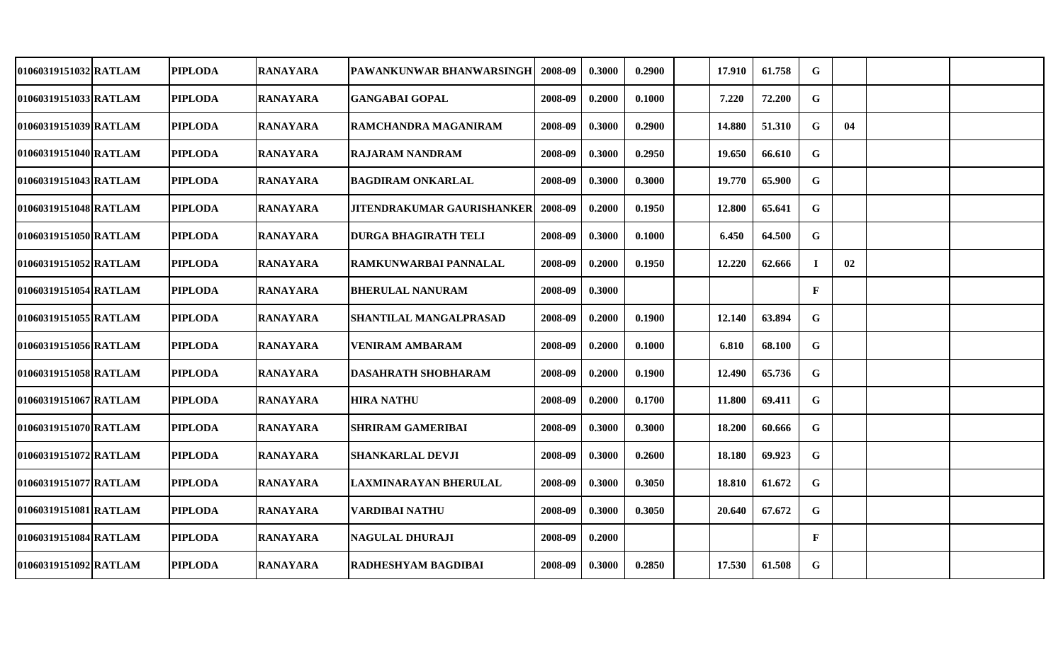| 01060319151032 RATLAM | <b>PIPLODA</b> | <b>RANAYARA</b> | PAWANKUNWAR BHANWARSINGH          | 2008-09 | 0.3000 | 0.2900 | 17.910 | 61.758 | G            |    |  |
|-----------------------|----------------|-----------------|-----------------------------------|---------|--------|--------|--------|--------|--------------|----|--|
| 01060319151033 RATLAM | <b>PIPLODA</b> | <b>RANAYARA</b> | <b>GANGABAI GOPAL</b>             | 2008-09 | 0.2000 | 0.1000 | 7.220  | 72.200 | G            |    |  |
| 01060319151039 RATLAM | <b>PIPLODA</b> | <b>RANAYARA</b> | RAMCHANDRA MAGANIRAM              | 2008-09 | 0.3000 | 0.2900 | 14.880 | 51.310 | G            | 04 |  |
| 01060319151040 RATLAM | <b>PIPLODA</b> | <b>RANAYARA</b> | <b>RAJARAM NANDRAM</b>            | 2008-09 | 0.3000 | 0.2950 | 19.650 | 66.610 | G            |    |  |
| 01060319151043 RATLAM | <b>PIPLODA</b> | <b>RANAYARA</b> | <b>BAGDIRAM ONKARLAL</b>          | 2008-09 | 0.3000 | 0.3000 | 19.770 | 65.900 | $\mathbf G$  |    |  |
| 01060319151048 RATLAM | <b>PIPLODA</b> | <b>RANAYARA</b> | <b>JITENDRAKUMAR GAURISHANKER</b> | 2008-09 | 0.2000 | 0.1950 | 12.800 | 65.641 | $\mathbf G$  |    |  |
| 01060319151050 RATLAM | <b>PIPLODA</b> | <b>RANAYARA</b> | <b>DURGA BHAGIRATH TELI</b>       | 2008-09 | 0.3000 | 0.1000 | 6.450  | 64.500 | $\mathbf G$  |    |  |
| 01060319151052 RATLAM | <b>PIPLODA</b> | <b>RANAYARA</b> | <b>RAMKUNWARBAI PANNALAL</b>      | 2008-09 | 0.2000 | 0.1950 | 12.220 | 62.666 | $\bf{I}$     | 02 |  |
| 01060319151054 RATLAM | <b>PIPLODA</b> | <b>RANAYARA</b> | <b>BHERULAL NANURAM</b>           | 2008-09 | 0.3000 |        |        |        | $\mathbf{F}$ |    |  |
| 01060319151055 RATLAM | <b>PIPLODA</b> | <b>RANAYARA</b> | <b>SHANTILAL MANGALPRASAD</b>     | 2008-09 | 0.2000 | 0.1900 | 12.140 | 63.894 | $\mathbf G$  |    |  |
| 01060319151056 RATLAM | <b>PIPLODA</b> | <b>RANAYARA</b> | <b>VENIRAM AMBARAM</b>            | 2008-09 | 0.2000 | 0.1000 | 6.810  | 68.100 | G            |    |  |
| 01060319151058 RATLAM | <b>PIPLODA</b> | <b>RANAYARA</b> | <b>DASAHRATH SHOBHARAM</b>        | 2008-09 | 0.2000 | 0.1900 | 12.490 | 65.736 | $\mathbf G$  |    |  |
| 01060319151067 RATLAM | <b>PIPLODA</b> | <b>RANAYARA</b> | <b>HIRA NATHU</b>                 | 2008-09 | 0.2000 | 0.1700 | 11.800 | 69.411 | G            |    |  |
| 01060319151070 RATLAM | <b>PIPLODA</b> | <b>RANAYARA</b> | <b>SHRIRAM GAMERIBAI</b>          | 2008-09 | 0.3000 | 0.3000 | 18.200 | 60.666 | $\mathbf G$  |    |  |
| 01060319151072 RATLAM | <b>PIPLODA</b> | <b>RANAYARA</b> | <b>SHANKARLAL DEVJI</b>           | 2008-09 | 0.3000 | 0.2600 | 18.180 | 69.923 | $\mathbf G$  |    |  |
| 01060319151077 RATLAM | <b>PIPLODA</b> | <b>RANAYARA</b> | LAXMINARAYAN BHERULAL             | 2008-09 | 0.3000 | 0.3050 | 18.810 | 61.672 | $\mathbf G$  |    |  |
| 01060319151081 RATLAM | <b>PIPLODA</b> | <b>RANAYARA</b> | VARDIBAI NATHU                    | 2008-09 | 0.3000 | 0.3050 | 20.640 | 67.672 | $\mathbf G$  |    |  |
| 01060319151084 RATLAM | <b>PIPLODA</b> | <b>RANAYARA</b> | <b>NAGULAL DHURAJI</b>            | 2008-09 | 0.2000 |        |        |        | $\mathbf{F}$ |    |  |
| 01060319151092 RATLAM | <b>PIPLODA</b> | <b>RANAYARA</b> | <b>RADHESHYAM BAGDIBAI</b>        | 2008-09 | 0.3000 | 0.2850 | 17.530 | 61.508 | $\mathbf G$  |    |  |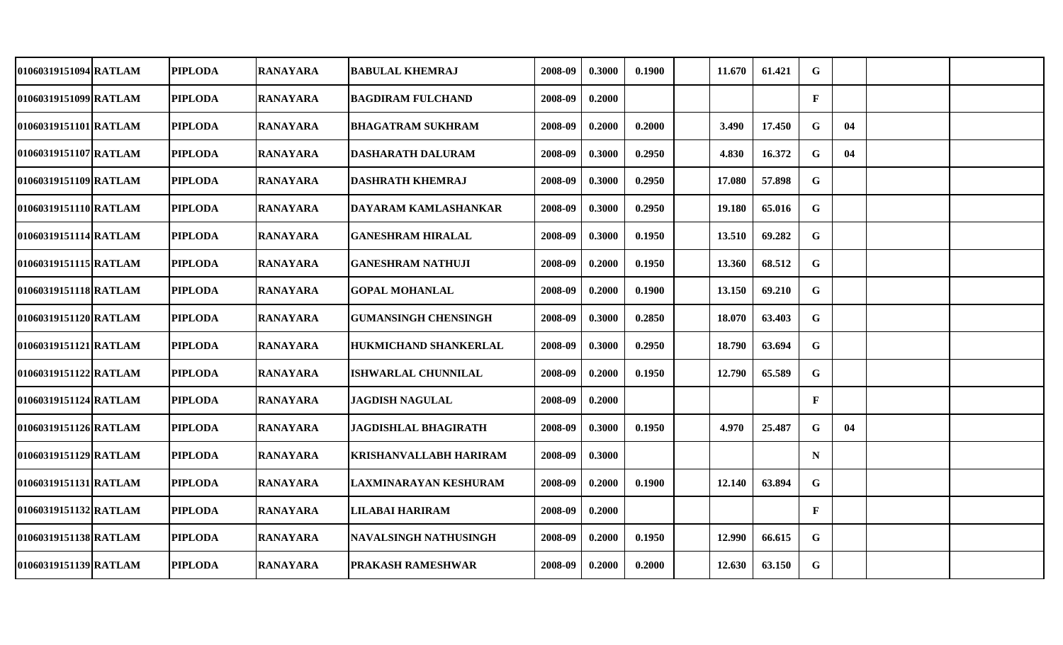| 01060319151094 RATLAM | <b>PIPLODA</b> | <b>RANAYARA</b> | <b>BABULAL KHEMRAJ</b>        | 2008-09 | 0.3000 | 0.1900 | 11.670 | 61.421 | G            |    |  |
|-----------------------|----------------|-----------------|-------------------------------|---------|--------|--------|--------|--------|--------------|----|--|
| 01060319151099 RATLAM | <b>PIPLODA</b> | <b>RANAYARA</b> | <b>BAGDIRAM FULCHAND</b>      | 2008-09 | 0.2000 |        |        |        | $\mathbf{F}$ |    |  |
| 01060319151101 RATLAM | <b>PIPLODA</b> | <b>RANAYARA</b> | <b>BHAGATRAM SUKHRAM</b>      | 2008-09 | 0.2000 | 0.2000 | 3.490  | 17.450 | G            | 04 |  |
| 01060319151107 RATLAM | <b>PIPLODA</b> | <b>RANAYARA</b> | <b>DASHARATH DALURAM</b>      | 2008-09 | 0.3000 | 0.2950 | 4.830  | 16.372 | G            | 04 |  |
| 01060319151109 RATLAM | <b>PIPLODA</b> | <b>RANAYARA</b> | <b>DASHRATH KHEMRAJ</b>       | 2008-09 | 0.3000 | 0.2950 | 17.080 | 57.898 | $\mathbf G$  |    |  |
| 01060319151110 RATLAM | <b>PIPLODA</b> | <b>RANAYARA</b> | DAYARAM KAMLASHANKAR          | 2008-09 | 0.3000 | 0.2950 | 19.180 | 65.016 | G            |    |  |
| 01060319151114 RATLAM | <b>PIPLODA</b> | <b>RANAYARA</b> | <b>GANESHRAM HIRALAL</b>      | 2008-09 | 0.3000 | 0.1950 | 13.510 | 69.282 | $\mathbf G$  |    |  |
| 01060319151115 RATLAM | <b>PIPLODA</b> | <b>RANAYARA</b> | <b>GANESHRAM NATHUJI</b>      | 2008-09 | 0.2000 | 0.1950 | 13.360 | 68.512 | $\mathbf G$  |    |  |
| 01060319151118 RATLAM | <b>PIPLODA</b> | <b>RANAYARA</b> | <b>GOPAL MOHANLAL</b>         | 2008-09 | 0.2000 | 0.1900 | 13.150 | 69.210 | $\mathbf G$  |    |  |
| 01060319151120 RATLAM | <b>PIPLODA</b> | <b>RANAYARA</b> | <b>GUMANSINGH CHENSINGH</b>   | 2008-09 | 0.3000 | 0.2850 | 18.070 | 63.403 | $\mathbf G$  |    |  |
| 01060319151121 RATLAM | <b>PIPLODA</b> | <b>RANAYARA</b> | HUKMICHAND SHANKERLAL         | 2008-09 | 0.3000 | 0.2950 | 18.790 | 63.694 | $\mathbf G$  |    |  |
| 01060319151122 RATLAM | <b>PIPLODA</b> | <b>RANAYARA</b> | <b>ISHWARLAL CHUNNILAL</b>    | 2008-09 | 0.2000 | 0.1950 | 12.790 | 65.589 | G            |    |  |
| 01060319151124 RATLAM | <b>PIPLODA</b> | <b>RANAYARA</b> | <b>JAGDISH NAGULAL</b>        | 2008-09 | 0.2000 |        |        |        | $\mathbf{F}$ |    |  |
| 01060319151126 RATLAM | <b>PIPLODA</b> | <b>RANAYARA</b> | <b>JAGDISHLAL BHAGIRATH</b>   | 2008-09 | 0.3000 | 0.1950 | 4.970  | 25.487 | G            | 04 |  |
| 01060319151129 RATLAM | <b>PIPLODA</b> | <b>RANAYARA</b> | <b>KRISHANVALLABH HARIRAM</b> | 2008-09 | 0.3000 |        |        |        | N            |    |  |
| 01060319151131 RATLAM | <b>PIPLODA</b> | <b>RANAYARA</b> | LAXMINARAYAN KESHURAM         | 2008-09 | 0.2000 | 0.1900 | 12.140 | 63.894 | G            |    |  |
| 01060319151132 RATLAM | <b>PIPLODA</b> | <b>RANAYARA</b> | LILABAI HARIRAM               | 2008-09 | 0.2000 |        |        |        | $\mathbf{F}$ |    |  |
| 01060319151138 RATLAM | <b>PIPLODA</b> | <b>RANAYARA</b> | <b>NAVALSINGH NATHUSINGH</b>  | 2008-09 | 0.2000 | 0.1950 | 12.990 | 66.615 | G            |    |  |
| 01060319151139 RATLAM | <b>PIPLODA</b> | <b>RANAYARA</b> | <b>PRAKASH RAMESHWAR</b>      | 2008-09 | 0.2000 | 0.2000 | 12.630 | 63.150 | $\mathbf G$  |    |  |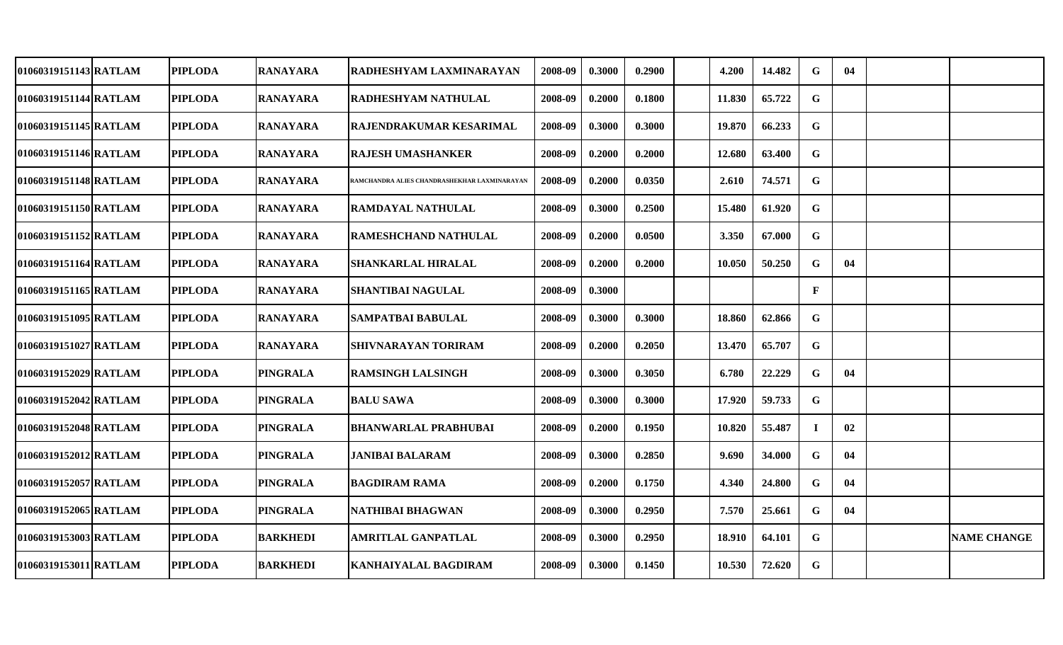| 01060319151143 RATLAM | <b>PIPLODA</b> | <b>RANAYARA</b> | <b>RADHESHYAM LAXMINARAYAN</b>               | 2008-09 | 0.3000 | 0.2900 | 4.200  | 14.482 | G            | 04 |                    |
|-----------------------|----------------|-----------------|----------------------------------------------|---------|--------|--------|--------|--------|--------------|----|--------------------|
| 01060319151144 RATLAM | <b>PIPLODA</b> | <b>RANAYARA</b> | <b>RADHESHYAM NATHULAL</b>                   | 2008-09 | 0.2000 | 0.1800 | 11.830 | 65.722 | G            |    |                    |
| 01060319151145 RATLAM | <b>PIPLODA</b> | <b>RANAYARA</b> | RAJENDRAKUMAR KESARIMAL                      | 2008-09 | 0.3000 | 0.3000 | 19.870 | 66.233 | G            |    |                    |
| 01060319151146 RATLAM | <b>PIPLODA</b> | <b>RANAYARA</b> | <b>RAJESH UMASHANKER</b>                     | 2008-09 | 0.2000 | 0.2000 | 12.680 | 63.400 | $\mathbf G$  |    |                    |
| 01060319151148 RATLAM | <b>PIPLODA</b> | <b>RANAYARA</b> | RAMCHANDRA ALIES CHANDRASHEKHAR LAXMINARAYAN | 2008-09 | 0.2000 | 0.0350 | 2.610  | 74.571 | G            |    |                    |
| 01060319151150 RATLAM | <b>PIPLODA</b> | <b>RANAYARA</b> | <b>RAMDAYAL NATHULAL</b>                     | 2008-09 | 0.3000 | 0.2500 | 15.480 | 61.920 | G            |    |                    |
| 01060319151152 RATLAM | <b>PIPLODA</b> | <b>RANAYARA</b> | <b>RAMESHCHAND NATHULAL</b>                  | 2008-09 | 0.2000 | 0.0500 | 3.350  | 67.000 | $\mathbf G$  |    |                    |
| 01060319151164 RATLAM | <b>PIPLODA</b> | <b>RANAYARA</b> | <b>SHANKARLAL HIRALAL</b>                    | 2008-09 | 0.2000 | 0.2000 | 10.050 | 50.250 | $\mathbf G$  | 04 |                    |
| 01060319151165 RATLAM | <b>PIPLODA</b> | <b>RANAYARA</b> | <b>SHANTIBAI NAGULAL</b>                     | 2008-09 | 0.3000 |        |        |        | $\mathbf{F}$ |    |                    |
| 01060319151095 RATLAM | <b>PIPLODA</b> | <b>RANAYARA</b> | <b>SAMPATBAI BABULAL</b>                     | 2008-09 | 0.3000 | 0.3000 | 18.860 | 62.866 | $\mathbf G$  |    |                    |
| 01060319151027 RATLAM | <b>PIPLODA</b> | <b>RANAYARA</b> | <b>SHIVNARAYAN TORIRAM</b>                   | 2008-09 | 0.2000 | 0.2050 | 13.470 | 65.707 | $\mathbf G$  |    |                    |
| 01060319152029 RATLAM | <b>PIPLODA</b> | <b>PINGRALA</b> | <b>RAMSINGH LALSINGH</b>                     | 2008-09 | 0.3000 | 0.3050 | 6.780  | 22.229 | $\mathbf G$  | 04 |                    |
| 01060319152042lRATLAM | <b>PIPLODA</b> | <b>PINGRALA</b> | <b>BALU SAWA</b>                             | 2008-09 | 0.3000 | 0.3000 | 17.920 | 59.733 | $\mathbf G$  |    |                    |
| 01060319152048 RATLAM | <b>PIPLODA</b> | <b>PINGRALA</b> | <b>BHANWARLAL PRABHUBAI</b>                  | 2008-09 | 0.2000 | 0.1950 | 10.820 | 55.487 | $\mathbf I$  | 02 |                    |
| 01060319152012 RATLAM | <b>PIPLODA</b> | <b>PINGRALA</b> | <b>JANIBAI BALARAM</b>                       | 2008-09 | 0.3000 | 0.2850 | 9.690  | 34.000 | G            | 04 |                    |
| 01060319152057 RATLAM | <b>PIPLODA</b> | <b>PINGRALA</b> | <b>BAGDIRAM RAMA</b>                         | 2008-09 | 0.2000 | 0.1750 | 4.340  | 24.800 | $\mathbf G$  | 04 |                    |
| 01060319152065 RATLAM | <b>PIPLODA</b> | <b>PINGRALA</b> | NATHIBAI BHAGWAN                             | 2008-09 | 0.3000 | 0.2950 | 7.570  | 25.661 | $\mathbf G$  | 04 |                    |
| 01060319153003 RATLAM | <b>PIPLODA</b> | <b>BARKHEDI</b> | AMRITLAL GANPATLAL                           | 2008-09 | 0.3000 | 0.2950 | 18.910 | 64.101 | $\mathbf G$  |    | <b>NAME CHANGE</b> |
| 01060319153011 RATLAM | <b>PIPLODA</b> | <b>BARKHEDI</b> | <b>KANHAIYALAL BAGDIRAM</b>                  | 2008-09 | 0.3000 | 0.1450 | 10.530 | 72.620 | $\mathbf G$  |    |                    |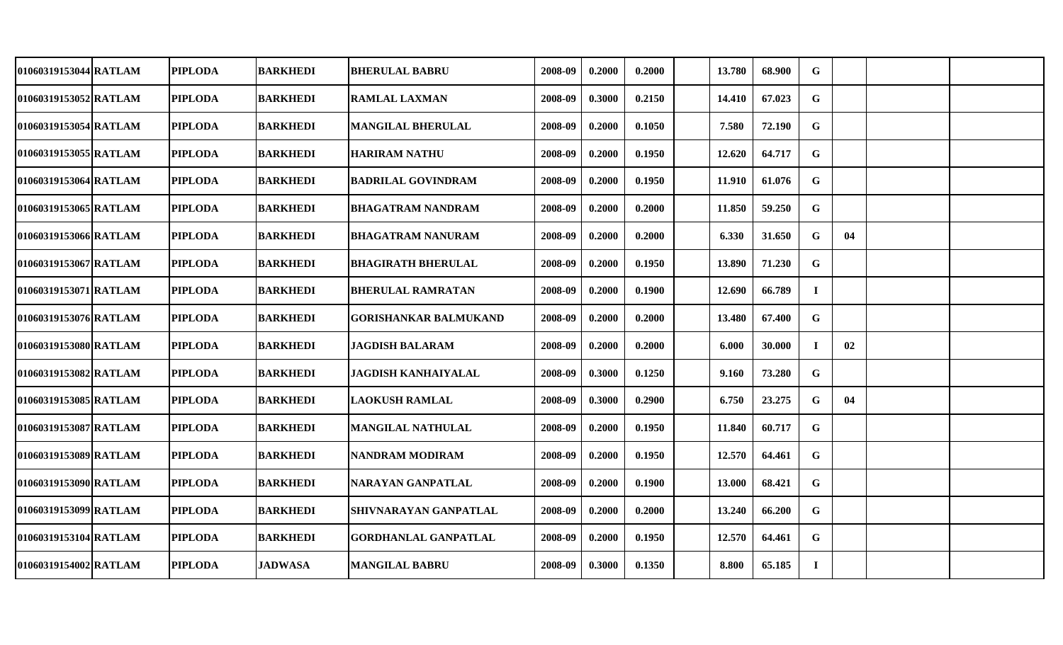| 01060319153044 RATLAM | <b>PIPLODA</b> | <b>BARKHEDI</b> | <b>BHERULAL BABRU</b>        | 2008-09 | 0.2000 | 0.2000 | 13.780 | 68.900 | G           |    |  |
|-----------------------|----------------|-----------------|------------------------------|---------|--------|--------|--------|--------|-------------|----|--|
| 01060319153052 RATLAM | <b>PIPLODA</b> | <b>BARKHEDI</b> | <b>RAMLAL LAXMAN</b>         | 2008-09 | 0.3000 | 0.2150 | 14.410 | 67.023 | G           |    |  |
| 01060319153054 RATLAM | <b>PIPLODA</b> | <b>BARKHEDI</b> | <b>MANGILAL BHERULAL</b>     | 2008-09 | 0.2000 | 0.1050 | 7.580  | 72.190 | G           |    |  |
| 01060319153055 RATLAM | <b>PIPLODA</b> | <b>BARKHEDI</b> | <b>HARIRAM NATHU</b>         | 2008-09 | 0.2000 | 0.1950 | 12.620 | 64.717 | G           |    |  |
| 01060319153064 RATLAM | <b>PIPLODA</b> | <b>BARKHEDI</b> | <b>BADRILAL GOVINDRAM</b>    | 2008-09 | 0.2000 | 0.1950 | 11.910 | 61.076 | G           |    |  |
| 01060319153065 RATLAM | <b>PIPLODA</b> | <b>BARKHEDI</b> | <b>BHAGATRAM NANDRAM</b>     | 2008-09 | 0.2000 | 0.2000 | 11.850 | 59.250 | $\mathbf G$ |    |  |
| 01060319153066 RATLAM | <b>PIPLODA</b> | <b>BARKHEDI</b> | <b>BHAGATRAM NANURAM</b>     | 2008-09 | 0.2000 | 0.2000 | 6.330  | 31.650 | $\mathbf G$ | 04 |  |
| 01060319153067 RATLAM | <b>PIPLODA</b> | <b>BARKHEDI</b> | <b>BHAGIRATH BHERULAL</b>    | 2008-09 | 0.2000 | 0.1950 | 13.890 | 71.230 | $\mathbf G$ |    |  |
| 01060319153071 RATLAM | <b>PIPLODA</b> | <b>BARKHEDI</b> | <b>BHERULAL RAMRATAN</b>     | 2008-09 | 0.2000 | 0.1900 | 12.690 | 66.789 | $\mathbf I$ |    |  |
| 01060319153076 RATLAM | <b>PIPLODA</b> | <b>BARKHEDI</b> | <b>GORISHANKAR BALMUKAND</b> | 2008-09 | 0.2000 | 0.2000 | 13.480 | 67.400 | G           |    |  |
| 01060319153080 RATLAM | <b>PIPLODA</b> | <b>BARKHEDI</b> | <b>JAGDISH BALARAM</b>       | 2008-09 | 0.2000 | 0.2000 | 6.000  | 30.000 | $\bf{I}$    | 02 |  |
| 01060319153082 RATLAM | <b>PIPLODA</b> | <b>BARKHEDI</b> | <b>JAGDISH KANHAIYALAL</b>   | 2008-09 | 0.3000 | 0.1250 | 9.160  | 73.280 | G           |    |  |
| 01060319153085 RATLAM | <b>PIPLODA</b> | <b>BARKHEDI</b> | <b>LAOKUSH RAMLAL</b>        | 2008-09 | 0.3000 | 0.2900 | 6.750  | 23.275 | G           | 04 |  |
| 01060319153087 RATLAM | <b>PIPLODA</b> | <b>BARKHEDI</b> | <b>MANGILAL NATHULAL</b>     | 2008-09 | 0.2000 | 0.1950 | 11.840 | 60.717 | G           |    |  |
| 01060319153089 RATLAM | <b>PIPLODA</b> | <b>BARKHEDI</b> | <b>NANDRAM MODIRAM</b>       | 2008-09 | 0.2000 | 0.1950 | 12.570 | 64.461 | G           |    |  |
| 01060319153090 RATLAM | <b>PIPLODA</b> | <b>BARKHEDI</b> | NARAYAN GANPATLAL            | 2008-09 | 0.2000 | 0.1900 | 13.000 | 68.421 | G           |    |  |
| 01060319153099 RATLAM | <b>PIPLODA</b> | <b>BARKHEDI</b> | SHIVNARAYAN GANPATLAL        | 2008-09 | 0.2000 | 0.2000 | 13.240 | 66.200 | G           |    |  |
| 01060319153104 RATLAM | <b>PIPLODA</b> | <b>BARKHEDI</b> | <b>GORDHANLAL GANPATLAL</b>  | 2008-09 | 0.2000 | 0.1950 | 12.570 | 64.461 | G           |    |  |
| 01060319154002 RATLAM | <b>PIPLODA</b> | <b>JADWASA</b>  | <b>MANGILAL BABRU</b>        | 2008-09 | 0.3000 | 0.1350 | 8.800  | 65.185 | $\bf I$     |    |  |
|                       |                |                 |                              |         |        |        |        |        |             |    |  |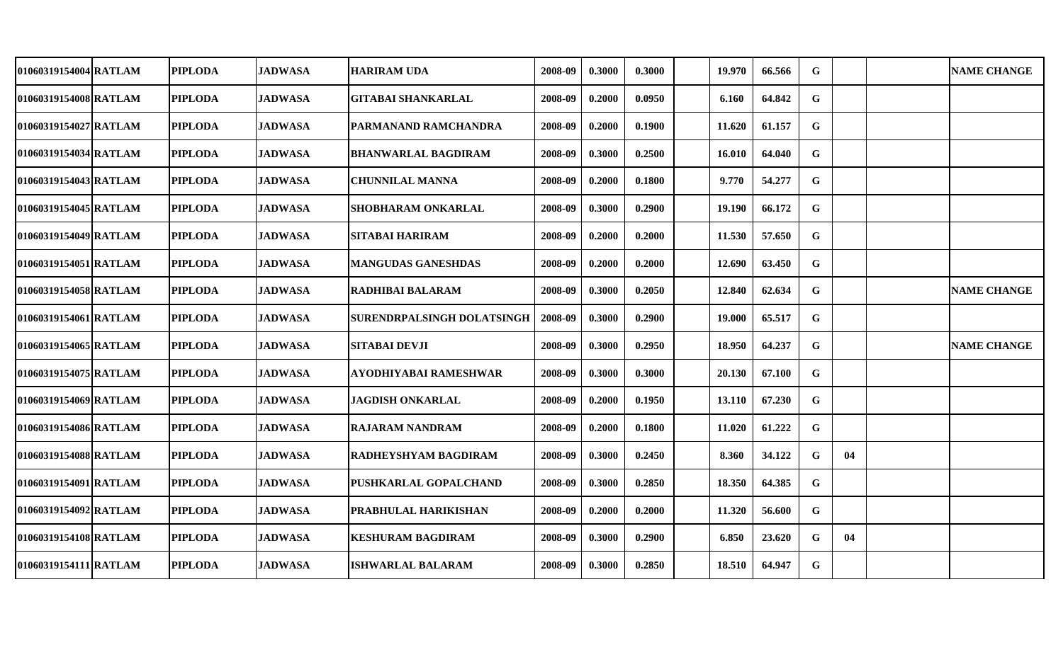| 01060319154004 RATLAM | <b>PIPLODA</b> | <b>JADWASA</b> | <b>HARIRAM UDA</b>         | 2008-09 | 0.3000 | 0.3000 | 19.970 | 66.566 | G           |    | <b>NAME CHANGE</b> |
|-----------------------|----------------|----------------|----------------------------|---------|--------|--------|--------|--------|-------------|----|--------------------|
| 01060319154008 RATLAM | <b>PIPLODA</b> | <b>JADWASA</b> | <b>GITABAI SHANKARLAL</b>  | 2008-09 | 0.2000 | 0.0950 | 6.160  | 64.842 | G           |    |                    |
| 01060319154027 RATLAM | <b>PIPLODA</b> | <b>JADWASA</b> | PARMANAND RAMCHANDRA       | 2008-09 | 0.2000 | 0.1900 | 11.620 | 61.157 | ${\bf G}$   |    |                    |
| 01060319154034 RATLAM | <b>PIPLODA</b> | <b>JADWASA</b> | <b>BHANWARLAL BAGDIRAM</b> | 2008-09 | 0.3000 | 0.2500 | 16.010 | 64.040 | $\mathbf G$ |    |                    |
| 01060319154043 RATLAM | <b>PIPLODA</b> | <b>JADWASA</b> | <b>CHUNNILAL MANNA</b>     | 2008-09 | 0.2000 | 0.1800 | 9.770  | 54.277 | $\mathbf G$ |    |                    |
| 01060319154045 RATLAM | <b>PIPLODA</b> | <b>JADWASA</b> | <b>SHOBHARAM ONKARLAL</b>  | 2008-09 | 0.3000 | 0.2900 | 19.190 | 66.172 | $\mathbf G$ |    |                    |
| 01060319154049 RATLAM | <b>PIPLODA</b> | <b>JADWASA</b> | <b>SITABAI HARIRAM</b>     | 2008-09 | 0.2000 | 0.2000 | 11.530 | 57.650 | G           |    |                    |
| 01060319154051 RATLAM | <b>PIPLODA</b> | <b>JADWASA</b> | <b>MANGUDAS GANESHDAS</b>  | 2008-09 | 0.2000 | 0.2000 | 12.690 | 63.450 | $\mathbf G$ |    |                    |
| 01060319154058 RATLAM | <b>PIPLODA</b> | <b>JADWASA</b> | <b>RADHIBAI BALARAM</b>    | 2008-09 | 0.3000 | 0.2050 | 12.840 | 62.634 | $\mathbf G$ |    | <b>NAME CHANGE</b> |
| 01060319154061 RATLAM | <b>PIPLODA</b> | <b>JADWASA</b> | SURENDRPALSINGH DOLATSINGH | 2008-09 | 0.3000 | 0.2900 | 19.000 | 65.517 | $\mathbf G$ |    |                    |
| 01060319154065 RATLAM | <b>PIPLODA</b> | <b>JADWASA</b> | <b>SITABAI DEVJI</b>       | 2008-09 | 0.3000 | 0.2950 | 18.950 | 64.237 | G           |    | <b>NAME CHANGE</b> |
| 01060319154075 RATLAM | <b>PIPLODA</b> | <b>JADWASA</b> | AYODHIYABAI RAMESHWAR      | 2008-09 | 0.3000 | 0.3000 | 20.130 | 67.100 | G           |    |                    |
| 01060319154069 RATLAM | <b>PIPLODA</b> | <b>JADWASA</b> | <b>JAGDISH ONKARLAL</b>    | 2008-09 | 0.2000 | 0.1950 | 13.110 | 67.230 | $\mathbf G$ |    |                    |
| 01060319154086 RATLAM | <b>PIPLODA</b> | <b>JADWASA</b> | <b>RAJARAM NANDRAM</b>     | 2008-09 | 0.2000 | 0.1800 | 11.020 | 61.222 | G           |    |                    |
| 01060319154088 RATLAM | <b>PIPLODA</b> | <b>JADWASA</b> | RADHEYSHYAM BAGDIRAM       | 2008-09 | 0.3000 | 0.2450 | 8.360  | 34.122 | G           | 04 |                    |
| 01060319154091 RATLAM | <b>PIPLODA</b> | <b>JADWASA</b> | PUSHKARLAL GOPALCHAND      | 2008-09 | 0.3000 | 0.2850 | 18.350 | 64.385 | $\mathbf G$ |    |                    |
| 01060319154092 RATLAM | <b>PIPLODA</b> | <b>JADWASA</b> | PRABHULAL HARIKISHAN       | 2008-09 | 0.2000 | 0.2000 | 11.320 | 56.600 | G           |    |                    |
| 01060319154108 RATLAM | <b>PIPLODA</b> | <b>JADWASA</b> | <b>KESHURAM BAGDIRAM</b>   | 2008-09 | 0.3000 | 0.2900 | 6.850  | 23.620 | G           | 04 |                    |
| 01060319154111 RATLAM | <b>PIPLODA</b> | <b>JADWASA</b> | <b>ISHWARLAL BALARAM</b>   | 2008-09 | 0.3000 | 0.2850 | 18.510 | 64.947 | $\mathbf G$ |    |                    |
|                       |                |                |                            |         |        |        |        |        |             |    |                    |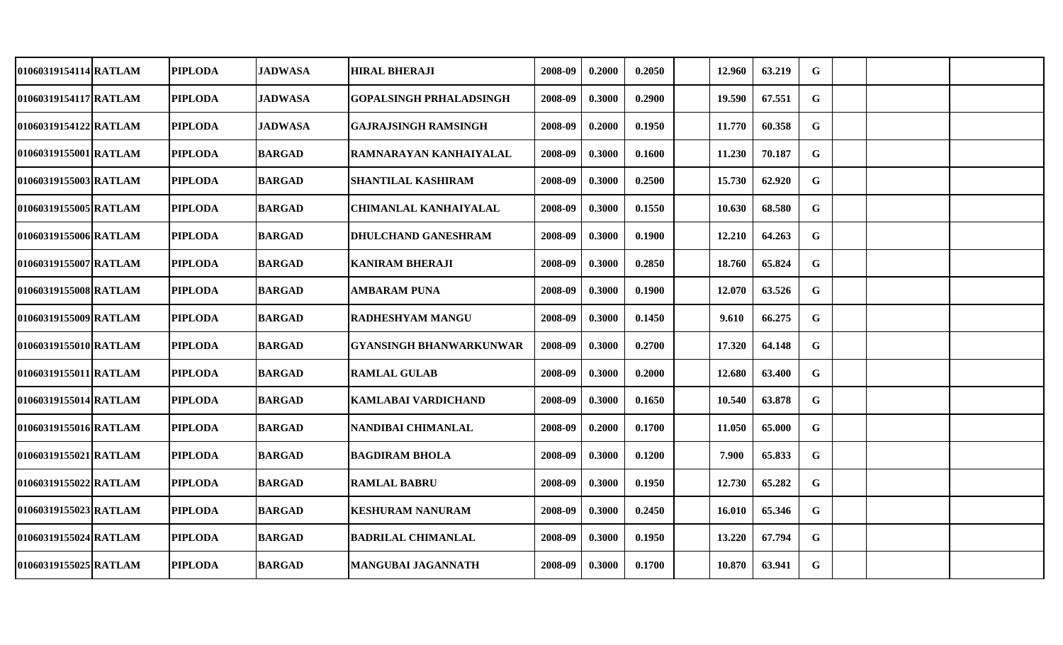| 01060319154114 RATLAM | <b>PIPLODA</b> | <b>JADWASA</b> |                                |         |        |        |        |        |             |  |  |
|-----------------------|----------------|----------------|--------------------------------|---------|--------|--------|--------|--------|-------------|--|--|
|                       |                |                | <b>HIRAL BHERAJI</b>           | 2008-09 | 0.2000 | 0.2050 | 12.960 | 63.219 | G           |  |  |
| 01060319154117 RATLAM | <b>PIPLODA</b> | <b>JADWASA</b> | <b>GOPALSINGH PRHALADSINGH</b> | 2008-09 | 0.3000 | 0.2900 | 19.590 | 67.551 | G           |  |  |
| 01060319154122 RATLAM | <b>PIPLODA</b> | <b>JADWASA</b> | <b>GAJRAJSINGH RAMSINGH</b>    | 2008-09 | 0.2000 | 0.1950 | 11.770 | 60.358 | $\mathbf G$ |  |  |
| 01060319155001 RATLAM | <b>PIPLODA</b> | <b>BARGAD</b>  | RAMNARAYAN KANHAIYALAL         | 2008-09 | 0.3000 | 0.1600 | 11.230 | 70.187 | G           |  |  |
| 01060319155003 RATLAM | <b>PIPLODA</b> | <b>BARGAD</b>  | <b>SHANTILAL KASHIRAM</b>      | 2008-09 | 0.3000 | 0.2500 | 15.730 | 62.920 | G           |  |  |
| 01060319155005 RATLAM | <b>PIPLODA</b> | <b>BARGAD</b>  | <b>CHIMANLAL KANHAIYALAL</b>   | 2008-09 | 0.3000 | 0.1550 | 10.630 | 68.580 | $\mathbf G$ |  |  |
| 01060319155006 RATLAM | <b>PIPLODA</b> | <b>BARGAD</b>  | <b>DHULCHAND GANESHRAM</b>     | 2008-09 | 0.3000 | 0.1900 | 12.210 | 64.263 | $\mathbf G$ |  |  |
| 01060319155007 RATLAM | <b>PIPLODA</b> | <b>BARGAD</b>  | <b>KANIRAM BHERAJI</b>         | 2008-09 | 0.3000 | 0.2850 | 18.760 | 65.824 | $\mathbf G$ |  |  |
| 01060319155008 RATLAM | <b>PIPLODA</b> | <b>BARGAD</b>  | <b>AMBARAM PUNA</b>            | 2008-09 | 0.3000 | 0.1900 | 12.070 | 63.526 | $\mathbf G$ |  |  |
| 01060319155009 RATLAM | <b>PIPLODA</b> | <b>BARGAD</b>  | <b>RADHESHYAM MANGU</b>        | 2008-09 | 0.3000 | 0.1450 | 9.610  | 66.275 | $\mathbf G$ |  |  |
| 01060319155010 RATLAM | <b>PIPLODA</b> | <b>BARGAD</b>  | <b>GYANSINGH BHANWARKUNWAR</b> | 2008-09 | 0.3000 | 0.2700 | 17.320 | 64.148 | $\mathbf G$ |  |  |
| 01060319155011 RATLAM | <b>PIPLODA</b> | <b>BARGAD</b>  | <b>RAMLAL GULAB</b>            | 2008-09 | 0.3000 | 0.2000 | 12.680 | 63.400 | G           |  |  |
| 01060319155014 RATLAM | <b>PIPLODA</b> | <b>BARGAD</b>  | KAMLABAI VARDICHAND            | 2008-09 | 0.3000 | 0.1650 | 10.540 | 63.878 | $\mathbf G$ |  |  |
| 01060319155016 RATLAM | <b>PIPLODA</b> | <b>BARGAD</b>  | NANDIBAI CHIMANLAL             | 2008-09 | 0.2000 | 0.1700 | 11.050 | 65.000 | G           |  |  |
| 01060319155021 RATLAM | <b>PIPLODA</b> | <b>BARGAD</b>  | <b>BAGDIRAM BHOLA</b>          | 2008-09 | 0.3000 | 0.1200 | 7.900  | 65.833 | $\mathbf G$ |  |  |
| 01060319155022 RATLAM | <b>PIPLODA</b> | <b>BARGAD</b>  | <b>RAMLAL BABRU</b>            | 2008-09 | 0.3000 | 0.1950 | 12.730 | 65.282 | $\mathbf G$ |  |  |
| 01060319155023 RATLAM | <b>PIPLODA</b> | <b>BARGAD</b>  | <b>KESHURAM NANURAM</b>        | 2008-09 | 0.3000 | 0.2450 | 16.010 | 65.346 | G           |  |  |
| 01060319155024 RATLAM | <b>PIPLODA</b> | <b>BARGAD</b>  | <b>BADRILAL CHIMANLAL</b>      | 2008-09 | 0.3000 | 0.1950 | 13.220 | 67.794 | $\mathbf G$ |  |  |
| 01060319155025 RATLAM | <b>PIPLODA</b> | <b>BARGAD</b>  | <b>MANGUBAI JAGANNATH</b>      | 2008-09 | 0.3000 | 0.1700 | 10.870 | 63.941 | $\mathbf G$ |  |  |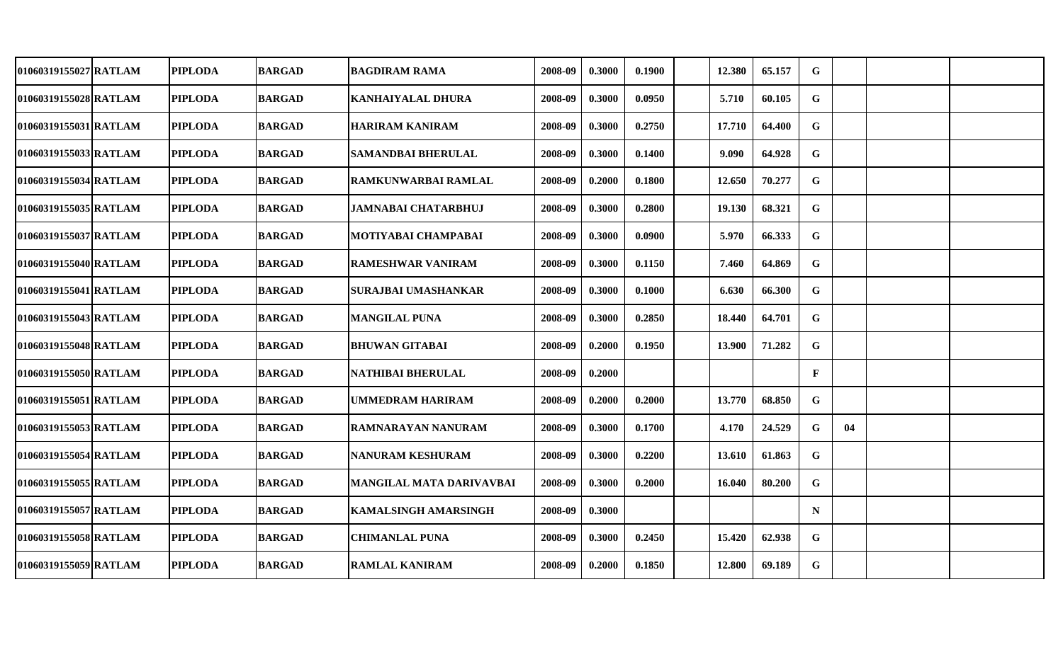| 01060319155027 RATLAM | <b>PIPLODA</b> | <b>BARGAD</b> | <b>BAGDIRAM RAMA</b>        | 2008-09 | 0.3000 | 0.1900 | 12.380 | 65.157 | G            |    |  |
|-----------------------|----------------|---------------|-----------------------------|---------|--------|--------|--------|--------|--------------|----|--|
| 01060319155028 RATLAM | <b>PIPLODA</b> | <b>BARGAD</b> | <b>KANHAIYALAL DHURA</b>    | 2008-09 | 0.3000 | 0.0950 | 5.710  | 60.105 | G            |    |  |
| 01060319155031 RATLAM | <b>PIPLODA</b> | <b>BARGAD</b> | <b>HARIRAM KANIRAM</b>      | 2008-09 | 0.3000 | 0.2750 | 17.710 | 64.400 | $\mathbf G$  |    |  |
| 01060319155033 RATLAM | <b>PIPLODA</b> | <b>BARGAD</b> | <b>SAMANDBAI BHERULAL</b>   | 2008-09 | 0.3000 | 0.1400 | 9.090  | 64.928 | G            |    |  |
| 01060319155034 RATLAM | <b>PIPLODA</b> | <b>BARGAD</b> | <b>RAMKUNWARBAI RAMLAL</b>  | 2008-09 | 0.2000 | 0.1800 | 12.650 | 70.277 | $\mathbf G$  |    |  |
| 01060319155035 RATLAM | <b>PIPLODA</b> | <b>BARGAD</b> | <b>JAMNABAI CHATARBHUJ</b>  | 2008-09 | 0.3000 | 0.2800 | 19.130 | 68.321 | $\mathbf G$  |    |  |
| 01060319155037 RATLAM | <b>PIPLODA</b> | <b>BARGAD</b> | MOTIYABAI CHAMPABAI         | 2008-09 | 0.3000 | 0.0900 | 5.970  | 66.333 | $\mathbf G$  |    |  |
| 01060319155040 RATLAM | <b>PIPLODA</b> | <b>BARGAD</b> | <b>RAMESHWAR VANIRAM</b>    | 2008-09 | 0.3000 | 0.1150 | 7.460  | 64.869 | $\mathbf G$  |    |  |
| 01060319155041 RATLAM | <b>PIPLODA</b> | <b>BARGAD</b> | <b>SURAJBAI UMASHANKAR</b>  | 2008-09 | 0.3000 | 0.1000 | 6.630  | 66.300 | $\mathbf G$  |    |  |
| 01060319155043 RATLAM | <b>PIPLODA</b> | <b>BARGAD</b> | <b>MANGILAL PUNA</b>        | 2008-09 | 0.3000 | 0.2850 | 18.440 | 64.701 | $\mathbf G$  |    |  |
| 01060319155048 RATLAM | <b>PIPLODA</b> | <b>BARGAD</b> | <b>BHUWAN GITABAI</b>       | 2008-09 | 0.2000 | 0.1950 | 13.900 | 71.282 | G            |    |  |
| 01060319155050 RATLAM | <b>PIPLODA</b> | <b>BARGAD</b> | <b>NATHIBAI BHERULAL</b>    | 2008-09 | 0.2000 |        |        |        | $\mathbf{F}$ |    |  |
| 01060319155051 RATLAM | <b>PIPLODA</b> | <b>BARGAD</b> | <b>UMMEDRAM HARIRAM</b>     | 2008-09 | 0.2000 | 0.2000 | 13.770 | 68.850 | G            |    |  |
| 01060319155053 RATLAM | <b>PIPLODA</b> | <b>BARGAD</b> | RAMNARAYAN NANURAM          | 2008-09 | 0.3000 | 0.1700 | 4.170  | 24.529 | $\mathbf G$  | 04 |  |
| 01060319155054 RATLAM | <b>PIPLODA</b> | <b>BARGAD</b> | <b>NANURAM KESHURAM</b>     | 2008-09 | 0.3000 | 0.2200 | 13.610 | 61.863 | G            |    |  |
| 01060319155055 RATLAM | <b>PIPLODA</b> | <b>BARGAD</b> | MANGILAL MATA DARIVAVBAI    | 2008-09 | 0.3000 | 0.2000 | 16.040 | 80.200 | $\mathbf G$  |    |  |
| 01060319155057 RATLAM | <b>PIPLODA</b> | <b>BARGAD</b> | <b>KAMALSINGH AMARSINGH</b> | 2008-09 | 0.3000 |        |        |        | $\mathbf N$  |    |  |
| 01060319155058 RATLAM | <b>PIPLODA</b> | <b>BARGAD</b> | <b>CHIMANLAL PUNA</b>       | 2008-09 | 0.3000 | 0.2450 | 15.420 | 62.938 | G            |    |  |
| 01060319155059 RATLAM | <b>PIPLODA</b> | <b>BARGAD</b> | <b>RAMLAL KANIRAM</b>       | 2008-09 | 0.2000 | 0.1850 | 12.800 | 69.189 | $\mathbf G$  |    |  |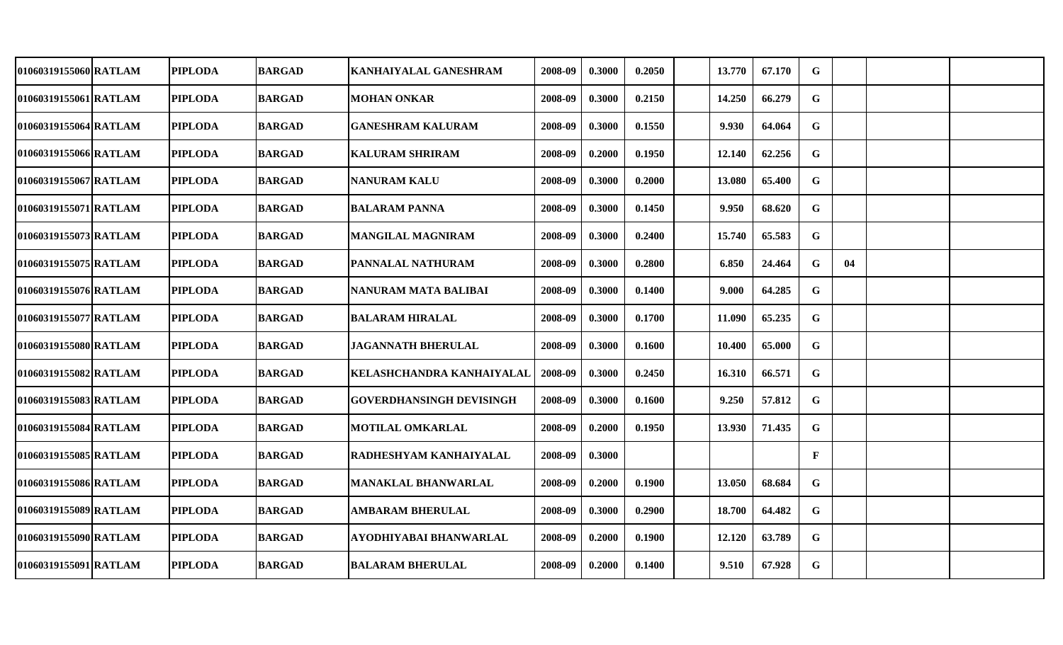| 01060319155060 RATLAM | <b>PIPLODA</b> | <b>BARGAD</b> | KANHAIYALAL GANESHRAM           | 2008-09 | 0.3000 | 0.2050 | 13.770 | 67.170 | G            |    |  |
|-----------------------|----------------|---------------|---------------------------------|---------|--------|--------|--------|--------|--------------|----|--|
| 01060319155061 RATLAM | <b>PIPLODA</b> | <b>BARGAD</b> | <b>MOHAN ONKAR</b>              | 2008-09 | 0.3000 | 0.2150 | 14.250 | 66.279 | $\mathbf G$  |    |  |
| 01060319155064 RATLAM | <b>PIPLODA</b> | <b>BARGAD</b> | <b>GANESHRAM KALURAM</b>        | 2008-09 | 0.3000 | 0.1550 | 9.930  | 64.064 | $\mathbf G$  |    |  |
| 01060319155066 RATLAM | <b>PIPLODA</b> | <b>BARGAD</b> | <b>KALURAM SHRIRAM</b>          | 2008-09 | 0.2000 | 0.1950 | 12.140 | 62.256 | $\mathbf G$  |    |  |
| 01060319155067 RATLAM | <b>PIPLODA</b> | <b>BARGAD</b> | <b>NANURAM KALU</b>             | 2008-09 | 0.3000 | 0.2000 | 13.080 | 65.400 | $\mathbf G$  |    |  |
| 01060319155071 RATLAM | <b>PIPLODA</b> | <b>BARGAD</b> | <b>BALARAM PANNA</b>            | 2008-09 | 0.3000 | 0.1450 | 9.950  | 68.620 | $\mathbf G$  |    |  |
| 01060319155073 RATLAM | <b>PIPLODA</b> | <b>BARGAD</b> | <b>MANGILAL MAGNIRAM</b>        | 2008-09 | 0.3000 | 0.2400 | 15.740 | 65.583 | $\mathbf G$  |    |  |
| 01060319155075 RATLAM | <b>PIPLODA</b> | <b>BARGAD</b> | <b>PANNALAL NATHURAM</b>        | 2008-09 | 0.3000 | 0.2800 | 6.850  | 24.464 | $\mathbf G$  | 04 |  |
| 01060319155076 RATLAM | <b>PIPLODA</b> | <b>BARGAD</b> | <b>NANURAM MATA BALIBAI</b>     | 2008-09 | 0.3000 | 0.1400 | 9.000  | 64.285 | $\mathbf G$  |    |  |
| 01060319155077 RATLAM | <b>PIPLODA</b> | <b>BARGAD</b> | <b>BALARAM HIRALAL</b>          | 2008-09 | 0.3000 | 0.1700 | 11.090 | 65.235 | G            |    |  |
| 01060319155080 RATLAM | <b>PIPLODA</b> | <b>BARGAD</b> | <b>JAGANNATH BHERULAL</b>       | 2008-09 | 0.3000 | 0.1600 | 10.400 | 65.000 | G            |    |  |
| 01060319155082 RATLAM | <b>PIPLODA</b> | <b>BARGAD</b> | KELASHCHANDRA KANHAIYALAL       | 2008-09 | 0.3000 | 0.2450 | 16.310 | 66.571 | G            |    |  |
| 01060319155083 RATLAM | <b>PIPLODA</b> | <b>BARGAD</b> | <b>GOVERDHANSINGH DEVISINGH</b> | 2008-09 | 0.3000 | 0.1600 | 9.250  | 57.812 | $\mathbf G$  |    |  |
| 01060319155084 RATLAM | <b>PIPLODA</b> | <b>BARGAD</b> | <b>MOTILAL OMKARLAL</b>         | 2008-09 | 0.2000 | 0.1950 | 13.930 | 71.435 | $\mathbf G$  |    |  |
| 01060319155085 RATLAM | <b>PIPLODA</b> | <b>BARGAD</b> | RADHESHYAM KANHAIYALAL          | 2008-09 | 0.3000 |        |        |        | $\mathbf{F}$ |    |  |
| 01060319155086 RATLAM | <b>PIPLODA</b> | <b>BARGAD</b> | <b>MANAKLAL BHANWARLAL</b>      | 2008-09 | 0.2000 | 0.1900 | 13.050 | 68.684 | $\mathbf G$  |    |  |
| 01060319155089 RATLAM | <b>PIPLODA</b> | <b>BARGAD</b> | <b>AMBARAM BHERULAL</b>         | 2008-09 | 0.3000 | 0.2900 | 18.700 | 64.482 | $\mathbf G$  |    |  |
| 01060319155090 RATLAM | <b>PIPLODA</b> | <b>BARGAD</b> | AYODHIYABAI BHANWARLAL          | 2008-09 | 0.2000 | 0.1900 | 12.120 | 63.789 | $\mathbf G$  |    |  |
| 01060319155091 RATLAM | <b>PIPLODA</b> | <b>BARGAD</b> | <b>BALARAM BHERULAL</b>         | 2008-09 | 0.2000 | 0.1400 | 9.510  | 67.928 | $\mathbf G$  |    |  |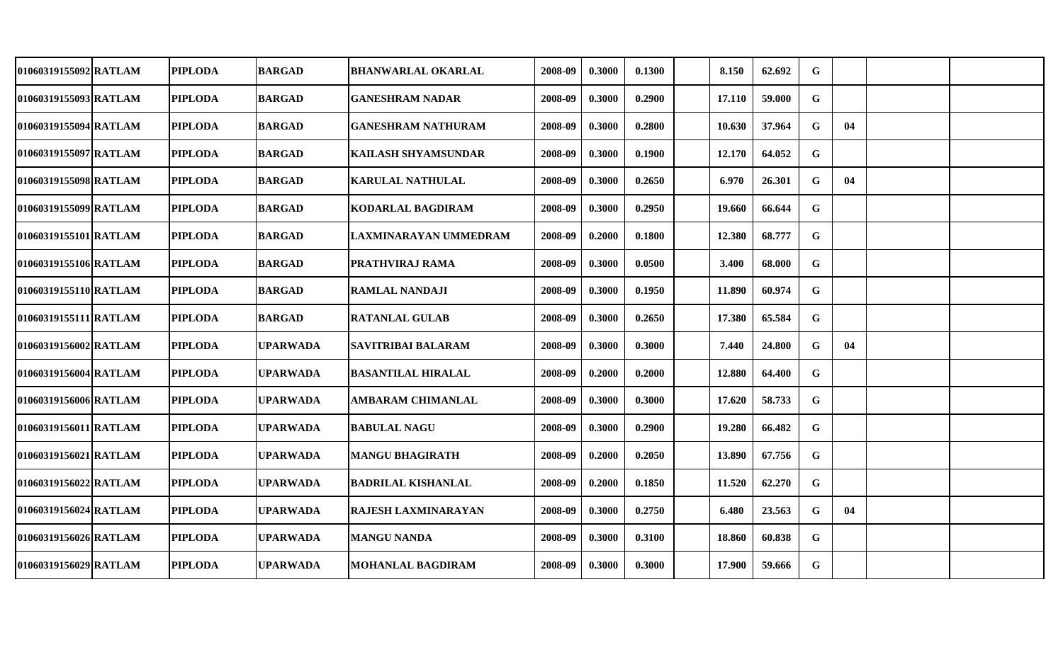| 01060319155092 RATLAM | <b>PIPLODA</b> | <b>BARGAD</b>   | <b>BHANWARLAL OKARLAL</b>    | 2008-09 | 0.3000 | 0.1300 | 8.150  | 62.692 | G           |    |  |
|-----------------------|----------------|-----------------|------------------------------|---------|--------|--------|--------|--------|-------------|----|--|
| 01060319155093 RATLAM | <b>PIPLODA</b> | <b>BARGAD</b>   | <b>GANESHRAM NADAR</b>       | 2008-09 | 0.3000 | 0.2900 | 17.110 | 59.000 | G           |    |  |
| 01060319155094 RATLAM | <b>PIPLODA</b> | <b>BARGAD</b>   | <b>GANESHRAM NATHURAM</b>    | 2008-09 | 0.3000 | 0.2800 | 10.630 | 37.964 | G           | 04 |  |
| 01060319155097 RATLAM | <b>PIPLODA</b> | <b>BARGAD</b>   | KAILASH SHYAMSUNDAR          | 2008-09 | 0.3000 | 0.1900 | 12.170 | 64.052 | G           |    |  |
| 01060319155098 RATLAM | <b>PIPLODA</b> | <b>BARGAD</b>   | <b>KARULAL NATHULAL</b>      | 2008-09 | 0.3000 | 0.2650 | 6.970  | 26.301 | G           | 04 |  |
| 01060319155099 RATLAM | <b>PIPLODA</b> | <b>BARGAD</b>   | KODARLAL BAGDIRAM            | 2008-09 | 0.3000 | 0.2950 | 19.660 | 66.644 | G           |    |  |
| 01060319155101 RATLAM | <b>PIPLODA</b> | <b>BARGAD</b>   | <b>LAXMINARAYAN UMMEDRAM</b> | 2008-09 | 0.2000 | 0.1800 | 12.380 | 68.777 | G           |    |  |
| 01060319155106 RATLAM | <b>PIPLODA</b> | <b>BARGAD</b>   | PRATHVIRAJ RAMA              | 2008-09 | 0.3000 | 0.0500 | 3.400  | 68.000 | $\mathbf G$ |    |  |
| 01060319155110 RATLAM | <b>PIPLODA</b> | <b>BARGAD</b>   | <b>RAMLAL NANDAJI</b>        | 2008-09 | 0.3000 | 0.1950 | 11.890 | 60.974 | $\mathbf G$ |    |  |
| 01060319155111 RATLAM | <b>PIPLODA</b> | <b>BARGAD</b>   | <b>RATANLAL GULAB</b>        | 2008-09 | 0.3000 | 0.2650 | 17.380 | 65.584 | $\mathbf G$ |    |  |
| 01060319156002 RATLAM | <b>PIPLODA</b> | <b>UPARWADA</b> | SAVITRIBAI BALARAM           | 2008-09 | 0.3000 | 0.3000 | 7.440  | 24.800 | G           | 04 |  |
| 01060319156004 RATLAM | <b>PIPLODA</b> | <b>UPARWADA</b> | <b>BASANTILAL HIRALAL</b>    | 2008-09 | 0.2000 | 0.2000 | 12.880 | 64.400 | G           |    |  |
| 01060319156006 RATLAM | <b>PIPLODA</b> | <b>UPARWADA</b> | <b>AMBARAM CHIMANLAL</b>     | 2008-09 | 0.3000 | 0.3000 | 17.620 | 58.733 | G           |    |  |
| 01060319156011 RATLAM | <b>PIPLODA</b> | <b>UPARWADA</b> | <b>BABULAL NAGU</b>          | 2008-09 | 0.3000 | 0.2900 | 19.280 | 66.482 | G           |    |  |
| 01060319156021 RATLAM | <b>PIPLODA</b> | <b>UPARWADA</b> | <b>MANGU BHAGIRATH</b>       | 2008-09 | 0.2000 | 0.2050 | 13.890 | 67.756 | G           |    |  |
| 01060319156022 RATLAM | <b>PIPLODA</b> | <b>UPARWADA</b> | <b>BADRILAL KISHANLAL</b>    | 2008-09 | 0.2000 | 0.1850 | 11.520 | 62.270 | G           |    |  |
| 01060319156024 RATLAM | <b>PIPLODA</b> | <b>UPARWADA</b> | RAJESH LAXMINARAYAN          | 2008-09 | 0.3000 | 0.2750 | 6.480  | 23.563 | G           | 04 |  |
| 01060319156026 RATLAM | <b>PIPLODA</b> | <b>UPARWADA</b> | <b>MANGU NANDA</b>           | 2008-09 | 0.3000 | 0.3100 | 18.860 | 60.838 | G           |    |  |
| 01060319156029 RATLAM | <b>PIPLODA</b> | <b>UPARWADA</b> | <b>MOHANLAL BAGDIRAM</b>     | 2008-09 | 0.3000 | 0.3000 | 17.900 | 59.666 | G           |    |  |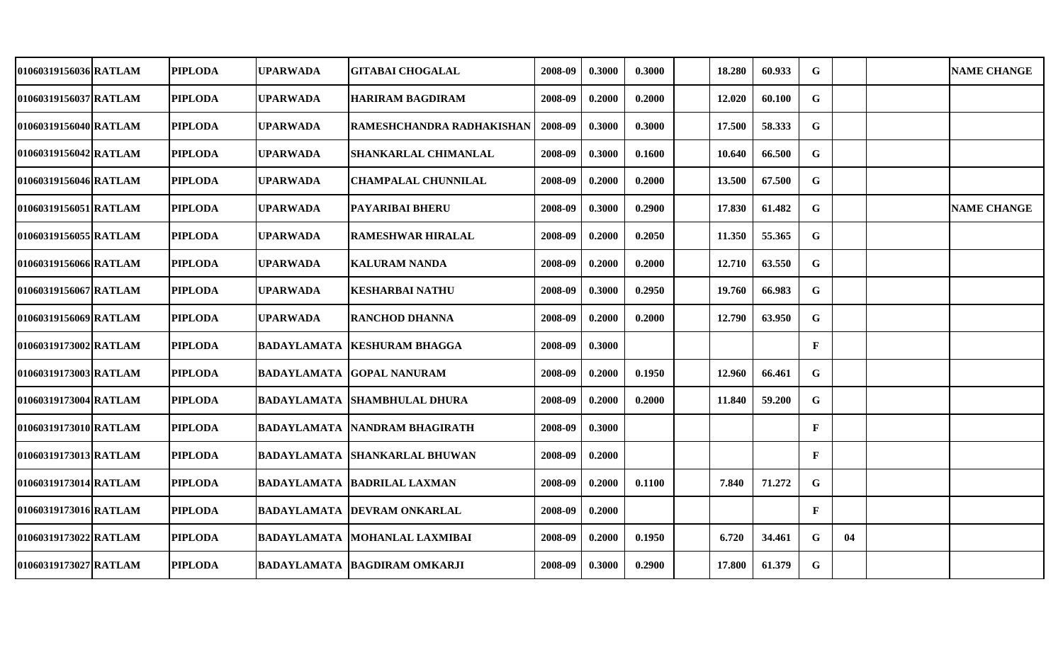| 01060319156036 RATLAM | <b>PIPLODA</b> | <b>UPARWADA</b> | <b>GITABAI CHOGALAL</b>              | 2008-09 | 0.3000 | 0.3000 | 18.280 | 60.933 | G            |    | <b>NAME CHANGE</b> |
|-----------------------|----------------|-----------------|--------------------------------------|---------|--------|--------|--------|--------|--------------|----|--------------------|
| 01060319156037 RATLAM | <b>PIPLODA</b> | <b>UPARWADA</b> | <b>HARIRAM BAGDIRAM</b>              | 2008-09 | 0.2000 | 0.2000 | 12.020 | 60.100 | G            |    |                    |
| 01060319156040 RATLAM | <b>PIPLODA</b> | <b>UPARWADA</b> | RAMESHCHANDRA RADHAKISHAN            | 2008-09 | 0.3000 | 0.3000 | 17.500 | 58.333 | G            |    |                    |
| 01060319156042 RATLAM | <b>PIPLODA</b> | <b>UPARWADA</b> | SHANKARLAL CHIMANLAL                 | 2008-09 | 0.3000 | 0.1600 | 10.640 | 66.500 | $\mathbf G$  |    |                    |
| 01060319156046 RATLAM | <b>PIPLODA</b> | <b>UPARWADA</b> | <b>CHAMPALAL CHUNNILAL</b>           | 2008-09 | 0.2000 | 0.2000 | 13.500 | 67.500 | $\mathbf G$  |    |                    |
| 01060319156051 RATLAM | <b>PIPLODA</b> | <b>UPARWADA</b> | PAYARIBAI BHERU                      | 2008-09 | 0.3000 | 0.2900 | 17.830 | 61.482 | $\mathbf G$  |    | <b>NAME CHANGE</b> |
| 01060319156055 RATLAM | <b>PIPLODA</b> | <b>UPARWADA</b> | <b>RAMESHWAR HIRALAL</b>             | 2008-09 | 0.2000 | 0.2050 | 11.350 | 55.365 | G            |    |                    |
| 01060319156066 RATLAM | <b>PIPLODA</b> | UPARWADA        | KALURAM NANDA                        | 2008-09 | 0.2000 | 0.2000 | 12.710 | 63.550 | G            |    |                    |
| 01060319156067 RATLAM | <b>PIPLODA</b> | <b>UPARWADA</b> | <b>KESHARBAI NATHU</b>               | 2008-09 | 0.3000 | 0.2950 | 19.760 | 66.983 | $\mathbf G$  |    |                    |
| 01060319156069 RATLAM | <b>PIPLODA</b> | <b>UPARWADA</b> | RANCHOD DHANNA                       | 2008-09 | 0.2000 | 0.2000 | 12.790 | 63.950 | $\mathbf G$  |    |                    |
| 01060319173002 RATLAM | <b>PIPLODA</b> |                 | <b>BADAYLAMATA KESHURAM BHAGGA</b>   | 2008-09 | 0.3000 |        |        |        | $\mathbf{F}$ |    |                    |
| 01060319173003 RATLAM | <b>PIPLODA</b> |                 | <b>BADAYLAMATA GOPAL NANURAM</b>     | 2008-09 | 0.2000 | 0.1950 | 12.960 | 66.461 | $\mathbf G$  |    |                    |
| 01060319173004 RATLAM | <b>PIPLODA</b> |                 | <b>BADAYLAMATA SHAMBHULAL DHURA</b>  | 2008-09 | 0.2000 | 0.2000 | 11.840 | 59.200 | $\mathbf G$  |    |                    |
| 01060319173010 RATLAM | <b>PIPLODA</b> |                 | <b>BADAYLAMATA NANDRAM BHAGIRATH</b> | 2008-09 | 0.3000 |        |        |        | $\mathbf{F}$ |    |                    |
| 01060319173013 RATLAM | <b>PIPLODA</b> | BADAYLAMATA     | <b>SHANKARLAL BHUWAN</b>             | 2008-09 | 0.2000 |        |        |        | $\mathbf{F}$ |    |                    |
| 01060319173014 RATLAM | <b>PIPLODA</b> |                 | BADAYLAMATA  BADRILAL LAXMAN         | 2008-09 | 0.2000 | 0.1100 | 7.840  | 71.272 | G            |    |                    |
| 01060319173016 RATLAM | <b>PIPLODA</b> |                 | <b>BADAYLAMATA DEVRAM ONKARLAL</b>   | 2008-09 | 0.2000 |        |        |        | $\mathbf{F}$ |    |                    |
| 01060319173022 RATLAM | <b>PIPLODA</b> |                 | <b>BADAYLAMATA MOHANLAL LAXMIBAI</b> | 2008-09 | 0.2000 | 0.1950 | 6.720  | 34.461 | G            | 04 |                    |
| 01060319173027 RATLAM | <b>PIPLODA</b> |                 | <b>BADAYLAMATA BAGDIRAM OMKARJI</b>  | 2008-09 | 0.3000 | 0.2900 | 17.800 | 61.379 | $\mathbf G$  |    |                    |
|                       |                |                 |                                      |         |        |        |        |        |              |    |                    |